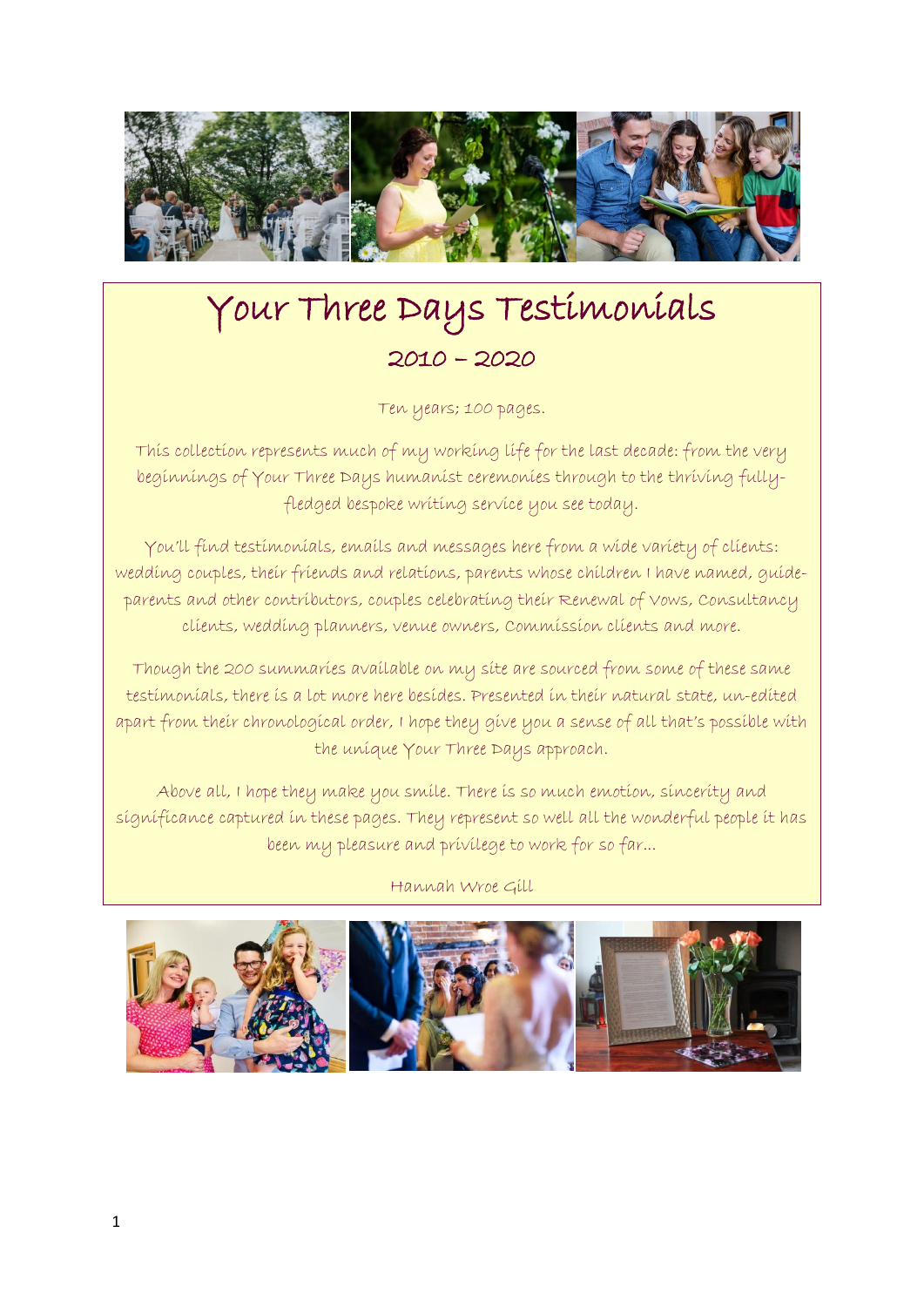

# Your Three Days Testimonials 2010 – 2020

Ten years; 100 pages.

This collection represents much of my working life for the last decade: from the very beginnings of Your Three Days humanist ceremonies through to the thriving fullyfledged bespoke writing service you see today.

You'll find testimonials, emails and messages here from a wide variety of clients: wedding couples, their friends and relations, parents whose children I have named, guideparents and other contributors, couples celebrating their Renewal of Vows, Consultancy clients, wedding planners, venue owners, Commission clients and more.

Though the 200 summaries available on my site are sourced from some of these same testimonials, there is a lot more here besides. Presented in their natural state, un-edited apart from their chronological order, I hope they give you a sense of all that's possible with the unique Your Three Days approach.

Above all, I hope they make you smile. There is so much emotion, sincerity and significance captured in these pages. They represent so well all the wonderful people it has been my pleasure and privilege to work for so far...

Hannah Wroe Gill

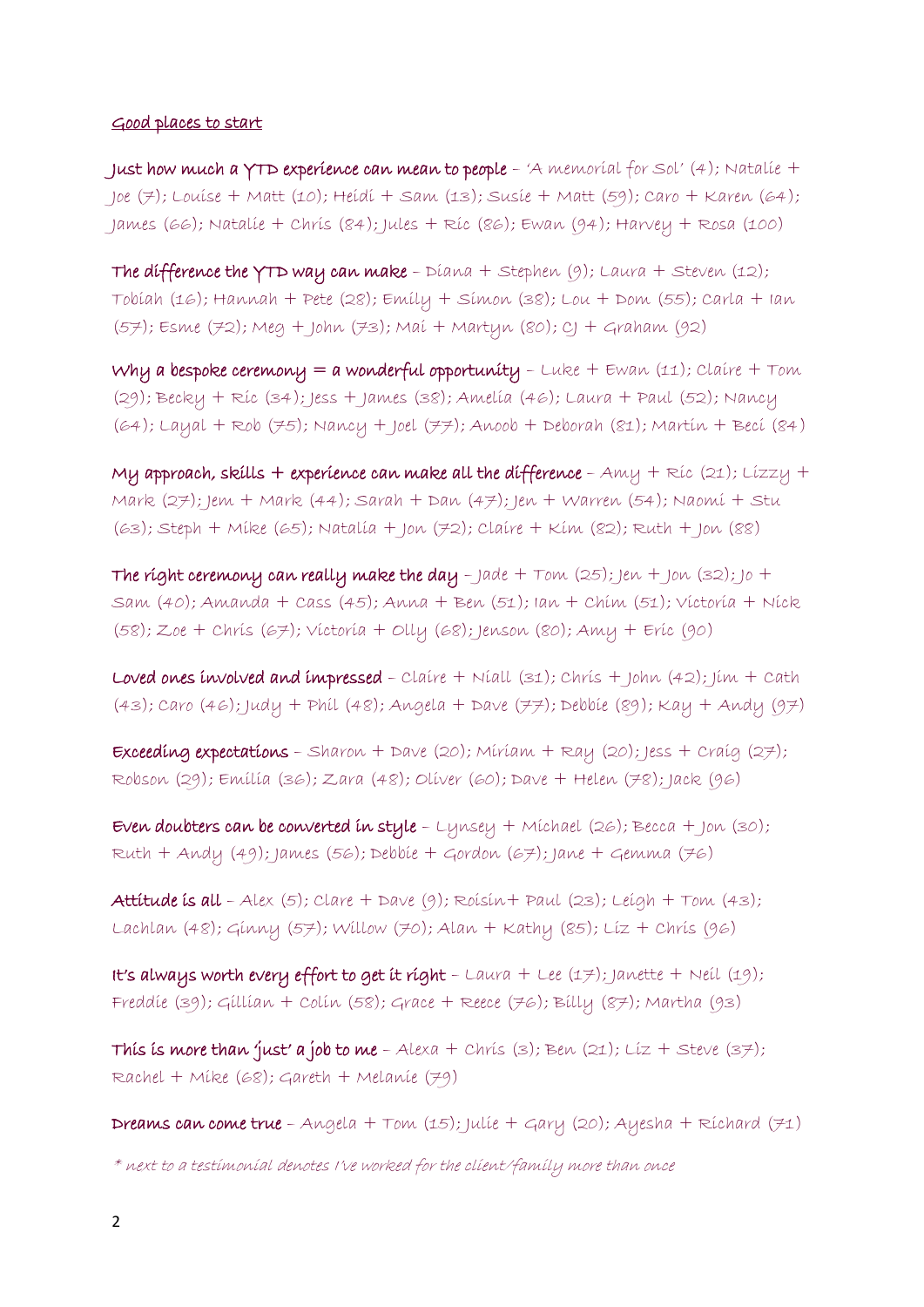#### Good places to start

Just how much a YTD experience can mean to people  $-$  'A memorial for Sol' (4); Natalie  $+$ Joe (7); Louise + Matt (10); Heidi + Sam (13); Susie + Matt (59); Caro + Karen (64); James (66); Natalie + Chris (84); Jules + Ric (86); Ewan (94); Harvey + Rosa (100)

The difference the YTD way can make -  $Diana + Stephen (9)$ ; Laura + Steven (12); Tobiah (16); Hannah + Pete (28); Emily + Simon (38); Lou + Dom (55); Carla + Ian (57); Esme (72); Meg + John (73); Mai + Martyn (80); CJ + Graham (92)

Why a bespoke ceremony = a wonderful opportunity -  $Luke + Ewan (11)$ ;  $Claire + Tom$ (29); Becky + Ric (34); Jess + James (38); Amelia (46); Laura + Paul (52); Nancy (64); Layal + Rob (75); Nancy + Joel (77); Anoob + Deborah (81); Martin + Beci (84)

My approach, skills + experience can make all the difference -  $Amy + Ric (21)$ ; Lizzy + Mark (27); Jem + Mark (44); Sarah + Dan (47); Jen + Warren (54); Naomi + Stu (63); Steph + Mike (65); Natalia + Jon (72); Claire + Kim (82); Ruth + Jon (88)

The right ceremony can really make the day - Jade +  $Tom (25)$ ; Jen + Jon  $(32)$ ; Jo + Sam (40); Amanda + Cass (45); Anna + Ben (51); Ian + Chim (51); Victoria + Nick (58); Zoe + Chris (67); Victoria + Olly (68); Jenson (80); Amy + Eric (90)

Loved ones involved and impressed - Claire + Niall  $(31)$ ; Chris + John  $(42)$ ; Jim + Cath (43); Caro (46); Judy + Phil (48); Angela + Dave (77); Debbie (89); Kay + Andy (97)

Exceeding expectations - Sharon + Dave (20); Miriam + Ray (20); Jess + Craig (27); Robson (29); Emilia (36); Zara (48); Oliver (60); Dave + Helen (78); Jack (96)

Even doubters can be converted in style -  $L$ ynsey + Michael (26); Becca + Jon (30); Ruth + Andy (49); James (56); Debbie + Gordon (67); Jane + Gemma (76)

Attitude is all - Alex  $(5)$ ; Clare + Dave  $(9)$ ; Roisin + Paul  $(23)$ ; Leigh + Tom  $(43)$ ; Lachlan (48); Ginny (57); Willow (70); Alan + Kathy (85); Liz + Chris (96)

It's always worth every effort to get it right - Laura + Lee  $(17)$ ; Janette + Neil  $(19)$ ; Freddie (39); Gillian + Colin (58); Grace + Reece (76); Billy (87); Martha (93)

This is more than 'just' a job to me - Alexa + Chris (3); Ben (21); Liz + Steve (37); Rachel + Mike (68); Gareth + Melanie (79)

**Dreams can come true** - Angela + Tom  $(15)$ ; Julie + Gary  $(20)$ ; Ayesha + Richard  $(71)$ 

 $*$  next to a testimonial denotes I've worked for the client/family more than once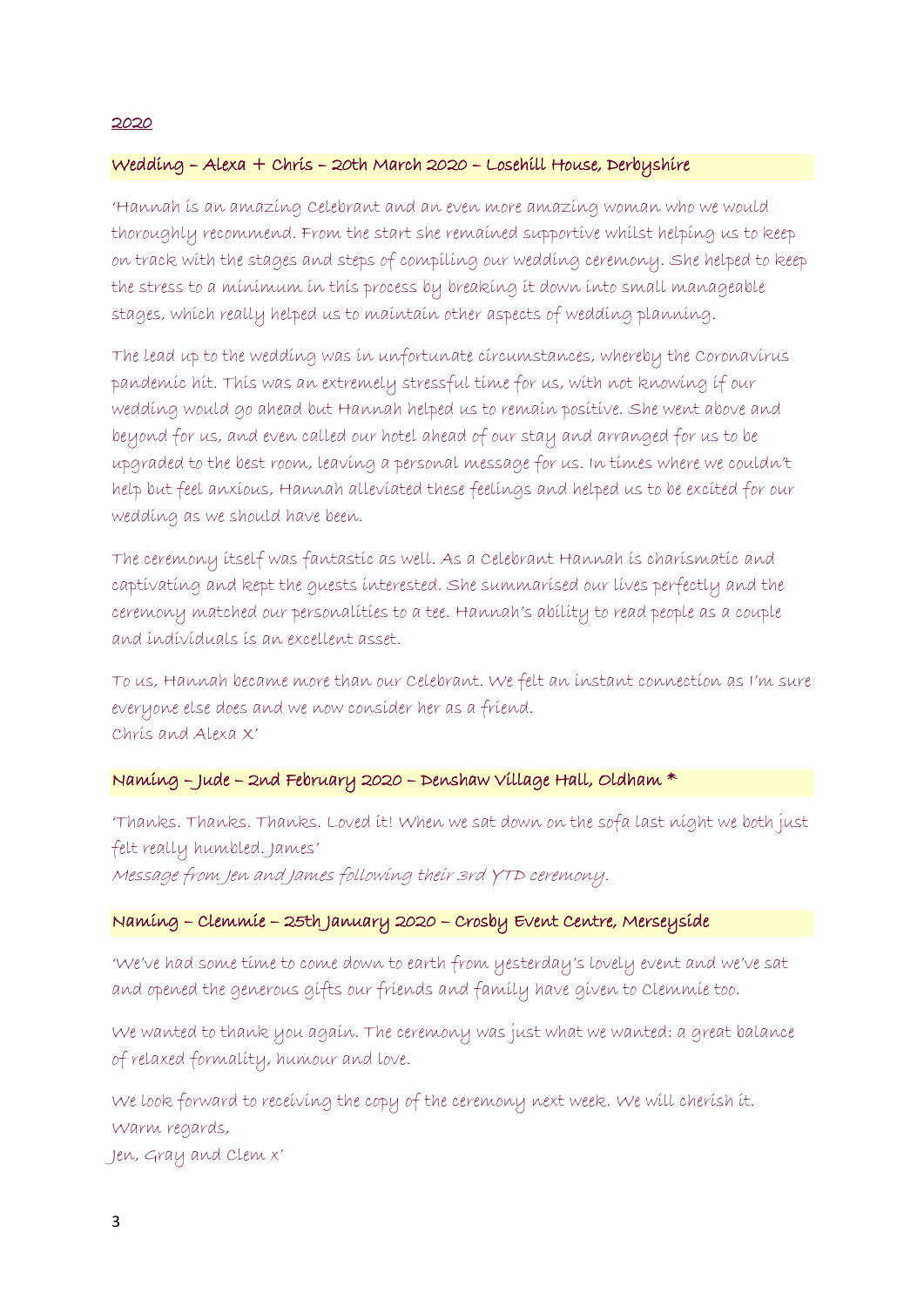#### 2020

# Wedding – Alexa + Chris – 20th March 2020 – Losehill House, Derbyshire

'Hannah is an amazing Celebrant and an even more amazing woman who we would thoroughly recommend. From the start she remained supportive whilst helping us to keep on track with the stages and steps of compiling our wedding ceremony. She helped to keep the stress to a minimum in this process by breaking it down into small manageable stages, which really helped us to maintain other aspects of wedding planning.

The lead up to the wedding was in unfortunate circumstances, whereby the Coronavirus pandemic hit. This was an extremely stressful time for us, with not knowing if our wedding would go ahead but Hannah helped us to remain positive. She went above and beyond for us, and even called our hotel ahead of our stay and arranged for us to be upgraded to the best room, leaving a personal message for us. In times where we couldn't help but feel anxious, Hannah alleviated these feelings and helped us to be excited for our wedding as we should have been.

The ceremony itself was fantastic as well. As a Celebrant Hannah is charismatic and captivating and kept the guests interested. She summarised our lives perfectly and the ceremony matched our personalities to a tee. Hannah's ability to read people as a couple and individuals is an excellent asset.

To us, Hannah became more than our Celebrant. We felt an instant connection as I'm sure everyone else does and we now consider her as a friend. Chris and Alexa X'

#### Naming – Jude – 2nd February 2020 – Denshaw Village Hall, Oldham \*

'Thanks. Thanks. Thanks. Loved it! When we sat down on the sofa last night we both just felt really humbled. James'

Message from Jen and James following their 3rd YTD ceremony.

## Naming – Clemmie – 25th January 2020 – Crosby Event Centre, Merseyside

'We've had some time to come down to earth from yesterday's lovely event and we've sat and opened the generous gifts our friends and family have given to Clemmie too.

We wanted to thank you again. The ceremony was just what we wanted: a great balance of relaxed formality, humour and love.

We look forward to receiving the copy of the ceremony next week. We will cherish it. Warm regards,

Jen, Gray and Clem x'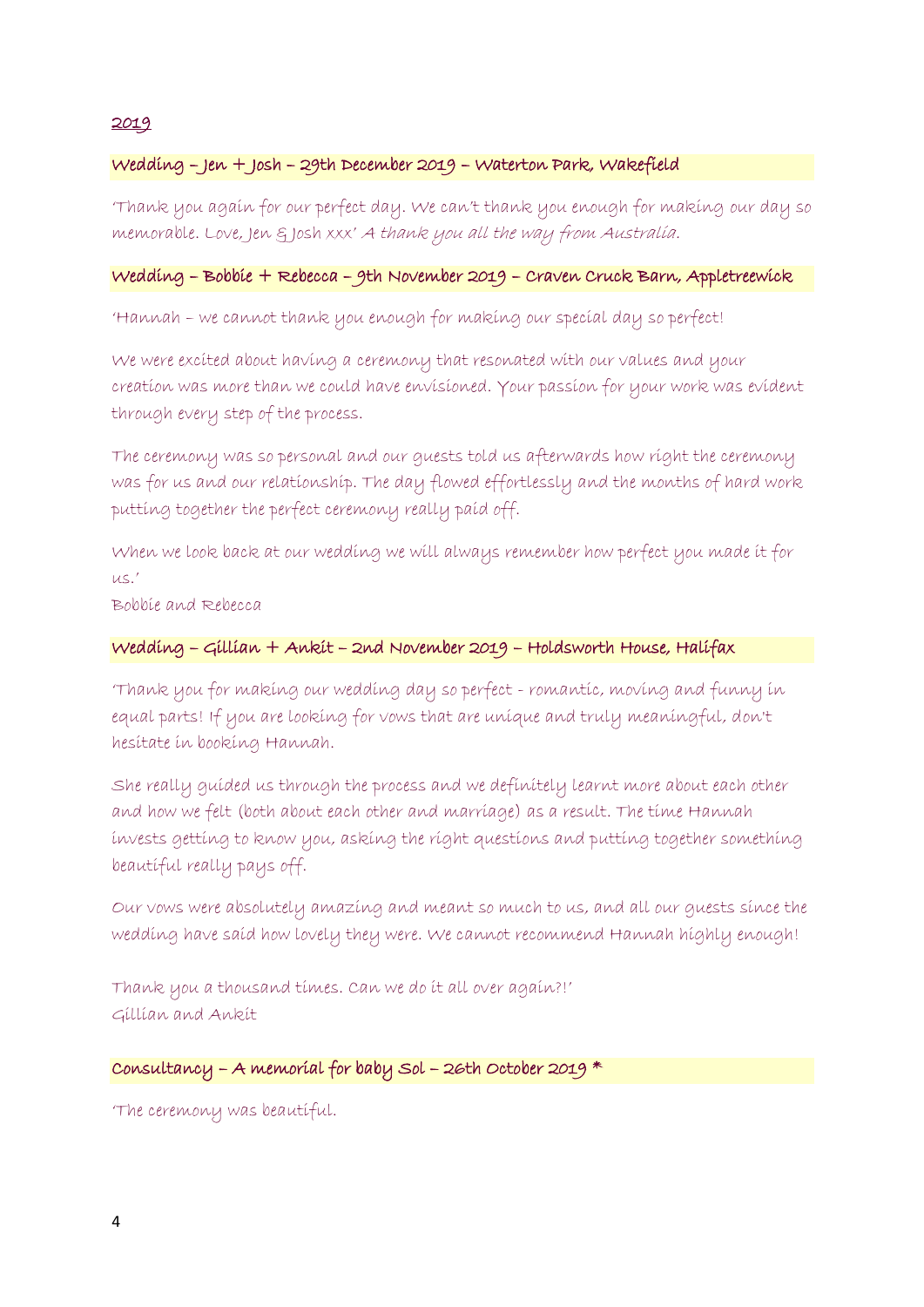## 2019

# Wedding – Jen + Josh – 29th December 2019 – Waterton Park, Wakefield

'Thank you again for our perfect day. We can't thank you enough for making our day so memorable. Love, Jen & Josh xxx' A thank you all the way from Australia.

## Wedding – Bobbie + Rebecca – 9th November 2019 – Craven Cruck Barn, Appletreewick

'Hannah – we cannot thank you enough for making our special day so perfect!

We were excited about having a ceremony that resonated with our values and your creation was more than we could have envisioned. Your passion for your work was evident through every step of the process.

The ceremony was so personal and our guests told us afterwards how right the ceremony was for us and our relationship. The day flowed effortlessly and the months of hard work putting together the perfect ceremony really paid off.

When we look back at our wedding we will always remember how perfect you made it for  $U\subseteq$ .

Bobbie and Rebecca

## Wedding – Gillian + Ankit – 2nd November 2019 – Holdsworth House, Halifax

'Thank you for making our wedding day so perfect - romantic, moving and funny in equal parts! If you are looking for vows that are unique and truly meaningful, don't hesitate in booking Hannah.

She really guided us through the process and we definitely learnt more about each other and how we felt (both about each other and marriage) as a result. The time Hannah invests getting to know you, asking the right questions and putting together something beautiful really pays off.

Our vows were absolutely amazing and meant so much to us, and all our guests since the wedding have said how lovely they were. We cannot recommend Hannah highly enough!

Thank you a thousand times. Can we do it all over again?!' Gillian and Ankit

## Consultancy – A memorial for baby Sol – 26th October 2019 \*

'The ceremony was beautiful.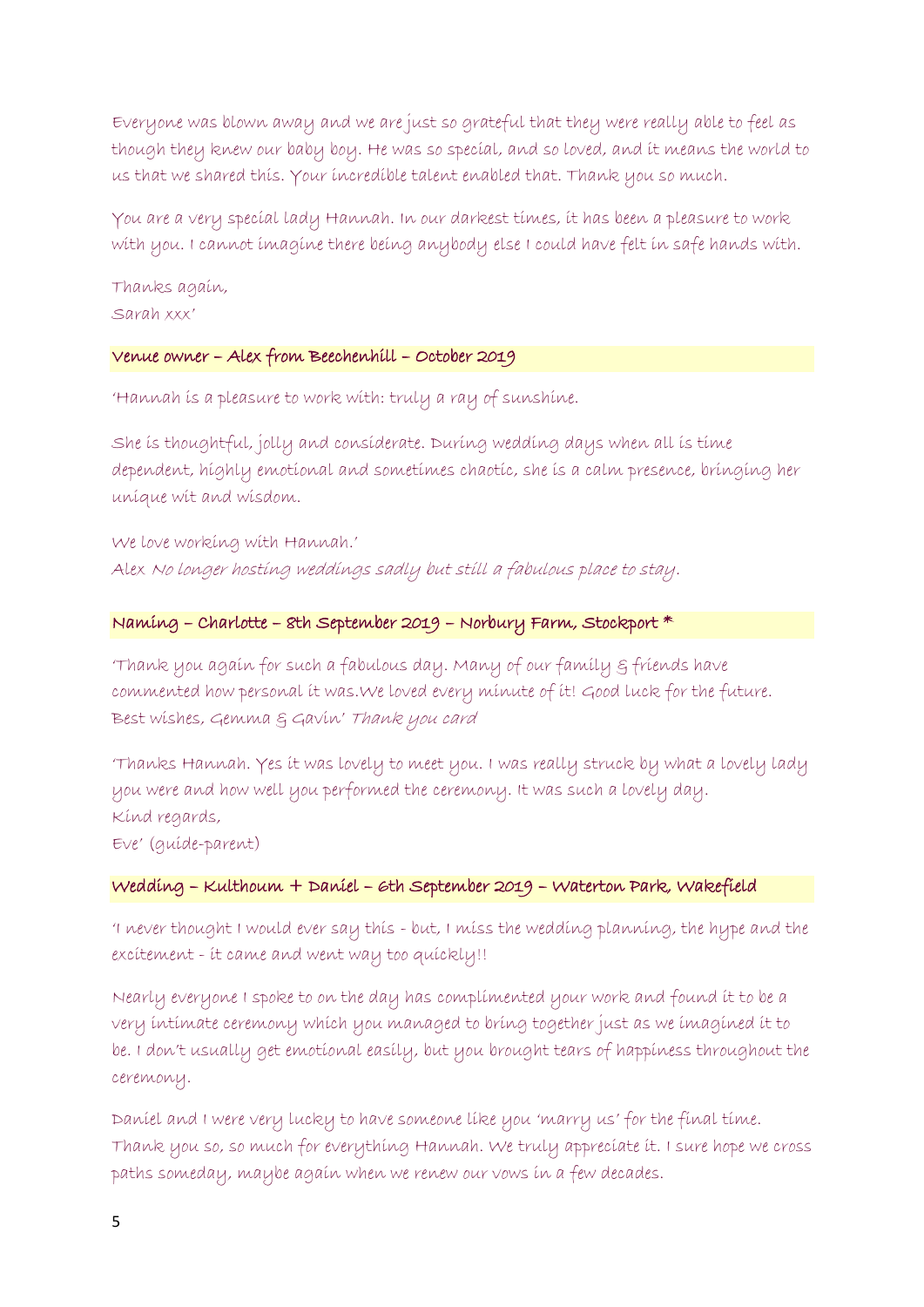Everyone was blown away and we are just so grateful that they were really able to feel as though they knew our baby boy. He was so special, and so loved, and it means the world to us that we shared this. Your incredible talent enabled that. Thank you so much.

You are a very special lady Hannah. In our darkest times, it has been a pleasure to work with you. I cannot imagine there being anybody else I could have felt in safe hands with.

Thanks again, Sarah xxx'

## Venue owner – Alex from Beechenhill – October 2019

'Hannah is a pleasure to work with: truly a ray of sunshine.

She is thoughtful, jolly and considerate. During wedding days when all is time dependent, highly emotional and sometimes chaotic, she is a calm presence, bringing her unique wit and wisdom.

We love working with Hannah.' Alex No longer hosting weddings sadly but still a fabulous place to stay.

## Naming – Charlotte – 8th September 2019 – Norbury Farm, Stockport \*

'Thank you again for such a fabulous day. Many of our family & friends have commented how personal it was.We loved every minute of it! Good luck for the future. Best wishes, Gemma & Gavin' Thank you card

'Thanks Hannah. Yes it was lovely to meet you. I was really struck by what a lovely lady you were and how well you performed the ceremony. It was such a lovely day. Kind regards,

Eve' (guide-parent)

#### Wedding – Kulthoum + Daniel – 6th September 2019 – Waterton Park, Wakefield

'I never thought I would ever say this - but, I miss the wedding planning, the hype and the excitement - it came and went way too quickly!!

Nearly everyone I spoke to on the day has complimented your work and found it to be a very intimate ceremony which you managed to bring together just as we imagined it to be. I don't usually get emotional easily, but you brought tears of happiness throughout the ceremony.

Daniel and I were very lucky to have someone like you 'marry us' for the final time. Thank you so, so much for everything Hannah. We truly appreciate it. I sure hope we cross paths someday, maybe again when we renew our vows in a few decades.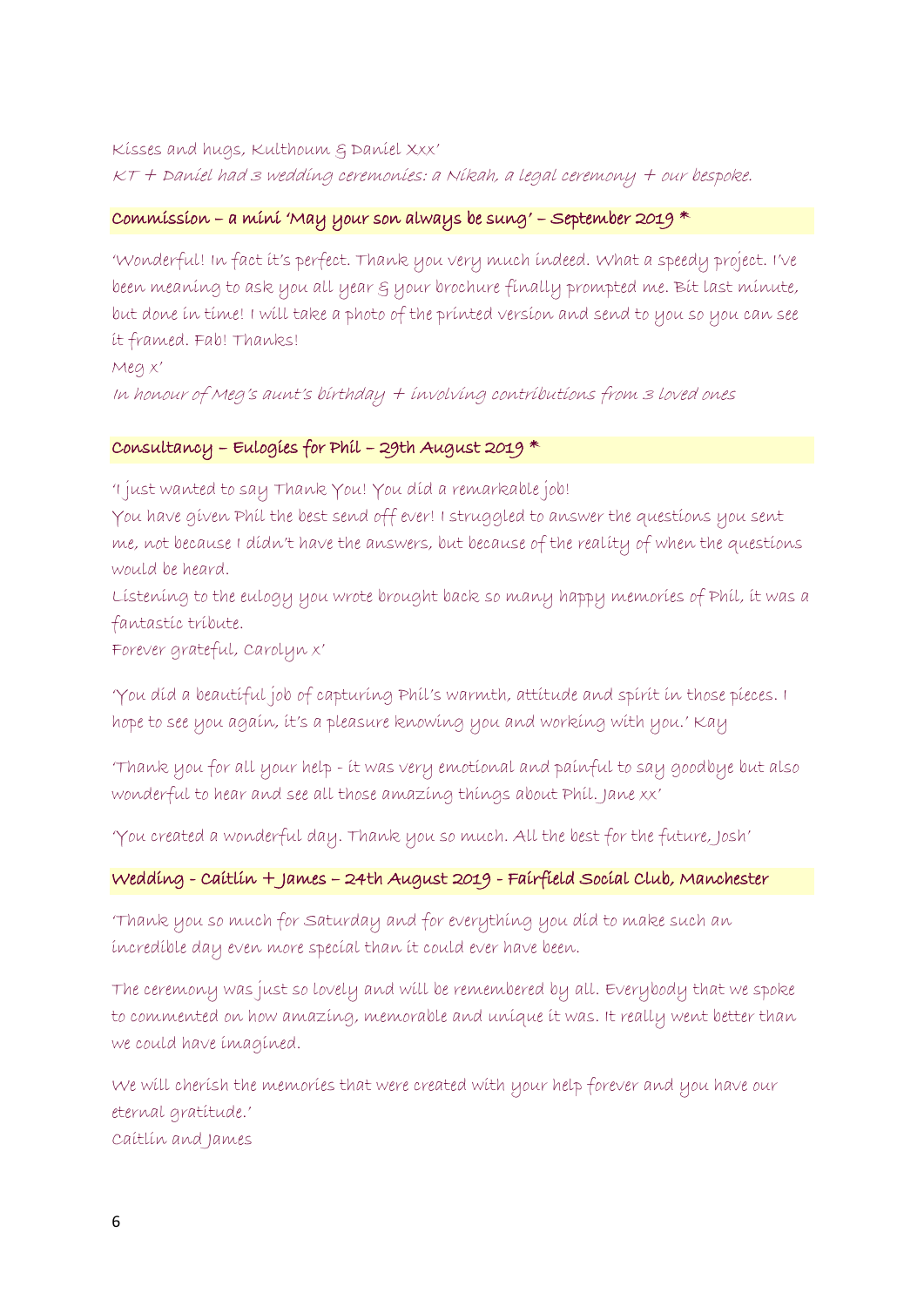Kisses and hugs, Kulthoum & Daniel Xxx' KT + Daniel had 3 wedding ceremonies: a Nikah, a legal ceremony + our bespoke.

## $\mathcal C$ ommission – a mini 'May your son always be sung' – September 2019  $^*$

'Wonderful! In fact it's perfect. Thank you very much indeed. What a speedy project. I've been meaning to ask you all year & your brochure finally prompted me. Bit last minute, but done in time! I will take a photo of the printed version and send to you so you can see it framed. Fab! Thanks!

Meg x'

In honour of Meg's aunt's birthday + involving contributions from 3 loved ones

# Consultancy – Eulogies for Phil – 29th August 2019 \*

'I just wanted to say Thank You! You did a remarkable job!

You have given Phil the best send off ever! I struggled to answer the questions you sent me, not because I didn't have the answers, but because of the reality of when the questions would be heard.

Listening to the eulogy you wrote brought back so many happy memories of Phil, it was a fantastic tribute.

Forever grateful, Carolyn x'

'You did a beautiful job of capturing Phil's warmth, attitude and spirit in those pieces. I hope to see you again, it's a pleasure knowing you and working with you.' Kay

'Thank you for all your help - it was very emotional and painful to say goodbye but also wonderful to hear and see all those amazing things about Phil. Jane xx'

'You created a wonderful day. Thank you so much. All the best for the future, Josh'

## Wedding - Caitlin + James – 24th August 2019 - Fairfield Social Club, Manchester

'Thank you so much for Saturday and for everything you did to make such an incredible day even more special than it could ever have been.

The ceremony was just so lovely and will be remembered by all. Everybody that we spoke to commented on how amazing, memorable and unique it was. It really went better than we could have imagined.

We will cherish the memories that were created with your help forever and you have our eternal gratitude.' Caitlin and James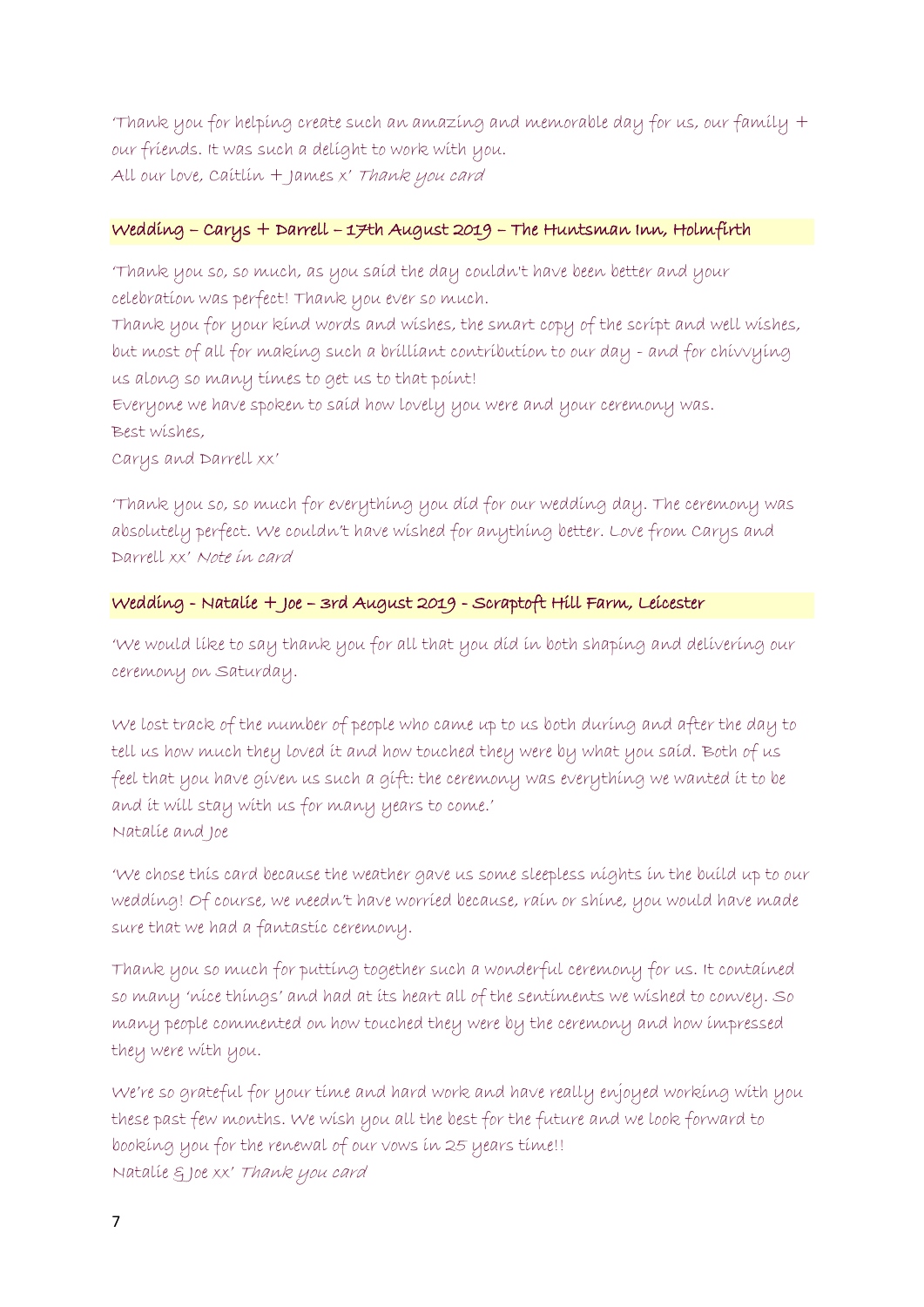'Thank you for helping create such an amazing and memorable day for us, our family + our friends. It was such a delight to work with you. All our love, Caitlin + James x' Thank you card

# Wedding – Carys + Darrell – 17th August 2019 – The Huntsman Inn, Holmfirth

'Thank you so, so much, as you said the day couldn't have been better and your celebration was perfect! Thank you ever so much.

Thank you for your kind words and wishes, the smart copy of the script and well wishes, but most of all for making such a brilliant contribution to our day - and for chivvying us along so many times to get us to that point!

Everyone we have spoken to said how lovely you were and your ceremony was. Best wishes,

Carys and Darrell xx'

'Thank you so, so much for everything you did for our wedding day. The ceremony was absolutely perfect. We couldn't have wished for anything better. Love from Carys and Darrell xx' Note in card

# Wedding - Natalie + Joe – 3rd August 2019 - Scraptoft Hill Farm, Leicester

'We would like to say thank you for all that you did in both shaping and delivering our ceremony on Saturday.

We lost track of the number of people who came up to us both during and after the day to tell us how much they loved it and how touched they were by what you said. Both of us feel that you have given us such a gift: the ceremony was everything we wanted it to be and it will stay with us for many years to come.' Natalie and Joe

'We chose this card because the weather gave us some sleepless nights in the build up to our wedding! Of course, we needn't have worried because, rain or shine, you would have made sure that we had a fantastic ceremony.

Thank you so much for putting together such a wonderful ceremony for us. It contained so many 'nice things' and had at its heart all of the sentiments we wished to convey. So many people commented on how touched they were by the ceremony and how impressed they were with you.

We're so grateful for your time and hard work and have really enjoyed working with you these past few months. We wish you all the best for the future and we look forward to booking you for the renewal of our vows in 25 years time!! Natalie & Joe xx' Thank you card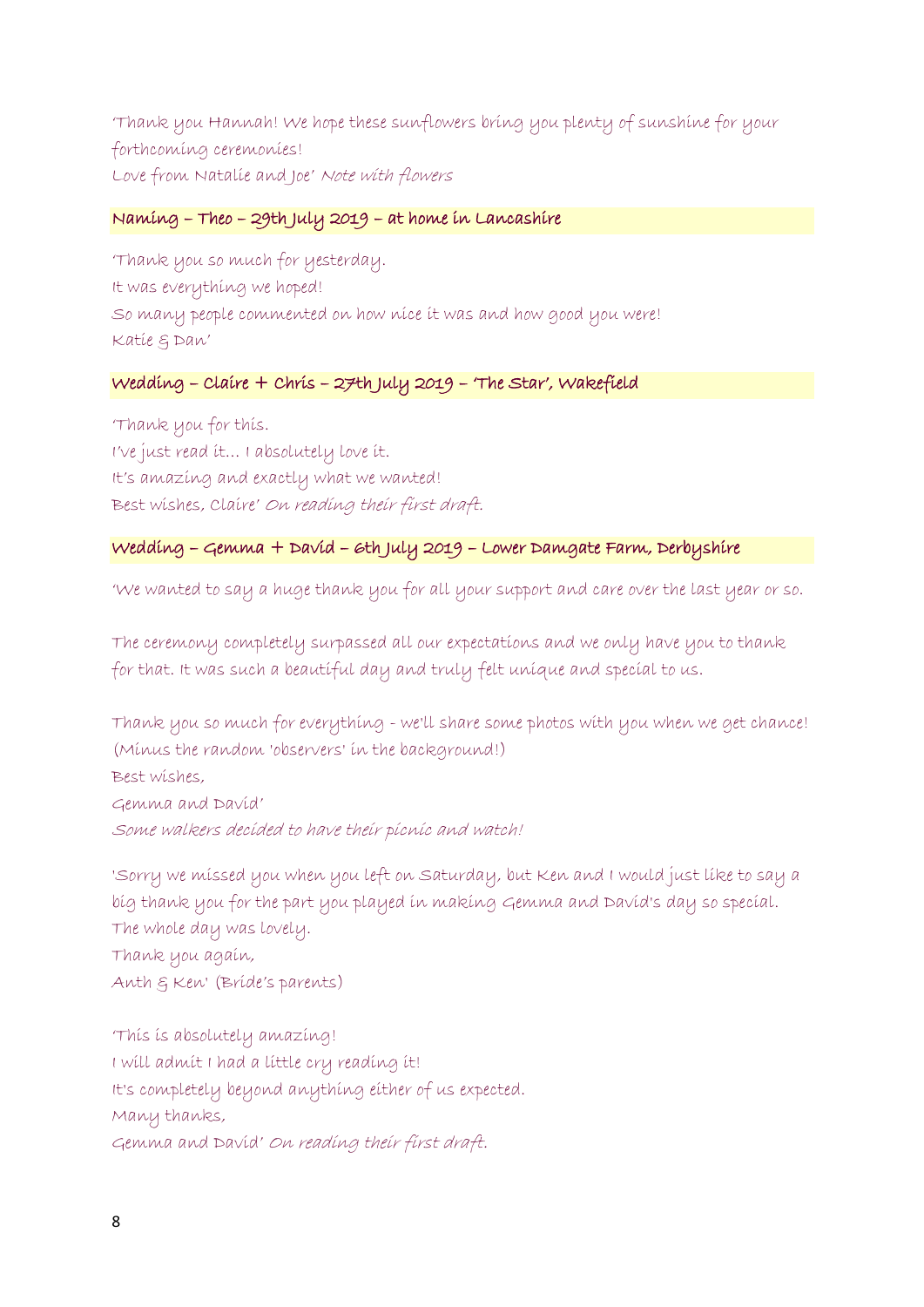'Thank you Hannah! We hope these sunflowers bring you plenty of sunshine for your forthcoming ceremonies! Love from Natalie and Joe' Note with flowers

## Naming – Theo – 29th July 2019 – at home in Lancashire

'Thank you so much for yesterday. It was everything we hoped! So many people commented on how nice it was and how good you were! Katie & Dan'

# Wedding – Claire + Chris – 27th July 2019 – 'The Star', Wakefield

'Thank you for this. I've just read it… I absolutely love it. It's amazing and exactly what we wanted! Best wishes, Claire' On reading their first draft.

## Wedding – Gemma + David – 6th July 2019 – Lower Damgate Farm, Derbyshire

'We wanted to say a huge thank you for all your support and care over the last year or so.

The ceremony completely surpassed all our expectations and we only have you to thank for that. It was such a beautiful day and truly felt unique and special to us.

Thank you so much for everything - we'll share some photos with you when we get chance! (Minus the random 'observers' in the background!) Best wishes, Gemma and David' Some walkers decided to have their picnic and watch!

'Sorry we missed you when you left on Saturday, but Ken and I would just like to say a big thank you for the part you played in making Gemma and David's day so special. The whole day was lovely. Thank you again, Anth & Ken' (Bride's parents)

'This is absolutely amazing! I will admit I had a little cry reading it! It's completely beyond anything either of us expected. Many thanks, Gemma and David' On reading their first draft.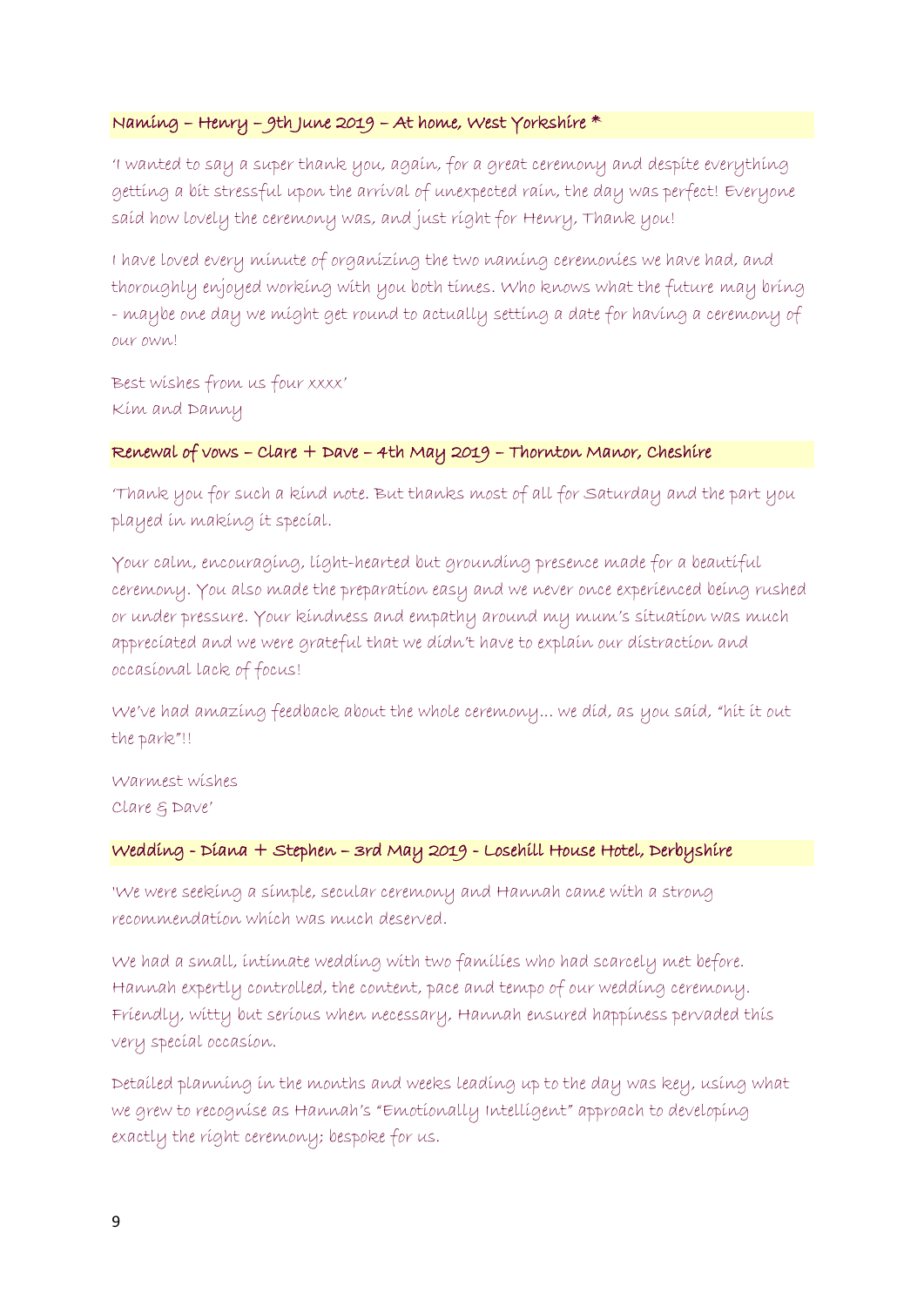## Naming – Henry – 9th June 2019 – At home, West Yorkshire \*

'I wanted to say a super thank you, again, for a great ceremony and despite everything getting a bit stressful upon the arrival of unexpected rain, the day was perfect! Everyone said how lovely the ceremony was, and just right for Henry, Thank you!

I have loved every minute of organizing the two naming ceremonies we have had, and thoroughly enjoyed working with you both times. Who knows what the future may bring - maybe one day we might get round to actually setting a date for having a ceremony of our own!

Best wishes from us four xxxx' Kim and Danny

## Renewal of vows – Clare + Dave – 4th May 2019 – Thornton Manor, Cheshire

'Thank you for such a kind note. But thanks most of all for Saturday and the part you played in making it special.

Your calm, encouraging, light-hearted but grounding presence made for a beautiful ceremony. You also made the preparation easy and we never once experienced being rushed or under pressure. Your kindness and empathy around my mum's situation was much appreciated and we were grateful that we didn't have to explain our distraction and occasional lack of focus!

We've had amazing feedback about the whole ceremony... we did, as you said, "hit it out the park"!!

Warmest wishes Clare & Dave'

## Wedding - Diana + Stephen – 3rd May 2019 - Losehill House Hotel, Derbyshire

'We were seeking a simple, secular ceremony and Hannah came with a strong recommendation which was much deserved.

We had a small, intimate wedding with two families who had scarcely met before. Hannah expertly controlled, the content, pace and tempo of our wedding ceremony. Friendly, witty but serious when necessary, Hannah ensured happiness pervaded this very special occasion.

Detailed planning in the months and weeks leading up to the day was key, using what we grew to recognise as Hannah's "Emotionally Intelligent" approach to developing exactly the right ceremony; bespoke for us.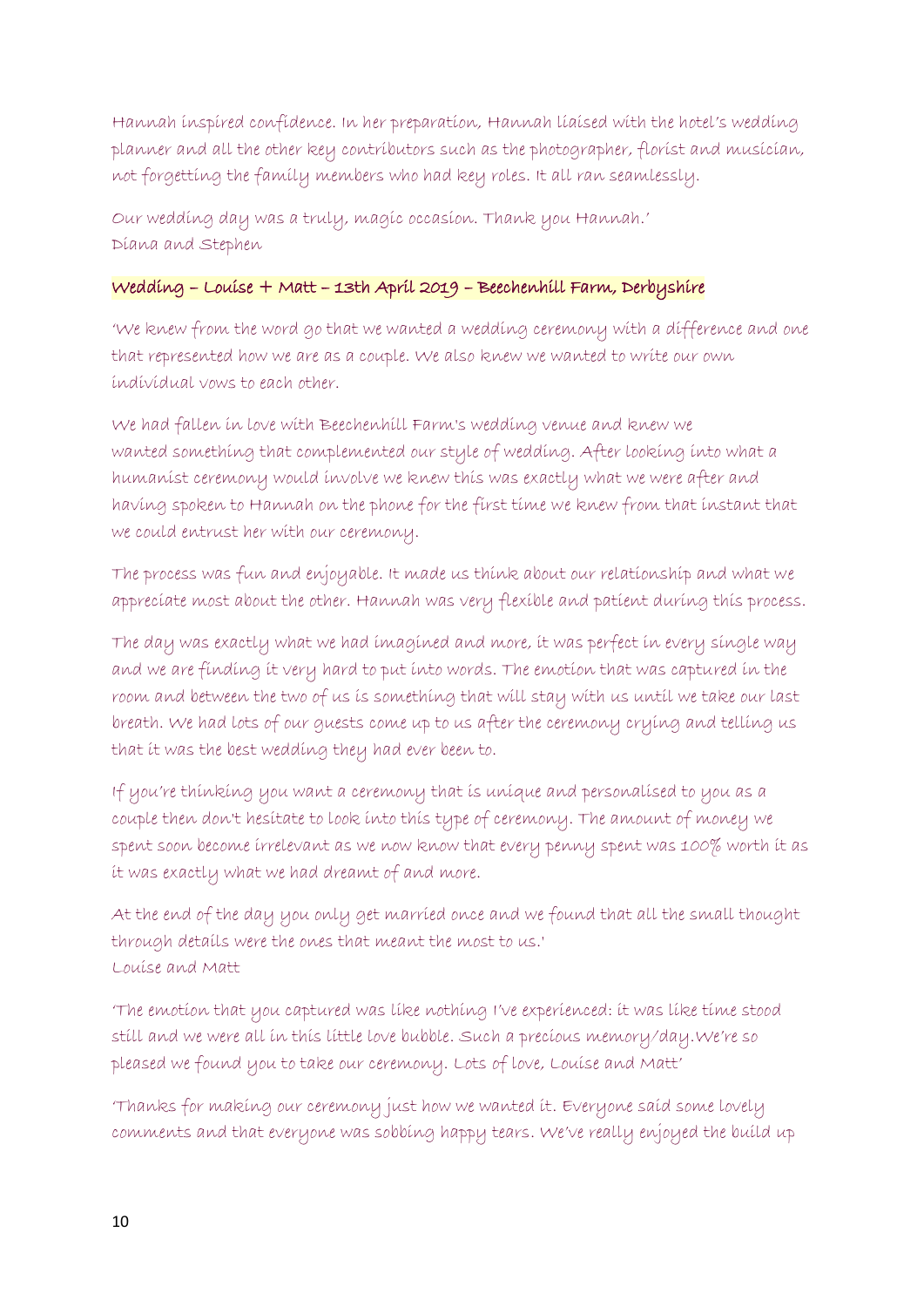Hannah inspired confidence. In her preparation, Hannah liaised with the hotel's wedding planner and all the other key contributors such as the photographer, florist and musician, not forgetting the family members who had key roles. It all ran seamlessly.

Our wedding day was a truly, magic occasion. Thank you Hannah.' Diana and Stephen

# Wedding – Louise + Matt – 13th April 2019 – Beechenhill Farm, Derbyshire

'We knew from the word go that we wanted a wedding ceremony with a difference and one that represented how we are as a couple. We also knew we wanted to write our own individual vows to each other.

We had fallen in love with Beechenhill Farm's wedding venue and knew we wanted something that complemented our style of wedding. After looking into what a humanist ceremony would involve we knew this was exactly what we were after and having spoken to Hannah on the phone for the first time we knew from that instant that we could entrust her with our ceremony.

The process was fun and enjoyable. It made us think about our relationship and what we appreciate most about the other. Hannah was very flexible and patient during this process.

The day was exactly what we had imagined and more, it was perfect in every single way and we are finding it very hard to put into words. The emotion that was captured in the room and between the two of us is something that will stay with us until we take our last breath. We had lots of our guests come up to us after the ceremony crying and telling us that it was the best wedding they had ever been to.

If you're thinking you want a ceremony that is unique and personalised to you as a couple then don't hesitate to look into this type of ceremony. The amount of money we spent soon become irrelevant as we now know that every penny spent was 100% worth it as it was exactly what we had dreamt of and more.

At the end of the day you only get married once and we found that all the small thought through details were the ones that meant the most to us.' Louise and Matt

'The emotion that you captured was like nothing I've experienced: it was like time stood still and we were all in this little love bubble. Such a precious memory/day.We're so pleased we found you to take our ceremony. Lots of love, Louise and Matt'

'Thanks for making our ceremony just how we wanted it. Everyone said some lovely comments and that everyone was sobbing happy tears. We've really enjoyed the build up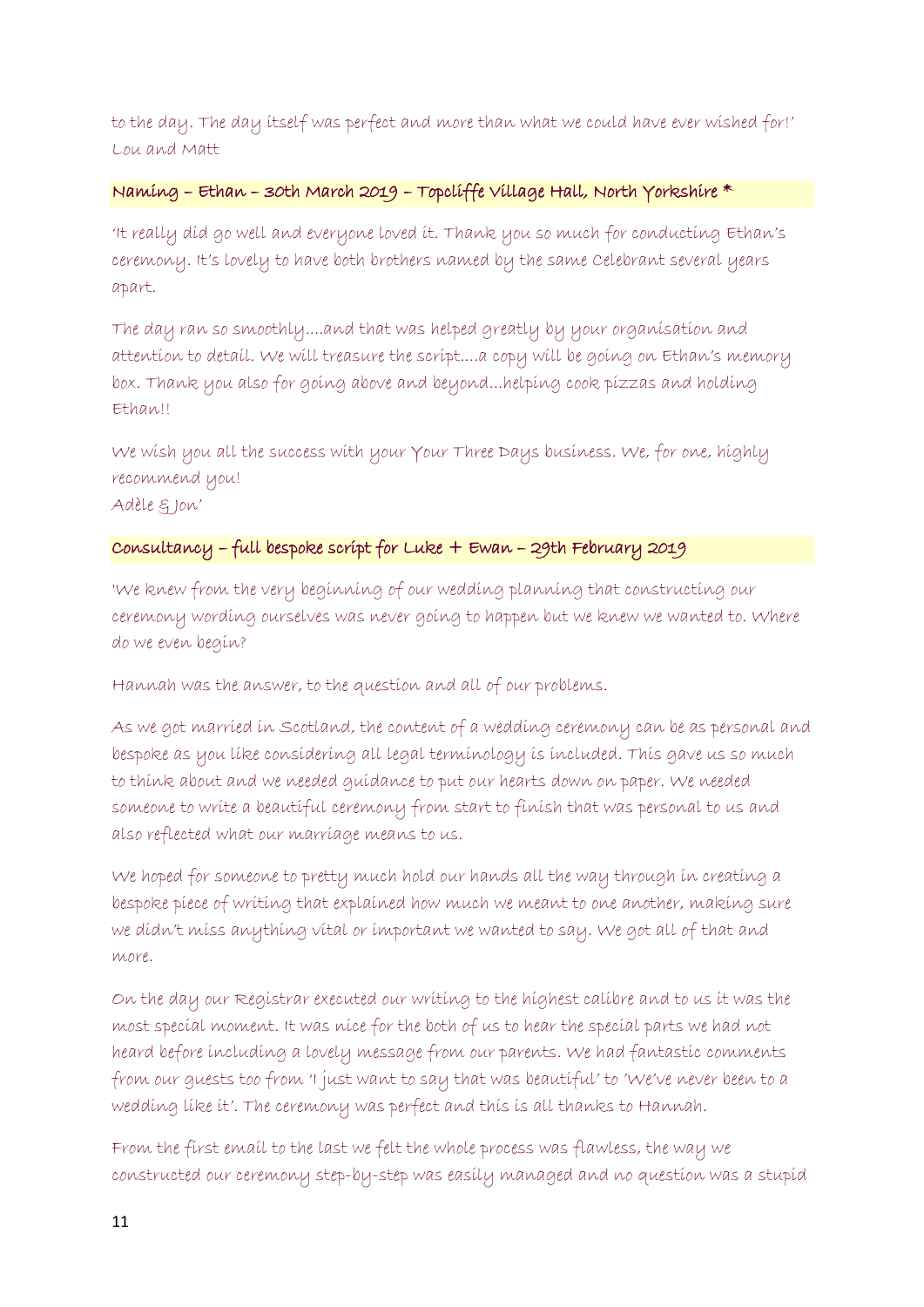to the day. The day itself was perfect and more than what we could have ever wished for!' Lou and Matt

# Naming – Ethan – 30th March 2019 – Topcliffe Village Hall, North Yorkshire \*

'It really did go well and everyone loved it. Thank you so much for conducting Ethan's ceremony. It's lovely to have both brothers named by the same Celebrant several years apart.

The day ran so smoothly....and that was helped greatly by your organisation and attention to detail. We will treasure the script....a copy will be going on Ethan's memory box. Thank you also for going above and beyond...helping cook pizzas and holding Ethan!!

We wish you all the success with your Your Three Days business. We, for one, highly recommend you!

Adèle & Jon'

## Consultancy – full bespoke script for Luke + Ewan – 29th February 2019

'We knew from the very beginning of our wedding planning that constructing our ceremony wording ourselves was never going to happen but we knew we wanted to. Where do we even begin?

Hannah was the answer, to the question and all of our problems.

As we got married in Scotland, the content of a wedding ceremony can be as personal and bespoke as you like considering all legal terminology is included. This gave us so much to think about and we needed guidance to put our hearts down on paper. We needed someone to write a beautiful ceremony from start to finish that was personal to us and also reflected what our marriage means to us.

We hoped for someone to pretty much hold our hands all the way through in creating a bespoke piece of writing that explained how much we meant to one another, making sure we didn't miss anything vital or important we wanted to say. We got all of that and more.

On the day our Registrar executed our writing to the highest calibre and to us it was the most special moment. It was nice for the both of us to hear the special parts we had not heard before including a lovely message from our parents. We had fantastic comments from our guests too from 'I just want to say that was beautiful' to 'We've never been to a wedding like it'. The ceremony was perfect and this is all thanks to Hannah.

From the first email to the last we felt the whole process was flawless, the way we constructed our ceremony step-by-step was easily managed and no question was a stupid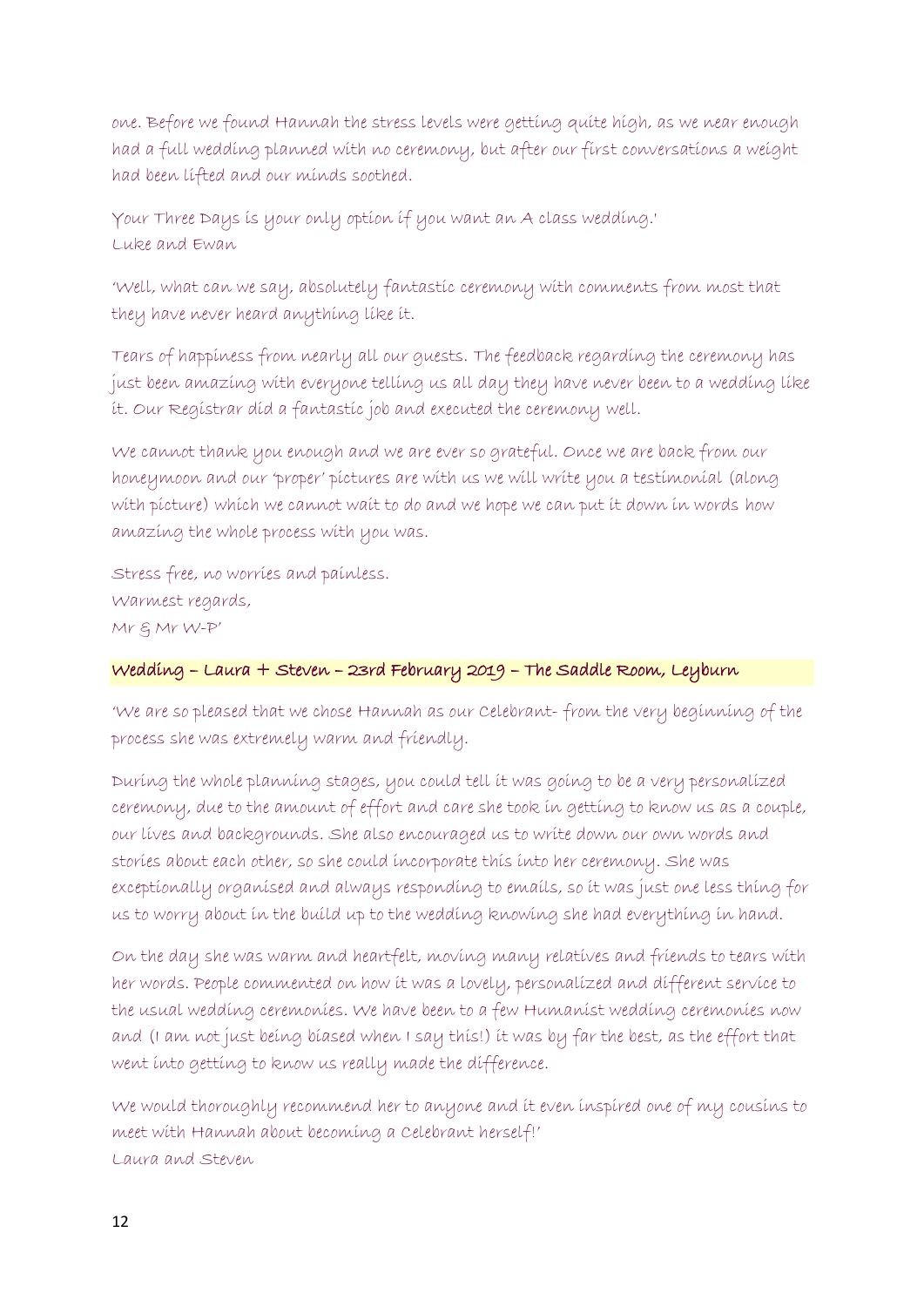one. Before we found Hannah the stress levels were getting quite high, as we near enough had a full wedding planned with no ceremony, but after our first conversations a weight had been lifted and our minds soothed.

Your Three Days is your only option if you want an A class wedding.' Luke and Ewan

'Well, what can we say, absolutely fantastic ceremony with comments from most that they have never heard anything like it.

Tears of happiness from nearly all our guests. The feedback regarding the ceremony has just been amazing with everyone telling us all day they have never been to a wedding like it. Our Registrar did a fantastic job and executed the ceremony well.

We cannot thank you enough and we are ever so grateful. Once we are back from our honeymoon and our 'proper' pictures are with us we will write you a testimonial (along with picture) which we cannot wait to do and we hope we can put it down in words how amazing the whole process with you was.

Stress free, no worries and painless. Warmest regards, Mr & Mr W-P'

## Wedding – Laura + Steven – 23rd February 2019 – The Saddle Room, Leyburn

'We are so pleased that we chose Hannah as our Celebrant- from the very beginning of the process she was extremely warm and friendly.

During the whole planning stages, you could tell it was going to be a very personalized ceremony, due to the amount of effort and care she took in getting to know us as a couple, our lives and backgrounds. She also encouraged us to write down our own words and stories about each other, so she could incorporate this into her ceremony. She was exceptionally organised and always responding to emails, so it was just one less thing for us to worry about in the build up to the wedding knowing she had everything in hand.

On the day she was warm and heartfelt, moving many relatives and friends to tears with her words. People commented on how it was a lovely, personalized and different service to the usual wedding ceremonies. We have been to a few Humanist wedding ceremonies now and (I am not just being biased when I say this!) it was by far the best, as the effort that went into getting to know us really made the difference.

We would thoroughly recommend her to anyone and it even inspired one of my cousins to meet with Hannah about becoming a Celebrant herself!' Laura and Steven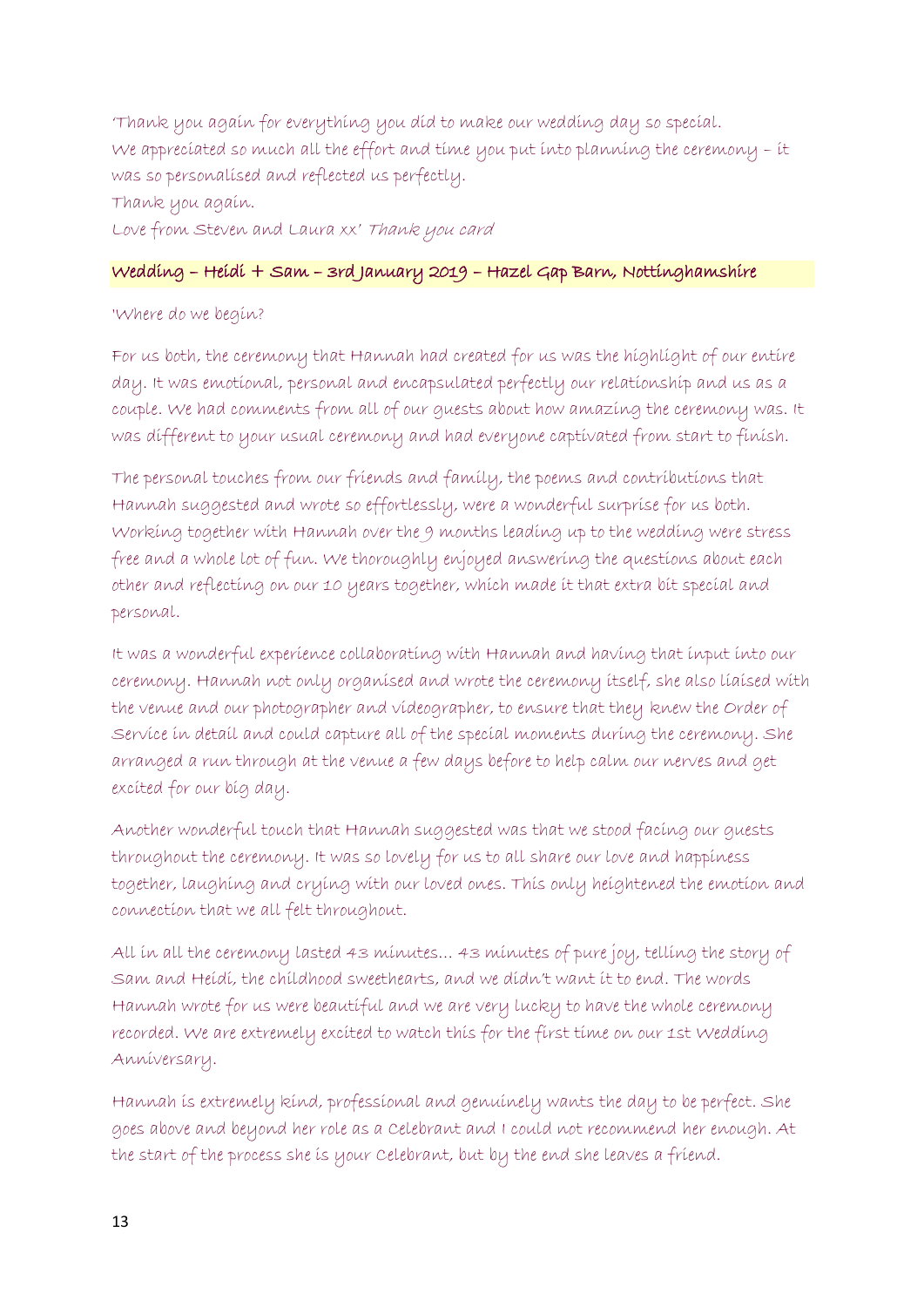'Thank you again for everything you did to make our wedding day so special. We appreciated so much all the effort and time you put into planning the ceremony – it was so personalised and reflected us perfectly. Thank you again. Love from Steven and Laura xx' Thank you card

# Wedding – Heidi + Sam – 3rd January 2019 – Hazel Gap Barn, Nottinghamshire

# 'Where do we begin?

For us both, the ceremony that Hannah had created for us was the highlight of our entire day. It was emotional, personal and encapsulated perfectly our relationship and us as a couple. We had comments from all of our guests about how amazing the ceremony was. It was different to your usual ceremony and had everyone captivated from start to finish.

The personal touches from our friends and family, the poems and contributions that Hannah suggested and wrote so effortlessly, were a wonderful surprise for us both. Working together with Hannah over the 9 months leading up to the wedding were stress free and a whole lot of fun. We thoroughly enjoyed answering the questions about each other and reflecting on our 10 years together, which made it that extra bit special and personal.

It was a wonderful experience collaborating with Hannah and having that input into our ceremony. Hannah not only organised and wrote the ceremony itself, she also liaised with the venue and our photographer and videographer, to ensure that they knew the Order of Service in detail and could capture all of the special moments during the ceremony. She arranged a run through at the venue a few days before to help calm our nerves and get excited for our big day.

Another wonderful touch that Hannah suggested was that we stood facing our guests throughout the ceremony. It was so lovely for us to all share our love and happiness together, laughing and crying with our loved ones. This only heightened the emotion and connection that we all felt throughout.

All in all the ceremony lasted 43 minutes… 43 minutes of pure joy, telling the story of Sam and Heidi, the childhood sweethearts, and we didn't want it to end. The words Hannah wrote for us were beautiful and we are very lucky to have the whole ceremony recorded. We are extremely excited to watch this for the first time on our 1st Wedding Anniversary.

Hannah is extremely kind, professional and genuinely wants the day to be perfect. She goes above and beyond her role as a Celebrant and I could not recommend her enough. At the start of the process she is your Celebrant, but by the end she leaves a friend.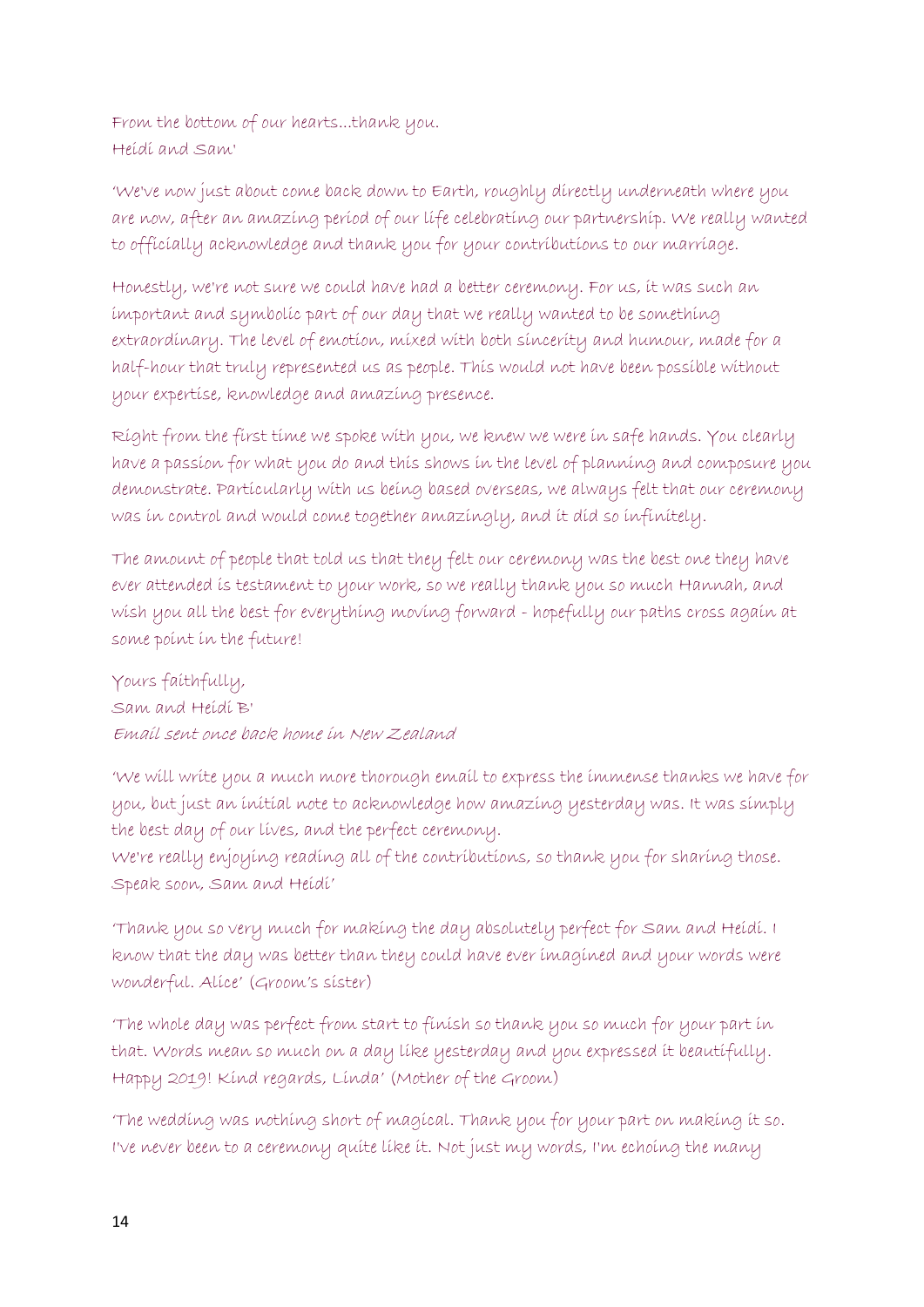From the bottom of our hearts...thank you. Heidi and Sam'

'We've now just about come back down to Earth, roughly directly underneath where you are now, after an amazing period of our life celebrating our partnership. We really wanted to officially acknowledge and thank you for your contributions to our marriage.

Honestly, we're not sure we could have had a better ceremony. For us, it was such an important and symbolic part of our day that we really wanted to be something extraordinary. The level of emotion, mixed with both sincerity and humour, made for a half-hour that truly represented us as people. This would not have been possible without your expertise, knowledge and amazing presence.

Right from the first time we spoke with you, we knew we were in safe hands. You clearly have a passion for what you do and this shows in the level of planning and composure you demonstrate. Particularly with us being based overseas, we always felt that our ceremony was in control and would come together amazingly, and it did so infinitely.

The amount of people that told us that they felt our ceremony was the best one they have ever attended is testament to your work, so we really thank you so much Hannah, and wish you all the best for everything moving forward - hopefully our paths cross again at some point in the future!

Yours faithfully, Sam and Heidi B' Email sent once back home in New Zealand

'We will write you a much more thorough email to express the immense thanks we have for you, but just an initial note to acknowledge how amazing yesterday was. It was simply the best day of our lives, and the perfect ceremony.

We're really enjoying reading all of the contributions, so thank you for sharing those. Speak soon, Sam and Heidi'

'Thank you so very much for making the day absolutely perfect for Sam and Heidi. I know that the day was better than they could have ever imagined and your words were wonderful. Alice' (Groom's sister)

'The whole day was perfect from start to finish so thank you so much for your part in that. Words mean so much on a day like yesterday and you expressed it beautifully. Happy 2019! Kind regards, Linda' (Mother of the Groom)

'The wedding was nothing short of magical. Thank you for your part on making it so. I've never been to a ceremony quite like it. Not just my words, I'm echoing the many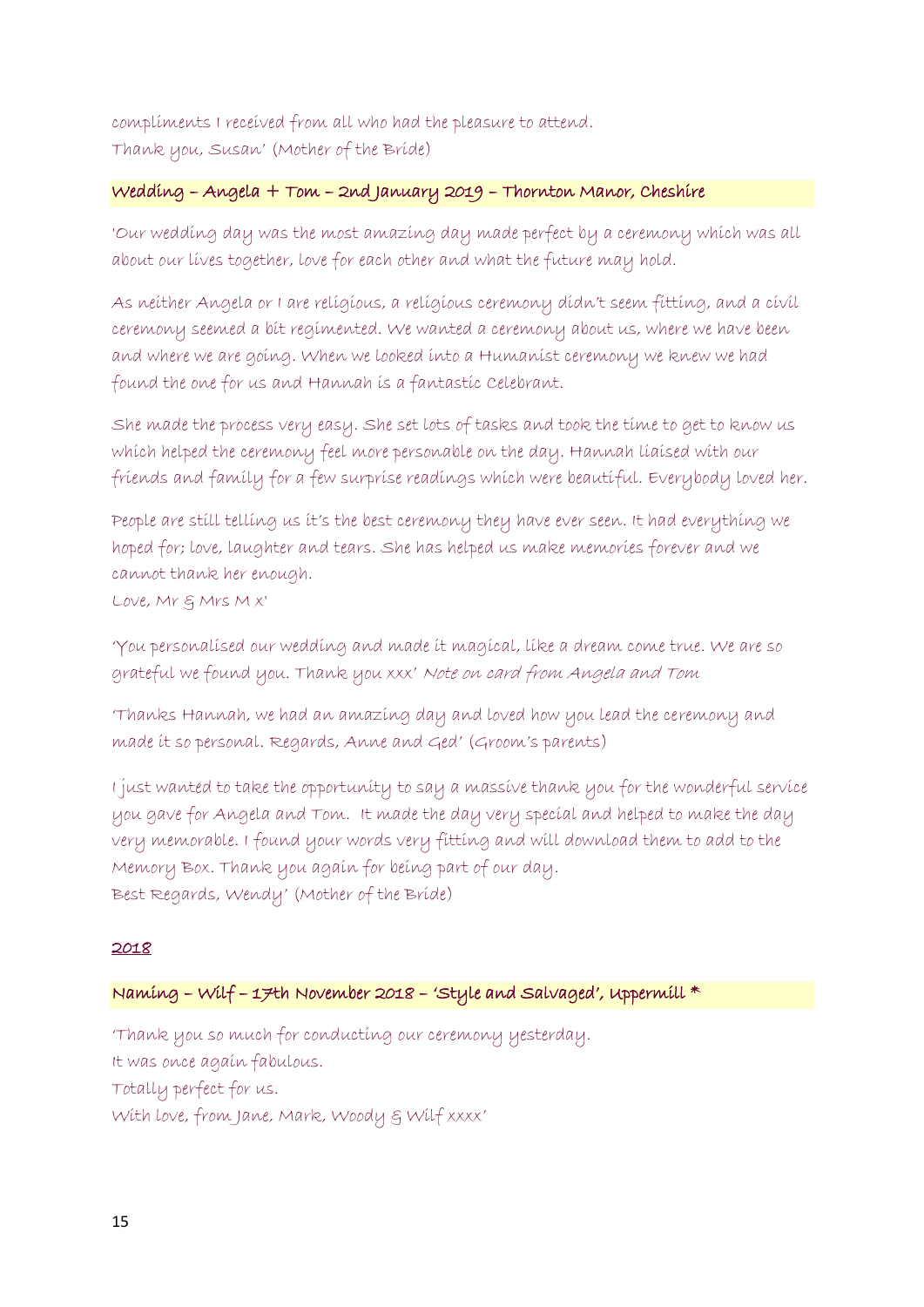compliments I received from all who had the pleasure to attend. Thank you, Susan' (Mother of the Bride)

## Wedding – Angela + Tom – 2nd January 2019 – Thornton Manor, Cheshire

'Our wedding day was the most amazing day made perfect by a ceremony which was all about our lives together, love for each other and what the future may hold.

As neither Angela or I are religious, a religious ceremony didn't seem fitting, and a civil ceremony seemed a bit regimented. We wanted a ceremony about us, where we have been and where we are going. When we looked into a Humanist ceremony we knew we had found the one for us and Hannah is a fantastic Celebrant.

She made the process very easy. She set lots of tasks and took the time to get to know us which helped the ceremony feel more personable on the day. Hannah liaised with our friends and family for a few surprise readings which were beautiful. Everybody loved her.

People are still telling us it's the best ceremony they have ever seen. It had everything we hoped for; love, laughter and tears. She has helped us make memories forever and we cannot thank her enough.

Love, Mr & Mrs M x'

'You personalised our wedding and made it magical, like a dream come true. We are so grateful we found you. Thank you xxx' Note on card from Angela and Tom

'Thanks Hannah, we had an amazing day and loved how you lead the ceremony and made it so personal. Regards, Anne and Ged' (Groom's parents)

I just wanted to take the opportunity to say a massive thank you for the wonderful service you gave for Angela and Tom. It made the day very special and helped to make the day very memorable. I found your words very fitting and will download them to add to the Memory Box. Thank you again for being part of our day. Best Regards, Wendy' (Mother of the Bride)

## 2018

# Naming – Wilf – 17th November 2018 – 'Style and Salvaged', Uppermill \*

'Thank you so much for conducting our ceremony yesterday. It was once again fabulous. Totally perfect for us. With love, from Jane, Mark, Woody & Wilf xxxx'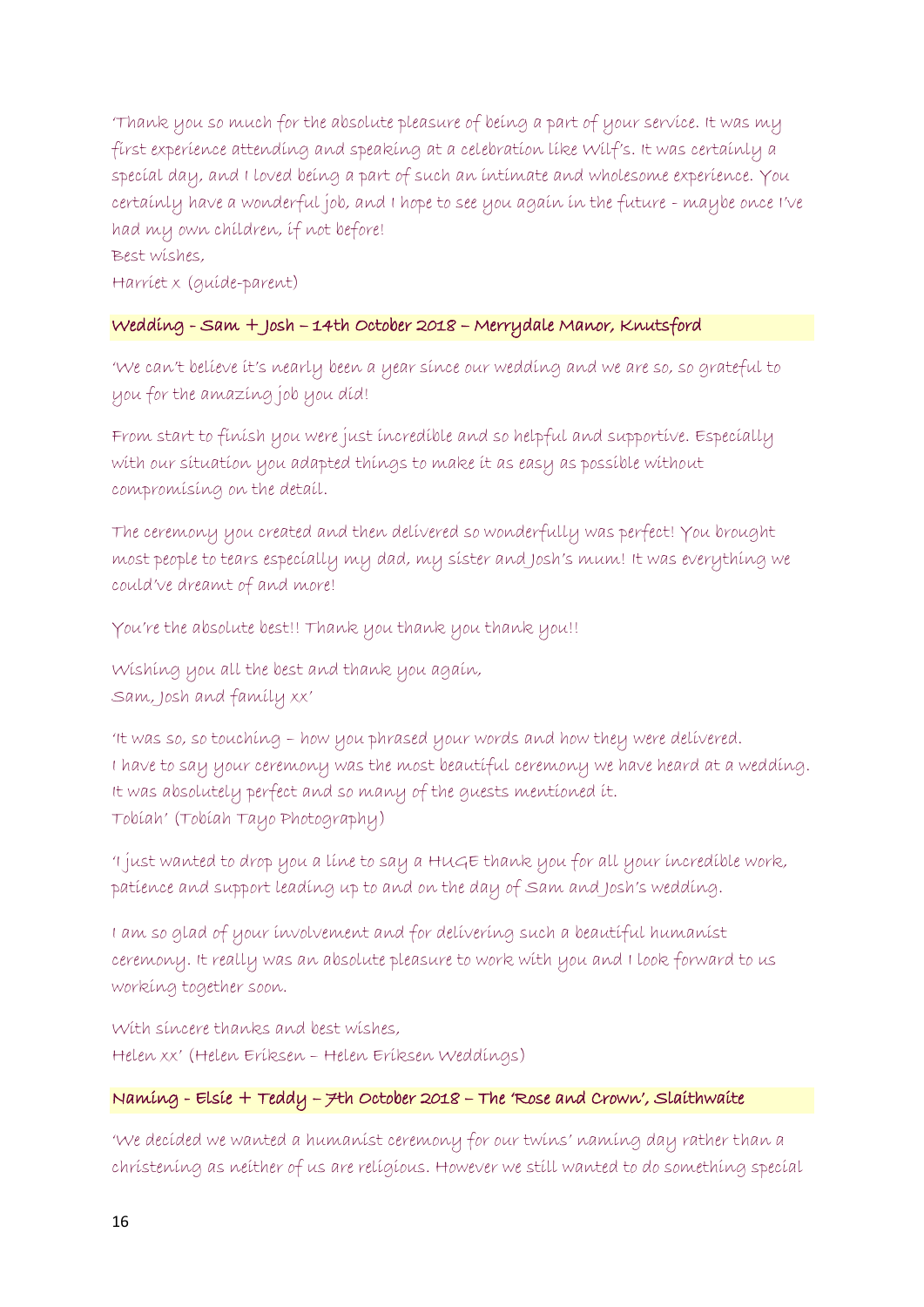'Thank you so much for the absolute pleasure of being a part of your service. It was my first experience attending and speaking at a celebration like Wilf's. It was certainly a special day, and I loved being a part of such an intimate and wholesome experience. You certainly have a wonderful job, and I hope to see you again in the future - maybe once I've had my own children, if not before!

# Best wishes,

Harriet x (guide-parent)

# Wedding - Sam + Josh – 14th October 2018 – Merrydale Manor, Knutsford

'We can't believe it's nearly been a year since our wedding and we are so, so grateful to you for the amazing job you did!

From start to finish you were just incredible and so helpful and supportive. Especially with our situation you adapted things to make it as easy as possible without compromising on the detail.

The ceremony you created and then delivered so wonderfully was perfect! You brought most people to tears especially my dad, my sister and Josh's mum! It was everything we could've dreamt of and more!

You're the absolute best!! Thank you thank you thank you!!

Wishing you all the best and thank you again, Sam, Josh and family xx'

'It was so, so touching – how you phrased your words and how they were delivered. I have to say your ceremony was the most beautiful ceremony we have heard at a wedding. It was absolutely perfect and so many of the guests mentioned it. Tobiah' (Tobiah Tayo Photography)

'I just wanted to drop you a line to say a HUGE thank you for all your incredible work, patience and support leading up to and on the day of Sam and Josh's wedding.

I am so glad of your involvement and for delivering such a beautiful humanist ceremony. It really was an absolute pleasure to work with you and I look forward to us working together soon.

With sincere thanks and best wishes, Helen xx' (Helen Eriksen – Helen Eriksen Weddings)

# Naming - Elsie + Teddy – 7th October 2018 – The 'Rose and Crown', Slaithwaite

'We decided we wanted a humanist ceremony for our twins' naming day rather than a christening as neither of us are religious. However we still wanted to do something special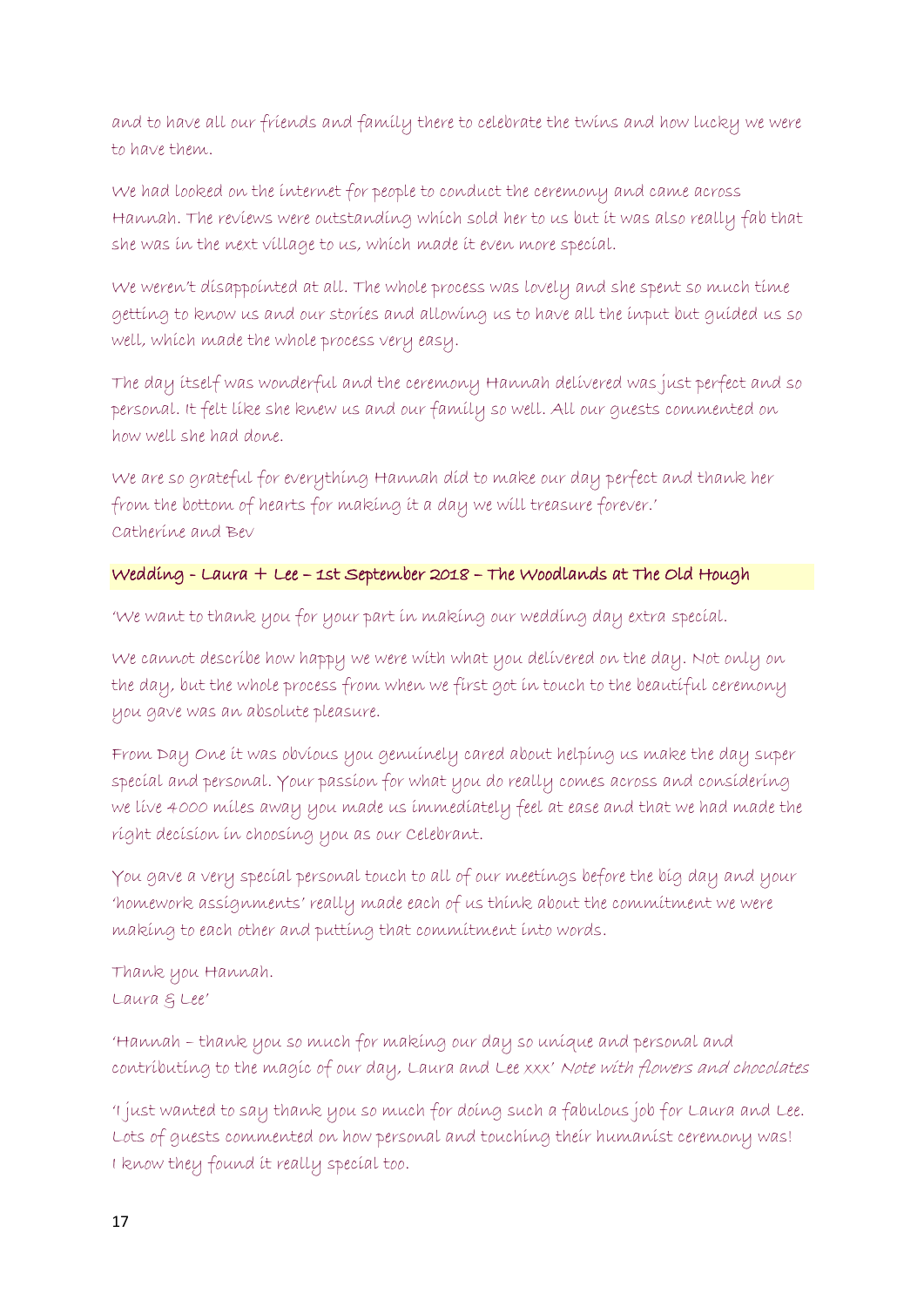and to have all our friends and family there to celebrate the twins and how lucky we were to have them.

We had looked on the internet for people to conduct the ceremony and came across Hannah. The reviews were outstanding which sold her to us but it was also really fab that she was in the next village to us, which made it even more special.

We weren't disappointed at all. The whole process was lovely and she spent so much time getting to know us and our stories and allowing us to have all the input but guided us so well, which made the whole process very easy.

The day itself was wonderful and the ceremony Hannah delivered was just perfect and so personal. It felt like she knew us and our family so well. All our guests commented on how well she had done.

We are so grateful for everything Hannah did to make our day perfect and thank her from the bottom of hearts for making it a day we will treasure forever.' Catherine and Bev

# Wedding - Laura + Lee – 1st September 2018 – The Woodlands at The Old Hough

'We want to thank you for your part in making our wedding day extra special.

We cannot describe how happy we were with what you delivered on the day. Not only on the day, but the whole process from when we first got in touch to the beautiful ceremony you gave was an absolute pleasure.

From Day One it was obvious you genuinely cared about helping us make the day super special and personal. Your passion for what you do really comes across and considering we live 4000 miles away you made us immediately feel at ease and that we had made the right decision in choosing you as our Celebrant.

You gave a very special personal touch to all of our meetings before the big day and your 'homework assignments' really made each of us think about the commitment we were making to each other and putting that commitment into words.

Thank you Hannah. Laura & Lee'

'Hannah – thank you so much for making our day so unique and personal and contributing to the magic of our day, Laura and Lee xxx' Note with flowers and chocolates

'I just wanted to say thank you so much for doing such a fabulous job for Laura and Lee. Lots of guests commented on how personal and touching their humanist ceremony was! I know they found it really special too.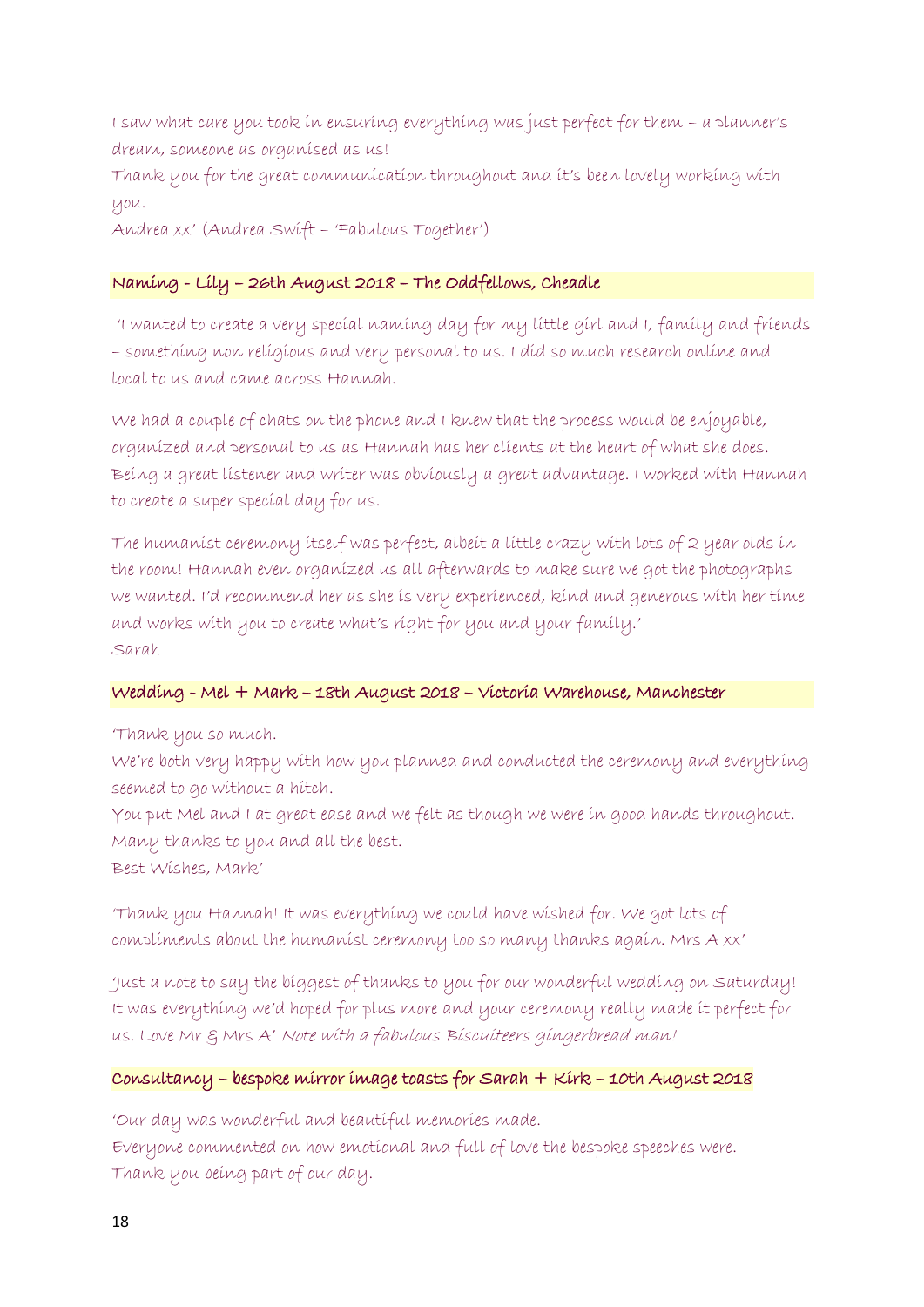I saw what care you took in ensuring everything was just perfect for them – a planner's dream, someone as organised as us!

Thank you for the great communication throughout and it's been lovely working with you.

Andrea xx' (Andrea Swift – 'Fabulous Together')

# Naming - Lily – 26th August 2018 – The Oddfellows, Cheadle

'I wanted to create a very special naming day for my little girl and I, family and friends – something non religious and very personal to us. I did so much research online and local to us and came across Hannah.

We had a couple of chats on the phone and I knew that the process would be enjoyable, organized and personal to us as Hannah has her clients at the heart of what she does. Being a great listener and writer was obviously a great advantage. I worked with Hannah to create a super special day for us.

The humanist ceremony itself was perfect, albeit a little crazy with lots of 2 year olds in the room! Hannah even organized us all afterwards to make sure we got the photographs we wanted. I'd recommend her as she is very experienced, kind and generous with her time and works with you to create what's right for you and your family.' Sarah

## Wedding - Mel + Mark – 18th August 2018 – Victoria Warehouse, Manchester

'Thank you so much.

We're both very happy with how you planned and conducted the ceremony and everything seemed to go without a hitch.

You put Mel and I at great ease and we felt as though we were in good hands throughout. Many thanks to you and all the best.

Best Wishes, Mark'

'Thank you Hannah! It was everything we could have wished for. We got lots of compliments about the humanist ceremony too so many thanks again. Mrs A xx'

'Just a note to say the biggest of thanks to you for our wonderful wedding on Saturday! It was everything we'd hoped for plus more and your ceremony really made it perfect for us. Love Mr & Mrs A' Note with a fabulous Biscuiteers gingerbread man!

# Consultancy – bespoke mirror image toasts for Sarah + Kirk – 10th August 2018

'Our day was wonderful and beautiful memories made. Everyone commented on how emotional and full of love the bespoke speeches were. Thank you being part of our day.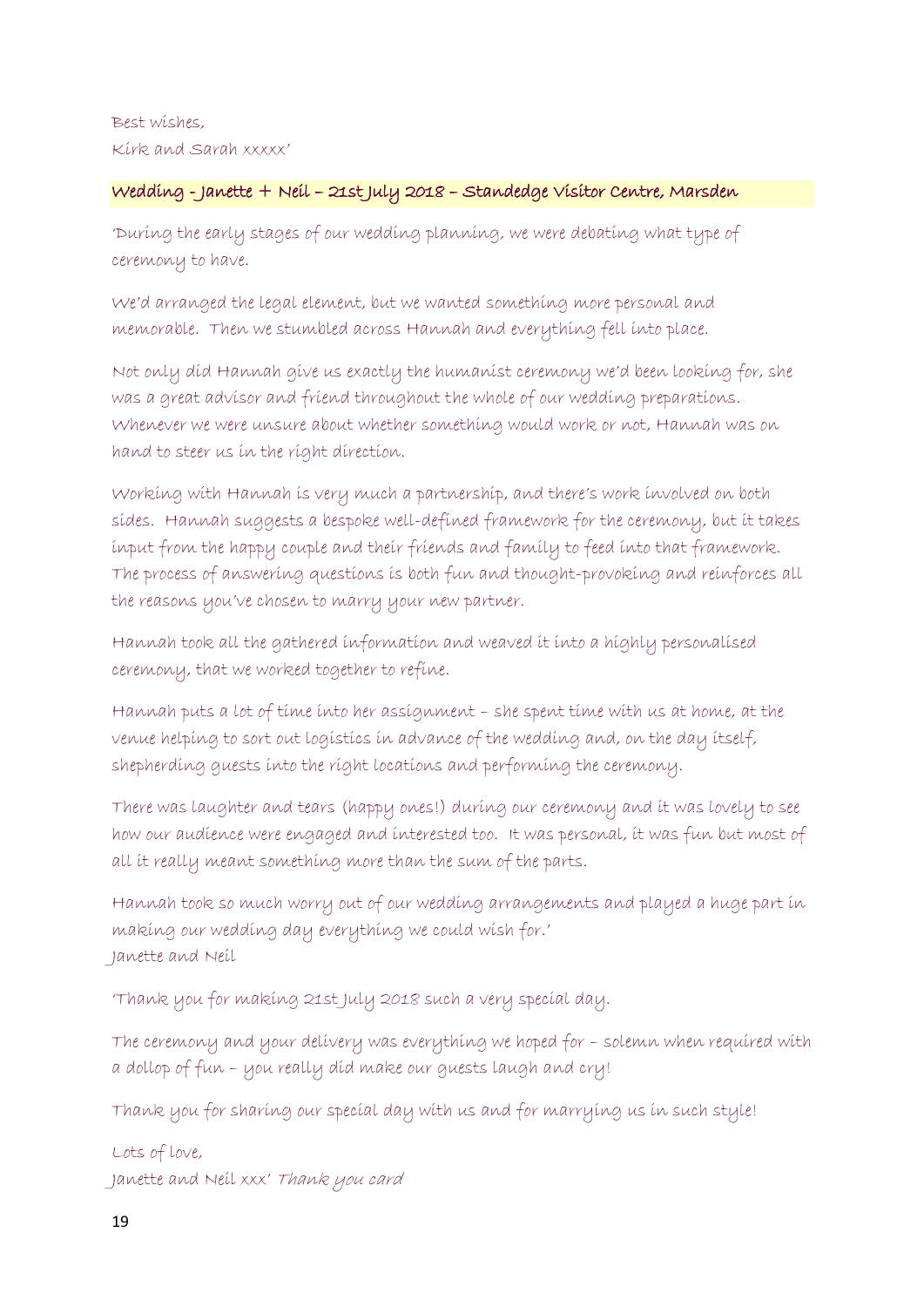# Best wishes, Kirk and Sarah xxxxx'

# Wedding - Janette + Neil – 21st July 2018 – Standedge Visitor Centre, Marsden

'During the early stages of our wedding planning, we were debating what type of ceremony to have.

We'd arranged the legal element, but we wanted something more personal and memorable. Then we stumbled across Hannah and everything fell into place.

Not only did Hannah give us exactly the humanist ceremony we'd been looking for, she was a great advisor and friend throughout the whole of our wedding preparations. Whenever we were unsure about whether something would work or not, Hannah was on hand to steer us in the right direction.

Working with Hannah is very much a partnership, and there's work involved on both sides. Hannah suggests a bespoke well-defined framework for the ceremony, but it takes input from the happy couple and their friends and family to feed into that framework. The process of answering questions is both fun and thought-provoking and reinforces all the reasons you've chosen to marry your new partner.

Hannah took all the gathered information and weaved it into a highly personalised ceremony, that we worked together to refine.

Hannah puts a lot of time into her assignment – she spent time with us at home, at the venue helping to sort out logistics in advance of the wedding and, on the day itself, shepherding guests into the right locations and performing the ceremony.

There was laughter and tears (happy ones!) during our ceremony and it was lovely to see how our audience were engaged and interested too. It was personal, it was fun but most of all it really meant something more than the sum of the parts.

Hannah took so much worry out of our wedding arrangements and played a huge part in making our wedding day everything we could wish for.' Janette and Neil

'Thank you for making 21st July 2018 such a very special day.

The ceremony and your delivery was everything we hoped for – solemn when required with a dollop of fun – you really did make our guests laugh and cry!

Thank you for sharing our special day with us and for marrying us in such style!

Lots of love, Janette and Neil xxx' Thank you card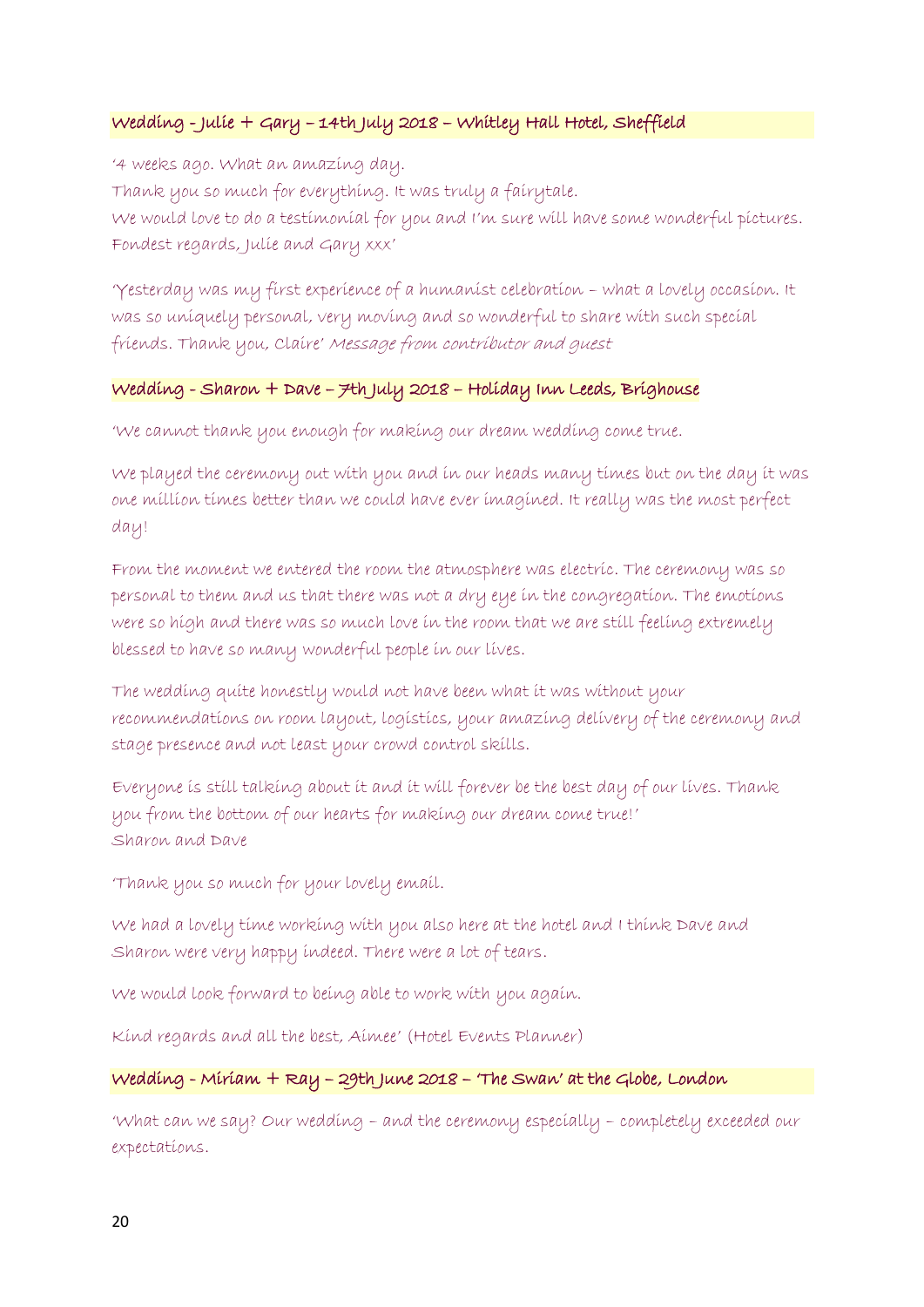# Wedding - Julie + Gary – 14th July 2018 – Whitley Hall Hotel, Sheffield

'4 weeks ago. What an amazing day. Thank you so much for everything. It was truly a fairytale. We would love to do a testimonial for you and I'm sure will have some wonderful pictures. Fondest regards, Julie and Gary xxx'

'Yesterday was my first experience of a humanist celebration – what a lovely occasion. It was so uniquely personal, very moving and so wonderful to share with such special friends. Thank you, Claire' Message from contributor and guest

## Wedding - Sharon + Dave – 7th July 2018 – Holiday Inn Leeds, Brighouse

'We cannot thank you enough for making our dream wedding come true.

We played the ceremony out with you and in our heads many times but on the day it was one million times better than we could have ever imagined. It really was the most perfect day!

From the moment we entered the room the atmosphere was electric. The ceremony was so personal to them and us that there was not a dry eye in the congregation. The emotions were so high and there was so much love in the room that we are still feeling extremely blessed to have so many wonderful people in our lives.

The wedding quite honestly would not have been what it was without your recommendations on room layout, logistics, your amazing delivery of the ceremony and stage presence and not least your crowd control skills.

Everyone is still talking about it and it will forever be the best day of our lives. Thank you from the bottom of our hearts for making our dream come true!' Sharon and Dave

'Thank you so much for your lovely email.

We had a lovely time working with you also here at the hotel and I think Dave and Sharon were very happy indeed. There were a lot of tears.

We would look forward to being able to work with you again.

Kind regards and all the best, Aimee' (Hotel Events Planner)

## Wedding - Miriam + Ray – 29th June 2018 – 'The Swan' at the Globe, London

'What can we say? Our wedding – and the ceremony especially – completely exceeded our expectations.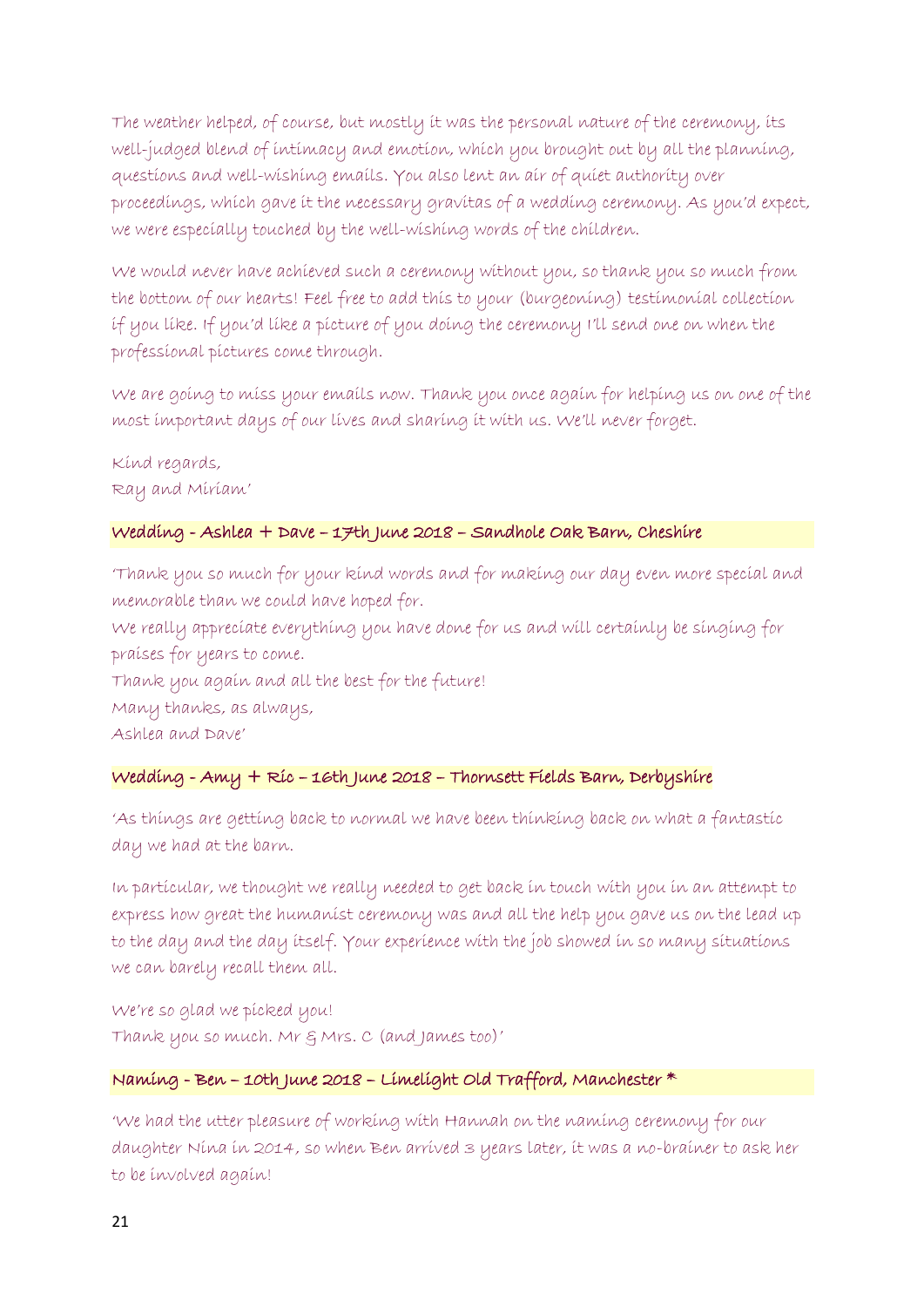The weather helped, of course, but mostly it was the personal nature of the ceremony, its well-judged blend of intimacy and emotion, which you brought out by all the planning, questions and well-wishing emails. You also lent an air of quiet authority over proceedings, which gave it the necessary gravitas of a wedding ceremony. As you'd expect, we were especially touched by the well-wishing words of the children.

We would never have achieved such a ceremony without you, so thank you so much from the bottom of our hearts! Feel free to add this to your (burgeoning) testimonial collection if you like. If you'd like a picture of you doing the ceremony I'll send one on when the professional pictures come through.

We are going to miss your emails now. Thank you once again for helping us on one of the most important days of our lives and sharing it with us. We'll never forget.

Kind regards, Ray and Miriam'

## Wedding - Ashlea + Dave – 17th June 2018 – Sandhole Oak Barn, Cheshire

'Thank you so much for your kind words and for making our day even more special and memorable than we could have hoped for.

We really appreciate everything you have done for us and will certainly be singing for praises for years to come.

Thank you again and all the best for the future!

Many thanks, as always,

Ashlea and Dave'

# Wedding - Amy + Ric – 16th June 2018 – Thornsett Fields Barn, Derbyshire

'As things are getting back to normal we have been thinking back on what a fantastic day we had at the barn.

In particular, we thought we really needed to get back in touch with you in an attempt to express how great the humanist ceremony was and all the help you gave us on the lead up to the day and the day itself. Your experience with the job showed in so many situations we can barely recall them all.

We're so glad we picked you! Thank you so much. Mr & Mrs. C (and James too)'

# Naming - Ben – 10th June 2018 – Limelight Old Trafford, Manchester \*

'We had the utter pleasure of working with Hannah on the naming ceremony for our daughter Nina in 2014, so when Ben arrived 3 years later, it was a no-brainer to ask her to be involved again!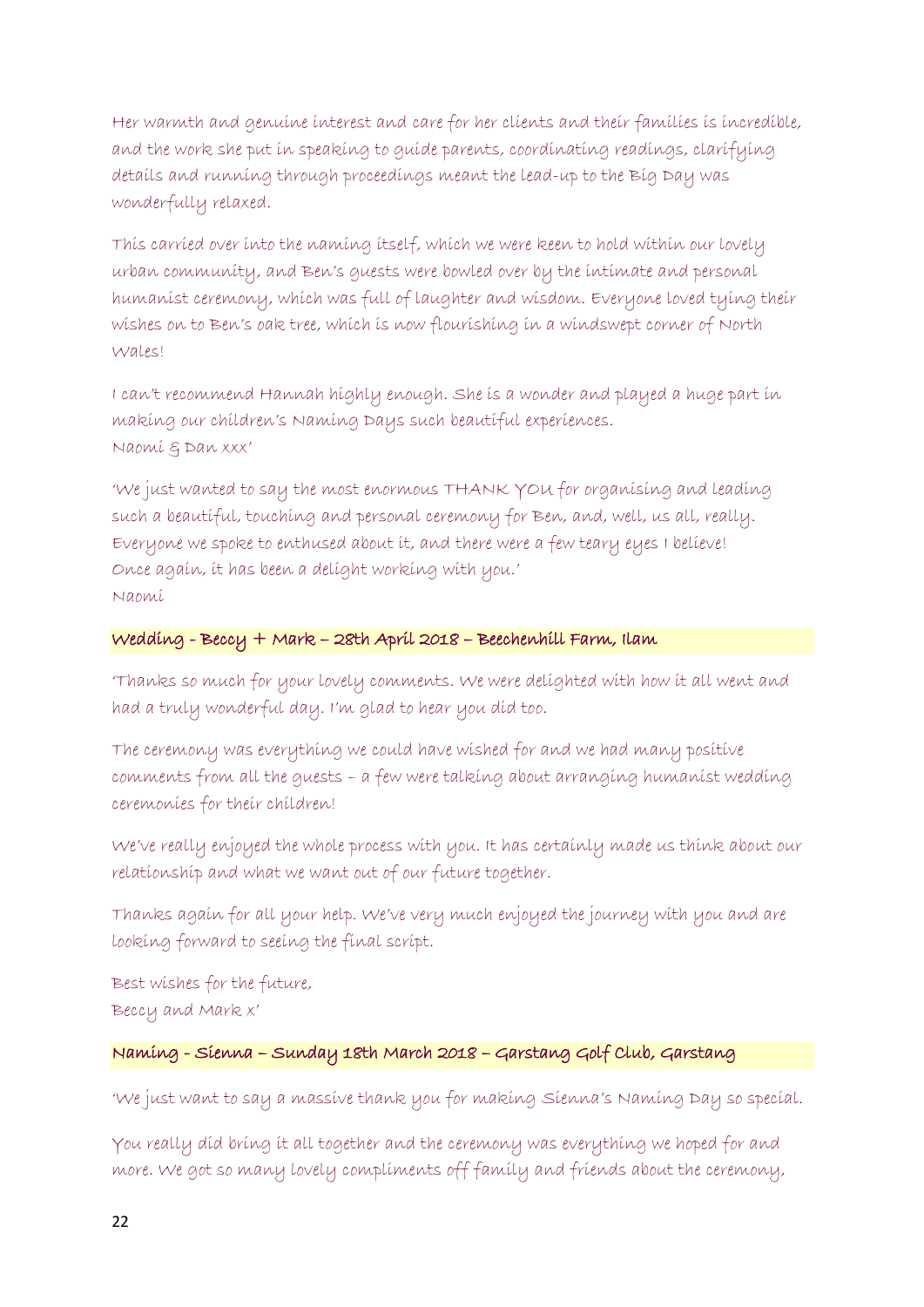Her warmth and genuine interest and care for her clients and their families is incredible, and the work she put in speaking to guide parents, coordinating readings, clarifying details and running through proceedings meant the lead-up to the Big Day was wonderfully relaxed.

This carried over into the naming itself, which we were keen to hold within our lovely urban community, and Ben's guests were bowled over by the intimate and personal humanist ceremony, which was full of laughter and wisdom. Everyone loved tying their wishes on to Ben's oak tree, which is now flourishing in a windswept corner of North Wales!

I can't recommend Hannah highly enough. She is a wonder and played a huge part in making our children's Naming Days such beautiful experiences. Naomi & Dan xxx'

'We just wanted to say the most enormous THANK YOU for organising and leading such a beautiful, touching and personal ceremony for Ben, and, well, us all, really. Everyone we spoke to enthused about it, and there were a few teary eyes I believe! Once again, it has been a delight working with you.' Naomi

## Wedding - Beccy + Mark – 28th April 2018 – Beechenhill Farm, Ilam

'Thanks so much for your lovely comments. We were delighted with how it all went and had a truly wonderful day. I'm glad to hear you did too.

The ceremony was everything we could have wished for and we had many positive comments from all the guests – a few were talking about arranging humanist wedding ceremonies for their children!

We've really enjoyed the whole process with you. It has certainly made us think about our relationship and what we want out of our future together.

Thanks again for all your help. We've very much enjoyed the journey with you and are looking forward to seeing the final script.

Best wishes for the future, Beccy and Mark x'

# Naming - Sienna – Sunday 18th March 2018 – Garstang Golf Club, Garstang

'We just want to say a massive thank you for making Sienna's Naming Day so special.

You really did bring it all together and the ceremony was everything we hoped for and more. We got so many lovely compliments off family and friends about the ceremony,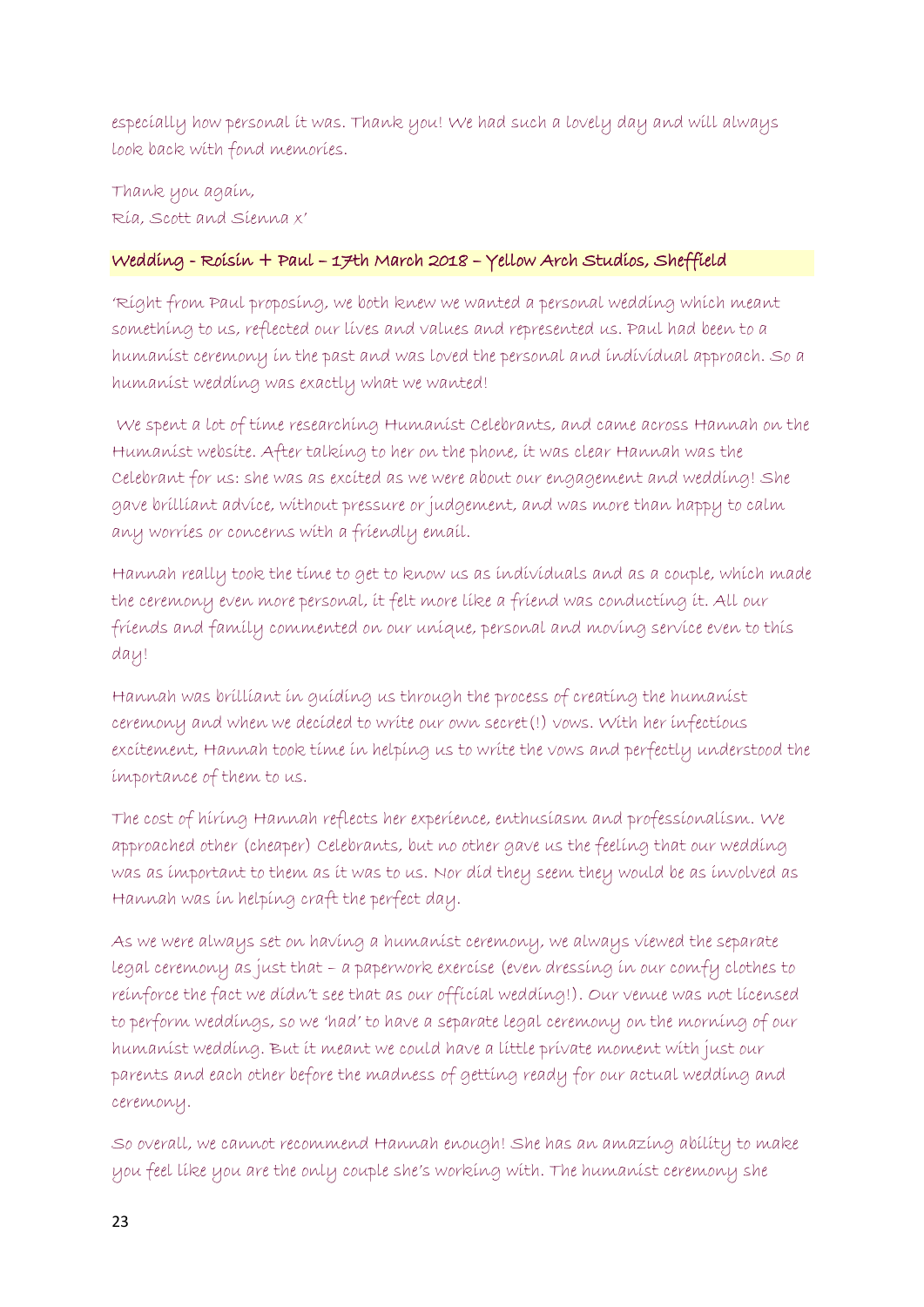especially how personal it was. Thank you! We had such a lovely day and will always look back with fond memories.

Thank you again, Ria, Scott and Sienna x'

# Wedding - Roisin + Paul – 17th March 2018 – Yellow Arch Studios, Sheffield

'Right from Paul proposing, we both knew we wanted a personal wedding which meant something to us, reflected our lives and values and represented us. Paul had been to a humanist ceremony in the past and was loved the personal and individual approach. So a humanist wedding was exactly what we wanted!

We spent a lot of time researching Humanist Celebrants, and came across Hannah on the Humanist website. After talking to her on the phone, it was clear Hannah was the Celebrant for us: she was as excited as we were about our engagement and wedding! She gave brilliant advice, without pressure or judgement, and was more than happy to calm any worries or concerns with a friendly email.

Hannah really took the time to get to know us as individuals and as a couple, which made the ceremony even more personal, it felt more like a friend was conducting it. All our friends and family commented on our unique, personal and moving service even to this day!

Hannah was brilliant in guiding us through the process of creating the humanist ceremony and when we decided to write our own secret(!) vows. With her infectious excitement, Hannah took time in helping us to write the vows and perfectly understood the importance of them to us.

The cost of hiring Hannah reflects her experience, enthusiasm and professionalism. We approached other (cheaper) Celebrants, but no other gave us the feeling that our wedding was as important to them as it was to us. Nor did they seem they would be as involved as Hannah was in helping craft the perfect day.

As we were always set on having a humanist ceremony, we always viewed the separate legal ceremony as just that – a paperwork exercise (even dressing in our comfy clothes to reinforce the fact we didn't see that as our official wedding!). Our venue was not licensed to perform weddings, so we 'had' to have a separate legal ceremony on the morning of our humanist wedding. But it meant we could have a little private moment with just our parents and each other before the madness of getting ready for our actual wedding and ceremony.

So overall, we cannot recommend Hannah enough! She has an amazing ability to make you feel like you are the only couple she's working with. The humanist ceremony she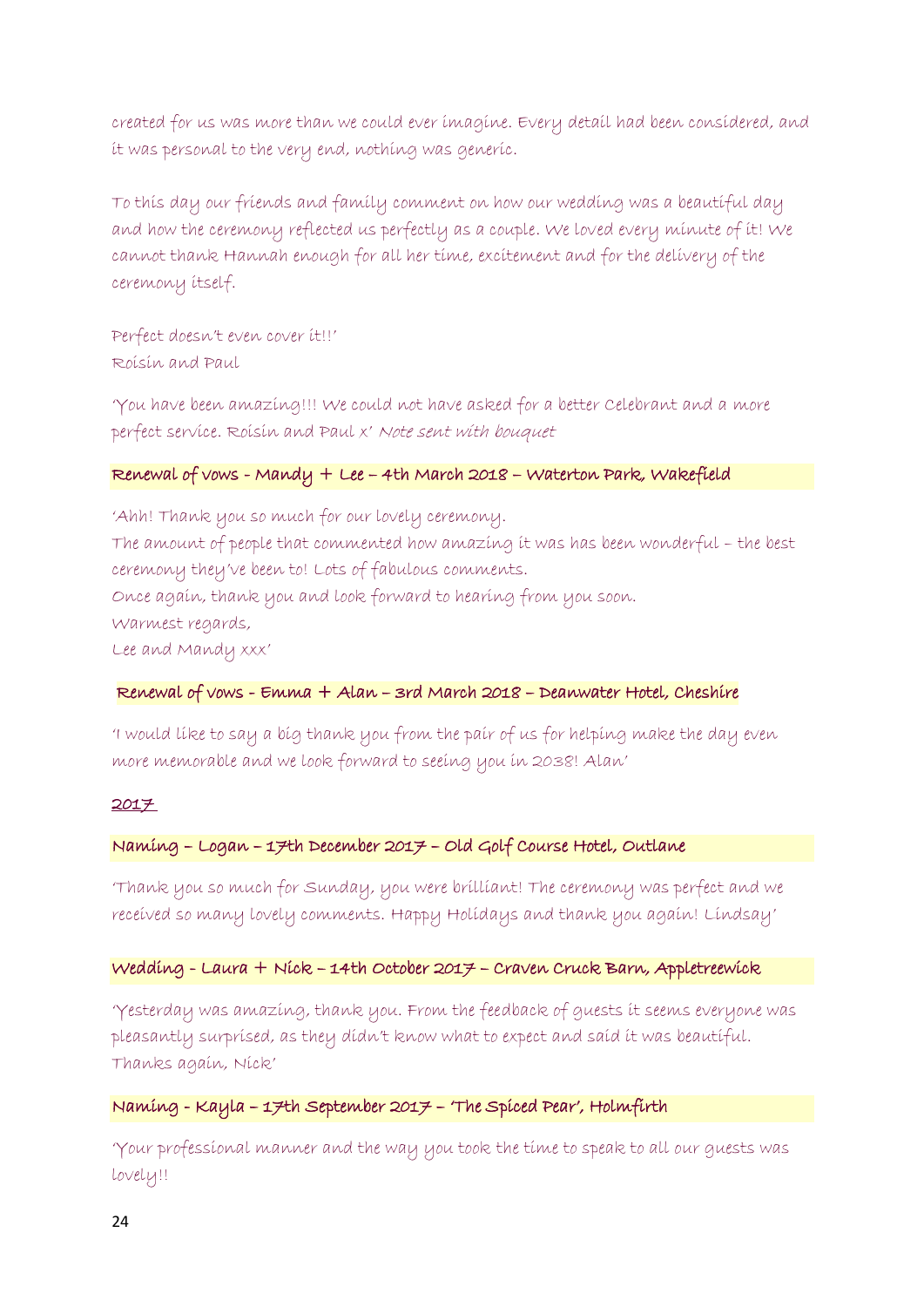created for us was more than we could ever imagine. Every detail had been considered, and it was personal to the very end, nothing was generic.

To this day our friends and family comment on how our wedding was a beautiful day and how the ceremony reflected us perfectly as a couple. We loved every minute of it! We cannot thank Hannah enough for all her time, excitement and for the delivery of the ceremony itself.

Perfect doesn't even cover it!!' Roisin and Paul

'You have been amazing!!! We could not have asked for a better Celebrant and a more perfect service. Roisin and Paul x' Note sent with bouquet

# Renewal of vows - Mandy + Lee – 4th March 2018 – Waterton Park, Wakefield

'Ahh! Thank you so much for our lovely ceremony. The amount of people that commented how amazing it was has been wonderful – the best ceremony they've been to! Lots of fabulous comments. Once again, thank you and look forward to hearing from you soon. Warmest regards, Lee and Mandy xxx'

## Renewal of vows - Emma + Alan – 3rd March 2018 – Deanwater Hotel, Cheshire

'I would like to say a big thank you from the pair of us for helping make the day even more memorable and we look forward to seeing you in 2038! Alan'

#### 2017

## Naming – Logan – 17th December 2017 – Old Golf Course Hotel, Outlane

'Thank you so much for Sunday, you were brilliant! The ceremony was perfect and we received so many lovely comments. Happy Holidays and thank you again! Lindsay'

#### Wedding - Laura + Nick – 14th October 2017 – Craven Cruck Barn, Appletreewick

'Yesterday was amazing, thank you. From the feedback of guests it seems everyone was pleasantly surprised, as they didn't know what to expect and said it was beautiful. Thanks again, Nick'

# Naming - Kayla – 17th September 2017 – 'The Spiced Pear', Holmfirth

'Your professional manner and the way you took the time to speak to all our guests was lovely!!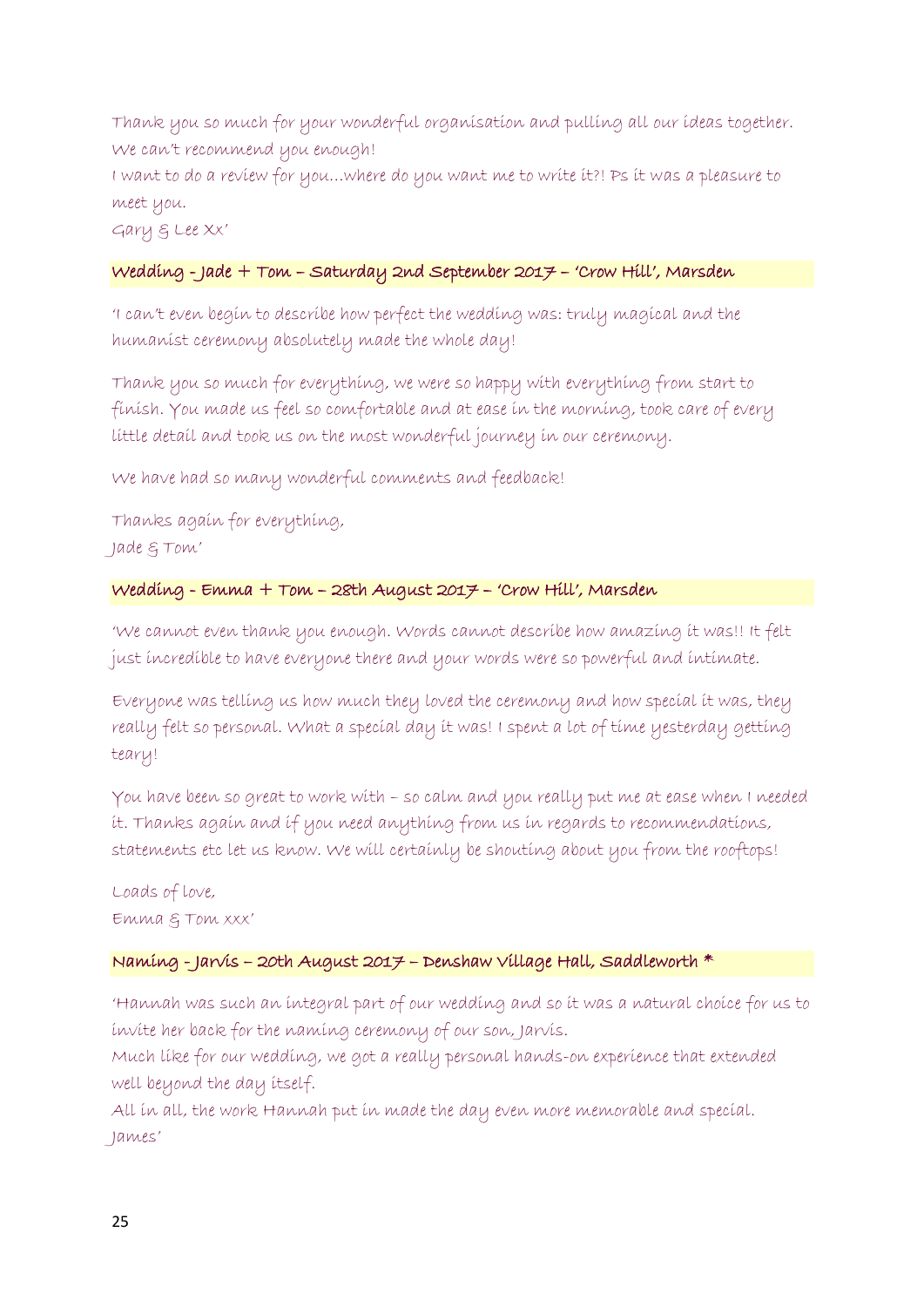Thank you so much for your wonderful organisation and pulling all our ideas together. We can't recommend you enough!

I want to do a review for you…where do you want me to write it?! Ps it was a pleasure to meet you.

Gary & Lee Xx'

# Wedding - Jade + Tom – Saturday 2nd September 2017 – 'Crow Hill', Marsden

'I can't even begin to describe how perfect the wedding was: truly magical and the humanist ceremony absolutely made the whole day!

Thank you so much for everything, we were so happy with everything from start to finish. You made us feel so comfortable and at ease in the morning, took care of every little detail and took us on the most wonderful journey in our ceremony.

We have had so many wonderful comments and feedback!

Thanks again for everything, Jade & Tom'

## Wedding - Emma + Tom – 28th August 2017 – 'Crow Hill', Marsden

'We cannot even thank you enough. Words cannot describe how amazing it was!! It felt just incredible to have everyone there and your words were so powerful and intimate.

Everyone was telling us how much they loved the ceremony and how special it was, they really felt so personal. What a special day it was! I spent a lot of time yesterday getting teary!

You have been so great to work with – so calm and you really put me at ease when I needed it. Thanks again and if you need anything from us in regards to recommendations, statements etc let us know. We will certainly be shouting about you from the rooftops!

Loads of love, Emma & Tom xxx'

# Naming - Jarvis – 20th August 2017 – Denshaw Village Hall, Saddleworth \*

'Hannah was such an integral part of our wedding and so it was a natural choice for us to invite her back for the naming ceremony of our son, Jarvis.

Much like for our wedding, we got a really personal hands-on experience that extended well beyond the day itself.

All in all, the work Hannah put in made the day even more memorable and special. James'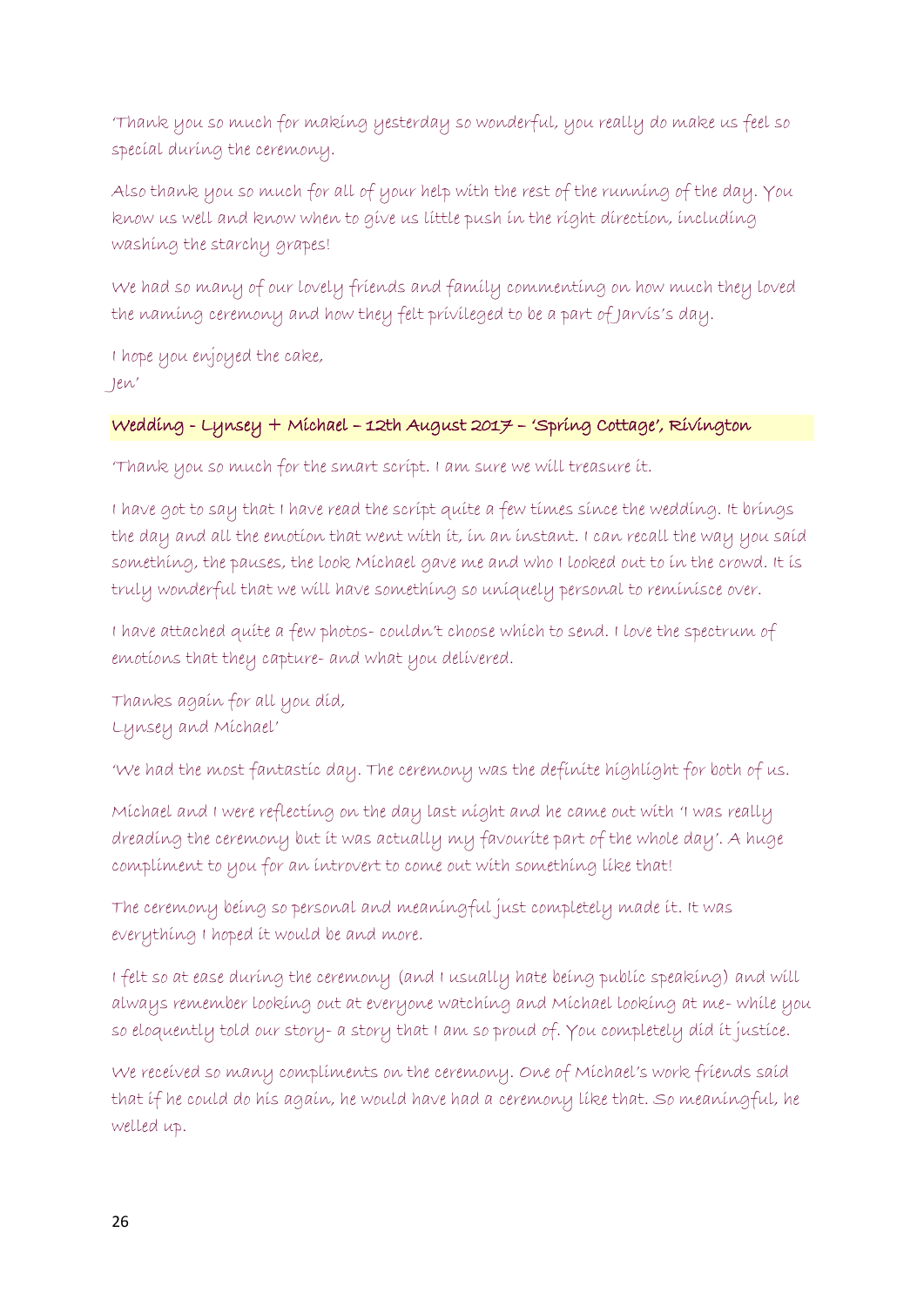'Thank you so much for making yesterday so wonderful, you really do make us feel so special during the ceremony.

Also thank you so much for all of your help with the rest of the running of the day. You know us well and know when to give us little push in the right direction, including washing the starchy grapes!

We had so many of our lovely friends and family commenting on how much they loved the naming ceremony and how they felt privileged to be a part of Jarvis's day.

I hope you enjoyed the cake, Jen'

# Wedding - Lynsey + Michael – 12th August 2017 – 'Spring Cottage', Rivington

'Thank you so much for the smart script. I am sure we will treasure it.

I have got to say that I have read the script quite a few times since the wedding. It brings the day and all the emotion that went with it, in an instant. I can recall the way you said something, the pauses, the look Michael gave me and who I looked out to in the crowd. It is truly wonderful that we will have something so uniquely personal to reminisce over.

I have attached quite a few photos- couldn't choose which to send. I love the spectrum of emotions that they capture- and what you delivered.

Thanks again for all you did, Lynsey and Michael'

'We had the most fantastic day. The ceremony was the definite highlight for both of us.

Michael and I were reflecting on the day last night and he came out with 'I was really dreading the ceremony but it was actually my favourite part of the whole day'. A huge compliment to you for an introvert to come out with something like that!

The ceremony being so personal and meaningful just completely made it. It was everything I hoped it would be and more.

I felt so at ease during the ceremony (and I usually hate being public speaking) and will always remember looking out at everyone watching and Michael looking at me- while you so eloquently told our story- a story that I am so proud of. You completely did it justice.

We received so many compliments on the ceremony. One of Michael's work friends said that if he could do his again, he would have had a ceremony like that. So meaningful, he welled up.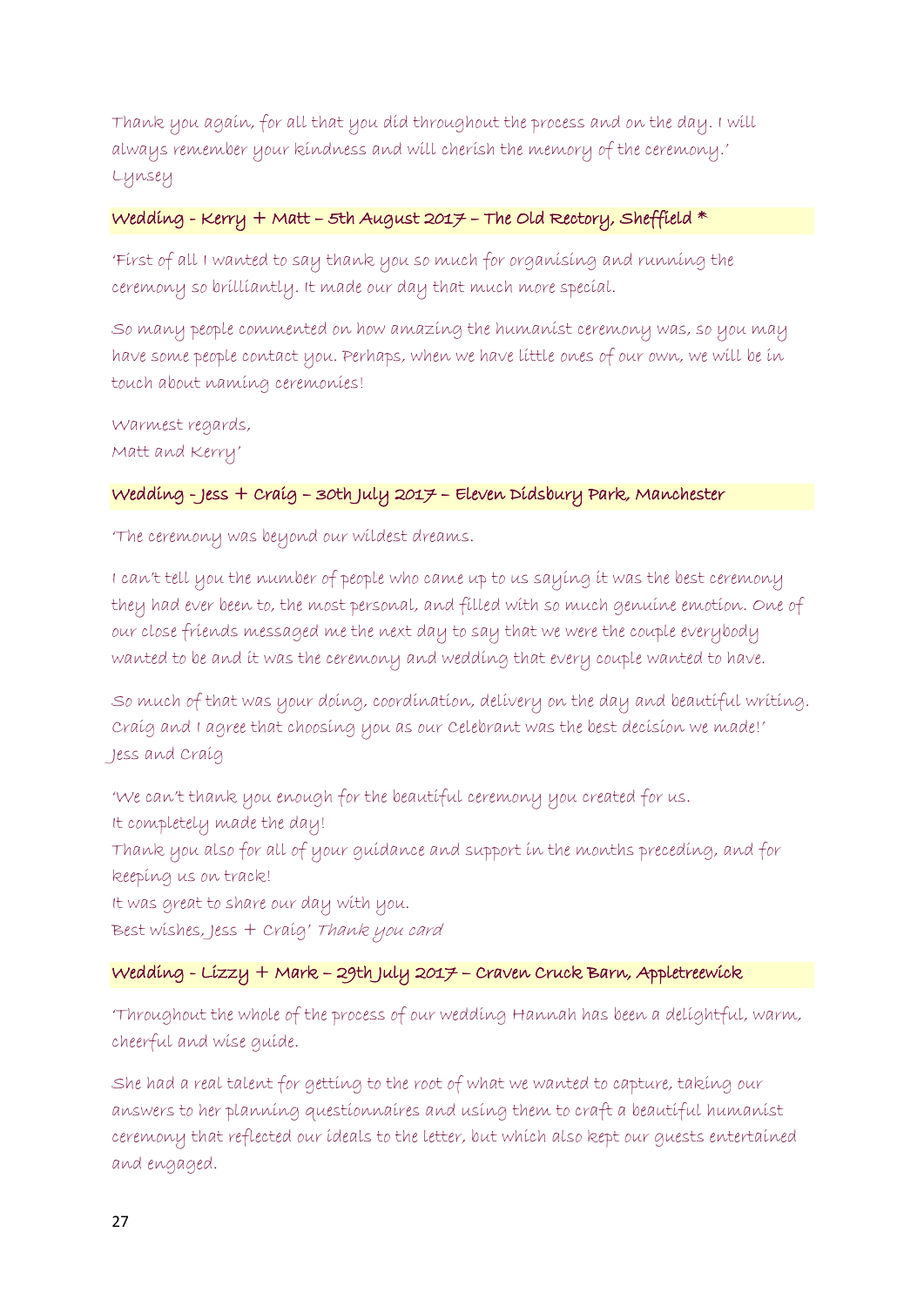Thank you again, for all that you did throughout the process and on the day. I will always remember your kindness and will cherish the memory of the ceremony.' Lynsey

## Wedding - Kerry + Matt - 5th August 2017 - The Old Rectory, Sheffield  $*$

'First of all I wanted to say thank you so much for organising and running the ceremony so brilliantly. It made our day that much more special.

So many people commented on how amazing the humanist ceremony was, so you may have some people contact you. Perhaps, when we have little ones of our own, we will be in touch about naming ceremonies!

Warmest regards, Matt and Kerry'

# Wedding - Jess + Craig – 30th July 2017 – Eleven Didsbury Park, Manchester

'The ceremony was beyond our wildest dreams.

I can't tell you the number of people who came up to us saying it was the best ceremony they had ever been to, the most personal, and filled with so much genuine emotion. One of our close friends messaged me the next day to say that we were the couple everybody wanted to be and it was the ceremony and wedding that every couple wanted to have.

So much of that was your doing, coordination, delivery on the day and beautiful writing. Craig and I agree that choosing you as our Celebrant was the best decision we made!' Jess and Craig

'We can't thank you enough for the beautiful ceremony you created for us. It completely made the day! Thank you also for all of your guidance and support in the months preceding, and for keeping us on track! It was great to share our day with you. Best wishes, Jess + Craig' Thank you card

## Wedding - Lizzy + Mark – 29th July 2017 – Craven Cruck Barn, Appletreewick

'Throughout the whole of the process of our wedding Hannah has been a delightful, warm, cheerful and wise guide.

She had a real talent for getting to the root of what we wanted to capture, taking our answers to her planning questionnaires and using them to craft a beautiful humanist ceremony that reflected our ideals to the letter, but which also kept our guests entertained and engaged.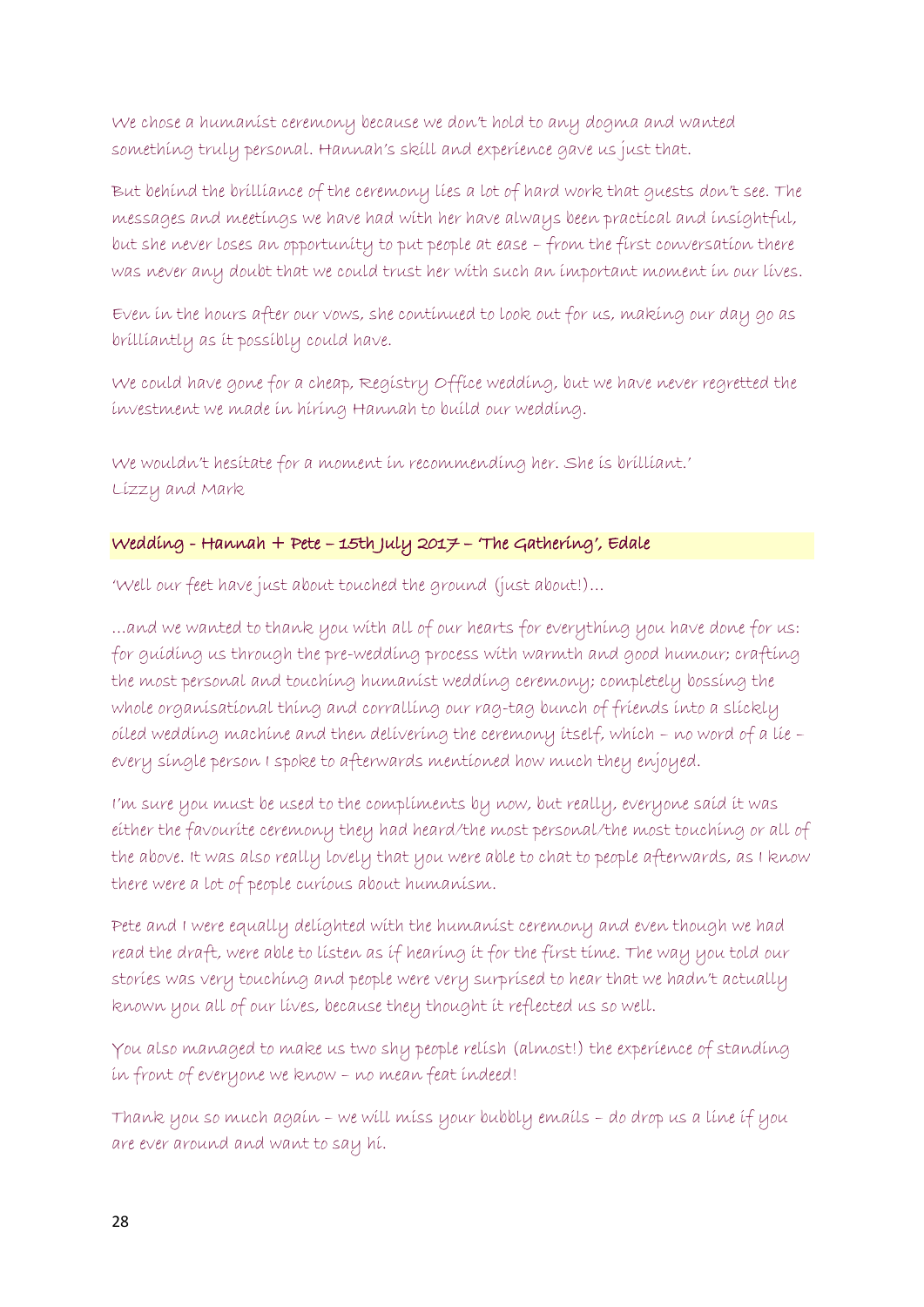We chose a humanist ceremony because we don't hold to any dogma and wanted something truly personal. Hannah's skill and experience gave us just that.

But behind the brilliance of the ceremony lies a lot of hard work that guests don't see. The messages and meetings we have had with her have always been practical and insightful, but she never loses an opportunity to put people at ease – from the first conversation there was never any doubt that we could trust her with such an important moment in our lives.

Even in the hours after our vows, she continued to look out for us, making our day go as brilliantly as it possibly could have.

We could have gone for a cheap, Registry Office wedding, but we have never regretted the investment we made in hiring Hannah to build our wedding.

We wouldn't hesitate for a moment in recommending her. She is brilliant.' Lizzy and Mark

# Wedding - Hannah + Pete – 15th July 2017 – 'The Gathering', Edale

'Well our feet have just about touched the ground (just about!)…

…and we wanted to thank you with all of our hearts for everything you have done for us: for guiding us through the pre-wedding process with warmth and good humour; crafting the most personal and touching humanist wedding ceremony; completely bossing the whole organisational thing and corralling our rag-tag bunch of friends into a slickly oiled wedding machine and then delivering the ceremony itself, which – no word of a lie – every single person I spoke to afterwards mentioned how much they enjoyed.

I'm sure you must be used to the compliments by now, but really, everyone said it was either the favourite ceremony they had heard/the most personal/the most touching or all of the above. It was also really lovely that you were able to chat to people afterwards, as I know there were a lot of people curious about humanism.

Pete and I were equally delighted with the humanist ceremony and even though we had read the draft, were able to listen as if hearing it for the first time. The way you told our stories was very touching and people were very surprised to hear that we hadn't actually known you all of our lives, because they thought it reflected us so well.

You also managed to make us two shy people relish (almost!) the experience of standing in front of everyone we know – no mean feat indeed!

Thank you so much again – we will miss your bubbly emails – do drop us a line if you are ever around and want to say hi.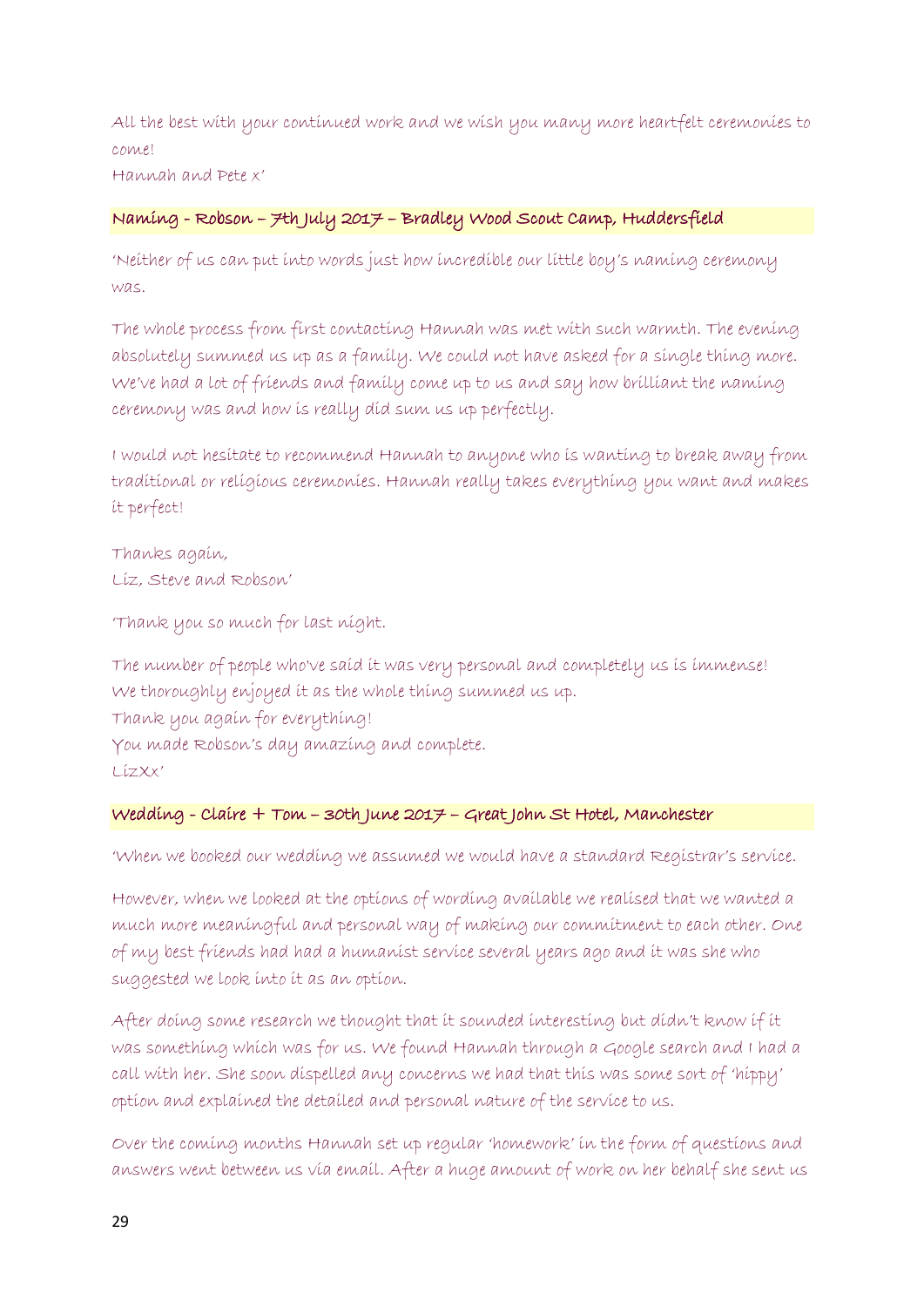All the best with your continued work and we wish you many more heartfelt ceremonies to come! Hannah and Pete x'

# Naming - Robson – 7th July 2017 – Bradley Wood Scout Camp, Huddersfield

'Neither of us can put into words just how incredible our little boy's naming ceremony was.

The whole process from first contacting Hannah was met with such warmth. The evening absolutely summed us up as a family. We could not have asked for a single thing more. We've had a lot of friends and family come up to us and say how brilliant the naming ceremony was and how is really did sum us up perfectly.

I would not hesitate to recommend Hannah to anyone who is wanting to break away from traditional or religious ceremonies. Hannah really takes everything you want and makes it perfect!

Thanks again, Liz, Steve and Robson'

'Thank you so much for last night.

The number of people who've said it was very personal and completely us is immense! We thoroughly enjoyed it as the whole thing summed us up. Thank you again for everything! You made Robson's day amazing and complete. LizXx'

## Wedding - Claire + Tom – 30th June 2017 – Great John St Hotel, Manchester

'When we booked our wedding we assumed we would have a standard Registrar's service.

However, when we looked at the options of wording available we realised that we wanted a much more meaningful and personal way of making our commitment to each other. One of my best friends had had a humanist service several years ago and it was she who suggested we look into it as an option.

After doing some research we thought that it sounded interesting but didn't know if it was something which was for us. We found Hannah through a Google search and I had a call with her. She soon dispelled any concerns we had that this was some sort of 'hippy' option and explained the detailed and personal nature of the service to us.

Over the coming months Hannah set up regular 'homework' in the form of questions and answers went between us via email. After a huge amount of work on her behalf she sent us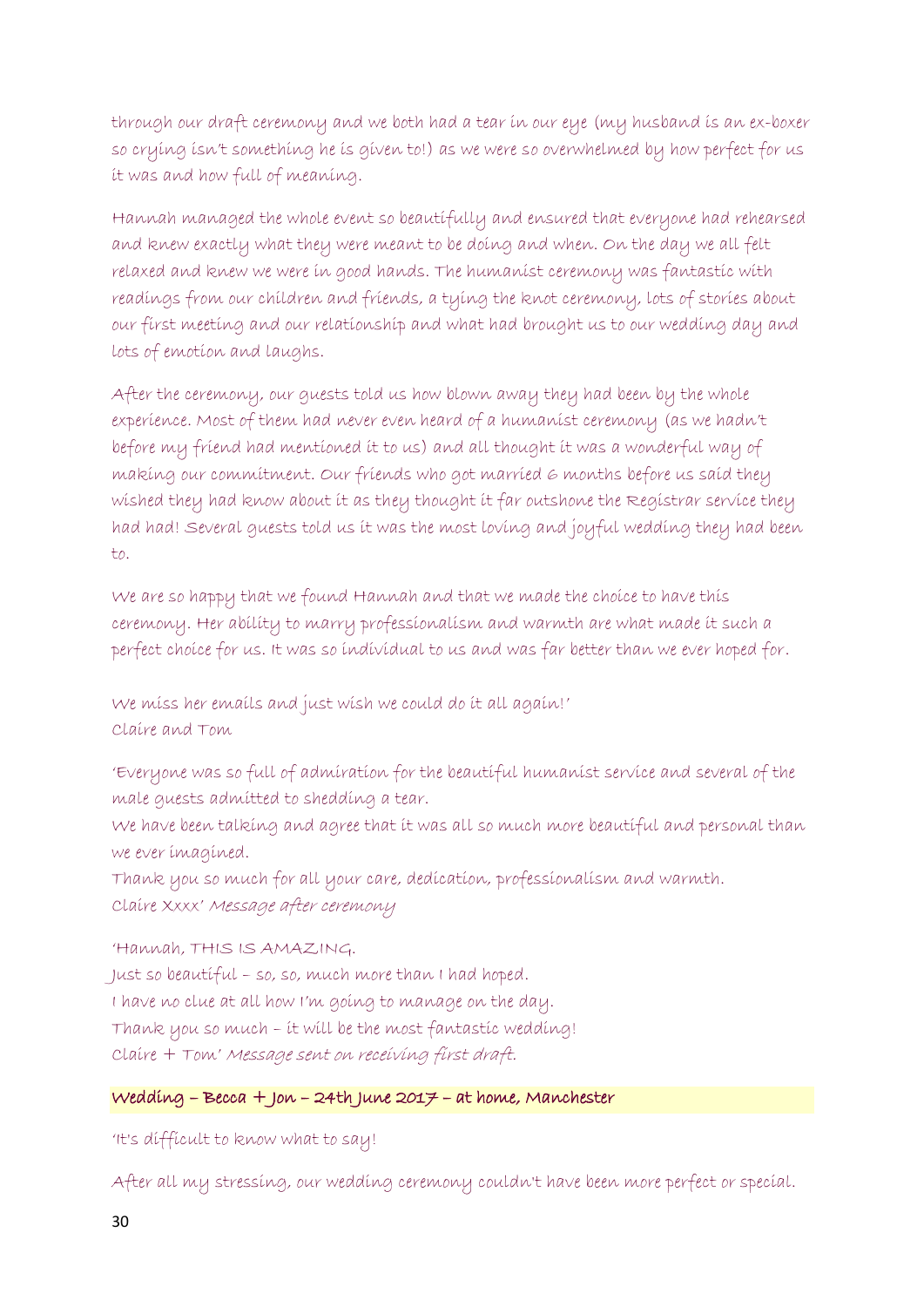through our draft ceremony and we both had a tear in our eye (my husband is an ex-boxer so crying isn't something he is given to!) as we were so overwhelmed by how perfect for us it was and how full of meaning.

Hannah managed the whole event so beautifully and ensured that everyone had rehearsed and knew exactly what they were meant to be doing and when. On the day we all felt relaxed and knew we were in good hands. The humanist ceremony was fantastic with readings from our children and friends, a tying the knot ceremony, lots of stories about our first meeting and our relationship and what had brought us to our wedding day and lots of emotion and laughs.

After the ceremony, our guests told us how blown away they had been by the whole experience. Most of them had never even heard of a humanist ceremony (as we hadn't before my friend had mentioned it to us) and all thought it was a wonderful way of making our commitment. Our friends who got married 6 months before us said they wished they had know about it as they thought it far outshone the Registrar service they had had! Several guests told us it was the most loving and joyful wedding they had been to.

We are so happy that we found Hannah and that we made the choice to have this ceremony. Her ability to marry professionalism and warmth are what made it such a perfect choice for us. It was so individual to us and was far better than we ever hoped for.

We miss her emails and just wish we could do it all again!' Claire and Tom

'Everyone was so full of admiration for the beautiful humanist service and several of the male guests admitted to shedding a tear.

We have been talking and agree that it was all so much more beautiful and personal than we ever imagined.

Thank you so much for all your care, dedication, professionalism and warmth. Claire Xxxx' Message after ceremony

'Hannah, THIS IS AMAZING. Just so beautiful – so, so, much more than I had hoped. I have no clue at all how I'm going to manage on the day. Thank you so much – it will be the most fantastic wedding! Claire + Tom' Message sent on receiving first draft.

# Wedding – Becca + Jon – 24th June 2017 – at home, Manchester

'It's difficult to know what to say!

After all my stressing, our wedding ceremony couldn't have been more perfect or special.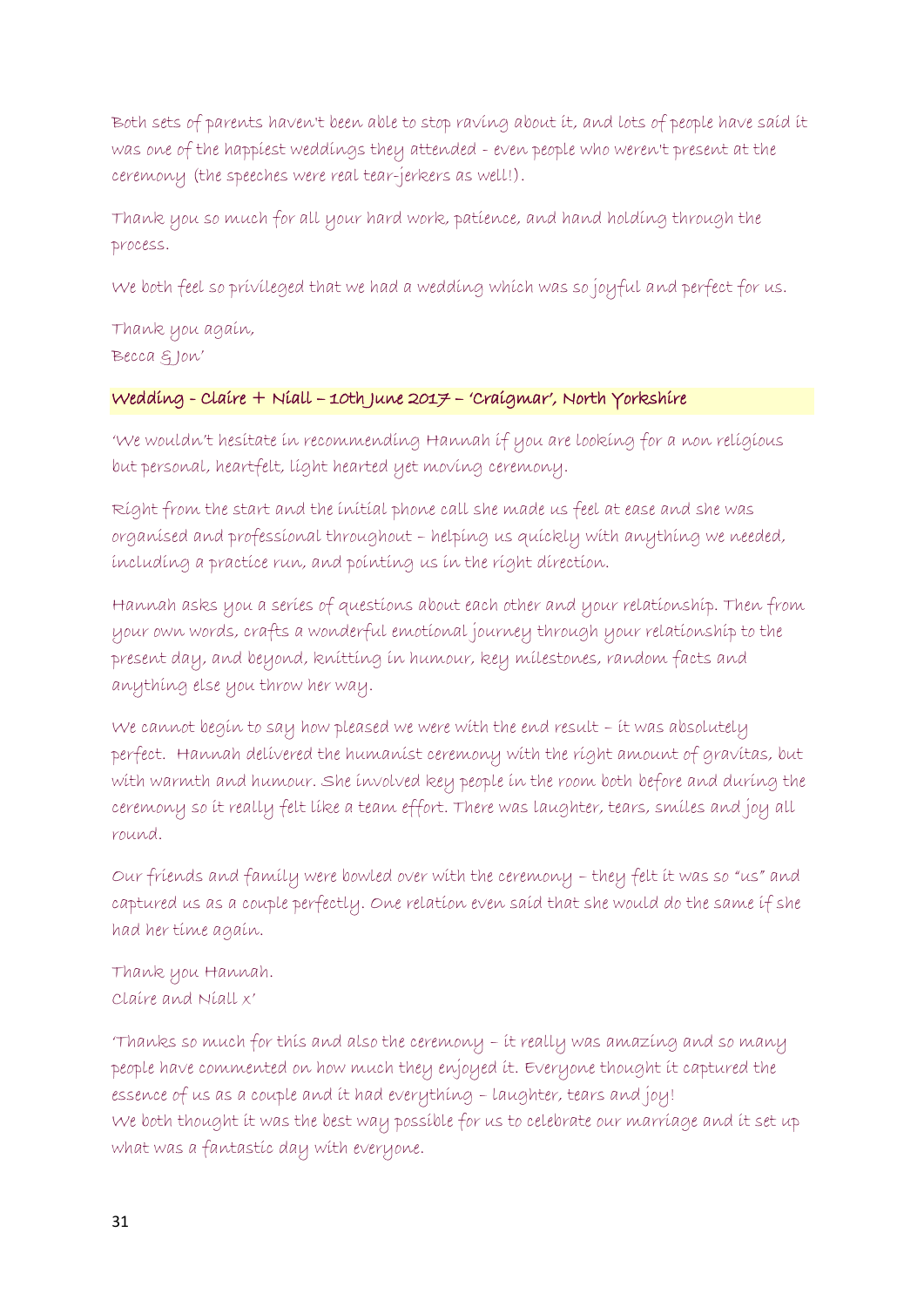Both sets of parents haven't been able to stop raving about it, and lots of people have said it was one of the happiest weddings they attended - even people who weren't present at the ceremony (the speeches were real tear-jerkers as well!).

Thank you so much for all your hard work, patience, and hand holding through the process.

We both feel so privileged that we had a wedding which was so joyful and perfect for us.

Thank you again, Becca & Jon'

# Wedding - Claire + Niall – 10th June 2017 – 'Craigmar', North Yorkshire

'We wouldn't hesitate in recommending Hannah if you are looking for a non religious but personal, heartfelt, light hearted yet moving ceremony.

Right from the start and the initial phone call she made us feel at ease and she was organised and professional throughout – helping us quickly with anything we needed, including a practice run, and pointing us in the right direction.

Hannah asks you a series of questions about each other and your relationship. Then from your own words, crafts a wonderful emotional journey through your relationship to the present day, and beyond, knitting in humour, key milestones, random facts and anything else you throw her way.

We cannot begin to say how pleased we were with the end result – it was absolutely perfect. Hannah delivered the humanist ceremony with the right amount of gravitas, but with warmth and humour. She involved key people in the room both before and during the ceremony so it really felt like a team effort. There was laughter, tears, smiles and joy all round.

Our friends and family were bowled over with the ceremony – they felt it was so "us" and captured us as a couple perfectly. One relation even said that she would do the same if she had her time again.

Thank you Hannah. Claire and Niall x'

'Thanks so much for this and also the ceremony – it really was amazing and so many people have commented on how much they enjoyed it. Everyone thought it captured the essence of us as a couple and it had everything – laughter, tears and joy! We both thought it was the best way possible for us to celebrate our marriage and it set up what was a fantastic day with everyone.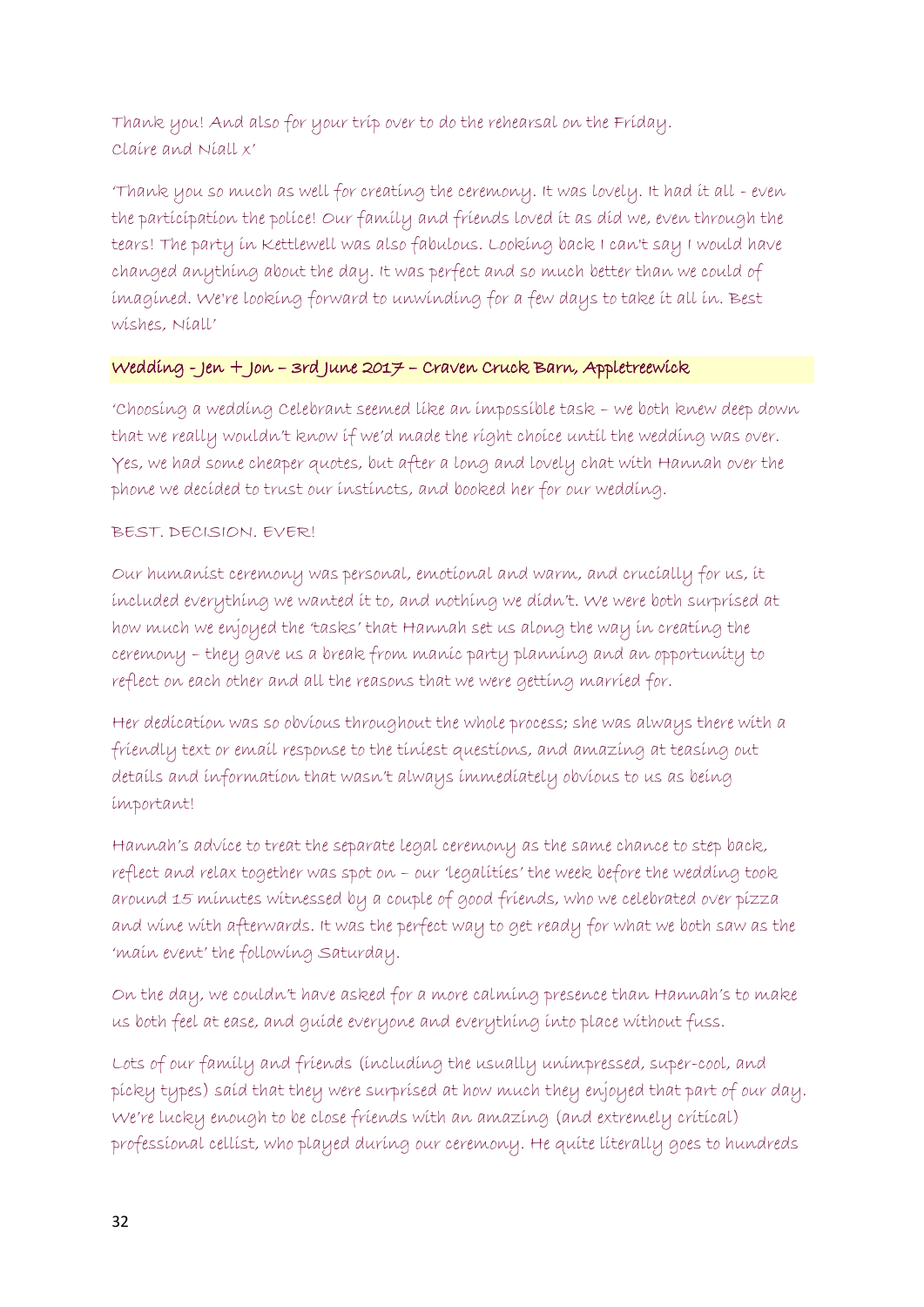Thank you! And also for your trip over to do the rehearsal on the Friday. Claire and Niall x'

'Thank you so much as well for creating the ceremony. It was lovely. It had it all - even the participation the police! Our family and friends loved it as did we, even through the tears! The party in Kettlewell was also fabulous. Looking back I can't say I would have changed anything about the day. It was perfect and so much better than we could of imagined. We're looking forward to unwinding for a few days to take it all in. Best wishes, Niall'

## Wedding - Jen + Jon – 3rd June 2017 – Craven Cruck Barn, Appletreewick

'Choosing a wedding Celebrant seemed like an impossible task – we both knew deep down that we really wouldn't know if we'd made the right choice until the wedding was over. Yes, we had some cheaper quotes, but after a long and lovely chat with Hannah over the phone we decided to trust our instincts, and booked her for our wedding.

## BEST. DECISION. EVER!

Our humanist ceremony was personal, emotional and warm, and crucially for us, it included everything we wanted it to, and nothing we didn't. We were both surprised at how much we enjoyed the 'tasks' that Hannah set us along the way in creating the ceremony – they gave us a break from manic party planning and an opportunity to reflect on each other and all the reasons that we were getting married for.

Her dedication was so obvious throughout the whole process; she was always there with a friendly text or email response to the tiniest questions, and amazing at teasing out details and information that wasn't always immediately obvious to us as being important!

Hannah's advice to treat the separate legal ceremony as the same chance to step back, reflect and relax together was spot on – our 'legalities' the week before the wedding took around 15 minutes witnessed by a couple of good friends, who we celebrated over pizza and wine with afterwards. It was the perfect way to get ready for what we both saw as the 'main event' the following Saturday.

On the day, we couldn't have asked for a more calming presence than Hannah's to make us both feel at ease, and guide everyone and everything into place without fuss.

Lots of our family and friends (including the usually unimpressed, super-cool, and picky types) said that they were surprised at how much they enjoyed that part of our day. We're lucky enough to be close friends with an amazing (and extremely critical) professional cellist, who played during our ceremony. He quite literally goes to hundreds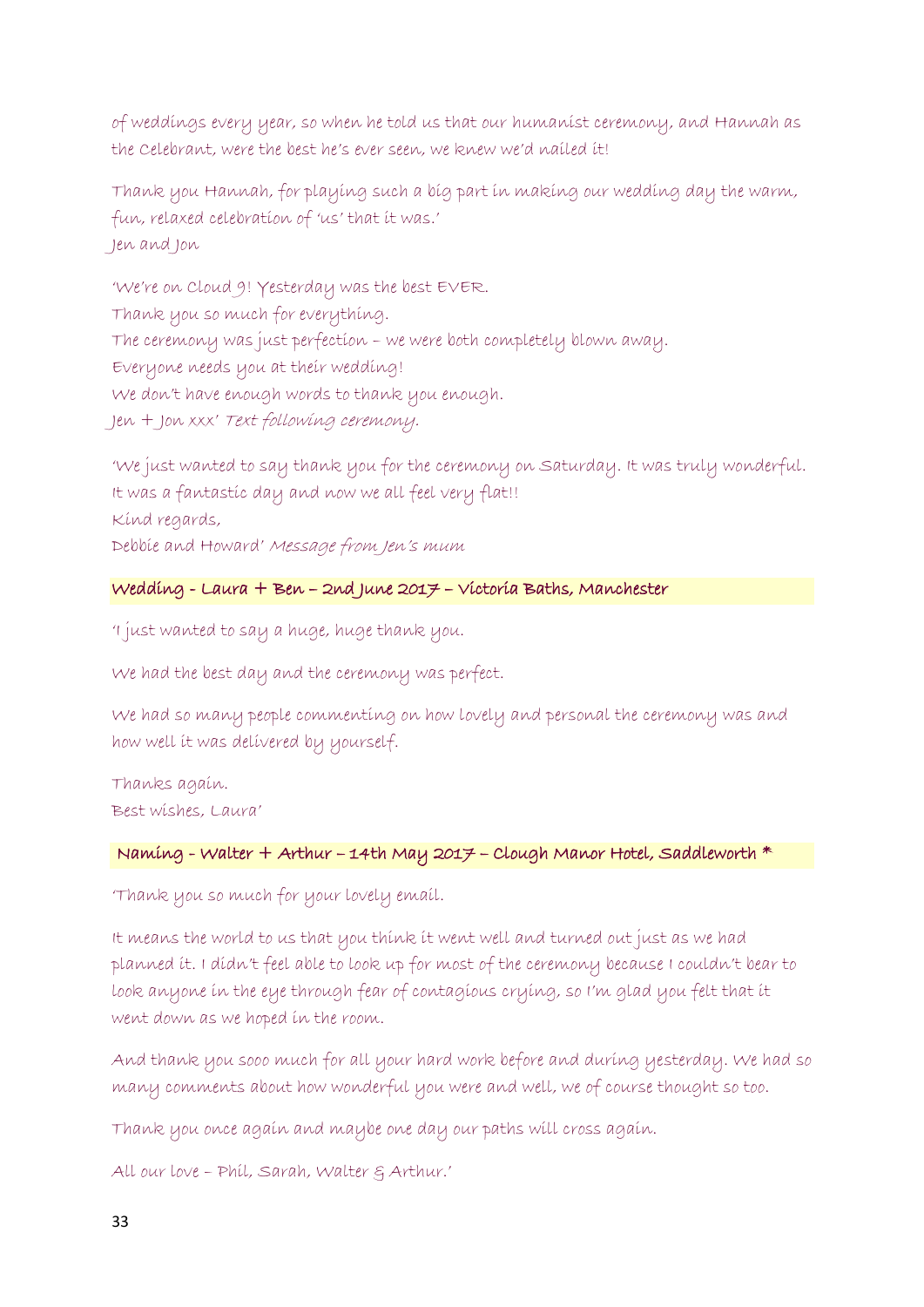of weddings every year, so when he told us that our humanist ceremony, and Hannah as the Celebrant, were the best he's ever seen, we knew we'd nailed it!

Thank you Hannah, for playing such a big part in making our wedding day the warm, fun, relaxed celebration of 'us' that it was.' Jen and Jon

'We're on Cloud 9! Yesterday was the best EVER. Thank you so much for everything. The ceremony was just perfection – we were both completely blown away. Everyone needs you at their wedding! We don't have enough words to thank you enough. Jen + Jon xxx' Text following ceremony.

'We just wanted to say thank you for the ceremony on Saturday. It was truly wonderful. It was a fantastic day and now we all feel very flat!! Kind regards, Debbie and Howard' Message from Jen's mum

# Wedding - Laura + Ben – 2nd June 2017 – Victoria Baths, Manchester

'I just wanted to say a huge, huge thank you.

We had the best day and the ceremony was perfect.

We had so many people commenting on how lovely and personal the ceremony was and how well it was delivered by yourself.

Thanks again. Best wishes, Laura'

# Naming - Walter + Arthur – 14th May 2017 – Clough Manor Hotel, Saddleworth \*

'Thank you so much for your lovely email.

It means the world to us that you think it went well and turned out just as we had planned it. I didn't feel able to look up for most of the ceremony because I couldn't bear to look anyone in the eye through fear of contagious crying, so I'm glad you felt that it went down as we hoped in the room.

And thank you sooo much for all your hard work before and during yesterday. We had so many comments about how wonderful you were and well, we of course thought so too.

Thank you once again and maybe one day our paths will cross again.

All our love – Phil, Sarah, Walter & Arthur.'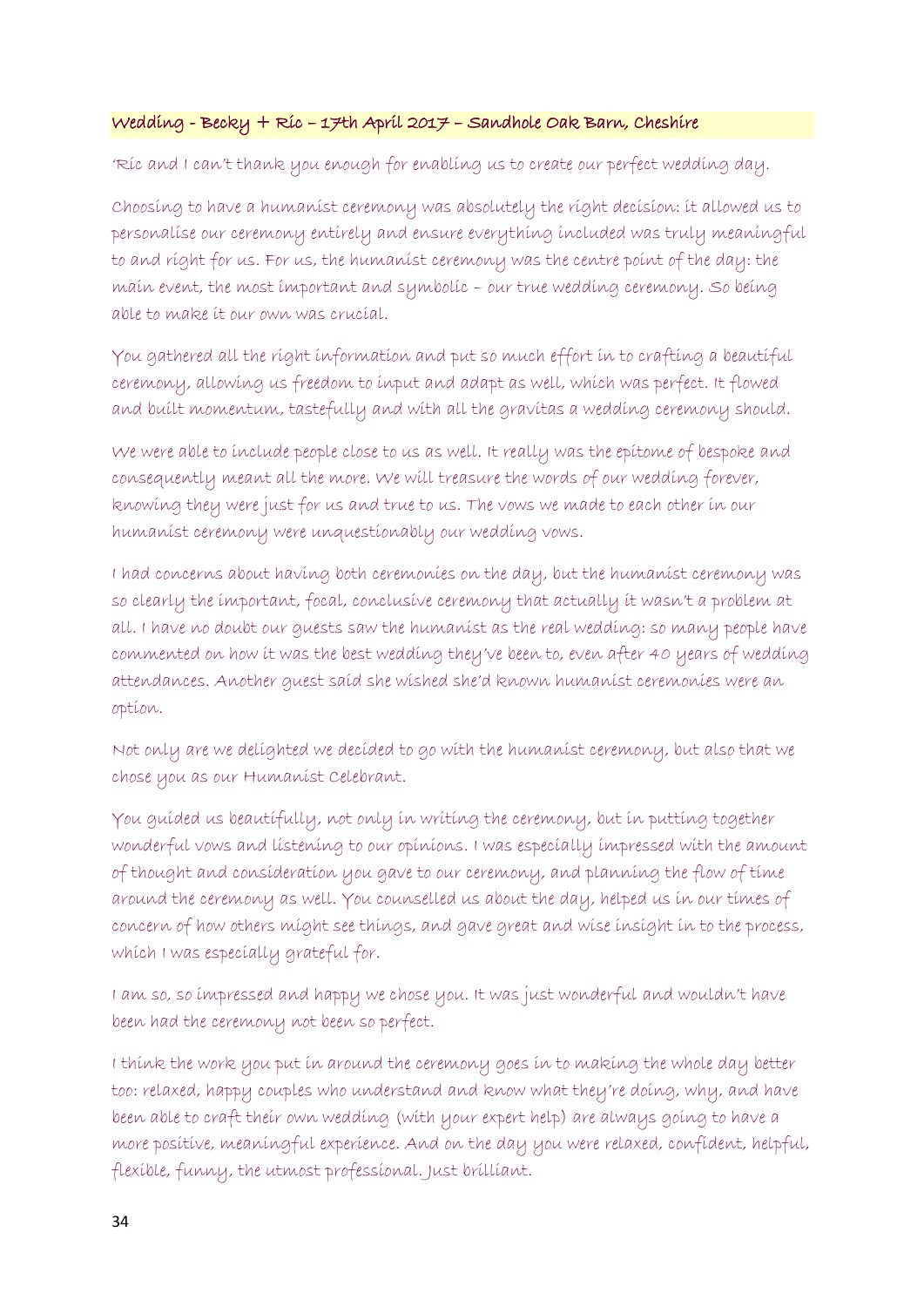## Wedding - Becky + Ric – 17th April 2017 – Sandhole Oak Barn, Cheshire

'Ric and I can't thank you enough for enabling us to create our perfect wedding day.

Choosing to have a humanist ceremony was absolutely the right decision: it allowed us to personalise our ceremony entirely and ensure everything included was truly meaningful to and right for us. For us, the humanist ceremony was the centre point of the day: the main event, the most important and symbolic – our true wedding ceremony. So being able to make it our own was crucial.

You gathered all the right information and put so much effort in to crafting a beautiful ceremony, allowing us freedom to input and adapt as well, which was perfect. It flowed and built momentum, tastefully and with all the gravitas a wedding ceremony should.

We were able to include people close to us as well. It really was the epitome of bespoke and consequently meant all the more. We will treasure the words of our wedding forever, knowing they were just for us and true to us. The vows we made to each other in our humanist ceremony were unquestionably our wedding vows.

I had concerns about having both ceremonies on the day, but the humanist ceremony was so clearly the important, focal, conclusive ceremony that actually it wasn't a problem at all. I have no doubt our guests saw the humanist as the real wedding: so many people have commented on how it was the best wedding they've been to, even after 40 years of wedding attendances. Another guest said she wished she'd known humanist ceremonies were an option.

Not only are we delighted we decided to go with the humanist ceremony, but also that we chose you as our Humanist Celebrant.

You guided us beautifully, not only in writing the ceremony, but in putting together wonderful vows and listening to our opinions. I was especially impressed with the amount of thought and consideration you gave to our ceremony, and planning the flow of time around the ceremony as well. You counselled us about the day, helped us in our times of concern of how others might see things, and gave great and wise insight in to the process, which I was especially grateful for.

I am so, so impressed and happy we chose you. It was just wonderful and wouldn't have been had the ceremony not been so perfect.

I think the work you put in around the ceremony goes in to making the whole day better too: relaxed, happy couples who understand and know what they're doing, why, and have been able to craft their own wedding (with your expert help) are always going to have a more positive, meaningful experience. And on the day you were relaxed, confident, helpful, flexible, funny, the utmost professional. Just brilliant.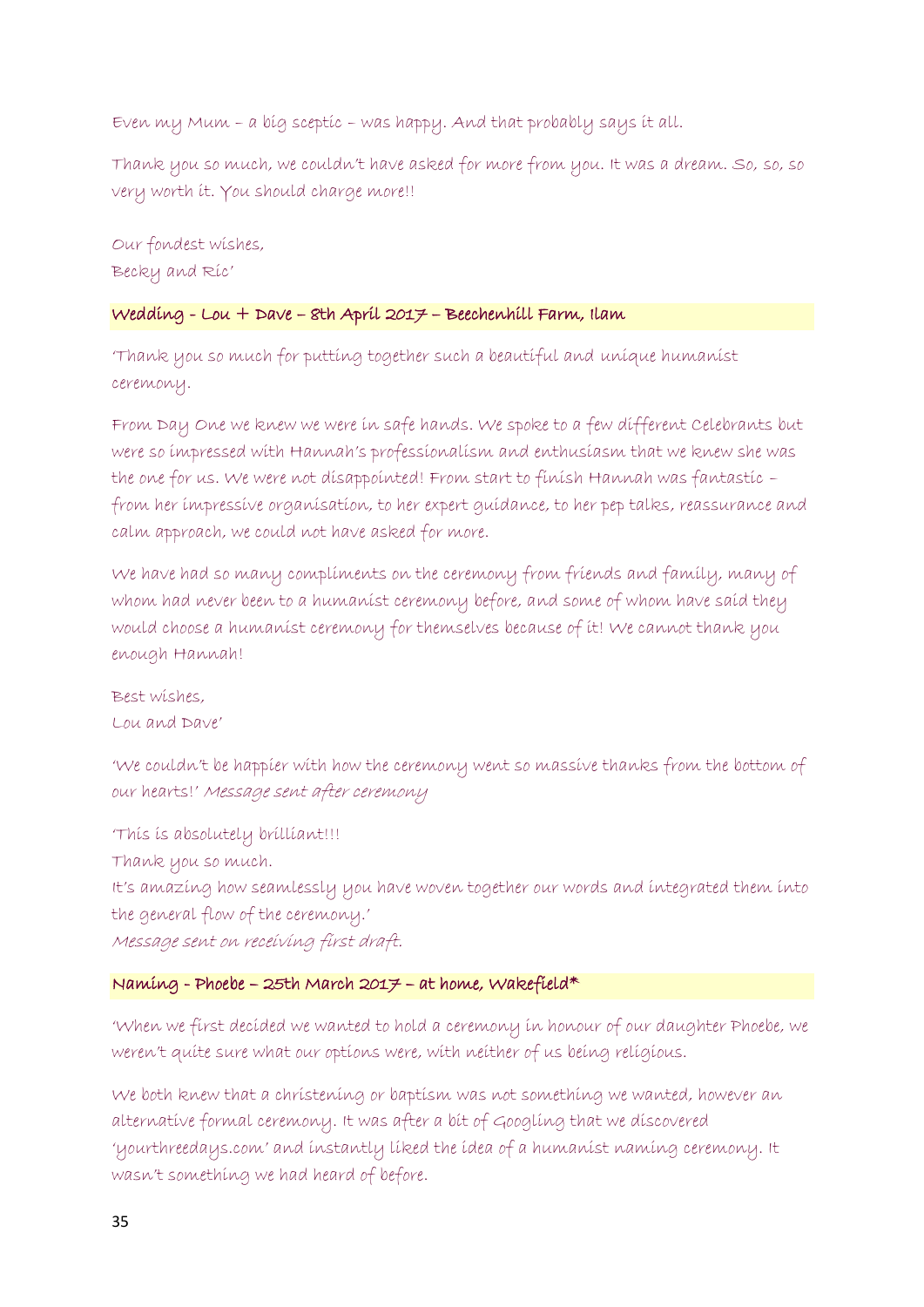Even my Mum – a big sceptic – was happy. And that probably says it all.

Thank you so much, we couldn't have asked for more from you. It was a dream. So, so, so very worth it. You should charge more!!

Our fondest wishes, Becky and Ric'

## Wedding - Lou + Dave – 8th April 2017 – Beechenhill Farm, Ilam

'Thank you so much for putting together such a beautiful and unique humanist ceremony.

From Day One we knew we were in safe hands. We spoke to a few different Celebrants but were so impressed with Hannah's professionalism and enthusiasm that we knew she was the one for us. We were not disappointed! From start to finish Hannah was fantastic from her impressive organisation, to her expert guidance, to her pep talks, reassurance and calm approach, we could not have asked for more.

We have had so many compliments on the ceremony from friends and family, many of whom had never been to a humanist ceremony before, and some of whom have said they would choose a humanist ceremony for themselves because of it! We cannot thank you enough Hannah!

Best wishes, Lou and Dave'

'We couldn't be happier with how the ceremony went so massive thanks from the bottom of our hearts!' Message sent after ceremony

'This is absolutely brilliant!!! Thank you so much. It's amazing how seamlessly you have woven together our words and integrated them into the general flow of the ceremony.' Message sent on receiving first draft.

# Naming - Phoebe – 25th March 2017 – at home, Wakefield\*

'When we first decided we wanted to hold a ceremony in honour of our daughter Phoebe, we weren't quite sure what our options were, with neither of us being religious.

We both knew that a christening or baptism was not something we wanted, however an alternative formal ceremony. It was after a bit of Googling that we discovered 'yourthreedays.com' and instantly liked the idea of a humanist naming ceremony. It wasn't something we had heard of before.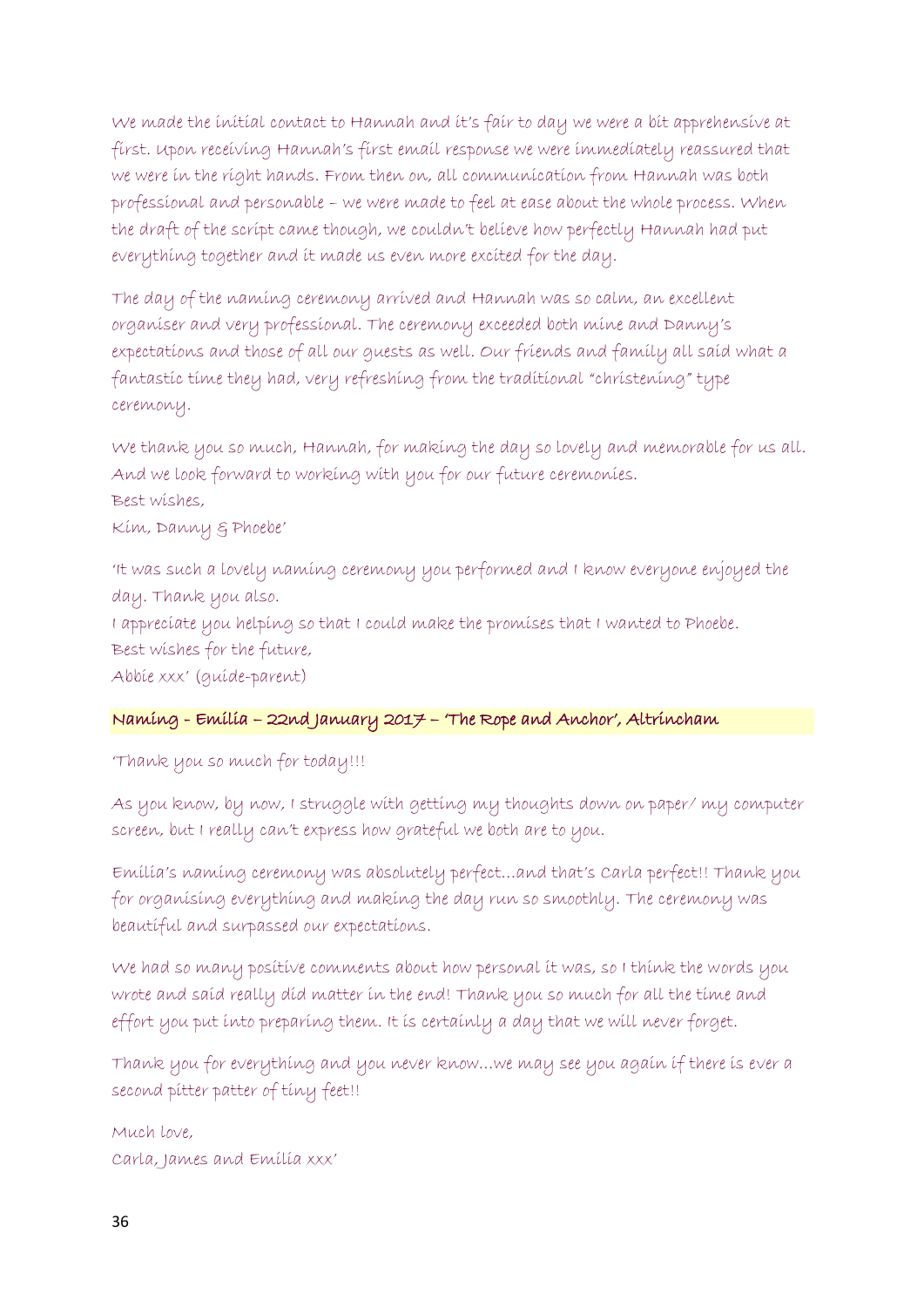We made the initial contact to Hannah and it's fair to day we were a bit apprehensive at first. Upon receiving Hannah's first email response we were immediately reassured that we were in the right hands. From then on, all communication from Hannah was both professional and personable – we were made to feel at ease about the whole process. When the draft of the script came though, we couldn't believe how perfectly Hannah had put everything together and it made us even more excited for the day.

The day of the naming ceremony arrived and Hannah was so calm, an excellent organiser and very professional. The ceremony exceeded both mine and Danny's expectations and those of all our guests as well. Our friends and family all said what a fantastic time they had, very refreshing from the traditional "christening" type ceremony.

We thank you so much, Hannah, for making the day so lovely and memorable for us all. And we look forward to working with you for our future ceremonies. Best wishes, Kim, Danny & Phoebe'

'It was such a lovely naming ceremony you performed and I know everyone enjoyed the day. Thank you also. I appreciate you helping so that I could make the promises that I wanted to Phoebe. Best wishes for the future, Abbie xxx' (guide-parent)

# Naming - Emilia – 22nd January 2017 – 'The Rope and Anchor', Altrincham

'Thank you so much for today!!!

As you know, by now, I struggle with getting my thoughts down on paper/ my computer screen, but I really can't express how grateful we both are to you.

Emilia's naming ceremony was absolutely perfect…and that's Carla perfect!! Thank you for organising everything and making the day run so smoothly. The ceremony was beautiful and surpassed our expectations.

We had so many positive comments about how personal it was, so I think the words you wrote and said really did matter in the end! Thank you so much for all the time and effort you put into preparing them. It is certainly a day that we will never forget.

Thank you for everything and you never know…we may see you again if there is ever a second pitter patter of tiny feet!!

Much love, Carla, James and Emilia xxx'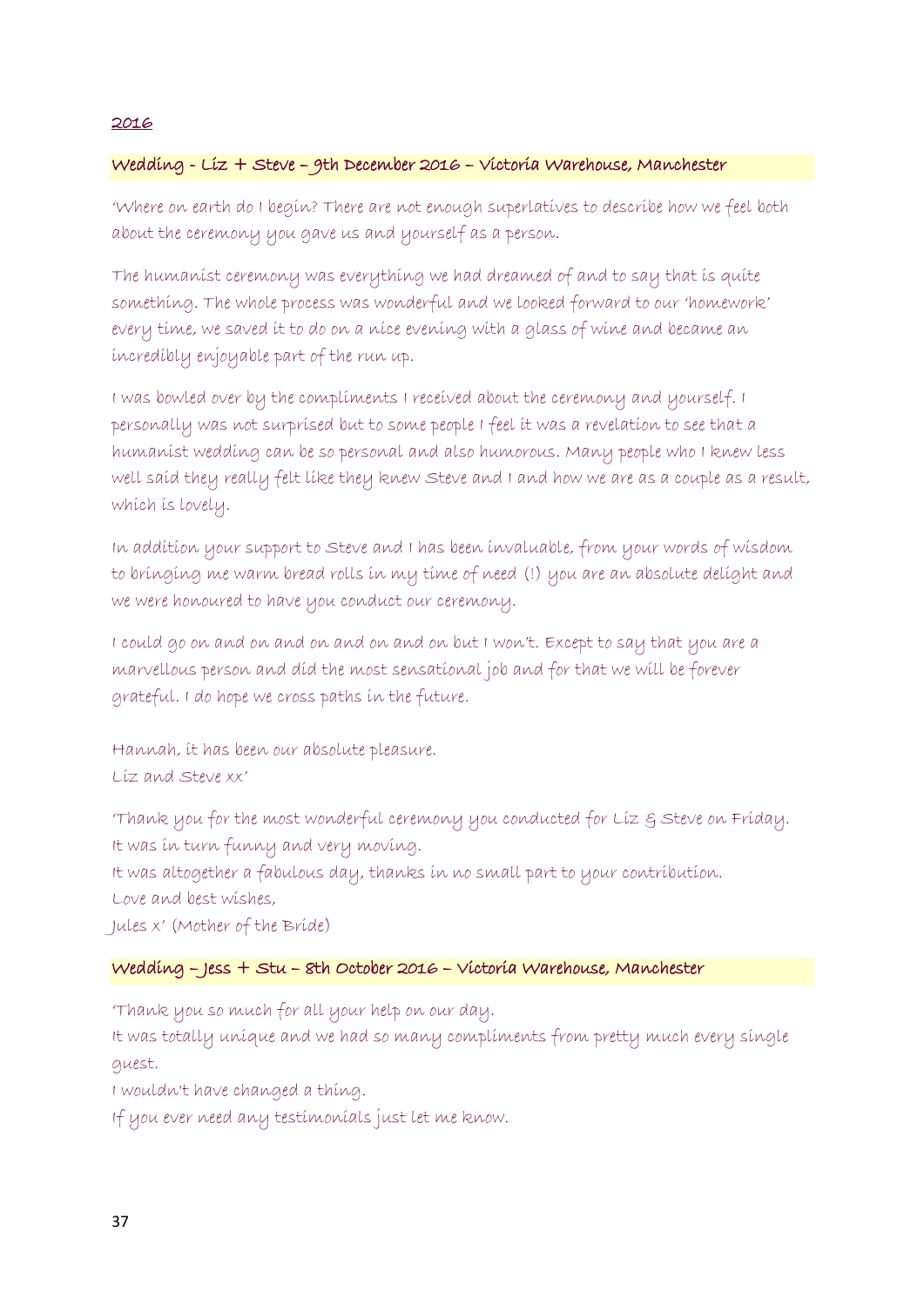# Wedding - Liz + Steve – 9th December 2016 – Victoria Warehouse, Manchester

'Where on earth do I begin? There are not enough superlatives to describe how we feel both about the ceremony you gave us and yourself as a person.

The humanist ceremony was everything we had dreamed of and to say that is quite something. The whole process was wonderful and we looked forward to our 'homework' every time, we saved it to do on a nice evening with a glass of wine and became an incredibly enjoyable part of the run up.

I was bowled over by the compliments I received about the ceremony and yourself. I personally was not surprised but to some people I feel it was a revelation to see that a humanist wedding can be so personal and also humorous. Many people who I knew less well said they really felt like they knew Steve and I and how we are as a couple as a result, which is lovely.

In addition your support to Steve and I has been invaluable, from your words of wisdom to bringing me warm bread rolls in my time of need (!) you are an absolute delight and we were honoured to have you conduct our ceremony.

I could go on and on and on and on and on but I won't. Except to say that you are a marvellous person and did the most sensational job and for that we will be forever grateful. I do hope we cross paths in the future.

Hannah, it has been our absolute pleasure. Liz and Steve xx'

'Thank you for the most wonderful ceremony you conducted for Liz & Steve on Friday. It was in turn funny and very moving. It was altogether a fabulous day, thanks in no small part to your contribution. Love and best wishes, Jules x' (Mother of the Bride)

### Wedding – Jess + Stu – 8th October 2016 – Victoria Warehouse, Manchester

'Thank you so much for all your help on our day.

It was totally unique and we had so many compliments from pretty much every single guest.

I wouldn't have changed a thing.

If you ever need any testimonials just let me know.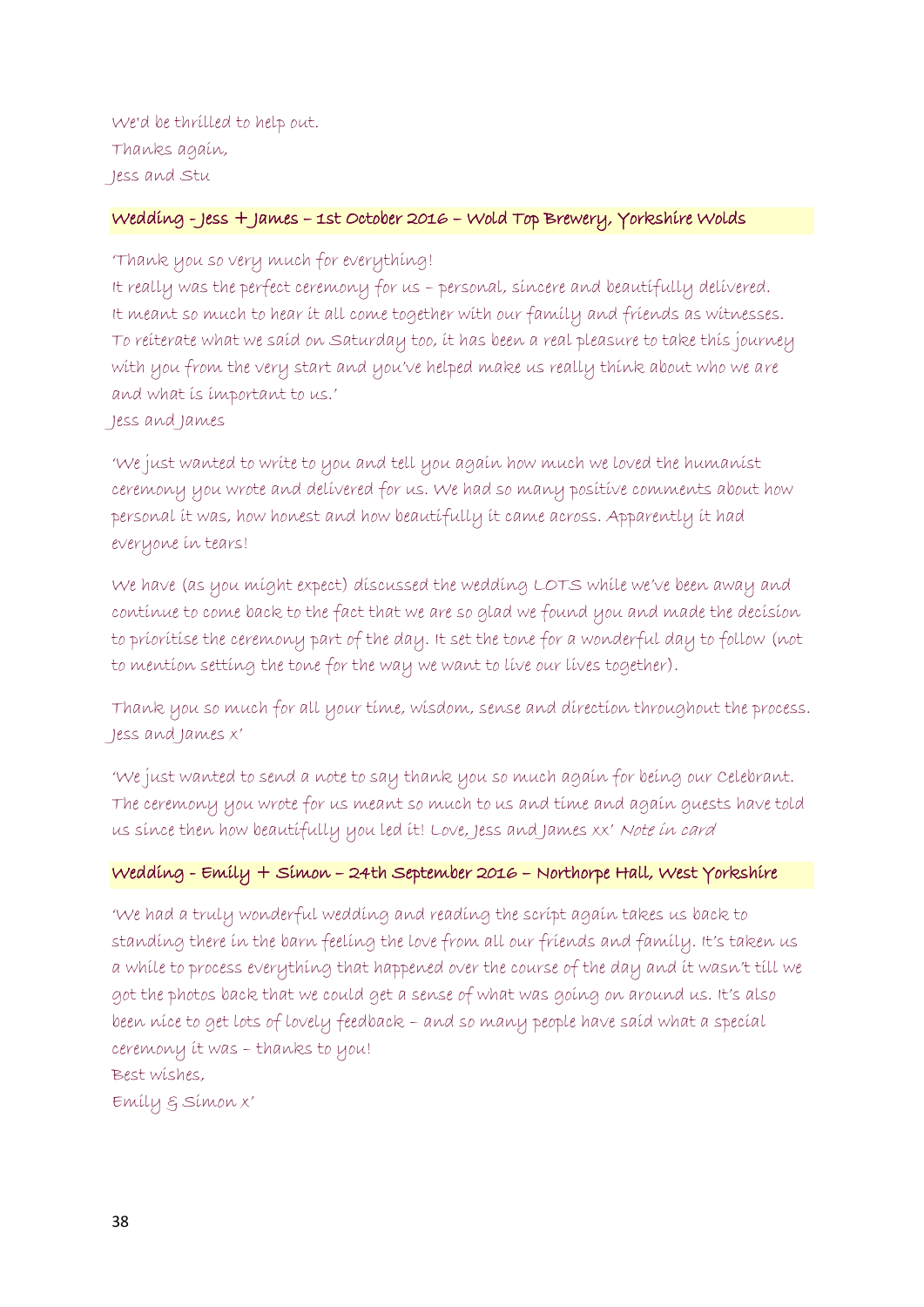We'd be thrilled to help out. Thanks again, Jess and Stu

#### Wedding - Jess + James – 1st October 2016 – Wold Top Brewery, Yorkshire Wolds

'Thank you so very much for everything!

It really was the perfect ceremony for us – personal, sincere and beautifully delivered. It meant so much to hear it all come together with our family and friends as witnesses. To reiterate what we said on Saturday too, it has been a real pleasure to take this journey with you from the very start and you've helped make us really think about who we are and what is important to us.'

Jess and James

'We just wanted to write to you and tell you again how much we loved the humanist ceremony you wrote and delivered for us. We had so many positive comments about how personal it was, how honest and how beautifully it came across. Apparently it had everyone in tears!

We have (as you might expect) discussed the wedding LOTS while we've been away and continue to come back to the fact that we are so glad we found you and made the decision to prioritise the ceremony part of the day. It set the tone for a wonderful day to follow (not to mention setting the tone for the way we want to live our lives together).

Thank you so much for all your time, wisdom, sense and direction throughout the process. Jess and James x'

'We just wanted to send a note to say thank you so much again for being our Celebrant. The ceremony you wrote for us meant so much to us and time and again guests have told us since then how beautifully you led it! Love, Jess and James xx' Note in card

#### Wedding - Emily + Simon – 24th September 2016 – Northorpe Hall, West Yorkshire

'We had a truly wonderful wedding and reading the script again takes us back to standing there in the barn feeling the love from all our friends and family. It's taken us a while to process everything that happened over the course of the day and it wasn't till we got the photos back that we could get a sense of what was going on around us. It's also been nice to get lots of lovely feedback – and so many people have said what a special ceremony it was – thanks to you! Best wishes,

Emily & Simon x'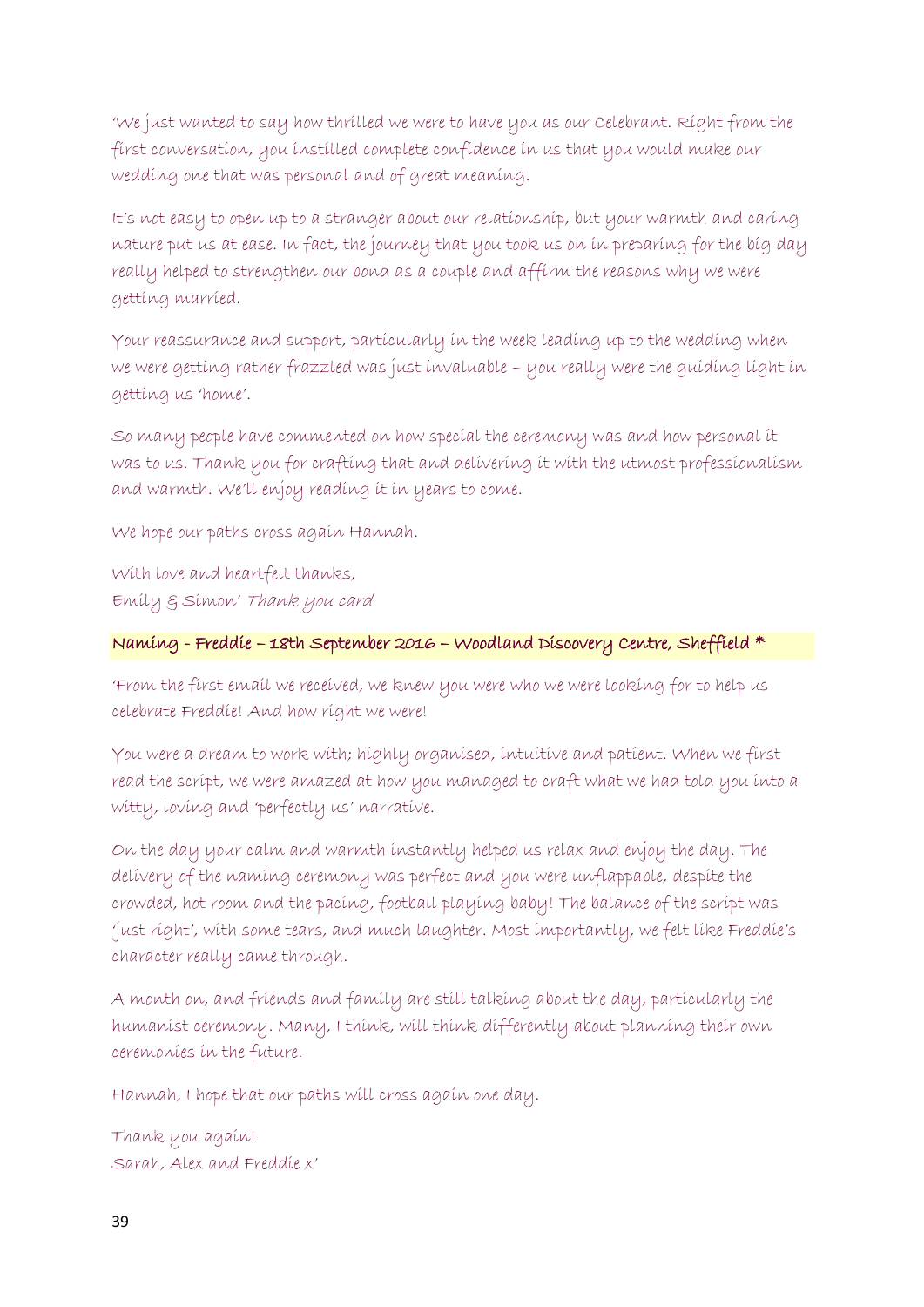'We just wanted to say how thrilled we were to have you as our Celebrant. Right from the first conversation, you instilled complete confidence in us that you would make our wedding one that was personal and of great meaning.

It's not easy to open up to a stranger about our relationship, but your warmth and caring nature put us at ease. In fact, the journey that you took us on in preparing for the big day really helped to strengthen our bond as a couple and affirm the reasons why we were getting married.

Your reassurance and support, particularly in the week leading up to the wedding when we were getting rather frazzled was just invaluable – you really were the guiding light in getting us 'home'.

So many people have commented on how special the ceremony was and how personal it was to us. Thank you for crafting that and delivering it with the utmost professionalism and warmth. We'll enjoy reading it in years to come.

We hope our paths cross again Hannah.

With love and heartfelt thanks, Emily & Simon' Thank you card

# Naming - Freddie – 18th September 2016 – Woodland Discovery Centre, Sheffield \*

'From the first email we received, we knew you were who we were looking for to help us celebrate Freddie! And how right we were!

You were a dream to work with; highly organised, intuitive and patient. When we first read the script, we were amazed at how you managed to craft what we had told you into a witty, loving and 'perfectly us' narrative.

On the day your calm and warmth instantly helped us relax and enjoy the day. The delivery of the naming ceremony was perfect and you were unflappable, despite the crowded, hot room and the pacing, football playing baby! The balance of the script was 'just right', with some tears, and much laughter. Most importantly, we felt like Freddie's character really came through.

A month on, and friends and family are still talking about the day, particularly the humanist ceremony. Many, I think, will think differently about planning their own ceremonies in the future.

Hannah, I hope that our paths will cross again one day.

Thank you again! Sarah, Alex and Freddie x'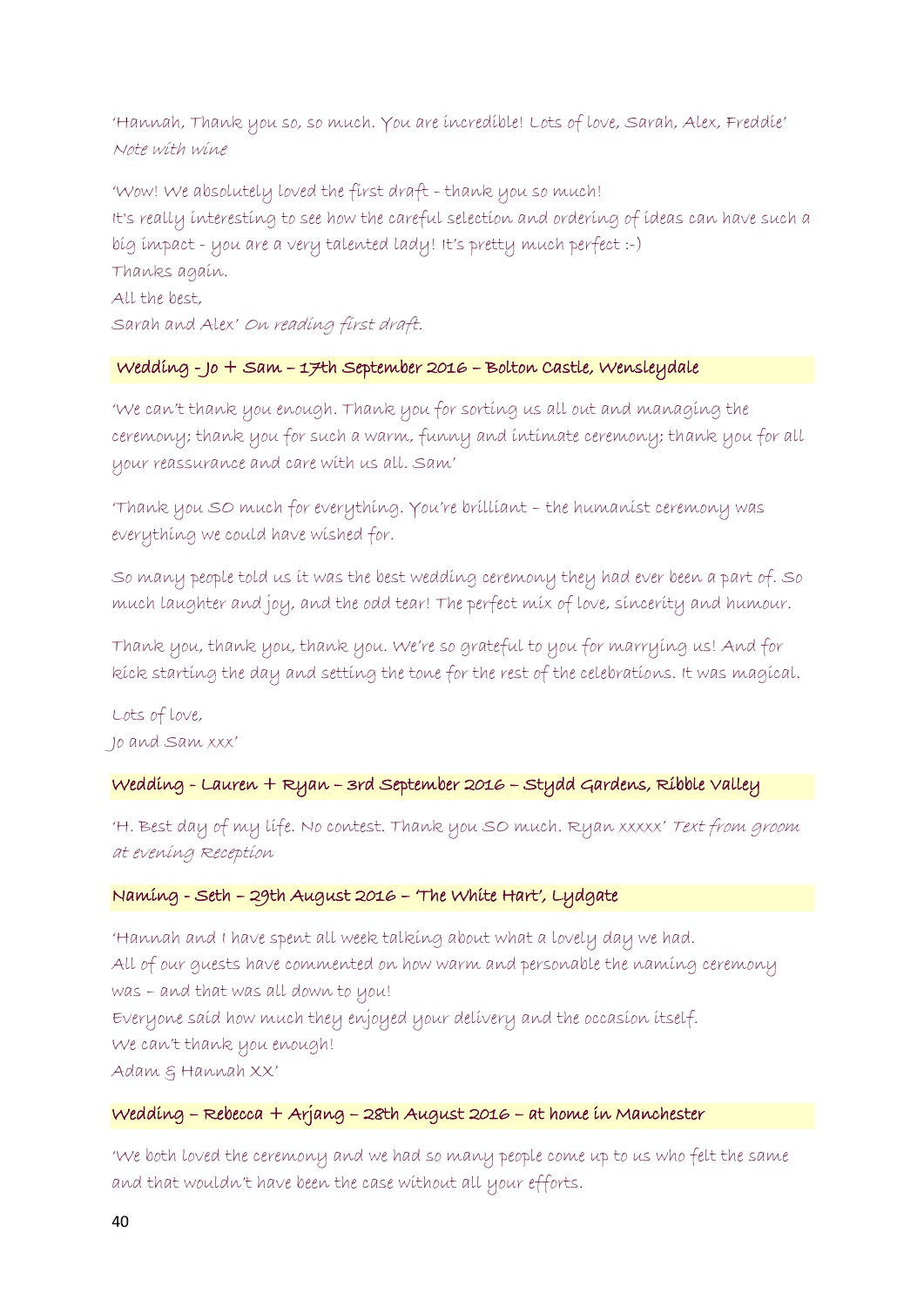'Hannah, Thank you so, so much. You are incredible! Lots of love, Sarah, Alex, Freddie' Note with wine

'Wow! We absolutely loved the first draft - thank you so much! It's really interesting to see how the careful selection and ordering of ideas can have such a big impact - you are a very talented lady! It's pretty much perfect :-) Thanks again. All the best, Sarah and Alex' On reading first draft.

#### Wedding - Jo + Sam – 17th September 2016 – Bolton Castle, Wensleydale

'We can't thank you enough. Thank you for sorting us all out and managing the ceremony; thank you for such a warm, funny and intimate ceremony; thank you for all your reassurance and care with us all. Sam'

'Thank you SO much for everything. You're brilliant – the humanist ceremony was everything we could have wished for.

So many people told us it was the best wedding ceremony they had ever been a part of. So much laughter and joy, and the odd tear! The perfect mix of love, sincerity and humour.

Thank you, thank you, thank you. We're so grateful to you for marrying us! And for kick starting the day and setting the tone for the rest of the celebrations. It was magical.

Lots of love, Jo and Sam xxx'

# Wedding - Lauren + Ryan – 3rd September 2016 – Stydd Gardens, Ribble Valley

'H. Best day of my life. No contest. Thank you SO much. Ryan xxxxx' Text from groom at evening Reception

# Naming - Seth – 29th August 2016 – 'The White Hart', Lydgate

'Hannah and I have spent all week talking about what a lovely day we had. All of our guests have commented on how warm and personable the naming ceremony was – and that was all down to you! Everyone said how much they enjoyed your delivery and the occasion itself. We can't thank you enough! Adam & Hannah XX'

# Wedding – Rebecca + Arjang – 28th August 2016 – at home in Manchester

'We both loved the ceremony and we had so many people come up to us who felt the same and that wouldn't have been the case without all your efforts.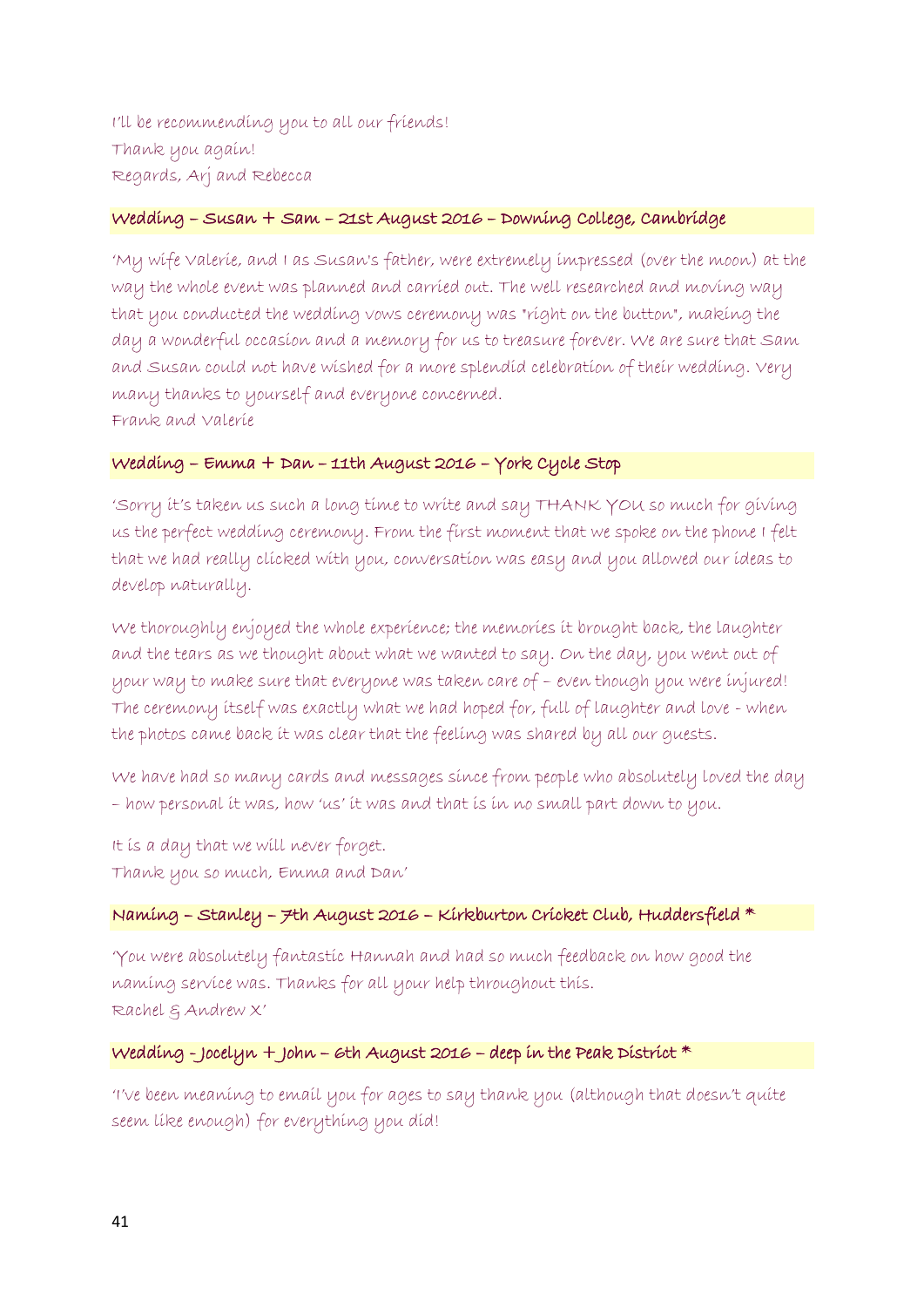I'll be recommending you to all our friends! Thank you again! Regards, Arj and Rebecca

#### Wedding – Susan + Sam – 21st August 2016 – Downing College, Cambridge

'My wife Valerie, and I as Susan's father, were extremely impressed (over the moon) at the way the whole event was planned and carried out. The well researched and moving way that you conducted the wedding vows ceremony was "right on the button", making the day a wonderful occasion and a memory for us to treasure forever. We are sure that Sam and Susan could not have wished for a more splendid celebration of their wedding. Very many thanks to yourself and everyone concerned. Frank and Valerie

#### Wedding – Emma + Dan – 11th August 2016 – York Cycle Stop

'Sorry it's taken us such a long time to write and say THANK YOU so much for giving us the perfect wedding ceremony. From the first moment that we spoke on the phone I felt that we had really clicked with you, conversation was easy and you allowed our ideas to develop naturally.

We thoroughly enjoyed the whole experience; the memories it brought back, the laughter and the tears as we thought about what we wanted to say. On the day, you went out of your way to make sure that everyone was taken care of – even though you were injured! The ceremony itself was exactly what we had hoped for, full of laughter and love - when the photos came back it was clear that the feeling was shared by all our guests.

We have had so many cards and messages since from people who absolutely loved the day – how personal it was, how 'us' it was and that is in no small part down to you.

It is a day that we will never forget. Thank you so much, Emma and Dan'

#### Naming – Stanley – 7th August 2016 – Kirkburton Cricket Club, Huddersfield \*

'You were absolutely fantastic Hannah and had so much feedback on how good the naming service was. Thanks for all your help throughout this. Rachel & Andrew X'

#### Wedding - Jocelyn + John – 6th August 2016 – deep in the Peak District  $*$

'I've been meaning to email you for ages to say thank you (although that doesn't quite seem like enough) for everything you did!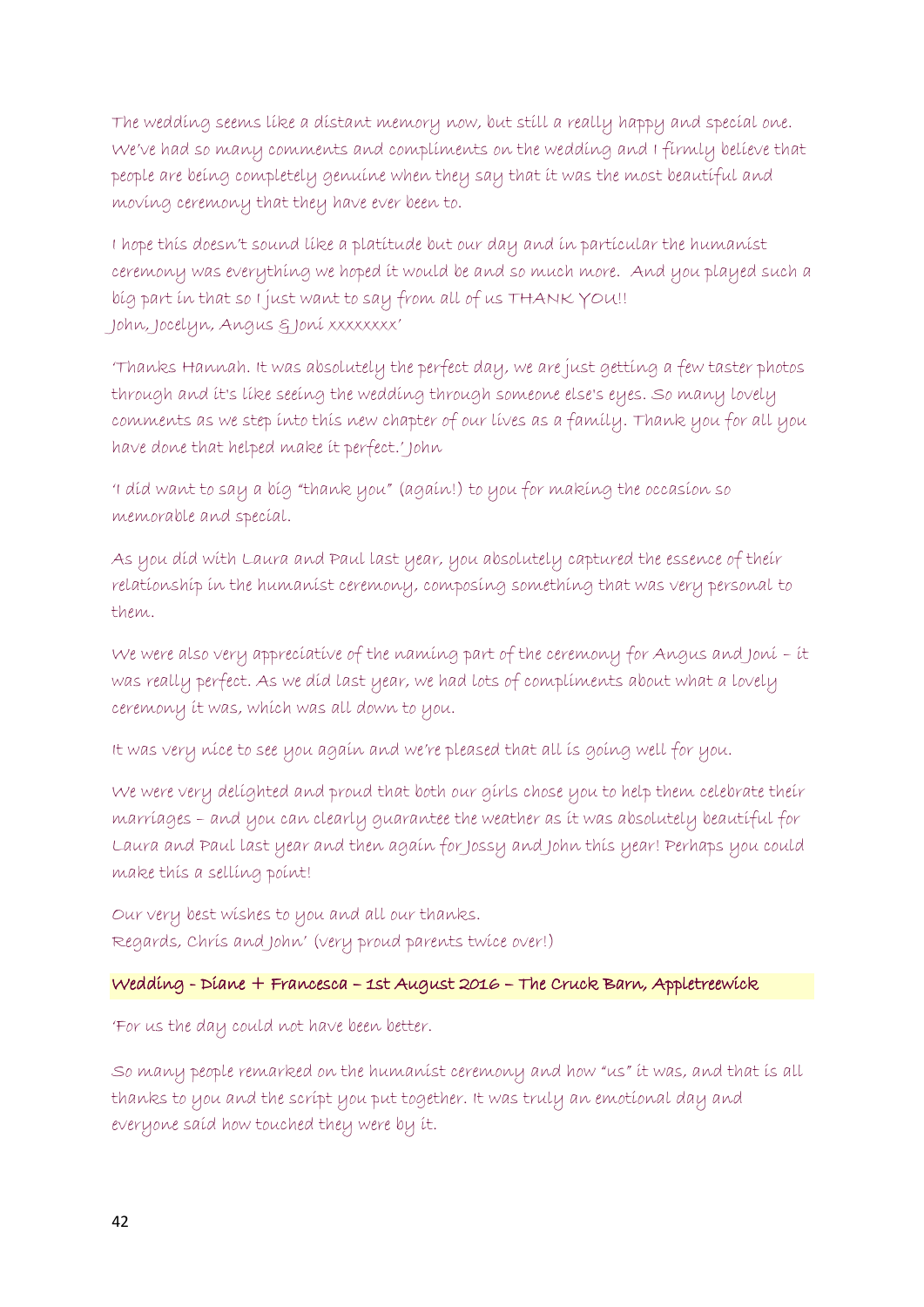The wedding seems like a distant memory now, but still a really happy and special one. We've had so many comments and compliments on the wedding and I firmly believe that people are being completely genuine when they say that it was the most beautiful and moving ceremony that they have ever been to.

I hope this doesn't sound like a platitude but our day and in particular the humanist ceremony was everything we hoped it would be and so much more. And you played such a big part in that so I just want to say from all of us THANK YOU!! John, Jocelyn, Angus & Joni xxxxxxxx'

'Thanks Hannah. It was absolutely the perfect day, we are just getting a few taster photos through and it's like seeing the wedding through someone else's eyes. So many lovely comments as we step into this new chapter of our lives as a family. Thank you for all you have done that helped make it perfect.' John

'I did want to say a big "thank you" (again!) to you for making the occasion so memorable and special.

As you did with Laura and Paul last year, you absolutely captured the essence of their relationship in the humanist ceremony, composing something that was very personal to them.

We were also very appreciative of the naming part of the ceremony for Angus and Joni – it was really perfect. As we did last year, we had lots of compliments about what a lovely ceremony it was, which was all down to you.

It was very nice to see you again and we're pleased that all is going well for you.

We were very delighted and proud that both our girls chose you to help them celebrate their marriages – and you can clearly guarantee the weather as it was absolutely beautiful for Laura and Paul last year and then again for Jossy and John this year! Perhaps you could make this a selling point!

Our very best wishes to you and all our thanks. Regards, Chris and John' (very proud parents twice over!)

#### Wedding - Diane + Francesca – 1st August 2016 – The Cruck Barn, Appletreewick

'For us the day could not have been better.

So many people remarked on the humanist ceremony and how "us" it was, and that is all thanks to you and the script you put together. It was truly an emotional day and everyone said how touched they were by it.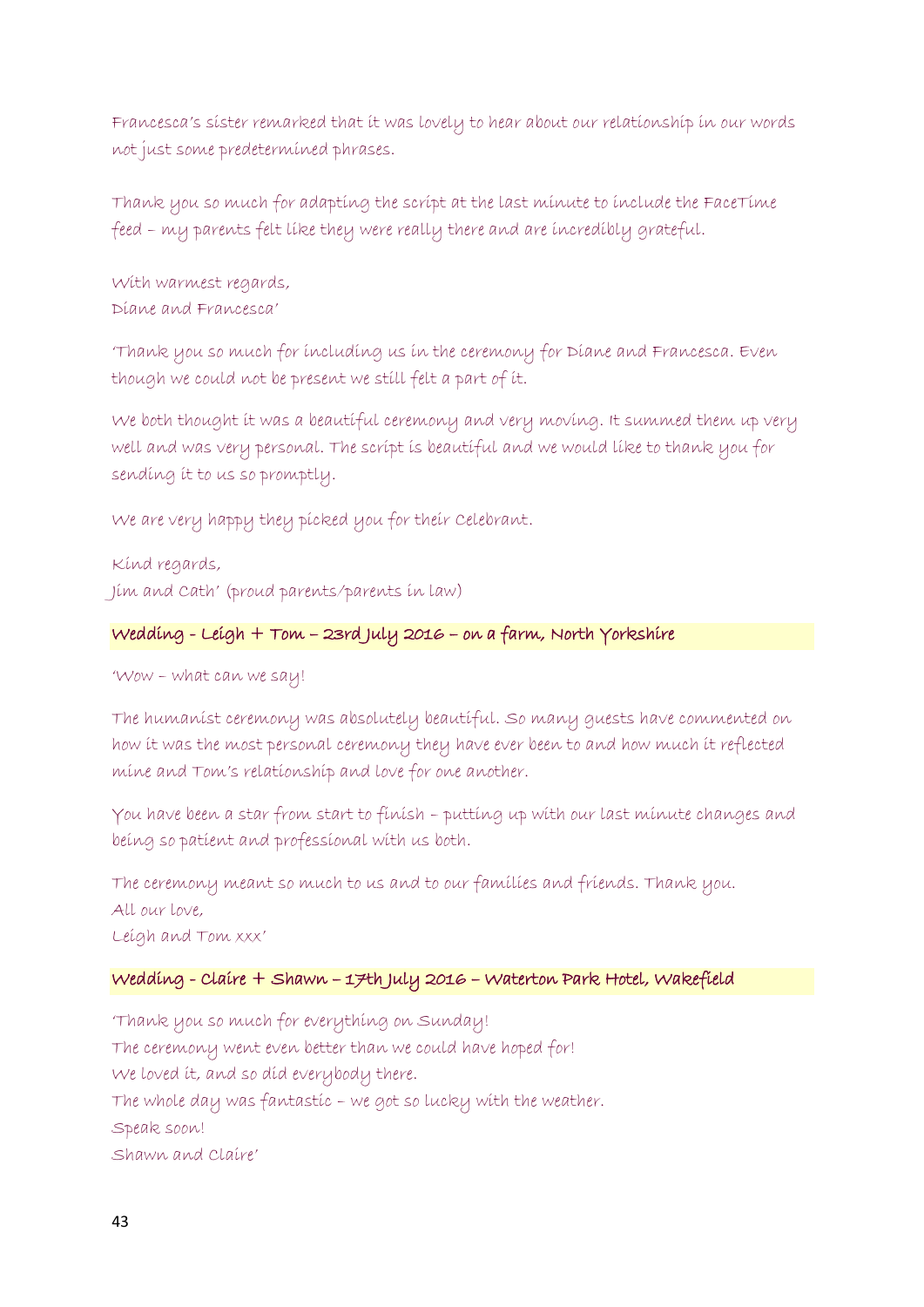Francesca's sister remarked that it was lovely to hear about our relationship in our words not just some predetermined phrases.

Thank you so much for adapting the script at the last minute to include the FaceTime feed – my parents felt like they were really there and are incredibly grateful.

With warmest regards, Diane and Francesca'

'Thank you so much for including us in the ceremony for Diane and Francesca. Even though we could not be present we still felt a part of it.

We both thought it was a beautiful ceremony and very moving. It summed them up very well and was very personal. The script is beautiful and we would like to thank you for sending it to us so promptly.

We are very happy they picked you for their Celebrant.

Kind regards, Jim and Cath' (proud parents/parents in law)

# Wedding - Leigh + Tom – 23rd July 2016 – on a farm, North Yorkshire

'Wow – what can we say!

The humanist ceremony was absolutely beautiful. So many guests have commented on how it was the most personal ceremony they have ever been to and how much it reflected mine and Tom's relationship and love for one another.

You have been a star from start to finish – putting up with our last minute changes and being so patient and professional with us both.

The ceremony meant so much to us and to our families and friends. Thank you. All our love, Leigh and Tom xxx'

# Wedding - Claire + Shawn – 17th July 2016 – Waterton Park Hotel, Wakefield

'Thank you so much for everything on Sunday! The ceremony went even better than we could have hoped for! We loved it, and so did everybody there. The whole day was fantastic – we got so lucky with the weather. Speak soon! Shawn and Claire'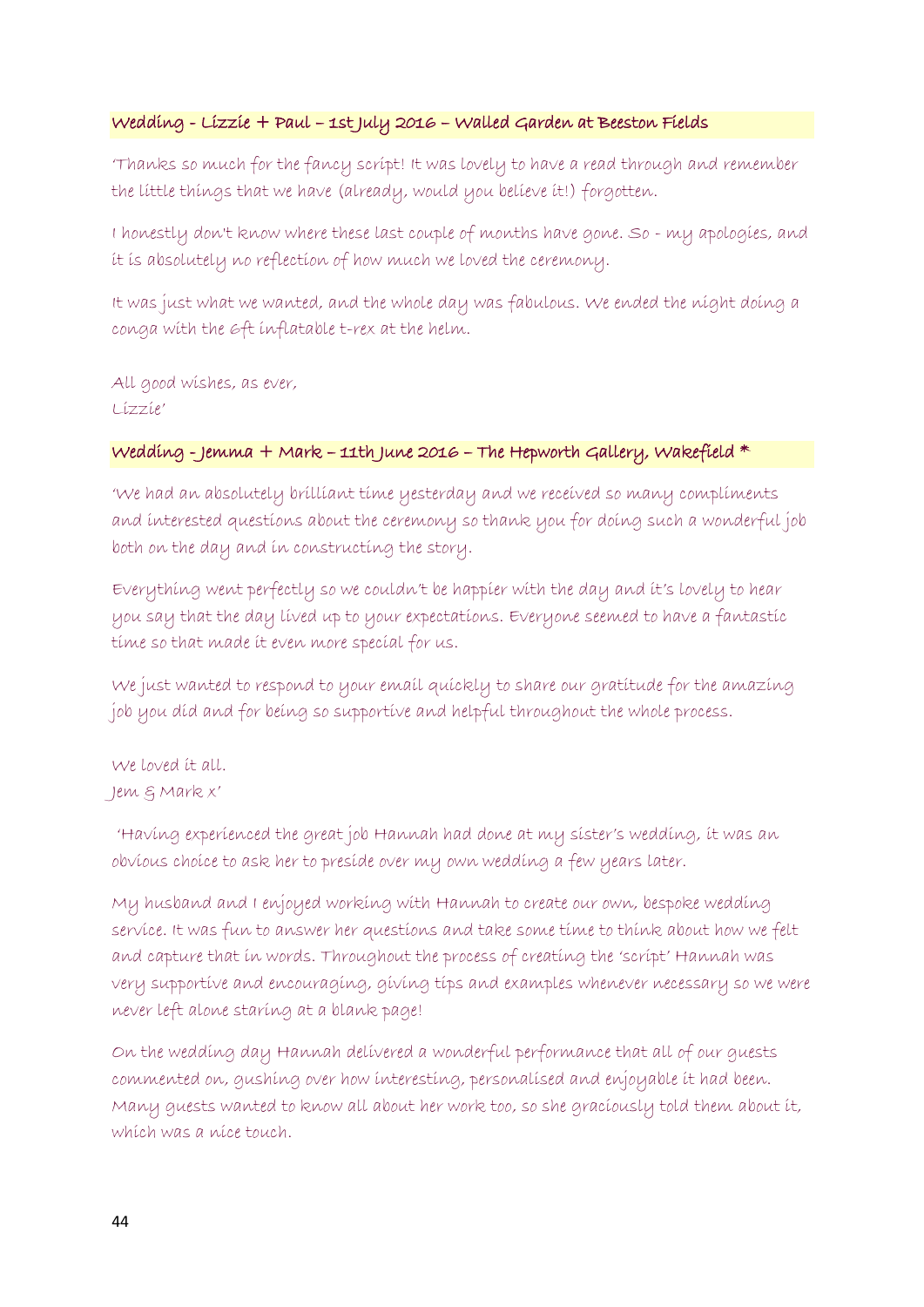### Wedding - Lizzie + Paul – 1st July 2016 – Walled Garden at Beeston Fields

'Thanks so much for the fancy script! It was lovely to have a read through and remember the little things that we have (already, would you believe it!) forgotten.

I honestly don't know where these last couple of months have gone. So - my apologies, and it is absolutely no reflection of how much we loved the ceremony.

It was just what we wanted, and the whole day was fabulous. We ended the night doing a conga with the 6ft inflatable t-rex at the helm.

All good wishes, as ever, Lizzie'

### Wedding - Jemma + Mark – 11th June 2016 – The Hepworth Gallery, Wakefield \*

'We had an absolutely brilliant time yesterday and we received so many compliments and interested questions about the ceremony so thank you for doing such a wonderful job both on the day and in constructing the story.

Everything went perfectly so we couldn't be happier with the day and it's lovely to hear you say that the day lived up to your expectations. Everyone seemed to have a fantastic time so that made it even more special for us.

We just wanted to respond to your email quickly to share our gratitude for the amazing job you did and for being so supportive and helpful throughout the whole process.

We loved it all. Jem & Mark x'

'Having experienced the great job Hannah had done at my sister's wedding, it was an obvious choice to ask her to preside over my own wedding a few years later.

My husband and I enjoyed working with Hannah to create our own, bespoke wedding service. It was fun to answer her questions and take some time to think about how we felt and capture that in words. Throughout the process of creating the 'script' Hannah was very supportive and encouraging, giving tips and examples whenever necessary so we were never left alone staring at a blank page!

On the wedding day Hannah delivered a wonderful performance that all of our guests commented on, gushing over how interesting, personalised and enjoyable it had been. Many guests wanted to know all about her work too, so she graciously told them about it, which was a nice touch.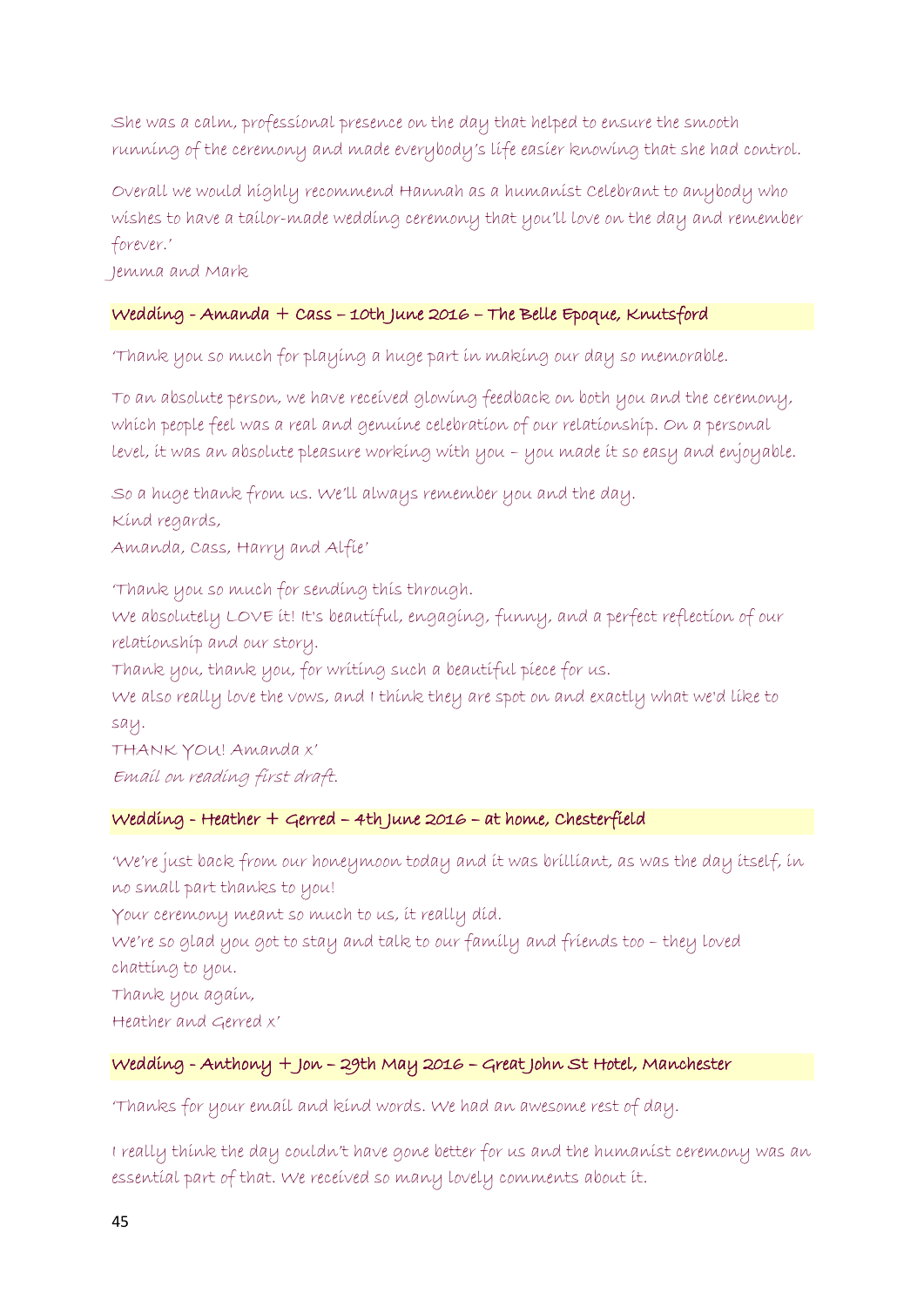She was a calm, professional presence on the day that helped to ensure the smooth running of the ceremony and made everybody's life easier knowing that she had control.

Overall we would highly recommend Hannah as a humanist Celebrant to anybody who wishes to have a tailor-made wedding ceremony that you'll love on the day and remember forever.'

Jemma and Mark

# Wedding - Amanda + Cass – 10th June 2016 – The Belle Epoque, Knutsford

'Thank you so much for playing a huge part in making our day so memorable.

To an absolute person, we have received glowing feedback on both you and the ceremony, which people feel was a real and genuine celebration of our relationship. On a personal level, it was an absolute pleasure working with you – you made it so easy and enjoyable.

So a huge thank from us. We'll always remember you and the day. Kind regards, Amanda, Cass, Harry and Alfie'

'Thank you so much for sending this through. We absolutely LOVE it! It's beautiful, engaging, funny, and a perfect reflection of our relationship and our story. Thank you, thank you, for writing such a beautiful piece for us. We also really love the vows, and I think they are spot on and exactly what we'd like to

say.

THANK YOU! Amanda x' Email on reading first draft.

#### Wedding - Heather + Gerred – 4th June 2016 – at home, Chesterfield

'We're just back from our honeymoon today and it was brilliant, as was the day itself, in no small part thanks to you!

Your ceremony meant so much to us, it really did.

We're so glad you got to stay and talk to our family and friends too – they loved chatting to you.

Thank you again,

Heather and Gerred x'

# Wedding - Anthony + Jon – 29th May 2016 – Great John St Hotel, Manchester

'Thanks for your email and kind words. We had an awesome rest of day.

I really think the day couldn't have gone better for us and the humanist ceremony was an essential part of that. We received so many lovely comments about it.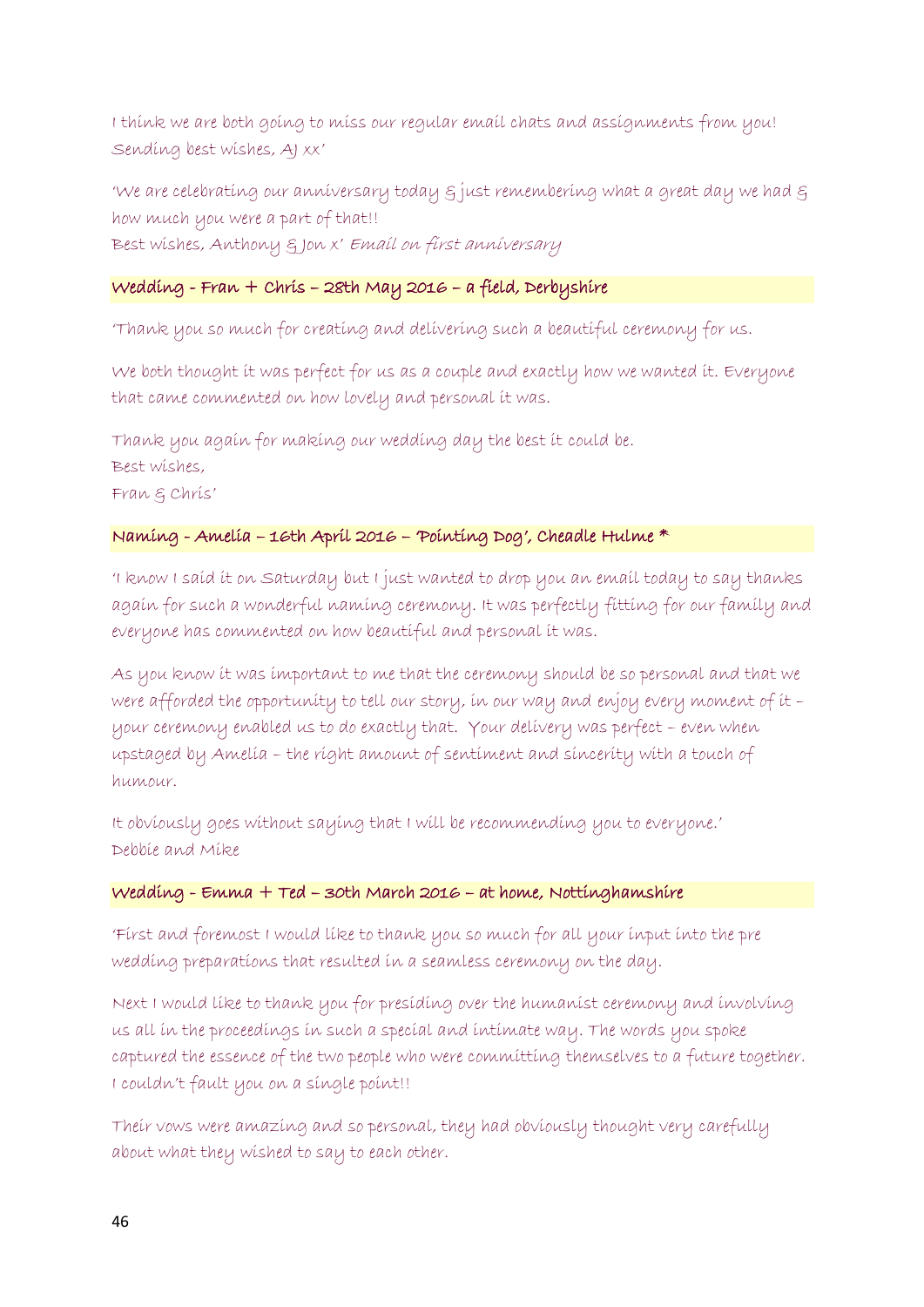I think we are both going to miss our regular email chats and assignments from you! Sending best wishes, AJ xx'

'We are celebrating our anniversary today & just remembering what a great day we had & how much you were a part of that!! Best wishes, Anthony & Jon x' Email on first anniversary

# Wedding - Fran + Chris – 28th May 2016 – a field, Derbyshire

'Thank you so much for creating and delivering such a beautiful ceremony for us.

We both thought it was perfect for us as a couple and exactly how we wanted it. Everyone that came commented on how lovely and personal it was.

Thank you again for making our wedding day the best it could be. Best wishes, Fran & Chris'

### Naming - Amelia – 16th April 2016 – 'Pointing Dog', Cheadle Hulme \*

'I know I said it on Saturday but I just wanted to drop you an email today to say thanks again for such a wonderful naming ceremony. It was perfectly fitting for our family and everyone has commented on how beautiful and personal it was.

As you know it was important to me that the ceremony should be so personal and that we were afforded the opportunity to tell our story, in our way and enjoy every moment of it – your ceremony enabled us to do exactly that. Your delivery was perfect – even when upstaged by Amelia – the right amount of sentiment and sincerity with a touch of humour.

It obviously goes without saying that I will be recommending you to everyone.' Debbie and Mike

#### Wedding - Emma + Ted – 30th March 2016 – at home, Nottinghamshire

'First and foremost I would like to thank you so much for all your input into the pre wedding preparations that resulted in a seamless ceremony on the day.

Next I would like to thank you for presiding over the humanist ceremony and involving us all in the proceedings in such a special and intimate way. The words you spoke captured the essence of the two people who were committing themselves to a future together. I couldn't fault you on a single point!!

Their vows were amazing and so personal, they had obviously thought very carefully about what they wished to say to each other.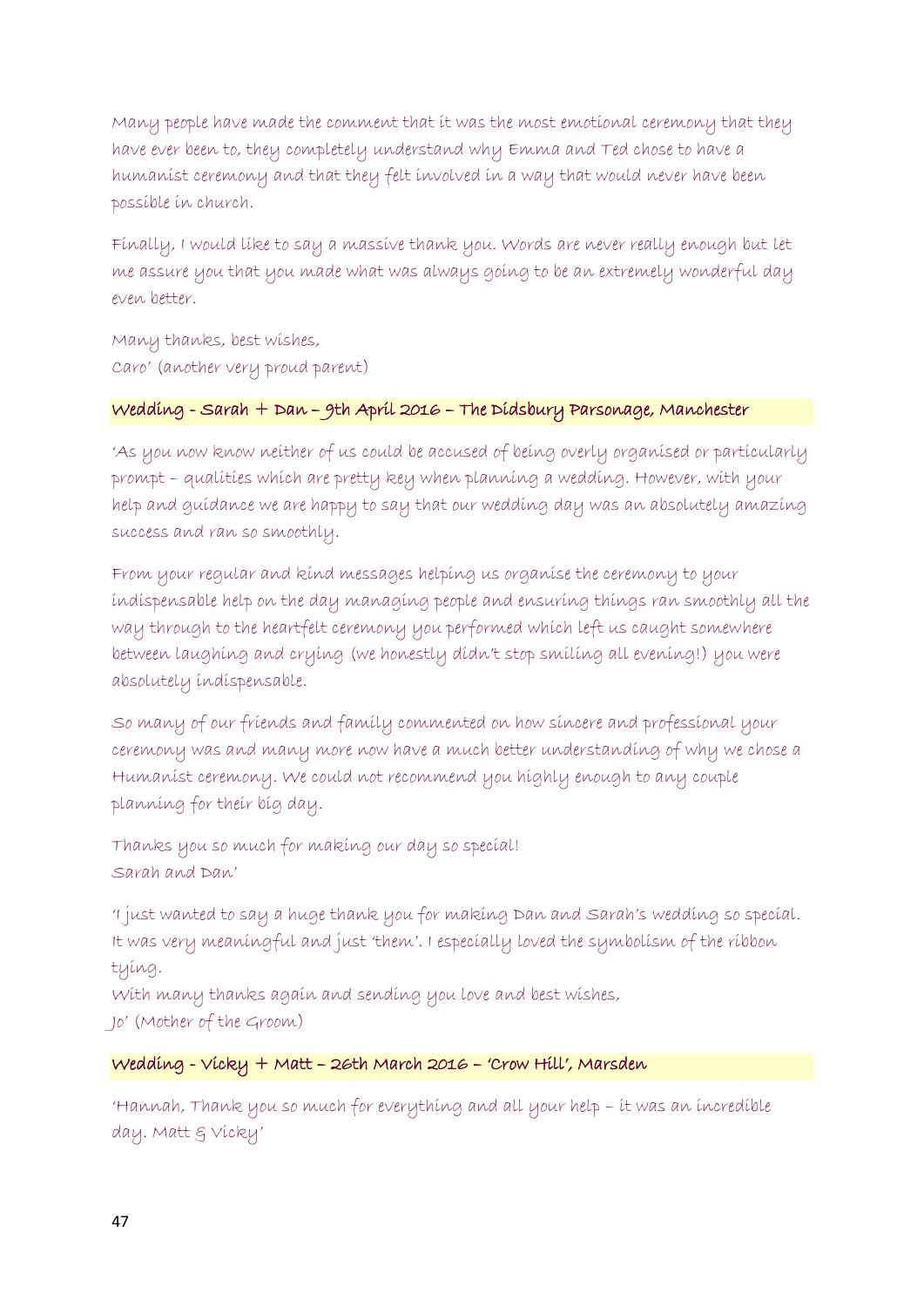Many people have made the comment that it was the most emotional ceremony that they have ever been to, they completely understand why Emma and Ted chose to have a humanist ceremony and that they felt involved in a way that would never have been possible in church.

Finally, I would like to say a massive thank you. Words are never really enough but let me assure you that you made what was always going to be an extremely wonderful day even better.

Many thanks, best wishes, Caro' (another very proud parent)

### Wedding - Sarah + Dan – 9th April 2016 – The Didsbury Parsonage, Manchester

'As you now know neither of us could be accused of being overly organised or particularly prompt – qualities which are pretty key when planning a wedding. However, with your help and guidance we are happy to say that our wedding day was an absolutely amazing success and ran so smoothly.

From your regular and kind messages helping us organise the ceremony to your indispensable help on the day managing people and ensuring things ran smoothly all the way through to the heartfelt ceremony you performed which left us caught somewhere between laughing and crying (we honestly didn't stop smiling all evening!) you were absolutely indispensable.

So many of our friends and family commented on how sincere and professional your ceremony was and many more now have a much better understanding of why we chose a Humanist ceremony. We could not recommend you highly enough to any couple planning for their big day.

Thanks you so much for making our day so special! Sarah and Dan'

'I just wanted to say a huge thank you for making Dan and Sarah's wedding so special. It was very meaningful and just 'them'. I especially loved the symbolism of the ribbon tying.

With many thanks again and sending you love and best wishes, Jo' (Mother of the Groom)

# Wedding - Vicky + Matt – 26th March 2016 – 'Crow Hill', Marsden

'Hannah, Thank you so much for everything and all your help – it was an incredible day. Matt  $\xi$  Vicky'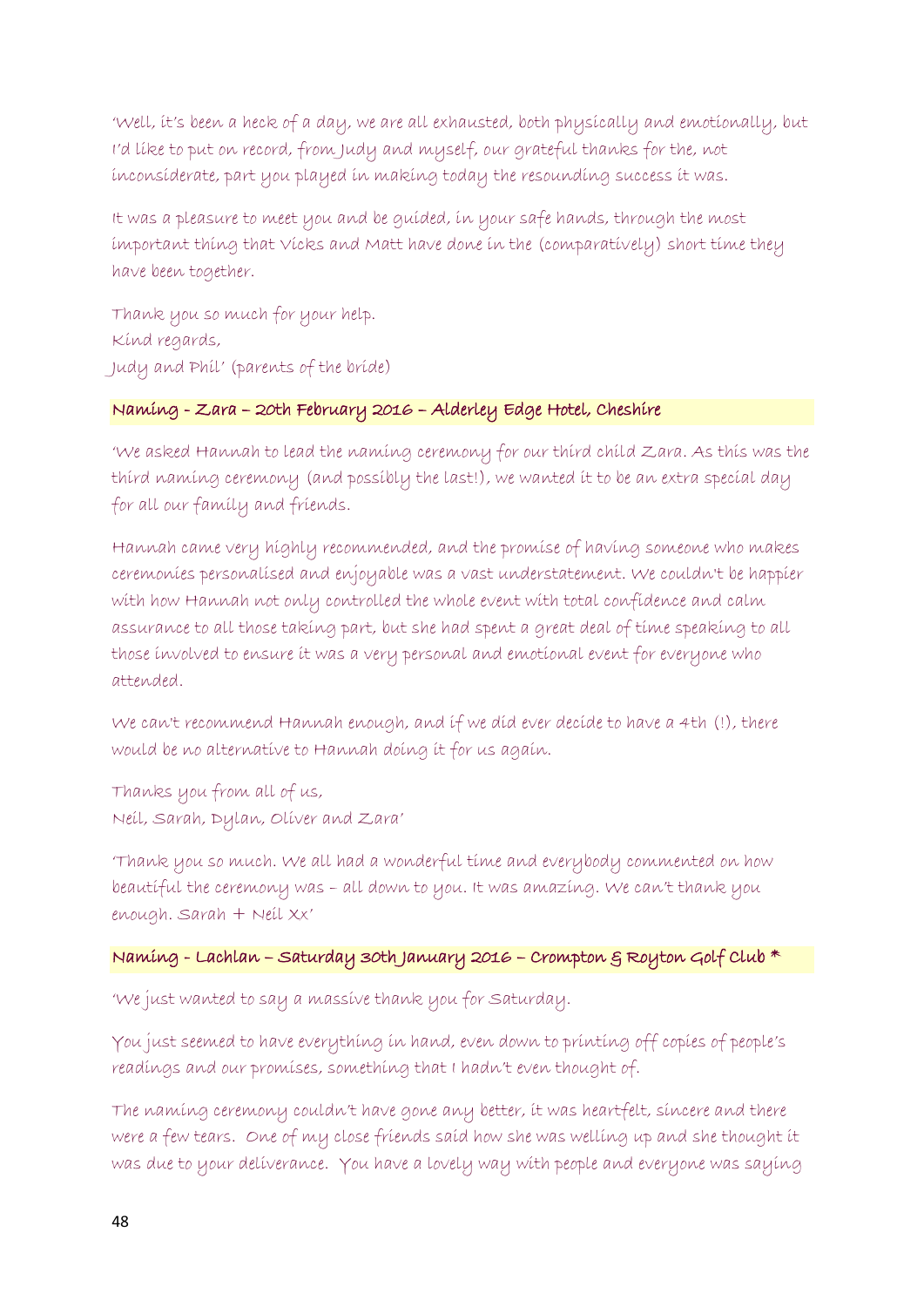'Well, it's been a heck of a day, we are all exhausted, both physically and emotionally, but I'd like to put on record, from Judy and myself, our grateful thanks for the, not inconsiderate, part you played in making today the resounding success it was.

It was a pleasure to meet you and be guided, in your safe hands, through the most important thing that Vicks and Matt have done in the (comparatively) short time they have been together.

Thank you so much for your help. Kind regards, Judy and Phil' (parents of the bride)

#### Naming - Zara – 20th February 2016 – Alderley Edge Hotel, Cheshire

'We asked Hannah to lead the naming ceremony for our third child Zara. As this was the third naming ceremony (and possibly the last!), we wanted it to be an extra special day for all our family and friends.

Hannah came very highly recommended, and the promise of having someone who makes ceremonies personalised and enjoyable was a vast understatement. We couldn't be happier with how Hannah not only controlled the whole event with total confidence and calm assurance to all those taking part, but she had spent a great deal of time speaking to all those involved to ensure it was a very personal and emotional event for everyone who attended.

We can't recommend Hannah enough, and if we did ever decide to have a 4th (!), there would be no alternative to Hannah doing it for us again.

Thanks you from all of us, Neil, Sarah, Dylan, Oliver and Zara'

'Thank you so much. We all had a wonderful time and everybody commented on how beautiful the ceremony was – all down to you. It was amazing. We can't thank you enough. Sarah + Neil Xx'

### Naming - Lachlan – Saturday 30th January 2016 – Crompton & Royton Golf Club \*

'We just wanted to say a massive thank you for Saturday.

You just seemed to have everything in hand, even down to printing off copies of people's readings and our promises, something that I hadn't even thought of.

The naming ceremony couldn't have gone any better, it was heartfelt, sincere and there were a few tears. One of my close friends said how she was welling up and she thought it was due to your deliverance. You have a lovely way with people and everyone was saying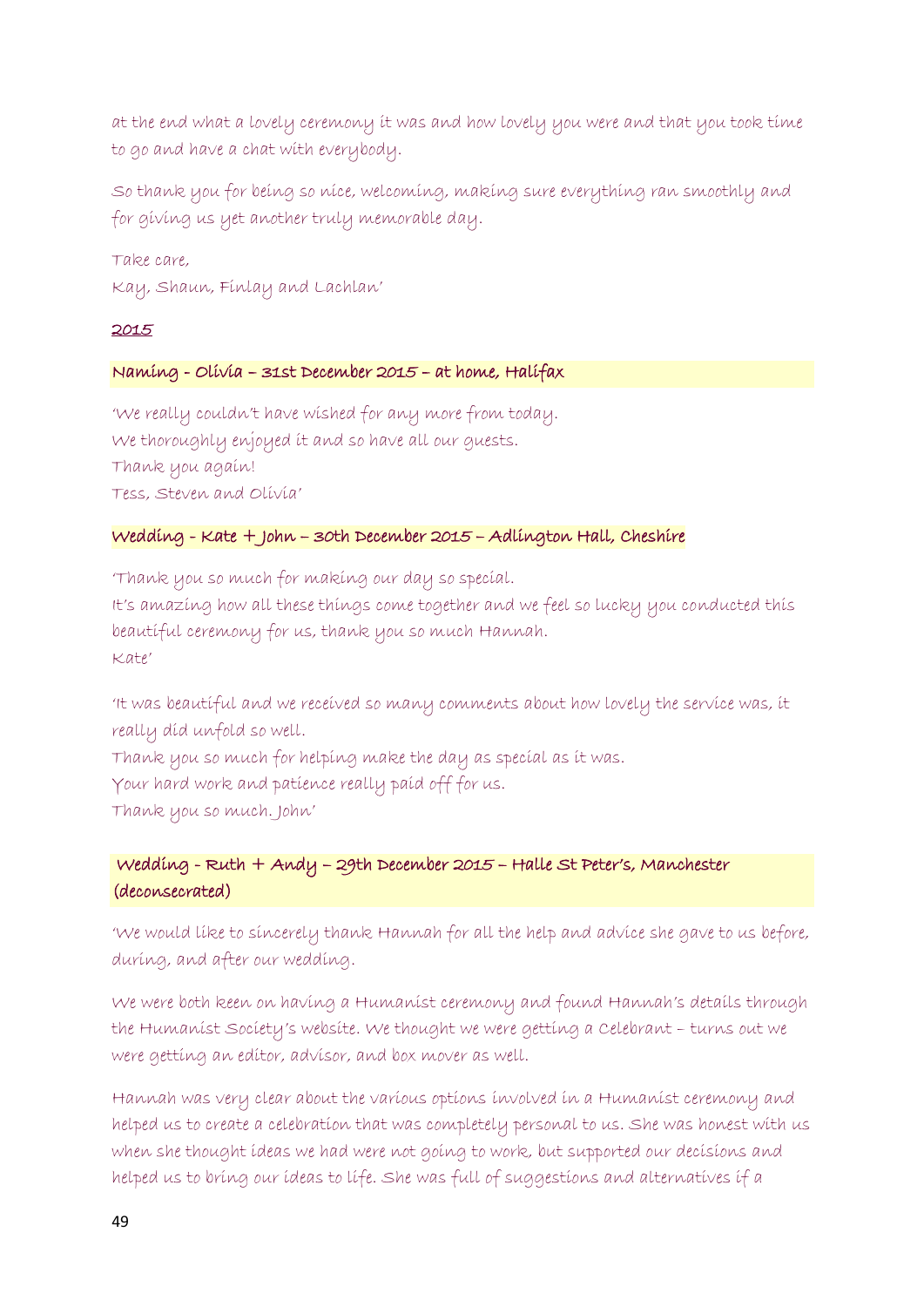at the end what a lovely ceremony it was and how lovely you were and that you took time to go and have a chat with everybody.

So thank you for being so nice, welcoming, making sure everything ran smoothly and for giving us yet another truly memorable day.

Take care, Kay, Shaun, Finlay and Lachlan'

#### 2015

### Naming - Olivia – 31st December 2015 – at home, Halifax

'We really couldn't have wished for any more from today. We thoroughly enjoyed it and so have all our guests. Thank you again! Tess, Steven and Olivia'

### Wedding - Kate + John – 30th December 2015 – Adlington Hall, Cheshire

'Thank you so much for making our day so special. It's amazing how all these things come together and we feel so lucky you conducted this beautiful ceremony for us, thank you so much Hannah.  $K$ ate'

'It was beautiful and we received so many comments about how lovely the service was, it really did unfold so well.

Thank you so much for helping make the day as special as it was. Your hard work and patience really paid off for us. Thank you so much. John'

# Wedding - Ruth + Andy – 29th December 2015 – Halle St Peter's, Manchester (deconsecrated)

'We would like to sincerely thank Hannah for all the help and advice she gave to us before, during, and after our wedding.

We were both keen on having a Humanist ceremony and found Hannah's details through the Humanist Society's website. We thought we were getting a Celebrant – turns out we were getting an editor, advisor, and box mover as well.

Hannah was very clear about the various options involved in a Humanist ceremony and helped us to create a celebration that was completely personal to us. She was honest with us when she thought ideas we had were not going to work, but supported our decisions and helped us to bring our ideas to life. She was full of suggestions and alternatives if a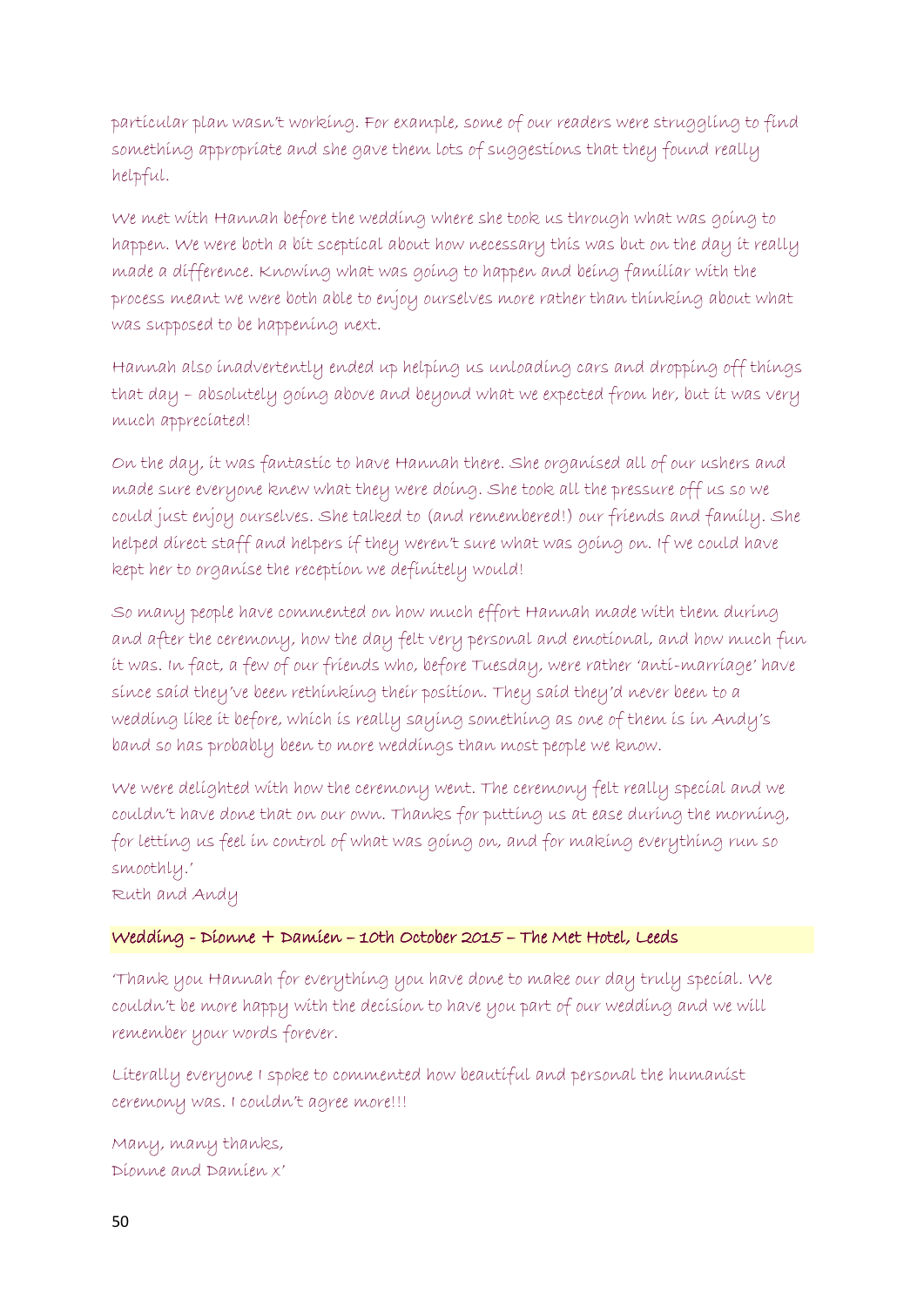particular plan wasn't working. For example, some of our readers were struggling to find something appropriate and she gave them lots of suggestions that they found really helpful.

We met with Hannah before the wedding where she took us through what was going to happen. We were both a bit sceptical about how necessary this was but on the day it really made a difference. Knowing what was going to happen and being familiar with the process meant we were both able to enjoy ourselves more rather than thinking about what was supposed to be happening next.

Hannah also inadvertently ended up helping us unloading cars and dropping off things that day – absolutely going above and beyond what we expected from her, but it was very much appreciated!

On the day, it was fantastic to have Hannah there. She organised all of our ushers and made sure everyone knew what they were doing. She took all the pressure off us so we could just enjoy ourselves. She talked to (and remembered!) our friends and family. She helped direct staff and helpers if they weren't sure what was going on. If we could have kept her to organise the reception we definitely would!

So many people have commented on how much effort Hannah made with them during and after the ceremony, how the day felt very personal and emotional, and how much fun it was. In fact, a few of our friends who, before Tuesday, were rather 'anti-marriage' have since said they've been rethinking their position. They said they'd never been to a wedding like it before, which is really saying something as one of them is in Andy's band so has probably been to more weddings than most people we know.

We were delighted with how the ceremony went. The ceremony felt really special and we couldn't have done that on our own. Thanks for putting us at ease during the morning, for letting us feel in control of what was going on, and for making everything run so smoothly.'

Ruth and Andy

# Wedding - Dionne + Damien – 10th October 2015 – The Met Hotel, Leeds

'Thank you Hannah for everything you have done to make our day truly special. We couldn't be more happy with the decision to have you part of our wedding and we will remember your words forever.

Literally everyone I spoke to commented how beautiful and personal the humanist ceremony was. I couldn't agree more!!!

Many, many thanks, Dionne and Damien x'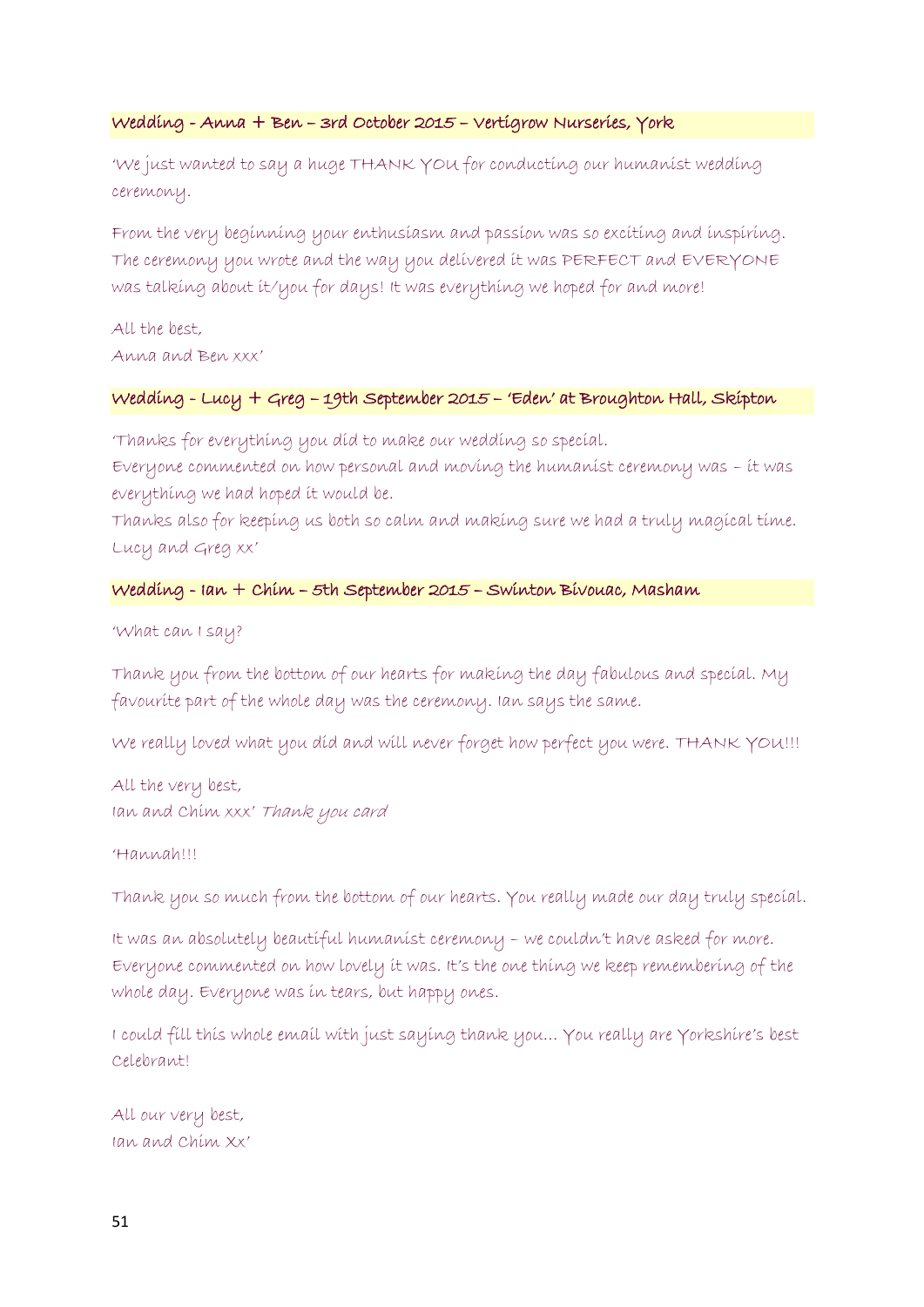#### Wedding - Anna + Ben – 3rd October 2015 – Vertigrow Nurseries, York

'We just wanted to say a huge THANK YOU for conducting our humanist wedding ceremony.

From the very beginning your enthusiasm and passion was so exciting and inspiring. The ceremony you wrote and the way you delivered it was PERFECT and EVERYONE was talking about it/you for days! It was everything we hoped for and more!

All the best, Anna and Ben xxx'

### Wedding - Lucy + Greg – 19th September 2015 – 'Eden' at Broughton Hall, Skipton

'Thanks for everything you did to make our wedding so special.

Everyone commented on how personal and moving the humanist ceremony was – it was everything we had hoped it would be.

Thanks also for keeping us both so calm and making sure we had a truly magical time. Lucy and Greg xx'

### Wedding - Ian + Chim – 5th September 2015 – Swinton Bivouac, Masham

'What can I say?

Thank you from the bottom of our hearts for making the day fabulous and special. My favourite part of the whole day was the ceremony. Ian says the same.

We really loved what you did and will never forget how perfect you were. THANK YOU!!!

All the very best, Ian and Chim xxx' Thank you card

'Hannah!!!

Thank you so much from the bottom of our hearts. You really made our day truly special.

It was an absolutely beautiful humanist ceremony – we couldn't have asked for more. Everyone commented on how lovely it was. It's the one thing we keep remembering of the whole day. Everyone was in tears, but happy ones.

I could fill this whole email with just saying thank you… You really are Yorkshire's best Celebrant!

All our very best, Ian and Chim Xx'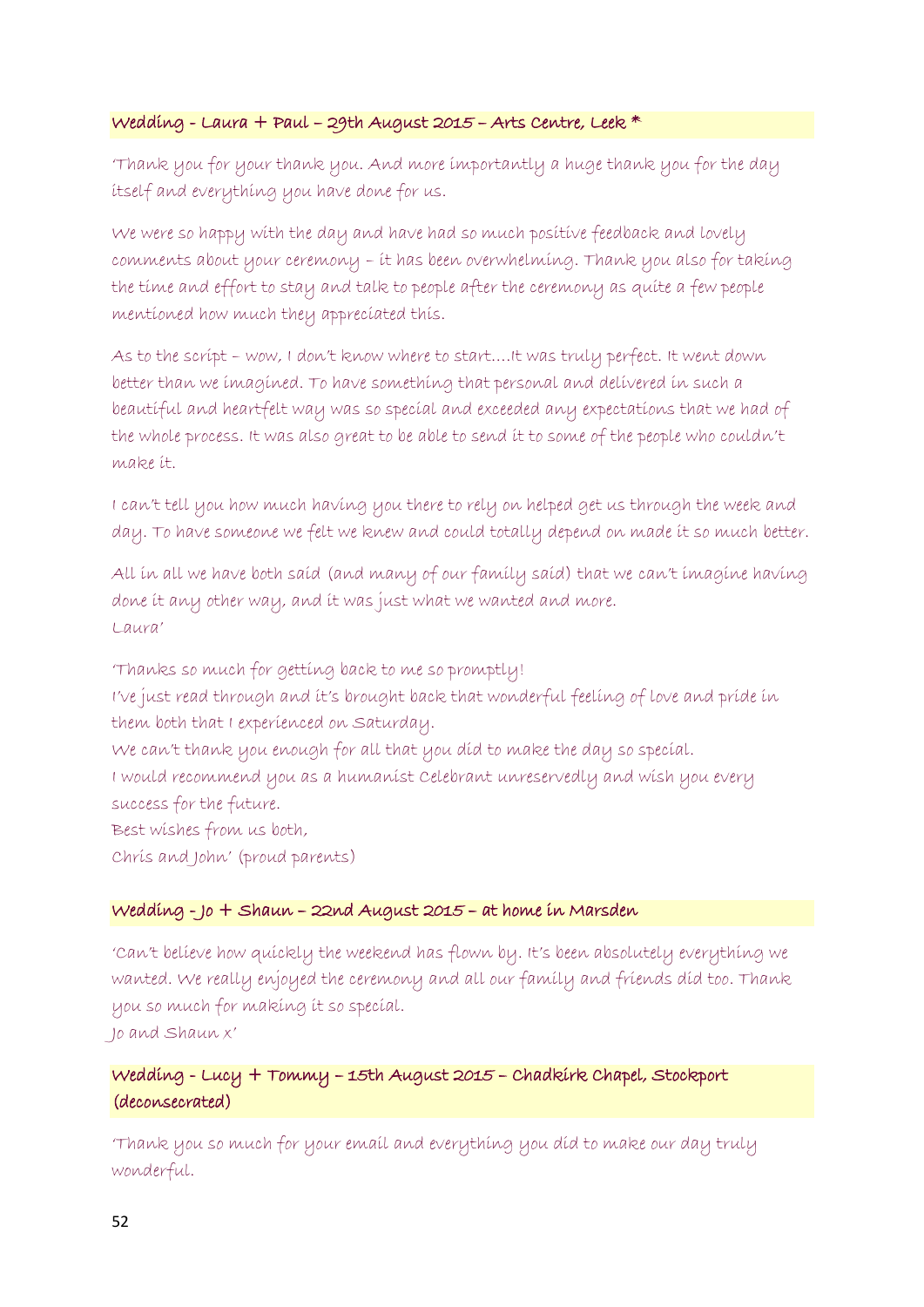### Wedding - Laura + Paul – 29th August 2015 – Arts Centre, Leek \*

'Thank you for your thank you. And more importantly a huge thank you for the day itself and everything you have done for us.

We were so happy with the day and have had so much positive feedback and lovely comments about your ceremony – it has been overwhelming. Thank you also for taking the time and effort to stay and talk to people after the ceremony as quite a few people mentioned how much they appreciated this.

As to the script – wow, I don't know where to start….It was truly perfect. It went down better than we imagined. To have something that personal and delivered in such a beautiful and heartfelt way was so special and exceeded any expectations that we had of the whole process. It was also great to be able to send it to some of the people who couldn't make it.

I can't tell you how much having you there to rely on helped get us through the week and day. To have someone we felt we knew and could totally depend on made it so much better.

All in all we have both said (and many of our family said) that we can't imagine having done it any other way, and it was just what we wanted and more. Laura'

'Thanks so much for getting back to me so promptly! I've just read through and it's brought back that wonderful feeling of love and pride in them both that I experienced on Saturday. We can't thank you enough for all that you did to make the day so special. I would recommend you as a humanist Celebrant unreservedly and wish you every success for the future. Best wishes from us both, Chris and John' (proud parents)

#### Wedding - Jo + Shaun – 22nd August 2015 – at home in Marsden

'Can't believe how quickly the weekend has flown by. It's been absolutely everything we wanted. We really enjoyed the ceremony and all our family and friends did too. Thank you so much for making it so special. Jo and Shaun x'

# Wedding - Lucy + Tommy – 15th August 2015 – Chadkirk Chapel, Stockport (deconsecrated)

'Thank you so much for your email and everything you did to make our day truly wonderful.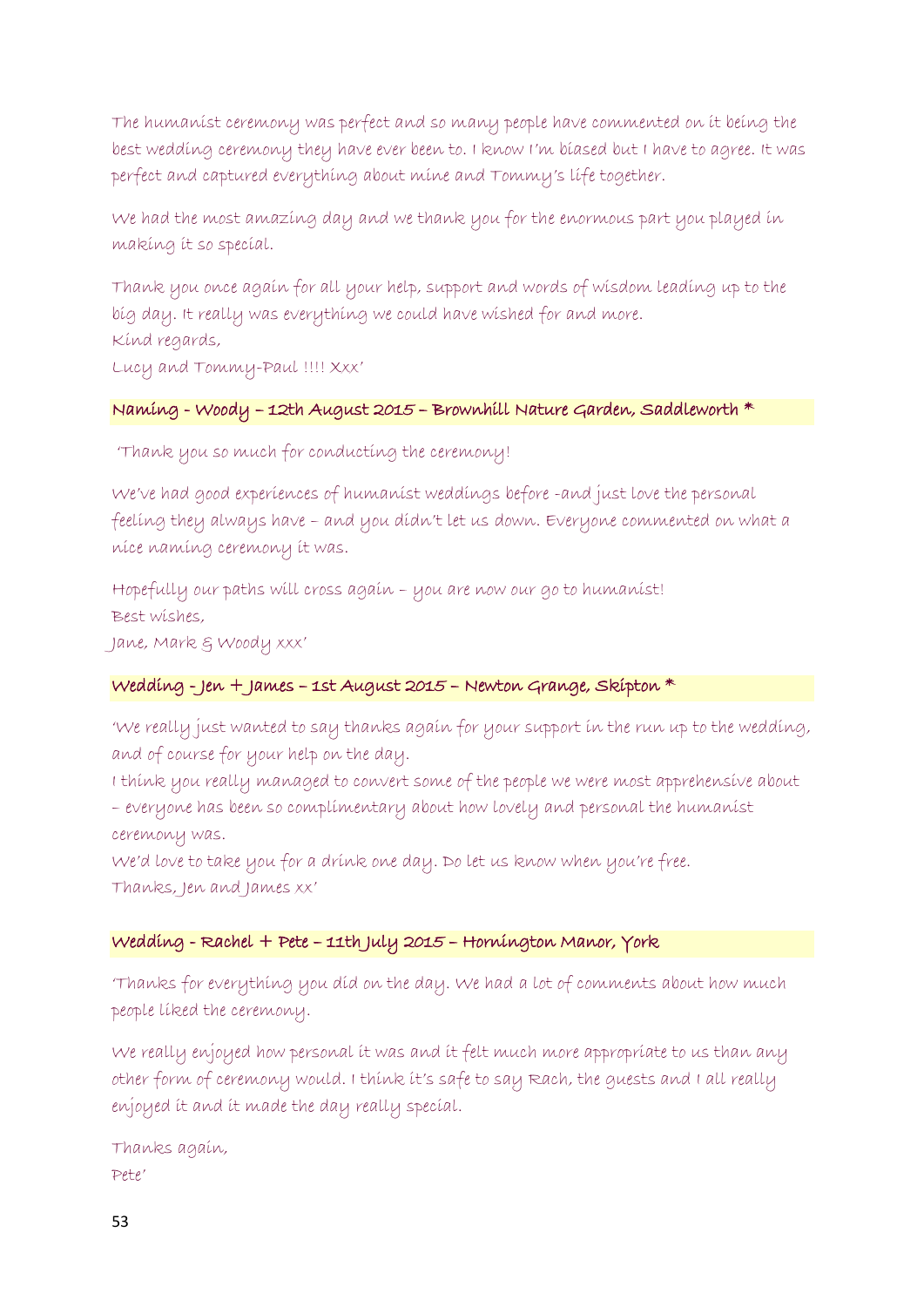The humanist ceremony was perfect and so many people have commented on it being the best wedding ceremony they have ever been to. I know I'm biased but I have to agree. It was perfect and captured everything about mine and Tommy's life together.

We had the most amazing day and we thank you for the enormous part you played in making it so special.

Thank you once again for all your help, support and words of wisdom leading up to the big day. It really was everything we could have wished for and more. Kind regards,

Lucy and Tommy-Paul !!!! Xxx'

#### Naming - Woody – 12th August 2015 – Brownhill Nature Garden, Saddleworth \*

'Thank you so much for conducting the ceremony!

We've had good experiences of humanist weddings before -and just love the personal feeling they always have – and you didn't let us down. Everyone commented on what a nice naming ceremony it was.

Hopefully our paths will cross again – you are now our go to humanist! Best wishes,

Jane, Mark & Woody xxx'

#### Wedding - Jen + James – 1st August 2015 – Newton Grange, Skipton \*

'We really just wanted to say thanks again for your support in the run up to the wedding, and of course for your help on the day.

I think you really managed to convert some of the people we were most apprehensive about – everyone has been so complimentary about how lovely and personal the humanist ceremony was.

We'd love to take you for a drink one day. Do let us know when you're free. Thanks, Jen and James xx'

#### Wedding - Rachel + Pete – 11th July 2015 – Hornington Manor, York

'Thanks for everything you did on the day. We had a lot of comments about how much people liked the ceremony.

We really enjoyed how personal it was and it felt much more appropriate to us than any other form of ceremony would. I think it's safe to say Rach, the guests and I all really enjoyed it and it made the day really special.

Thanks again, Pete'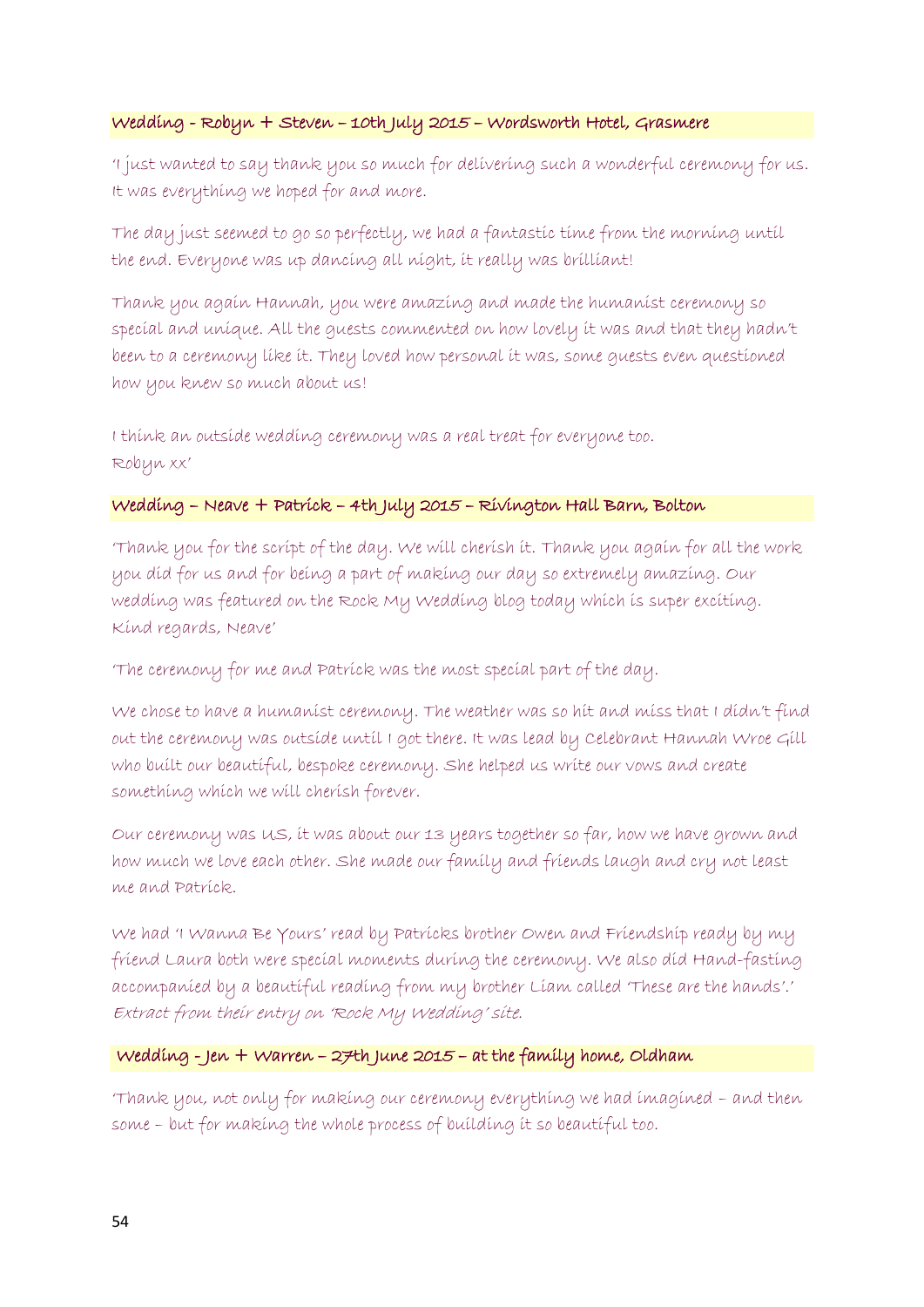### Wedding - Robyn + Steven – 10th July 2015 – Wordsworth Hotel, Grasmere

'I just wanted to say thank you so much for delivering such a wonderful ceremony for us. It was everything we hoped for and more.

The day just seemed to go so perfectly, we had a fantastic time from the morning until the end. Everyone was up dancing all night, it really was brilliant!

Thank you again Hannah, you were amazing and made the humanist ceremony so special and unique. All the guests commented on how lovely it was and that they hadn't been to a ceremony like it. They loved how personal it was, some guests even questioned how you knew so much about us!

I think an outside wedding ceremony was a real treat for everyone too. Robyn xx'

### Wedding – Neave + Patrick – 4th July 2015 – Rivington Hall Barn, Bolton

'Thank you for the script of the day. We will cherish it. Thank you again for all the work you did for us and for being a part of making our day so extremely amazing. Our wedding was featured on the Rock My Wedding blog today which is super exciting. Kind regards, Neave'

'The ceremony for me and Patrick was the most special part of the day.

We chose to have a humanist ceremony. The weather was so hit and miss that I didn't find out the ceremony was outside until I got there. It was lead by Celebrant Hannah Wroe Gill who built our beautiful, bespoke ceremony. She helped us write our vows and create something which we will cherish forever.

Our ceremony was US, it was about our 13 years together so far, how we have grown and how much we love each other. She made our family and friends laugh and cry not least me and Patrick.

We had 'I Wanna Be Yours' read by Patricks brother Owen and Friendship ready by my friend Laura both were special moments during the ceremony. We also did Hand-fasting accompanied by a beautiful reading from my brother Liam called 'These are the hands'.' Extract from their entry on 'Rock My Wedding' site.

# Wedding - Jen + Warren – 27th June 2015 – at the family home, Oldham

'Thank you, not only for making our ceremony everything we had imagined – and then some – but for making the whole process of building it so beautiful too.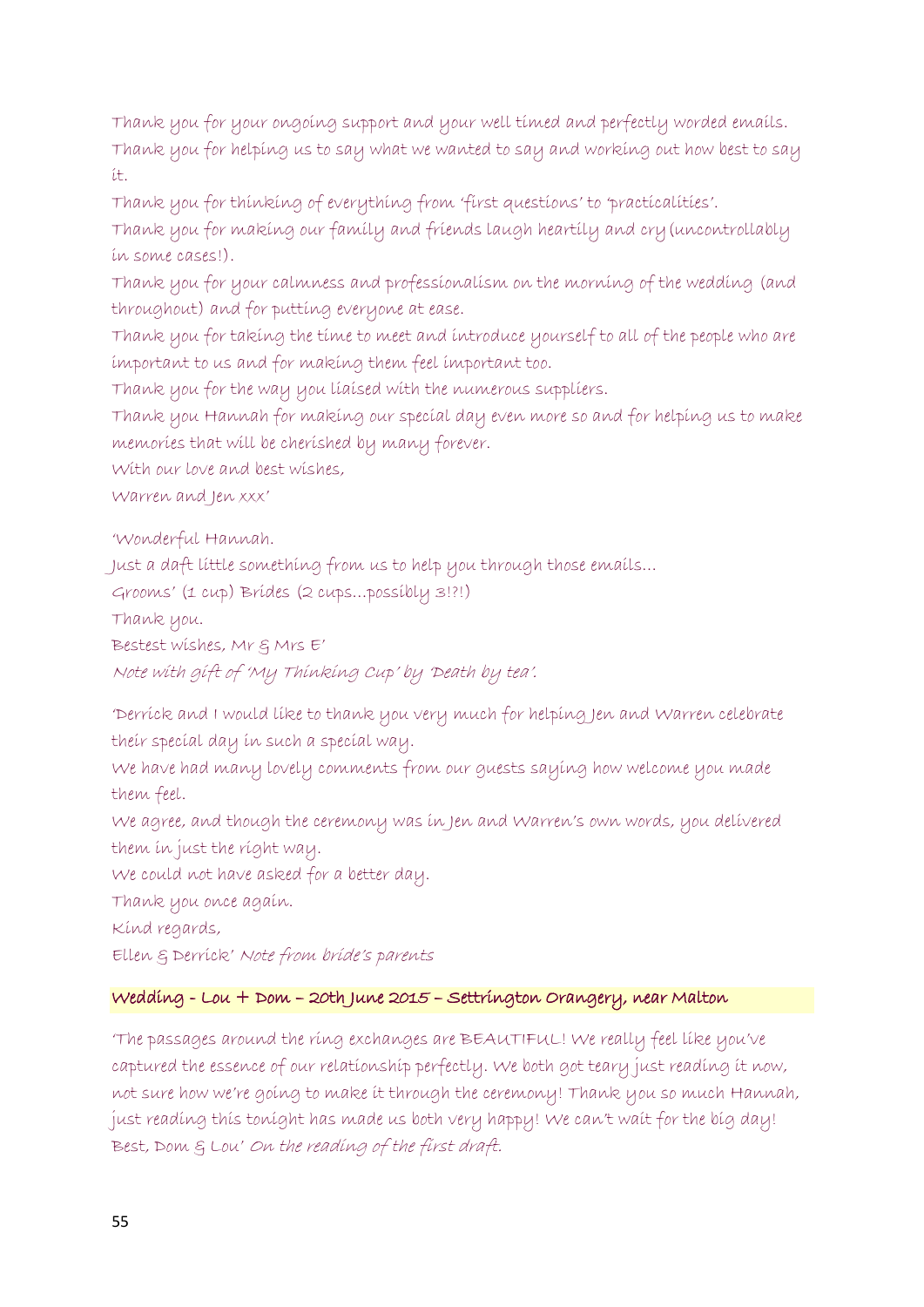Thank you for your ongoing support and your well timed and perfectly worded emails. Thank you for helping us to say what we wanted to say and working out how best to say it.

Thank you for thinking of everything from 'first questions' to 'practicalities'.

Thank you for making our family and friends laugh heartily and cry(uncontrollably in some cases!).

Thank you for your calmness and professionalism on the morning of the wedding (and throughout) and for putting everyone at ease.

Thank you for taking the time to meet and introduce yourself to all of the people who are important to us and for making them feel important too.

Thank you for the way you liaised with the numerous suppliers.

Thank you Hannah for making our special day even more so and for helping us to make memories that will be cherished by many forever.

With our love and best wishes,

Warren and Jen xxx'

'Wonderful Hannah.

Just a daft little something from us to help you through those emails…

Grooms' (1 cup) Brides (2 cups…possibly 3!?!)

Thank you.

Bestest wishes, Mr & Mrs E'

Note with gift of 'My Thinking Cup' by 'Death by tea'.

'Derrick and I would like to thank you very much for helping Jen and Warren celebrate their special day in such a special way.

We have had many lovely comments from our guests saying how welcome you made them feel.

We agree, and though the ceremony was in Jen and Warren's own words, you delivered them in just the right way.

We could not have asked for a better day.

Thank you once again.

Kind regards,

Ellen & Derrick' Note from bride's parents

# Wedding - Lou + Dom – 20th June 2015 – Settrington Orangery, near Malton

'The passages around the ring exchanges are BEAUTIFUL! We really feel like you've captured the essence of our relationship perfectly. We both got teary just reading it now, not sure how we're going to make it through the ceremony! Thank you so much Hannah, just reading this tonight has made us both very happy! We can't wait for the big day! Best, Dom & Lou' On the reading of the first draft.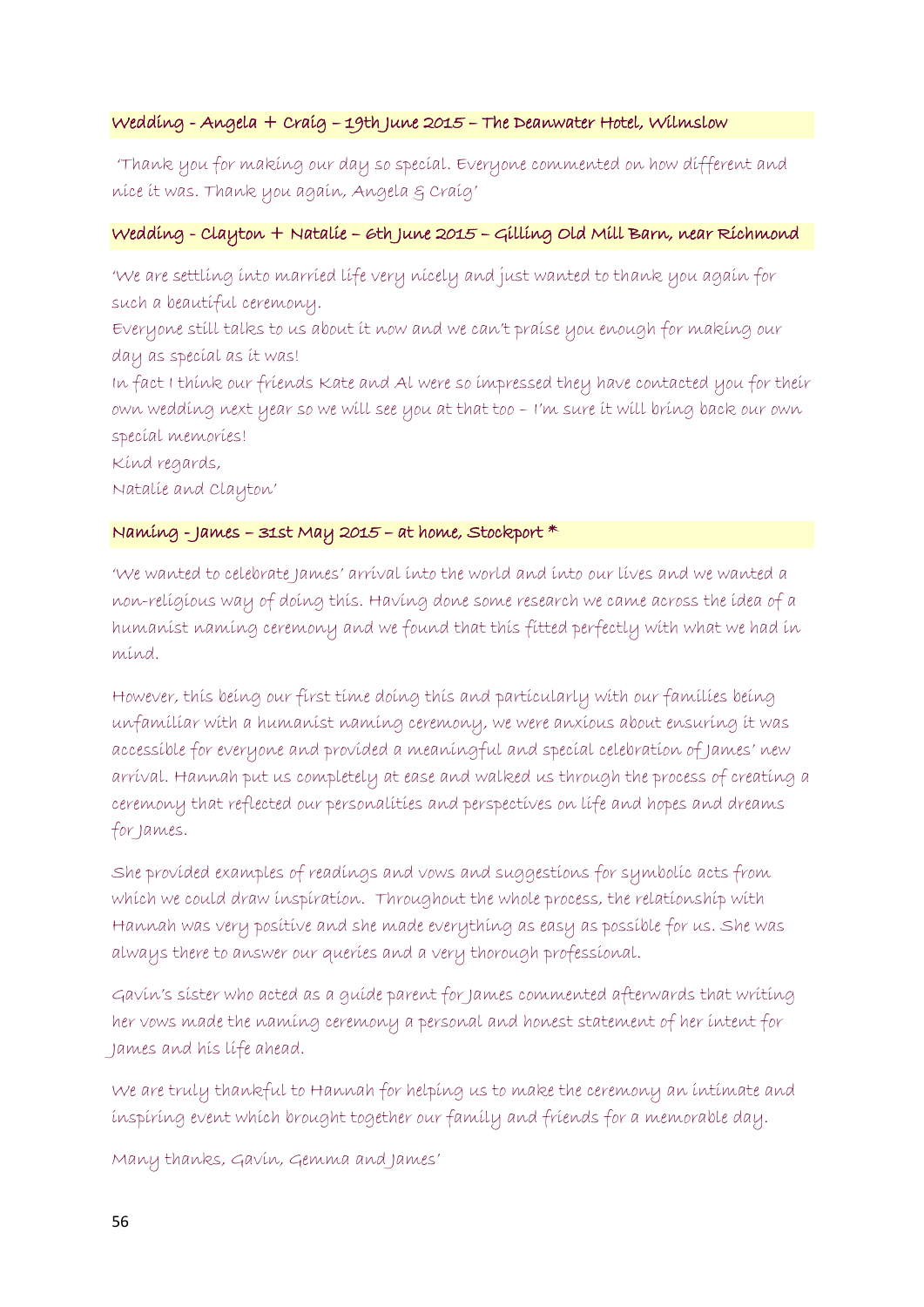### Wedding - Angela + Craig – 19th June 2015 – The Deanwater Hotel, Wilmslow

'Thank you for making our day so special. Everyone commented on how different and nice it was. Thank you again, Angela & Craig'

### Wedding - Clayton + Natalie – 6th June 2015 – Gilling Old Mill Barn, near Richmond

'We are settling into married life very nicely and just wanted to thank you again for such a beautiful ceremony.

Everyone still talks to us about it now and we can't praise you enough for making our day as special as it was!

In fact I think our friends Kate and Al were so impressed they have contacted you for their own wedding next year so we will see you at that too – I'm sure it will bring back our own special memories!

Kind regards,

Natalie and Clayton'

### Naming - James – 31st May 2015 – at home, Stockport  $*$

'We wanted to celebrate James' arrival into the world and into our lives and we wanted a non-religious way of doing this. Having done some research we came across the idea of a humanist naming ceremony and we found that this fitted perfectly with what we had in mind.

However, this being our first time doing this and particularly with our families being unfamiliar with a humanist naming ceremony, we were anxious about ensuring it was accessible for everyone and provided a meaningful and special celebration of James' new arrival. Hannah put us completely at ease and walked us through the process of creating a ceremony that reflected our personalities and perspectives on life and hopes and dreams for James.

She provided examples of readings and vows and suggestions for symbolic acts from which we could draw inspiration. Throughout the whole process, the relationship with Hannah was very positive and she made everything as easy as possible for us. She was always there to answer our queries and a very thorough professional.

Gavin's sister who acted as a guide parent for James commented afterwards that writing her vows made the naming ceremony a personal and honest statement of her intent for James and his life ahead.

We are truly thankful to Hannah for helping us to make the ceremony an intimate and inspiring event which brought together our family and friends for a memorable day.

Many thanks, Gavin, Gemma and James'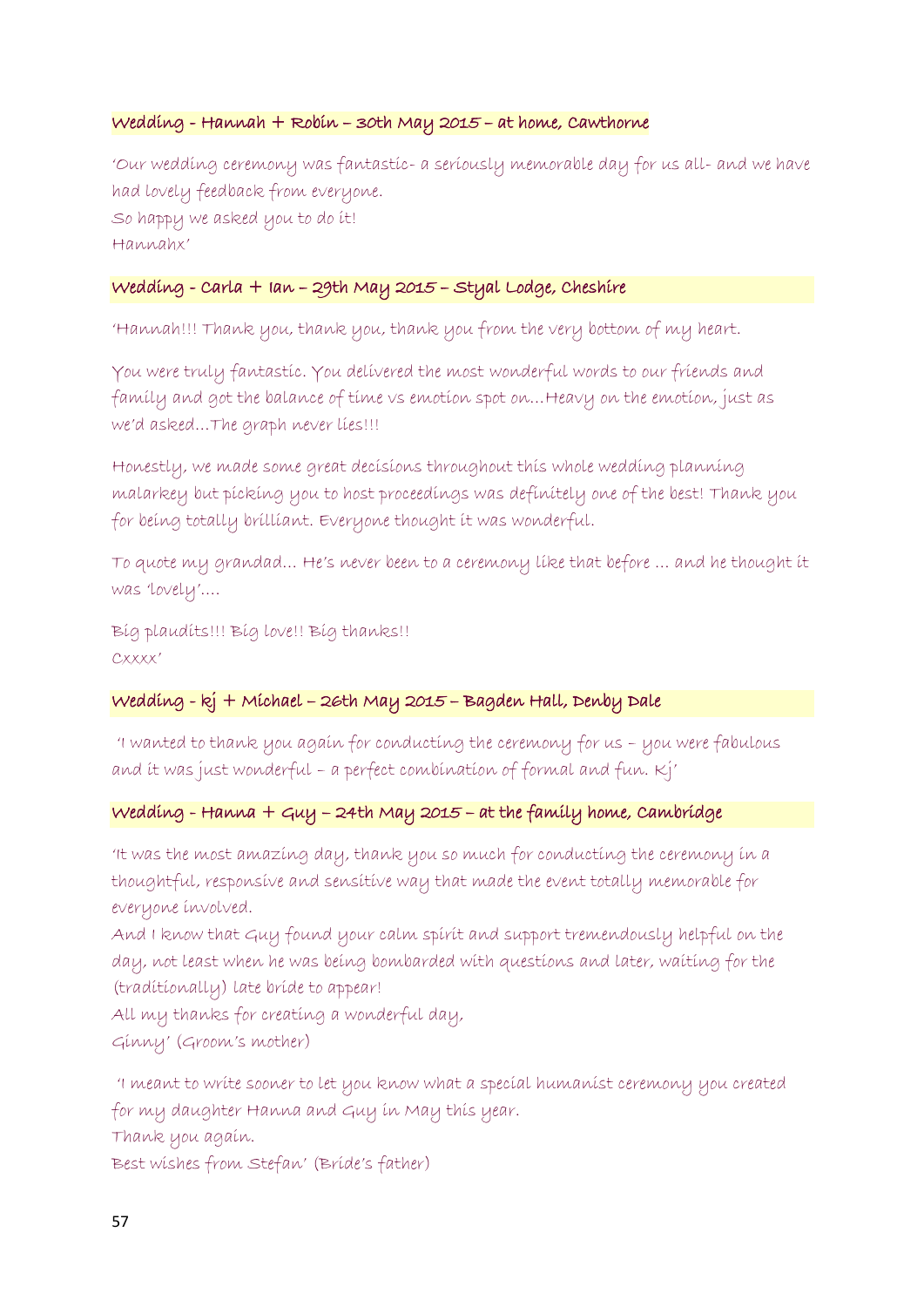#### Wedding - Hannah + Robin – 30th May 2015 – at home, Cawthorne

'Our wedding ceremony was fantastic- a seriously memorable day for us all- and we have had lovely feedback from everyone. So happy we asked you to do it! Hannahx'

### Wedding - Carla + Ian – 29th May 2015 – Styal Lodge, Cheshire

'Hannah!!! Thank you, thank you, thank you from the very bottom of my heart.

You were truly fantastic. You delivered the most wonderful words to our friends and family and got the balance of time vs emotion spot on…Heavy on the emotion, just as we'd asked…The graph never lies!!!

Honestly, we made some great decisions throughout this whole wedding planning malarkey but picking you to host proceedings was definitely one of the best! Thank you for being totally brilliant. Everyone thought it was wonderful.

To quote my grandad… He's never been to a ceremony like that before … and he thought it was 'lovely'….

Big plaudits!!! Big love!! Big thanks!! Cxxxx'

# Wedding - kj + Michael – 26th May 2015 – Bagden Hall, Denby Dale

'I wanted to thank you again for conducting the ceremony for us – you were fabulous and it was just wonderful – a perfect combination of formal and fun.  $Kj'$ 

# $w$ edding - Hanna + Guy - 24th May 2015 - at the family home, Cambridge

'It was the most amazing day, thank you so much for conducting the ceremony in a thoughtful, responsive and sensitive way that made the event totally memorable for everyone involved.

And I know that Guy found your calm spirit and support tremendously helpful on the day, not least when he was being bombarded with questions and later, waiting for the (traditionally) late bride to appear!

All my thanks for creating a wonderful day, Ginny' (Groom's mother)

'I meant to write sooner to let you know what a special humanist ceremony you created for my daughter Hanna and Guy in May this year.

Thank you again.

Best wishes from Stefan' (Bride's father)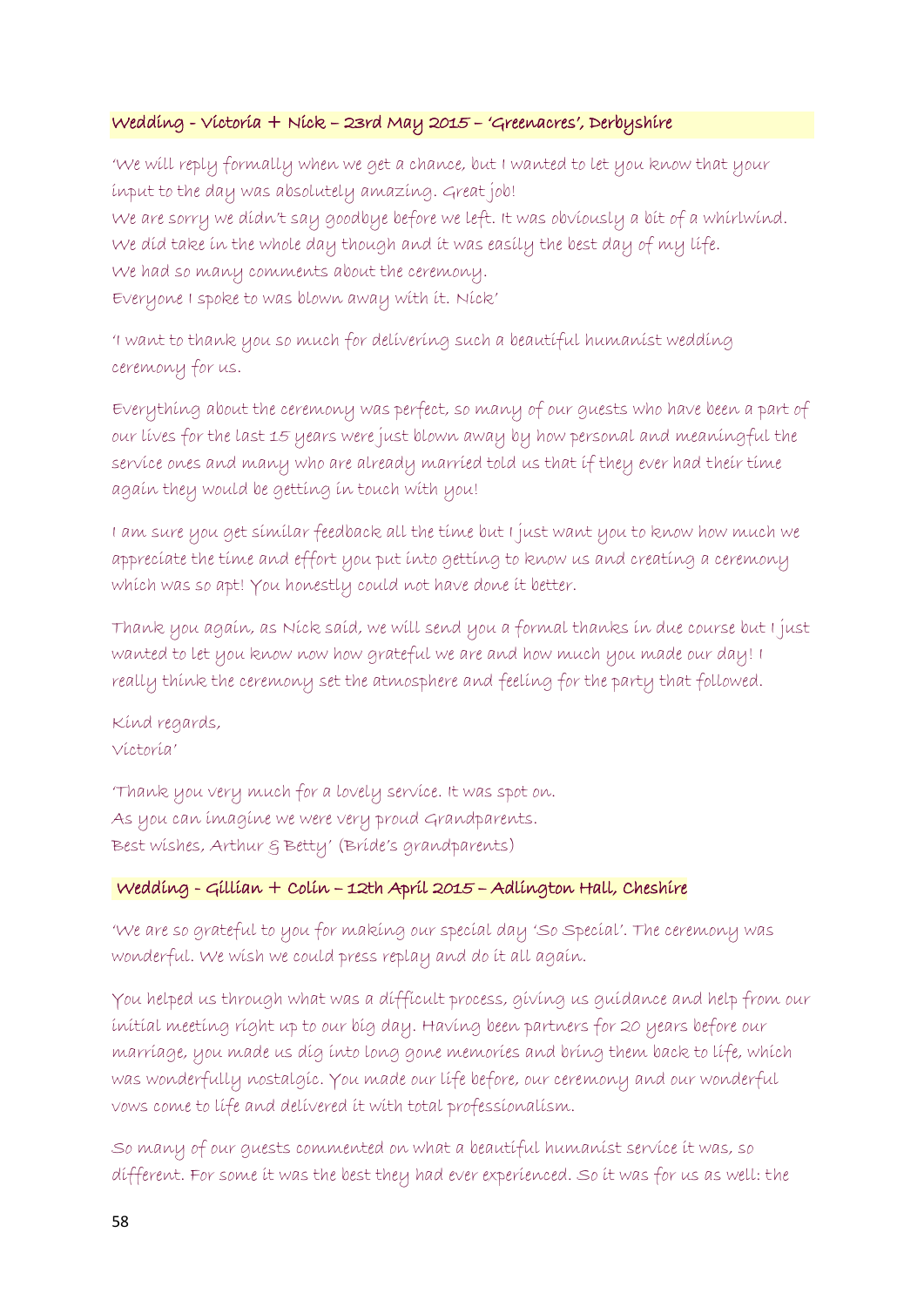### Wedding - Victoria + Nick – 23rd May 2015 – 'Greenacres', Derbyshire

'We will reply formally when we get a chance, but I wanted to let you know that your input to the day was absolutely amazing. Great job! We are sorry we didn't say goodbye before we left. It was obviously a bit of a whirlwind. We did take in the whole day though and it was easily the best day of my life. We had so many comments about the ceremony. Everyone I spoke to was blown away with it. Nick'

'I want to thank you so much for delivering such a beautiful humanist wedding ceremony for us.

Everything about the ceremony was perfect, so many of our guests who have been a part of our lives for the last 15 years were just blown away by how personal and meaningful the service ones and many who are already married told us that if they ever had their time again they would be getting in touch with you!

I am sure you get similar feedback all the time but I just want you to know how much we appreciate the time and effort you put into getting to know us and creating a ceremony which was so apt! You honestly could not have done it better.

Thank you again, as Nick said, we will send you a formal thanks in due course but I just wanted to let you know now how grateful we are and how much you made our day! I really think the ceremony set the atmosphere and feeling for the party that followed.

Kind regards, Victoria'

'Thank you very much for a lovely service. It was spot on. As you can imagine we were very proud Grandparents. Best wishes, Arthur & Betty' (Bride's grandparents)

# Wedding - Gillian + Colin – 12th April 2015 – Adlington Hall, Cheshire

'We are so grateful to you for making our special day 'So Special'. The ceremony was wonderful. We wish we could press replay and do it all again.

You helped us through what was a difficult process, giving us guidance and help from our initial meeting right up to our big day. Having been partners for 20 years before our marriage, you made us dig into long gone memories and bring them back to life, which was wonderfully nostalgic. You made our life before, our ceremony and our wonderful vows come to life and delivered it with total professionalism.

So many of our guests commented on what a beautiful humanist service it was, so different. For some it was the best they had ever experienced. So it was for us as well: the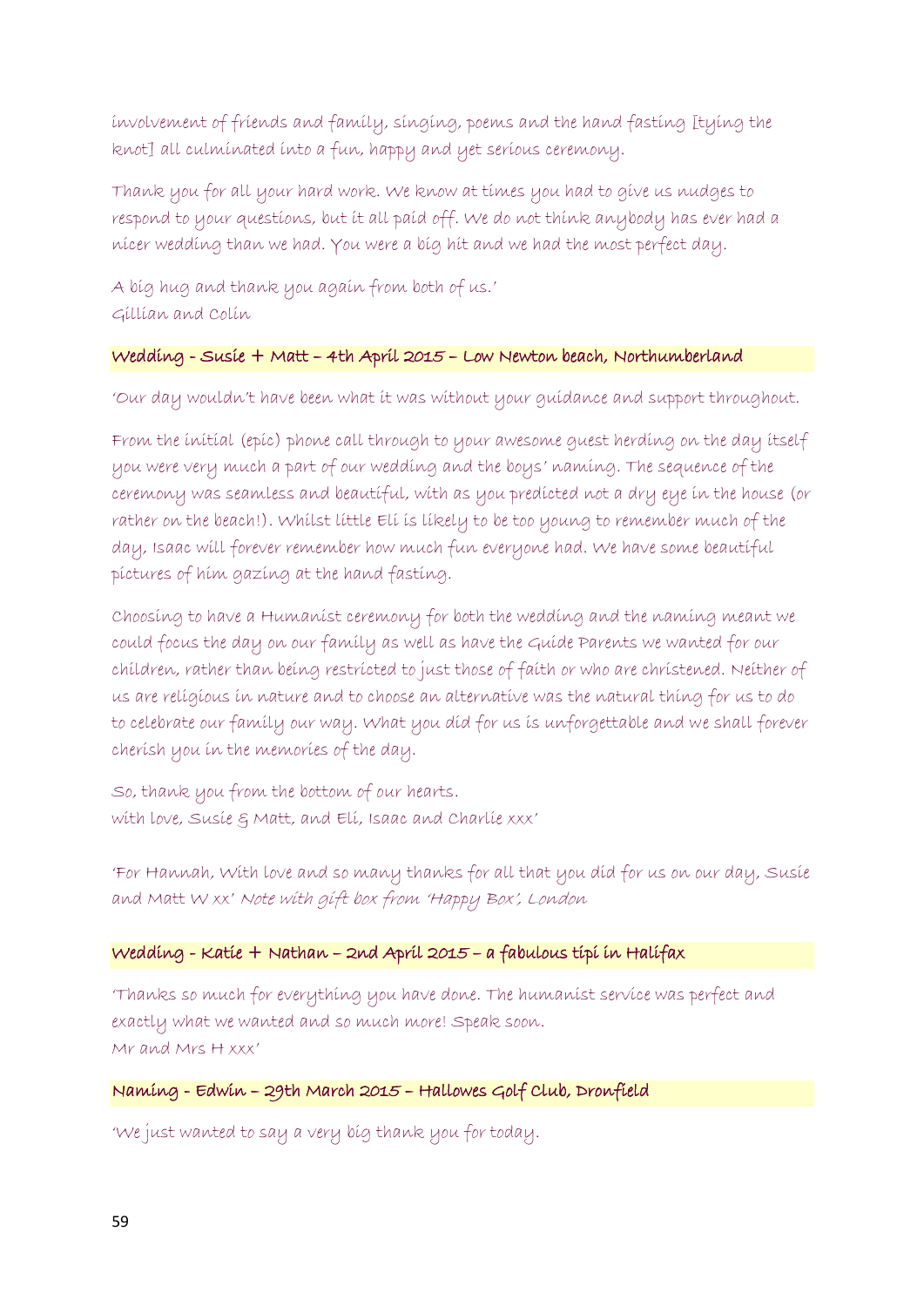involvement of friends and family, singing, poems and the hand fasting [tying the knot] all culminated into a fun, happy and yet serious ceremony.

Thank you for all your hard work. We know at times you had to give us nudges to respond to your questions, but it all paid off. We do not think anybody has ever had a nicer wedding than we had. You were a big hit and we had the most perfect day.

A big hug and thank you again from both of us.' Gillian and Colin

#### Wedding - Susie + Matt – 4th April 2015 – Low Newton beach, Northumberland

'Our day wouldn't have been what it was without your guidance and support throughout.

From the initial (epic) phone call through to your awesome guest herding on the day itself you were very much a part of our wedding and the boys' naming. The sequence of the ceremony was seamless and beautiful, with as you predicted not a dry eye in the house (or rather on the beach!). Whilst little Eli is likely to be too young to remember much of the day, Isaac will forever remember how much fun everyone had. We have some beautiful pictures of him gazing at the hand fasting.

Choosing to have a Humanist ceremony for both the wedding and the naming meant we could focus the day on our family as well as have the Guide Parents we wanted for our children, rather than being restricted to just those of faith or who are christened. Neither of us are religious in nature and to choose an alternative was the natural thing for us to do to celebrate our family our way. What you did for us is unforgettable and we shall forever cherish you in the memories of the day.

So, thank you from the bottom of our hearts. with love, Susie & Matt, and Eli, Isaac and Charlie xxx'

'For Hannah, With love and so many thanks for all that you did for us on our day, Susie and Matt W xx' Note with gift box from 'Happy Box', London

### Wedding - Katie + Nathan – 2nd April 2015 – a fabulous tipi in Halifax

'Thanks so much for everything you have done. The humanist service was perfect and exactly what we wanted and so much more! Speak soon. Mr and Mrs H xxx'

Naming - Edwin – 29th March 2015 – Hallowes Golf Club, Dronfield

'We just wanted to say a very big thank you for today.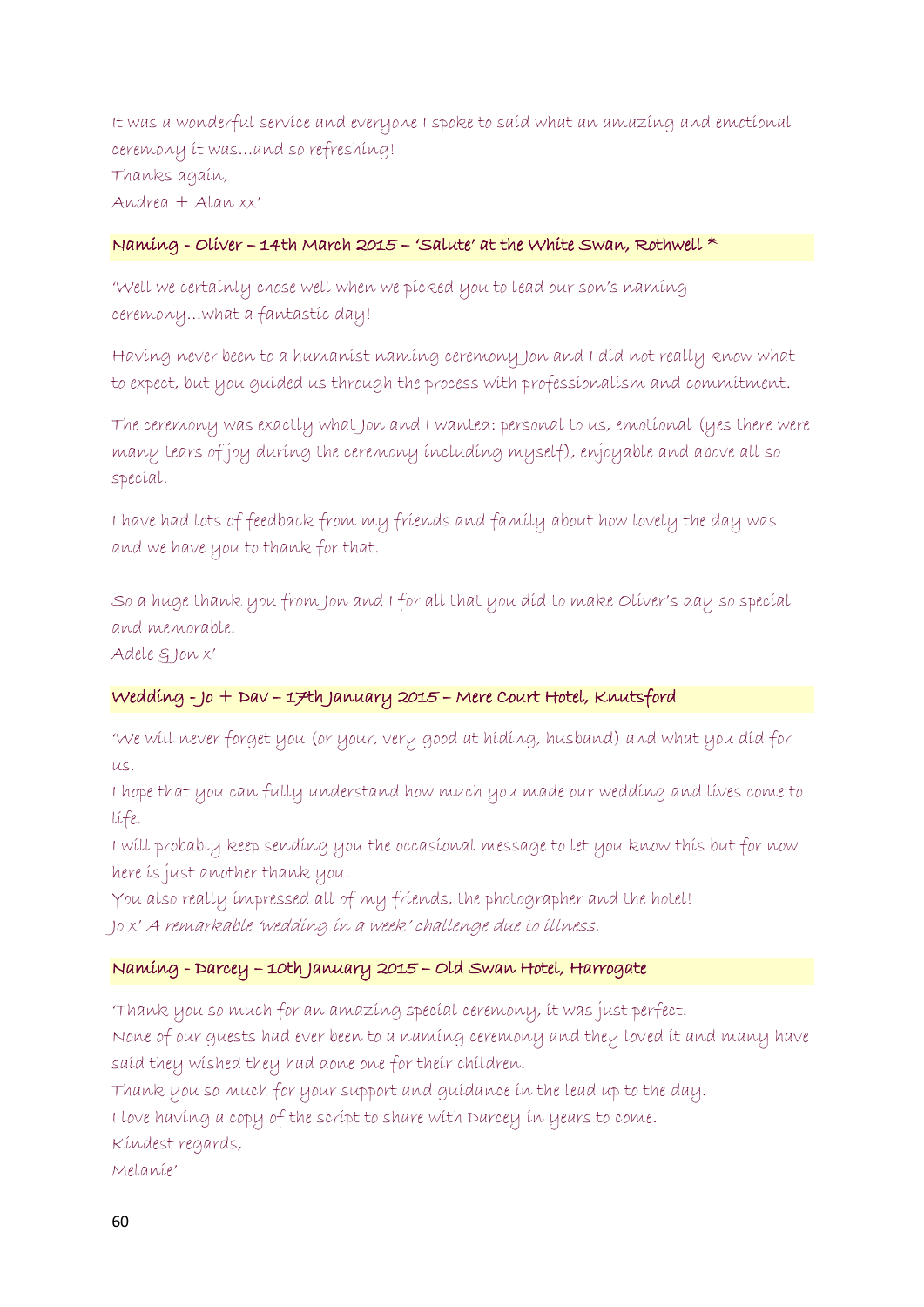It was a wonderful service and everyone I spoke to said what an amazing and emotional ceremony it was…and so refreshing! Thanks again, Andrea + Alan xx'

#### Naming - Oliver – 14th March 2015 – 'Salute' at the White Swan, Rothwell \*

'Well we certainly chose well when we picked you to lead our son's naming ceremony…what a fantastic day!

Having never been to a humanist naming ceremony Jon and I did not really know what to expect, but you guided us through the process with professionalism and commitment.

The ceremony was exactly what Jon and I wanted: personal to us, emotional (yes there were many tears of joy during the ceremony including myself), enjoyable and above all so special.

I have had lots of feedback from my friends and family about how lovely the day was and we have you to thank for that.

So a huge thank you from Jon and I for all that you did to make Oliver's day so special and memorable.

Adele & Jon x'

# Wedding - Jo + Dav – 17th January 2015 – Mere Court Hotel, Knutsford

'We will never forget you (or your, very good at hiding, husband) and what you did for us.

I hope that you can fully understand how much you made our wedding and lives come to life.

I will probably keep sending you the occasional message to let you know this but for now here is just another thank you.

You also really impressed all of my friends, the photographer and the hotel! Jo x' A remarkable 'wedding in a week' challenge due to illness.

# Naming - Darcey – 10th January 2015 – Old Swan Hotel, Harrogate

'Thank you so much for an amazing special ceremony, it was just perfect.

None of our guests had ever been to a naming ceremony and they loved it and many have said they wished they had done one for their children.

Thank you so much for your support and guidance in the lead up to the day.

I love having a copy of the script to share with Darcey in years to come.

Kindest regards,

Melanie'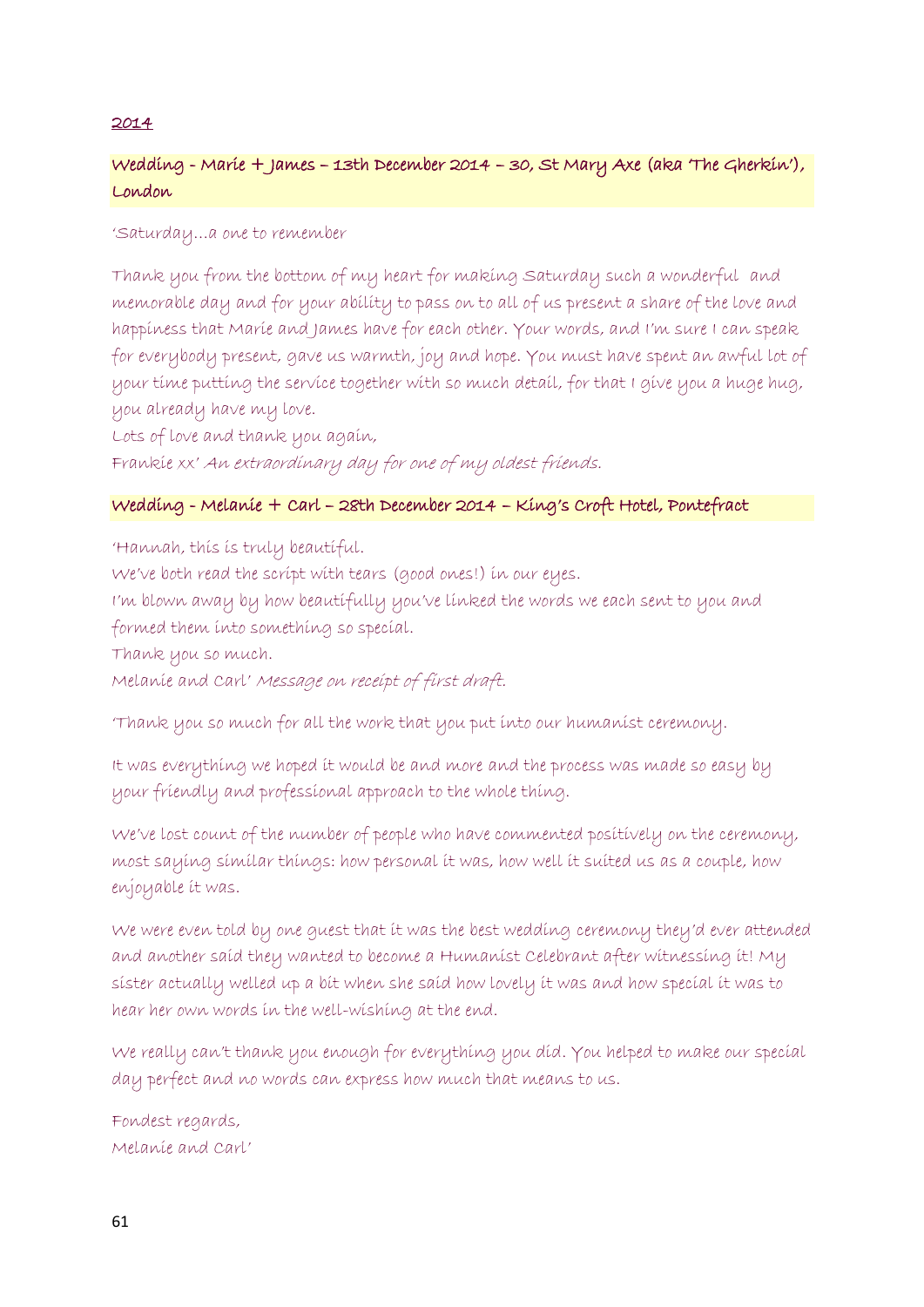### 2014

# Wedding - Marie + James – 13th December 2014 – 30, St Mary Axe (aka 'The Gherkin'), London

### 'Saturday…a one to remember

Thank you from the bottom of my heart for making Saturday such a wonderful and memorable day and for your ability to pass on to all of us present a share of the love and happiness that Marie and James have for each other. Your words, and I'm sure I can speak for everybody present, gave us warmth, joy and hope. You must have spent an awful lot of your time putting the service together with so much detail, for that I give you a huge hug, you already have my love.

Lots of love and thank you again,

Frankie xx' An extraordinary day for one of my oldest friends.

### Wedding - Melanie + Carl – 28th December 2014 – King's Croft Hotel, Pontefract

'Hannah, this is truly beautiful. We've both read the script with tears (good ones!) in our eyes. I'm blown away by how beautifully you've linked the words we each sent to you and formed them into something so special. Thank you so much. Melanie and Carl' Message on receipt of first draft.

'Thank you so much for all the work that you put into our humanist ceremony.

It was everything we hoped it would be and more and the process was made so easy by your friendly and professional approach to the whole thing.

We've lost count of the number of people who have commented positively on the ceremony, most saying similar things: how personal it was, how well it suited us as a couple, how enjoyable it was.

We were even told by one guest that it was the best wedding ceremony they'd ever attended and another said they wanted to become a Humanist Celebrant after witnessing it! My sister actually welled up a bit when she said how lovely it was and how special it was to hear her own words in the well-wishing at the end.

We really can't thank you enough for everything you did. You helped to make our special day perfect and no words can express how much that means to us.

Fondest regards, Melanie and Carl'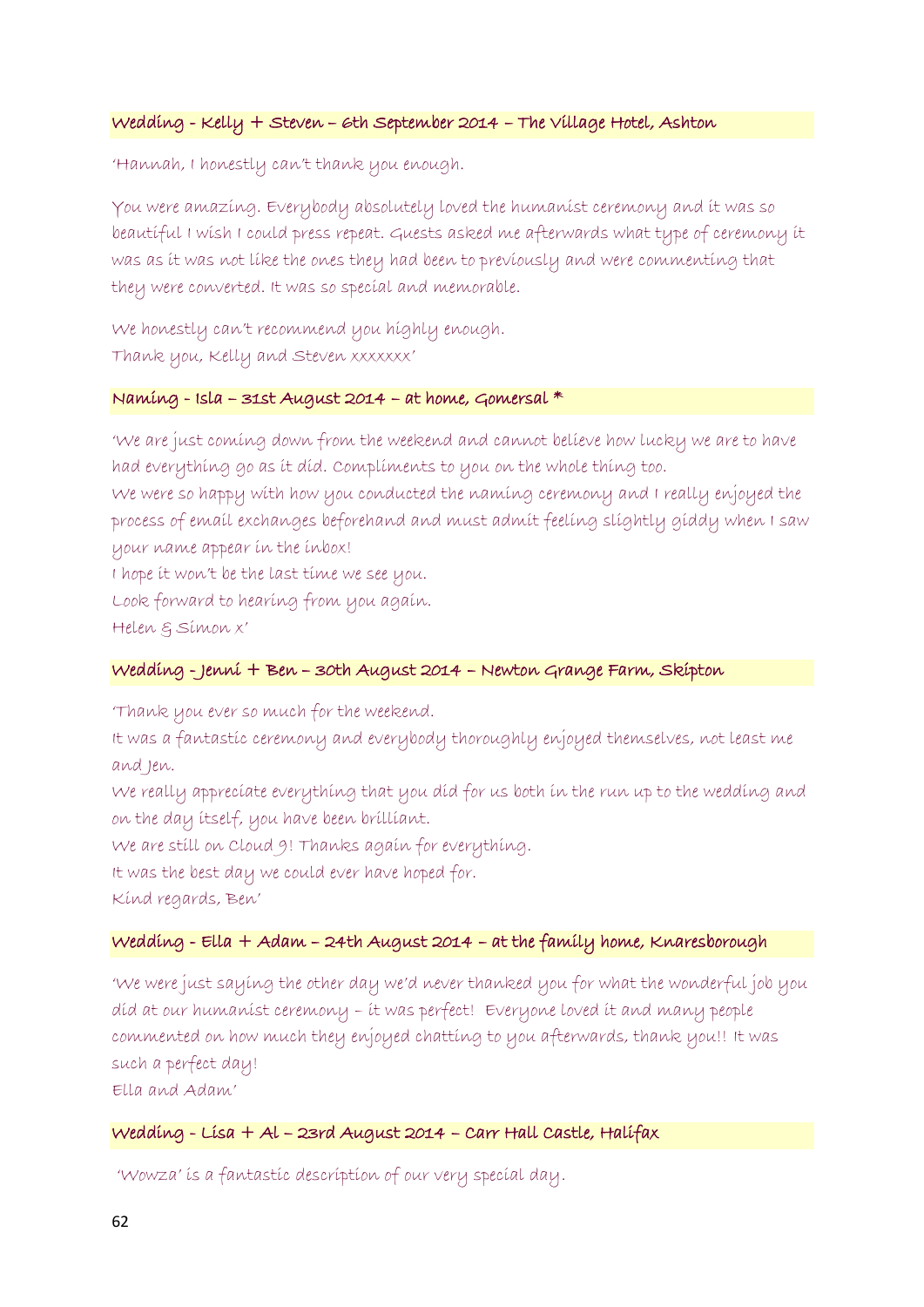#### Wedding - Kelly + Steven – 6th September 2014 – The Village Hotel, Ashton

'Hannah, I honestly can't thank you enough.

You were amazing. Everybody absolutely loved the humanist ceremony and it was so beautiful I wish I could press repeat. Guests asked me afterwards what type of ceremony it was as it was not like the ones they had been to previously and were commenting that they were converted. It was so special and memorable.

We honestly can't recommend you highly enough. Thank you, Kelly and Steven xxxxxxx'

#### Naming - Isla – 31st August 2014 – at home, Gomersal \*

'We are just coming down from the weekend and cannot believe how lucky we are to have had everything go as it did. Compliments to you on the whole thing too.

We were so happy with how you conducted the naming ceremony and I really enjoyed the process of email exchanges beforehand and must admit feeling slightly giddy when I saw your name appear in the inbox!

I hope it won't be the last time we see you.

Look forward to hearing from you again.

Helen & Simon x'

#### Wedding - Jenni + Ben – 30th August 2014 – Newton Grange Farm, Skipton

'Thank you ever so much for the weekend.

It was a fantastic ceremony and everybody thoroughly enjoyed themselves, not least me and Jen.

We really appreciate everything that you did for us both in the run up to the wedding and on the day itself, you have been brilliant.

We are still on Cloud 9! Thanks again for everything.

It was the best day we could ever have hoped for.

Kind regards, Ben'

#### Wedding - Ella + Adam – 24th August 2014 – at the family home, Knaresborough

'We were just saying the other day we'd never thanked you for what the wonderful job you did at our humanist ceremony – it was perfect! Everyone loved it and many people commented on how much they enjoyed chatting to you afterwards, thank you!! It was such a perfect day!

Ella and Adam'

#### Wedding - Lisa + Al – 23rd August 2014 – Carr Hall Castle, Halifax

'Wowza' is a fantastic description of our very special day.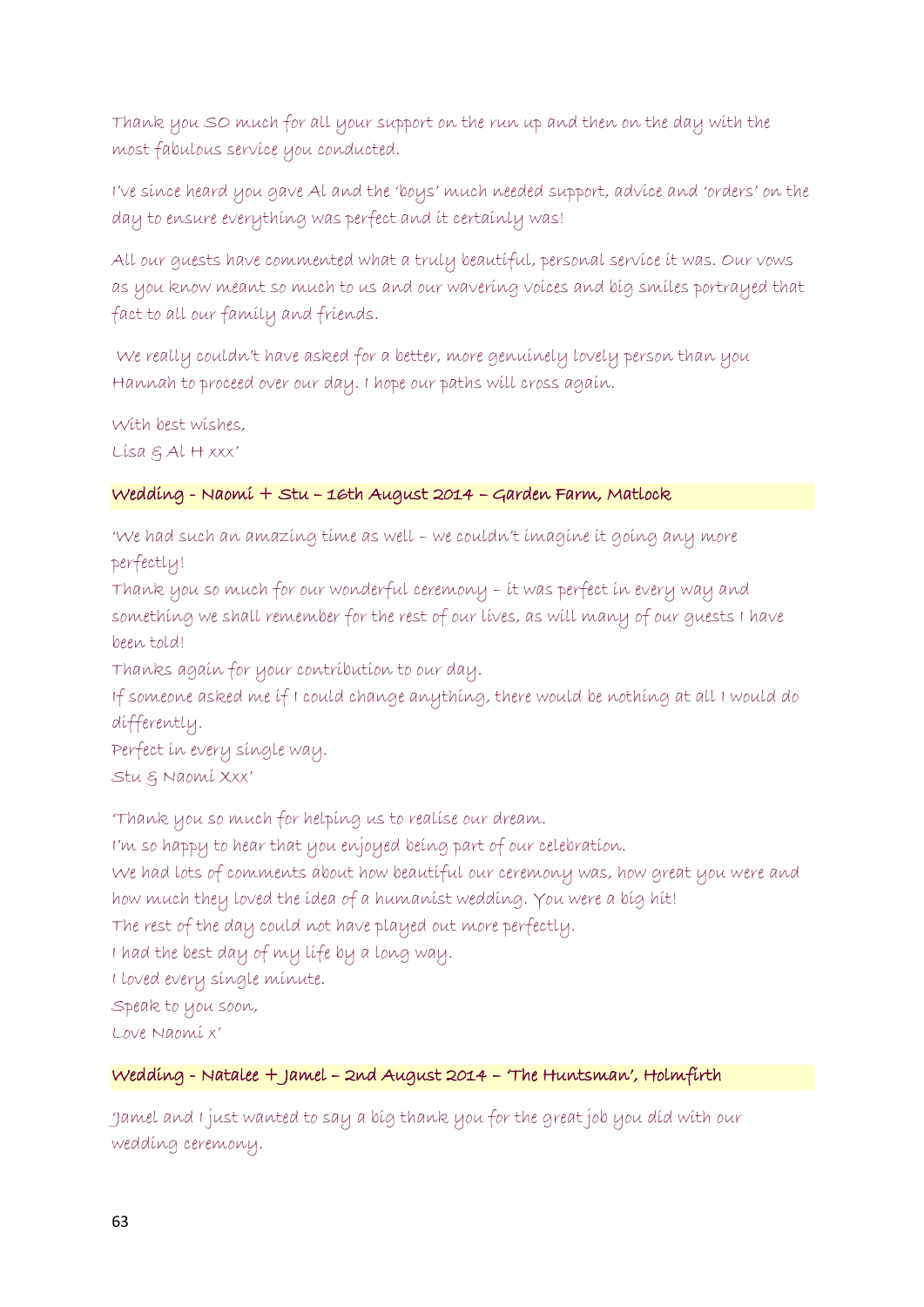Thank you SO much for all your support on the run up and then on the day with the most fabulous service you conducted.

I've since heard you gave Al and the 'boys' much needed support, advice and 'orders' on the day to ensure everything was perfect and it certainly was!

All our guests have commented what a truly beautiful, personal service it was. Our vows as you know meant so much to us and our wavering voices and big smiles portrayed that fact to all our family and friends.

We really couldn't have asked for a better, more genuinely lovely person than you Hannah to proceed over our day. I hope our paths will cross again.

With best wishes,  $Lisa \notin Al Hxxx'$ 

# Wedding - Naomi + Stu – 16th August 2014 – Garden Farm, Matlock

'We had such an amazing time as well – we couldn't imagine it going any more perfectly!

Thank you so much for our wonderful ceremony – it was perfect in every way and something we shall remember for the rest of our lives, as will many of our guests I have been told!

Thanks again for your contribution to our day.

If someone asked me if I could change anything, there would be nothing at all I would do differently.

Perfect in every single way. Stu & Naomi Xxx'

'Thank you so much for helping us to realise our dream.

I'm so happy to hear that you enjoyed being part of our celebration.

We had lots of comments about how beautiful our ceremony was, how great you were and how much they loved the idea of a humanist wedding. You were a big hit!

The rest of the day could not have played out more perfectly.

I had the best day of my life by a long way.

I loved every single minute.

Speak to you soon,

Love Naomi x'

# Wedding - Natalee + Jamel – 2nd August 2014 – 'The Huntsman', Holmfirth

'Jamel and I just wanted to say a big thank you for the great job you did with our wedding ceremony.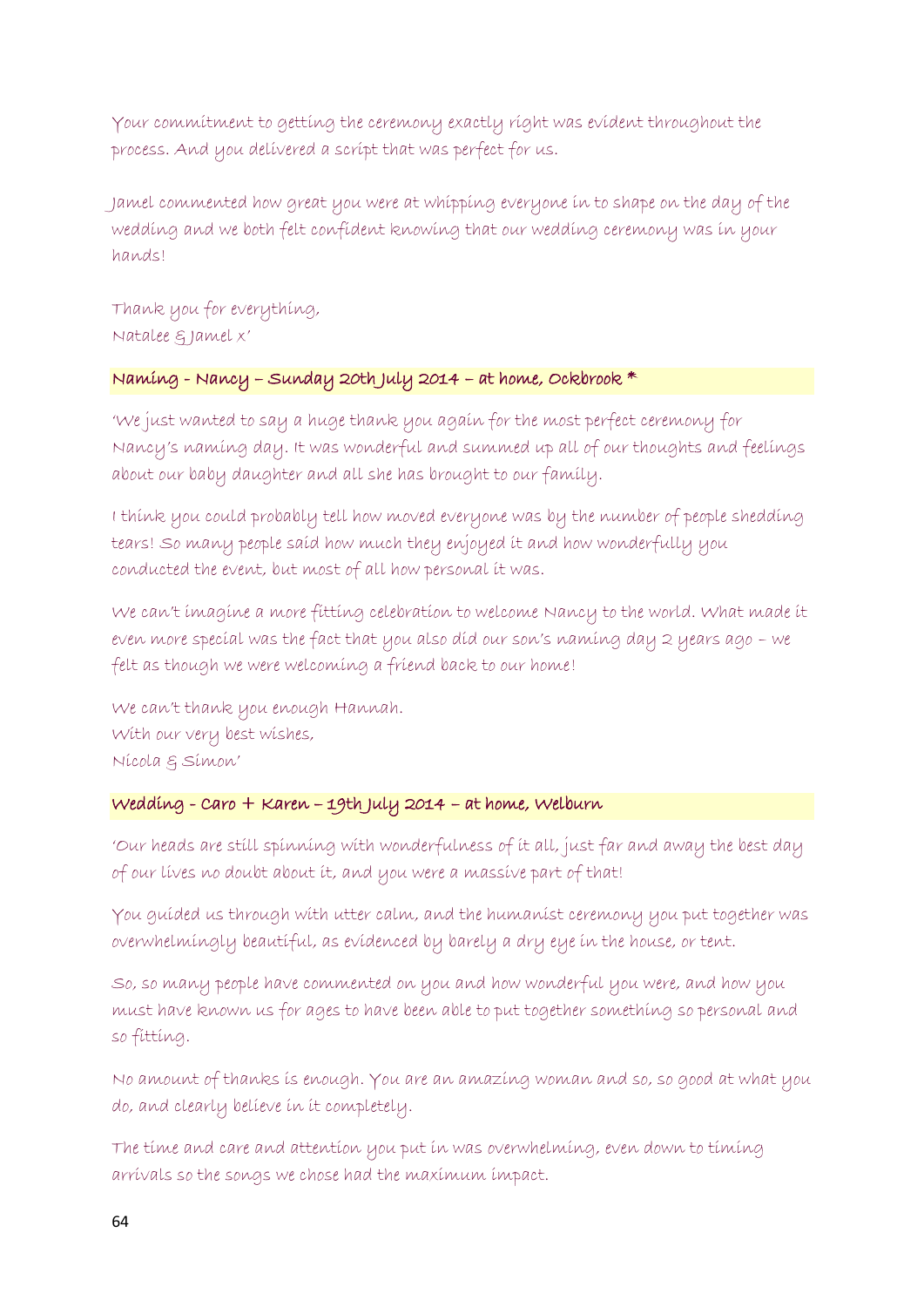Your commitment to getting the ceremony exactly right was evident throughout the process. And you delivered a script that was perfect for us.

Jamel commented how great you were at whipping everyone in to shape on the day of the wedding and we both felt confident knowing that our wedding ceremony was in your hands!

Thank you for everything, Natalee & Jamel x'

# Naming - Nancy – Sunday 20th July 2014 – at home, Ockbrook \*

'We just wanted to say a huge thank you again for the most perfect ceremony for Nancy's naming day. It was wonderful and summed up all of our thoughts and feelings about our baby daughter and all she has brought to our family.

I think you could probably tell how moved everyone was by the number of people shedding tears! So many people said how much they enjoyed it and how wonderfully you conducted the event, but most of all how personal it was.

We can't imagine a more fitting celebration to welcome Nancy to the world. What made it even more special was the fact that you also did our son's naming day 2 years ago – we felt as though we were welcoming a friend back to our home!

We can't thank you enough Hannah. With our very best wishes, Nicola & Simon'

# Wedding - Caro + Karen – 19th July 2014 – at home, Welburn

'Our heads are still spinning with wonderfulness of it all, just far and away the best day of our lives no doubt about it, and you were a massive part of that!

You guided us through with utter calm, and the humanist ceremony you put together was overwhelmingly beautiful, as evidenced by barely a dry eye in the house, or tent.

So, so many people have commented on you and how wonderful you were, and how you must have known us for ages to have been able to put together something so personal and so fitting.

No amount of thanks is enough. You are an amazing woman and so, so good at what you do, and clearly believe in it completely.

The time and care and attention you put in was overwhelming, even down to timing arrivals so the songs we chose had the maximum impact.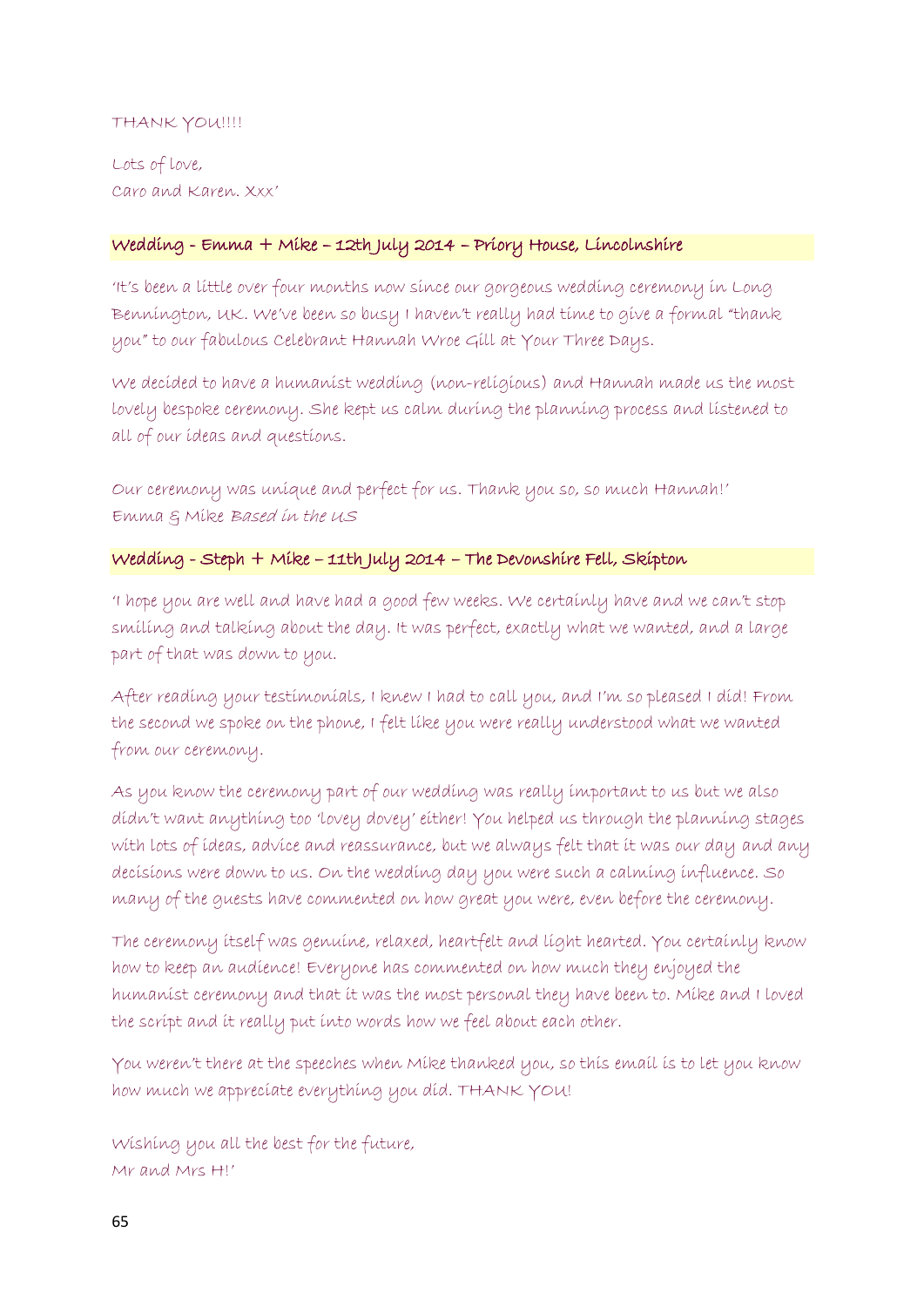### THANK YOU !!!!

Lots of love, Caro and Karen. Xxx'

### Wedding - Emma + Mike – 12th July 2014 – Priory House, Lincolnshire

'It's been a little over four months now since our gorgeous wedding ceremony in Long Bennington, UK. We've been so busy I haven't really had time to give a formal "thank you" to our fabulous Celebrant Hannah Wroe Gill at Your Three Days.

We decided to have a humanist wedding (non-religious) and Hannah made us the most lovely bespoke ceremony. She kept us calm during the planning process and listened to all of our ideas and questions.

Our ceremony was unique and perfect for us. Thank you so, so much Hannah!' Emma & Mike Based in the US

### Wedding - Steph + Mike – 11th July 2014 – The Devonshire Fell, Skipton

'I hope you are well and have had a good few weeks. We certainly have and we can't stop smiling and talking about the day. It was perfect, exactly what we wanted, and a large part of that was down to you.

After reading your testimonials, I knew I had to call you, and I'm so pleased I did! From the second we spoke on the phone, I felt like you were really understood what we wanted from our ceremony.

As you know the ceremony part of our wedding was really important to us but we also didn't want anything too 'lovey dovey' either! You helped us through the planning stages with lots of ideas, advice and reassurance, but we always felt that it was our day and any decisions were down to us. On the wedding day you were such a calming influence. So many of the guests have commented on how great you were, even before the ceremony.

The ceremony itself was genuine, relaxed, heartfelt and light hearted. You certainly know how to keep an audience! Everyone has commented on how much they enjoyed the humanist ceremony and that it was the most personal they have been to. Mike and I loved the script and it really put into words how we feel about each other.

You weren't there at the speeches when Mike thanked you, so this email is to let you know how much we appreciate everything you did. THANK YOU!

Wishing you all the best for the future, Mr and Mrs H!'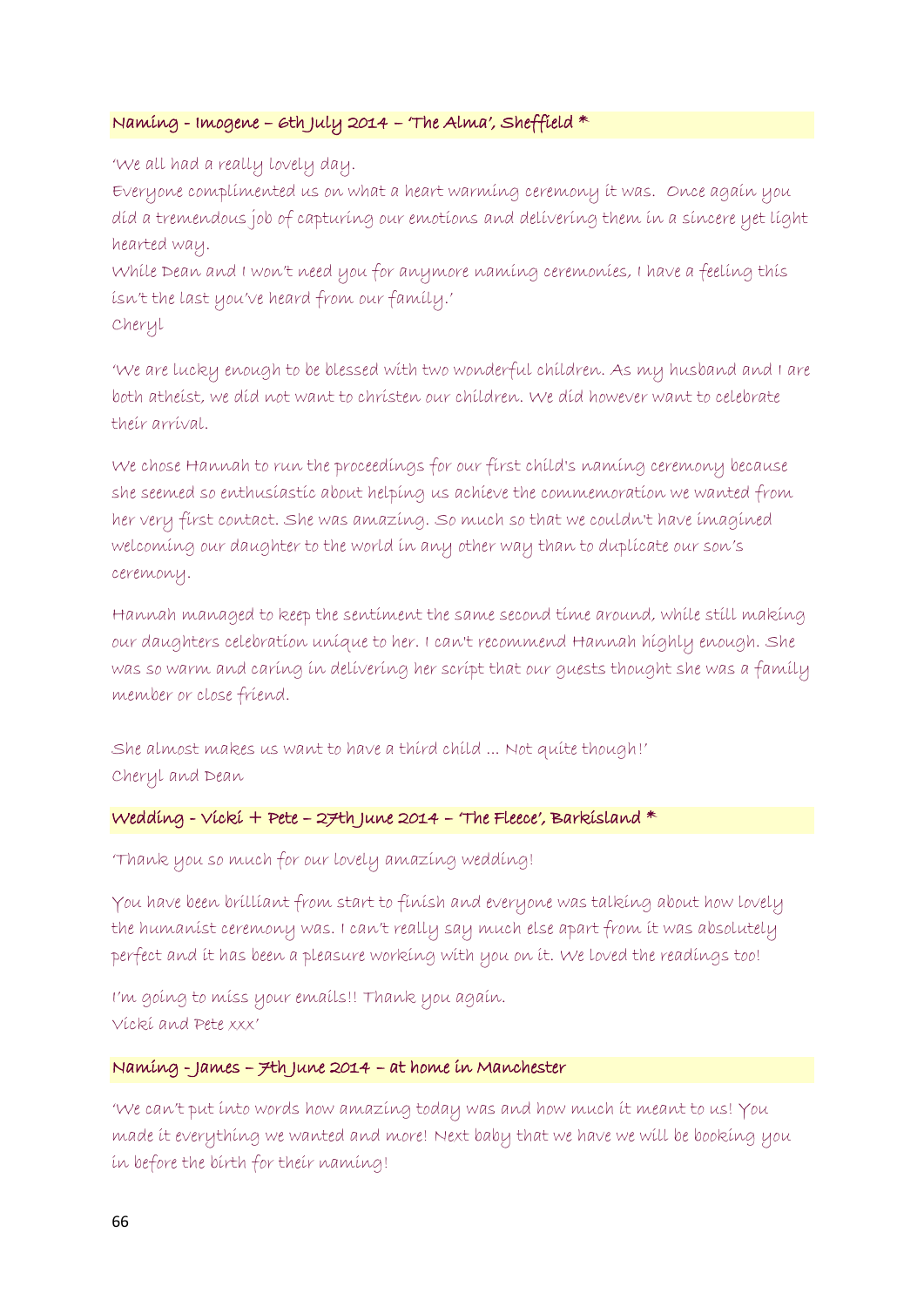### Naming - Imogene – 6th July 2014 – 'The Alma', Sheffield \*

'We all had a really lovely day.

Everyone complimented us on what a heart warming ceremony it was. Once again you did a tremendous job of capturing our emotions and delivering them in a sincere yet light hearted way.

While Dean and I won't need you for anymore naming ceremonies, I have a feeling this isn't the last you've heard from our family.' Cheryl

'We are lucky enough to be blessed with two wonderful children. As my husband and I are both atheist, we did not want to christen our children. We did however want to celebrate their arrival.

We chose Hannah to run the proceedings for our first child's naming ceremony because she seemed so enthusiastic about helping us achieve the commemoration we wanted from her very first contact. She was amazing. So much so that we couldn't have imagined welcoming our daughter to the world in any other way than to duplicate our son's ceremony.

Hannah managed to keep the sentiment the same second time around, while still making our daughters celebration unique to her. I can't recommend Hannah highly enough. She was so warm and caring in delivering her script that our guests thought she was a family member or close friend.

She almost makes us want to have a third child ... Not quite though!' Cheryl and Dean

#### Wedding - Vicki + Pete - 27th June 2014 - 'The Fleece', Barkisland  $*$

'Thank you so much for our lovely amazing wedding!

You have been brilliant from start to finish and everyone was talking about how lovely the humanist ceremony was. I can't really say much else apart from it was absolutely perfect and it has been a pleasure working with you on it. We loved the readings too!

I'm going to miss your emails!! Thank you again. Vicki and Pete xxx'

#### Naming - James – 7th June 2014 – at home in Manchester

'We can't put into words how amazing today was and how much it meant to us! You made it everything we wanted and more! Next baby that we have we will be booking you in before the birth for their naming!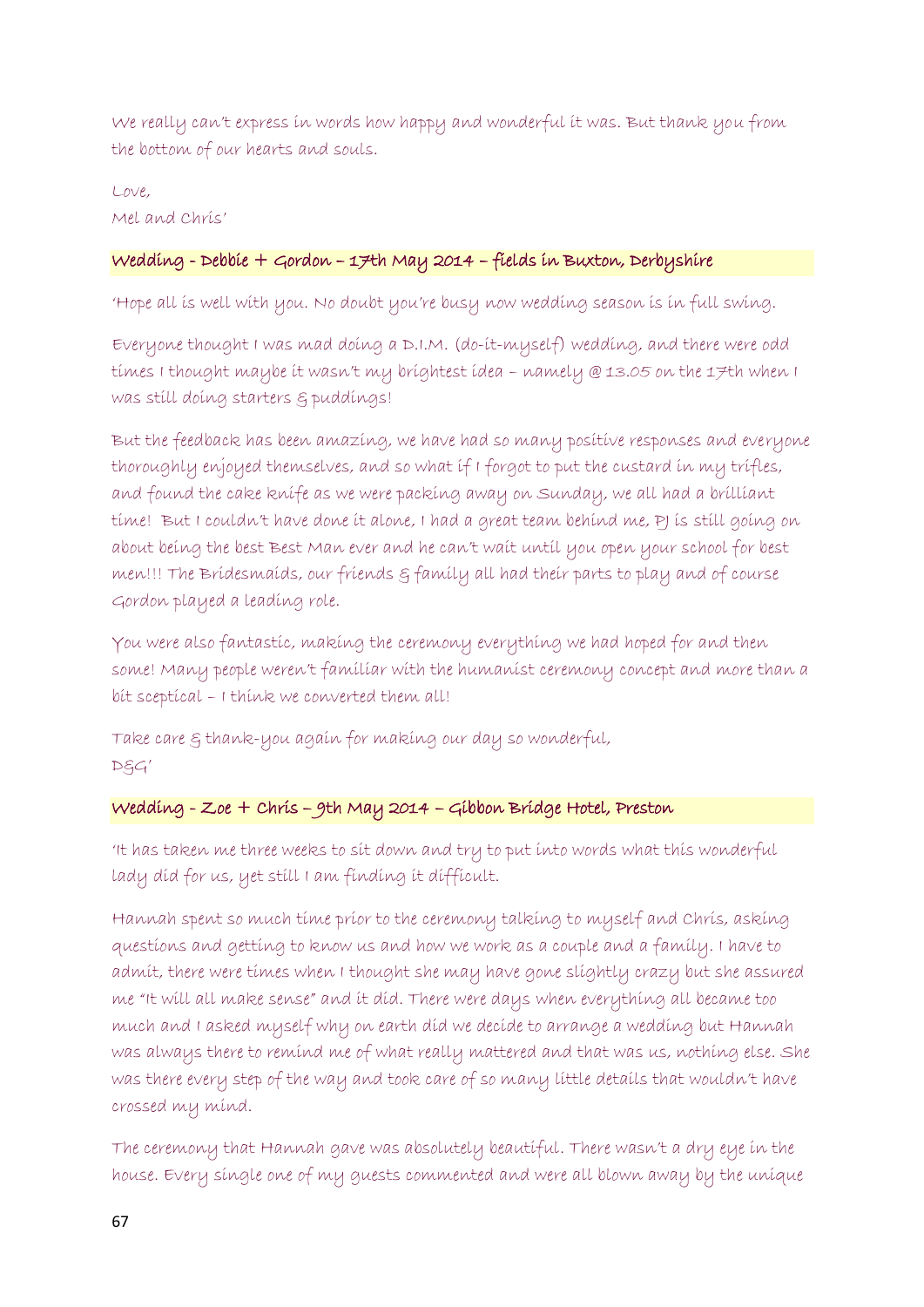We really can't express in words how happy and wonderful it was. But thank you from the bottom of our hearts and souls.

#### Love, Mel and Chris'

# Wedding - Debbie + Gordon – 17th May 2014 – fields in Buxton, Derbyshire

'Hope all is well with you. No doubt you're busy now wedding season is in full swing.

Everyone thought I was mad doing a D.I.M. (do-it-myself) wedding, and there were odd times I thought maybe it wasn't my brightest idea – namely @ 13.05 on the 17th when I was still doing starters & puddings!

But the feedback has been amazing, we have had so many positive responses and everyone thoroughly enjoyed themselves, and so what if I forgot to put the custard in my trifles, and found the cake knife as we were packing away on Sunday, we all had a brilliant time! But I couldn't have done it alone, I had a great team behind me, PJ is still going on about being the best Best Man ever and he can't wait until you open your school for best men!!! The Bridesmaids, our friends g family all had their parts to play and of course Gordon played a leading role.

You were also fantastic, making the ceremony everything we had hoped for and then some! Many people weren't familiar with the humanist ceremony concept and more than a bit sceptical – I think we converted them all!

Take care & thank-you again for making our day so wonderful,  $DSG'$ 

# Wedding - Zoe + Chris – 9th May 2014 – Gibbon Bridge Hotel, Preston

'It has taken me three weeks to sit down and try to put into words what this wonderful lady did for us, yet still I am finding it difficult.

Hannah spent so much time prior to the ceremony talking to myself and Chris, asking questions and getting to know us and how we work as a couple and a family. I have to admit, there were times when I thought she may have gone slightly crazy but she assured me "It will all make sense" and it did. There were days when everything all became too much and I asked myself why on earth did we decide to arrange a wedding but Hannah was always there to remind me of what really mattered and that was us, nothing else. She was there every step of the way and took care of so many little details that wouldn't have crossed my mind.

The ceremony that Hannah gave was absolutely beautiful. There wasn't a dry eye in the house. Every single one of my guests commented and were all blown away by the unique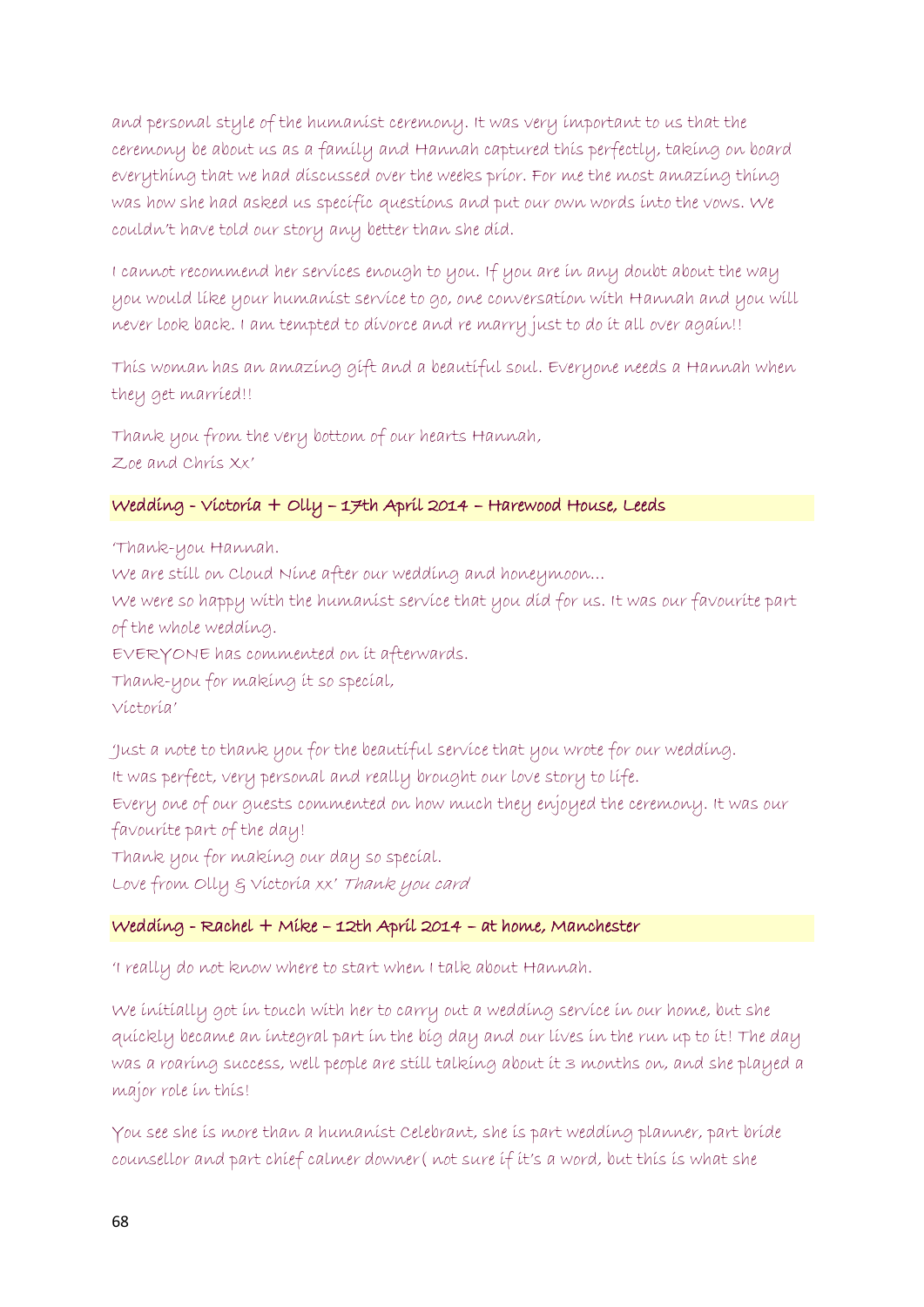and personal style of the humanist ceremony. It was very important to us that the ceremony be about us as a family and Hannah captured this perfectly, taking on board everything that we had discussed over the weeks prior. For me the most amazing thing was how she had asked us specific questions and put our own words into the vows. We couldn't have told our story any better than she did.

I cannot recommend her services enough to you. If you are in any doubt about the way you would like your humanist service to go, one conversation with Hannah and you will never look back. I am tempted to divorce and re marry just to do it all over again!!

This woman has an amazing gift and a beautiful soul. Everyone needs a Hannah when they get married!!

Thank you from the very bottom of our hearts Hannah, Zoe and Chris Xx'

# Wedding - Victoria + Olly – 17th April 2014 – Harewood House, Leeds

'Thank-you Hannah. We are still on Cloud Nine after our wedding and honeymoon… We were so happy with the humanist service that you did for us. It was our favourite part of the whole wedding. EVERYONE has commented on it afterwards. Thank-you for making it so special, Victoria'

'Just a note to thank you for the beautiful service that you wrote for our wedding. It was perfect, very personal and really brought our love story to life. Every one of our guests commented on how much they enjoyed the ceremony. It was our

favourite part of the day!

Thank you for making our day so special.

Love from Olly  $\xi$  Victoria xx' Thank you card

# Wedding - Rachel + Mike – 12th April 2014 – at home, Manchester

'I really do not know where to start when I talk about Hannah.

We initially got in touch with her to carry out a wedding service in our home, but she quickly became an integral part in the big day and our lives in the run up to it! The day was a roaring success, well people are still talking about it 3 months on, and she played a major role in this!

You see she is more than a humanist Celebrant, she is part wedding planner, part bride counsellor and part chief calmer downer( not sure if it's a word, but this is what she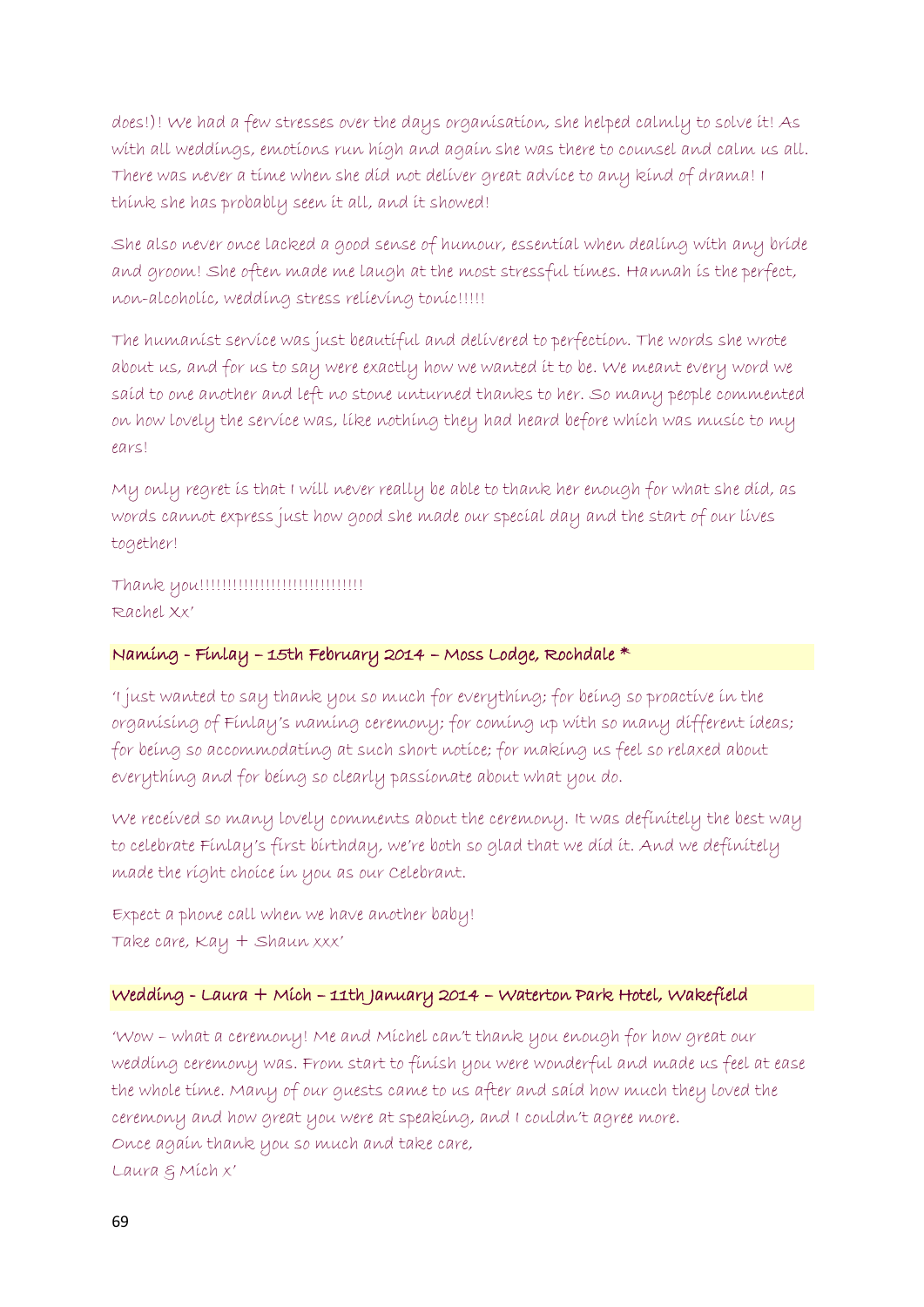does!)! We had a few stresses over the days organisation, she helped calmly to solve it! As with all weddings, emotions run high and again she was there to counsel and calm us all. There was never a time when she did not deliver great advice to any kind of drama! I think she has probably seen it all, and it showed!

She also never once lacked a good sense of humour, essential when dealing with any bride and groom! She often made me laugh at the most stressful times. Hannah is the perfect, non-alcoholic, wedding stress relieving tonic!!!!!

The humanist service was just beautiful and delivered to perfection. The words she wrote about us, and for us to say were exactly how we wanted it to be. We meant every word we said to one another and left no stone unturned thanks to her. So many people commented on how lovely the service was, like nothing they had heard before which was music to my ears!

My only regret is that I will never really be able to thank her enough for what she did, as words cannot express just how good she made our special day and the start of our lives together!

Thank you!!!!!!!!!!!!!!!!!!!!!!!!!!!!!! Rachel Xx'

### Naming - Finlay – 15th February 2014 – Moss Lodge, Rochdale \*

'I just wanted to say thank you so much for everything; for being so proactive in the organising of Finlay's naming ceremony; for coming up with so many different ideas; for being so accommodating at such short notice; for making us feel so relaxed about everything and for being so clearly passionate about what you do.

We received so many lovely comments about the ceremony. It was definitely the best way to celebrate Finlay's first birthday, we're both so glad that we did it. And we definitely made the right choice in you as our Celebrant.

Expect a phone call when we have another baby! Take care, Kay + Shaun xxx'

### Wedding - Laura + Mich – 11th January 2014 – Waterton Park Hotel, Wakefield

'Wow – what a ceremony! Me and Michel can't thank you enough for how great our wedding ceremony was. From start to finish you were wonderful and made us feel at ease the whole time. Many of our guests came to us after and said how much they loved the ceremony and how great you were at speaking, and I couldn't agree more. Once again thank you so much and take care, Laura & Mich x'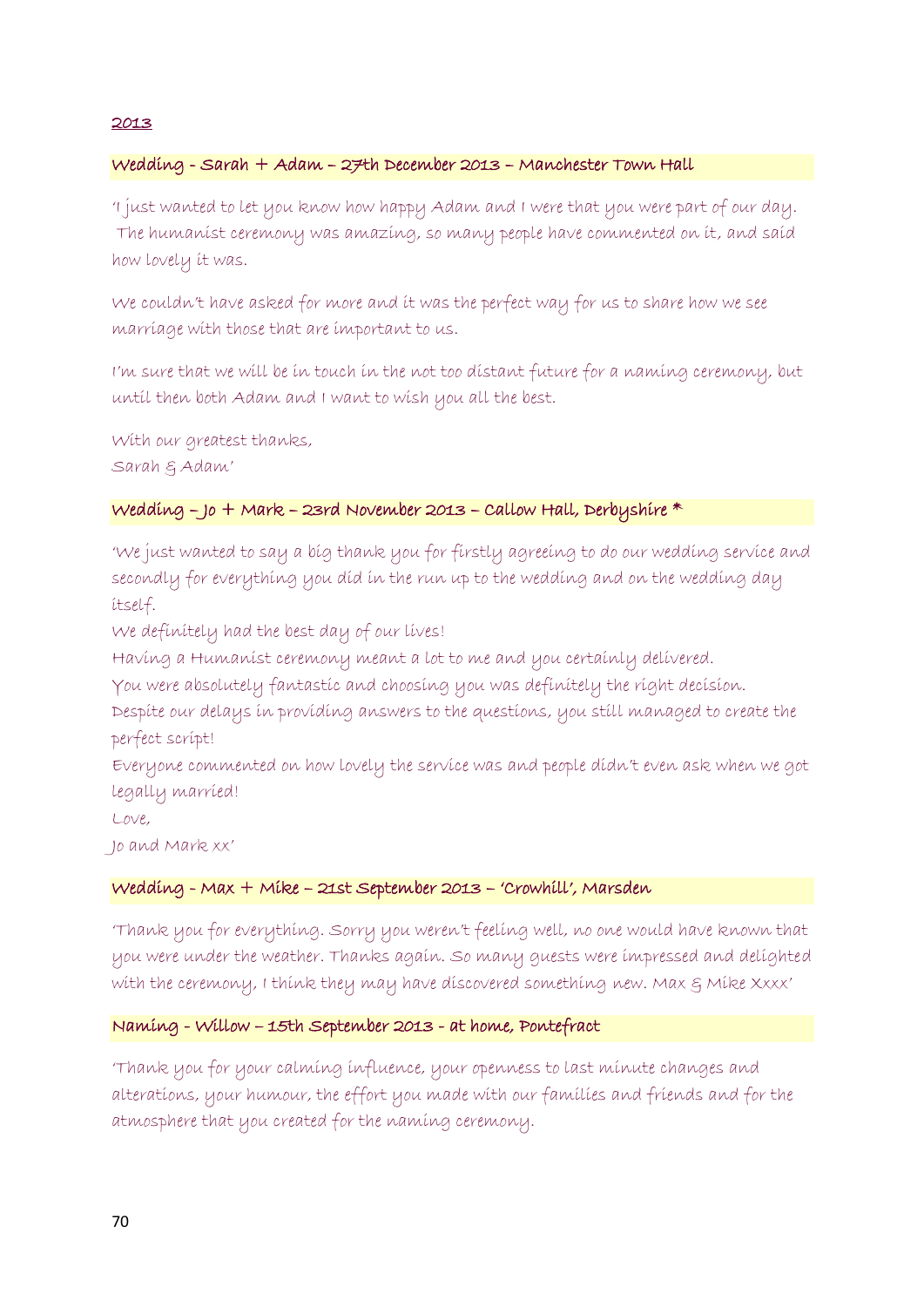#### 2013

#### Wedding - Sarah + Adam – 27th December 2013 – Manchester Town Hall

'I just wanted to let you know how happy Adam and I were that you were part of our day. The humanist ceremony was amazing, so many people have commented on it, and said how lovely it was.

We couldn't have asked for more and it was the perfect way for us to share how we see marriage with those that are important to us.

I'm sure that we will be in touch in the not too distant future for a naming ceremony, but until then both Adam and I want to wish you all the best.

With our greatest thanks, Sarah & Adam'

#### Wedding – Jo + Mark – 23rd November 2013 – Callow Hall, Derbyshire \*

'We just wanted to say a big thank you for firstly agreeing to do our wedding service and secondly for everything you did in the run up to the wedding and on the wedding day itself.

We definitely had the best day of our lives!

Having a Humanist ceremony meant a lot to me and you certainly delivered.

You were absolutely fantastic and choosing you was definitely the right decision.

Despite our delays in providing answers to the questions, you still managed to create the perfect script!

Everyone commented on how lovely the service was and people didn't even ask when we got legally married!

Love,

Jo and Mark xx'

#### Wedding - Max + Mike – 21st September 2013 – 'Crowhill', Marsden

'Thank you for everything. Sorry you weren't feeling well, no one would have known that you were under the weather. Thanks again. So many guests were impressed and delighted with the ceremony, I think they may have discovered something new. Max  $\varepsilon$  Mike Xxxx'

#### Naming - Willow – 15th September 2013 - at home, Pontefract

'Thank you for your calming influence, your openness to last minute changes and alterations, your humour, the effort you made with our families and friends and for the atmosphere that you created for the naming ceremony.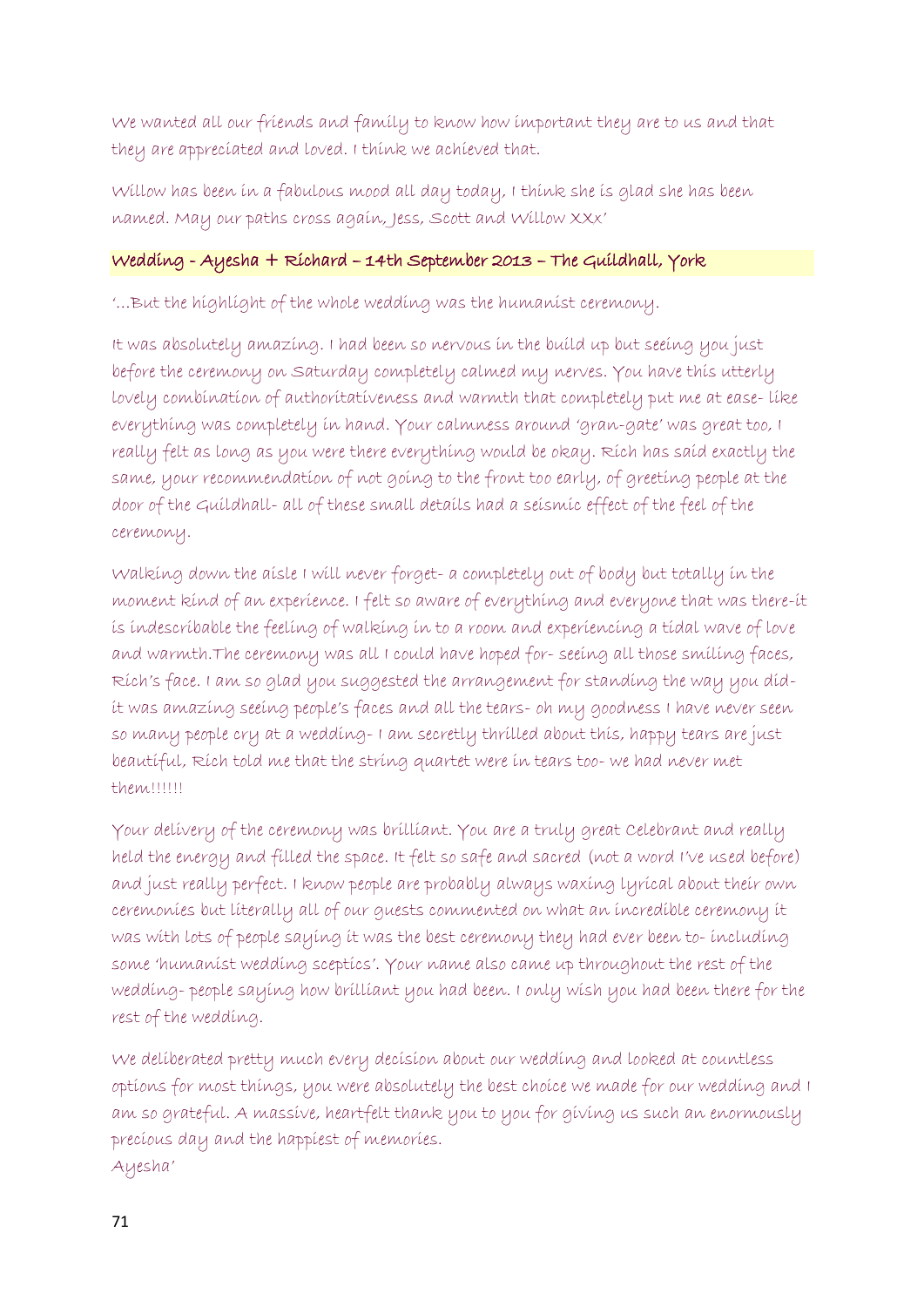We wanted all our friends and family to know how important they are to us and that they are appreciated and loved. I think we achieved that.

Willow has been in a fabulous mood all day today, I think she is glad she has been named. May our paths cross again, Jess, Scott and Willow XXx'

# Wedding - Ayesha + Richard – 14th September 2013 – The Guildhall, York

'…But the highlight of the whole wedding was the humanist ceremony.

It was absolutely amazing. I had been so nervous in the build up but seeing you just before the ceremony on Saturday completely calmed my nerves. You have this utterly lovely combination of authoritativeness and warmth that completely put me at ease- like everything was completely in hand. Your calmness around 'gran-gate' was great too, I really felt as long as you were there everything would be okay. Rich has said exactly the same, your recommendation of not going to the front too early, of greeting people at the door of the Guildhall- all of these small details had a seismic effect of the feel of the ceremony.

Walking down the aisle I will never forget- a completely out of body but totally in the moment kind of an experience. I felt so aware of everything and everyone that was there-it is indescribable the feeling of walking in to a room and experiencing a tidal wave of love and warmth.The ceremony was all I could have hoped for- seeing all those smiling faces, Rich's face. I am so glad you suggested the arrangement for standing the way you didit was amazing seeing people's faces and all the tears- oh my goodness I have never seen so many people cry at a wedding- I am secretly thrilled about this, happy tears are just beautiful, Rich told me that the string quartet were in tears too- we had never met them!!!!!!

Your delivery of the ceremony was brilliant. You are a truly great Celebrant and really held the energy and filled the space. It felt so safe and sacred (not a word I've used before) and just really perfect. I know people are probably always waxing lyrical about their own ceremonies but literally all of our guests commented on what an incredible ceremony it was with lots of people saying it was the best ceremony they had ever been to- including some 'humanist wedding sceptics'. Your name also came up throughout the rest of the wedding- people saying how brilliant you had been. I only wish you had been there for the rest of the wedding.

We deliberated pretty much every decision about our wedding and looked at countless options for most things, you were absolutely the best choice we made for our wedding and I am so grateful. A massive, heartfelt thank you to you for giving us such an enormously precious day and the happiest of memories. Ayesha'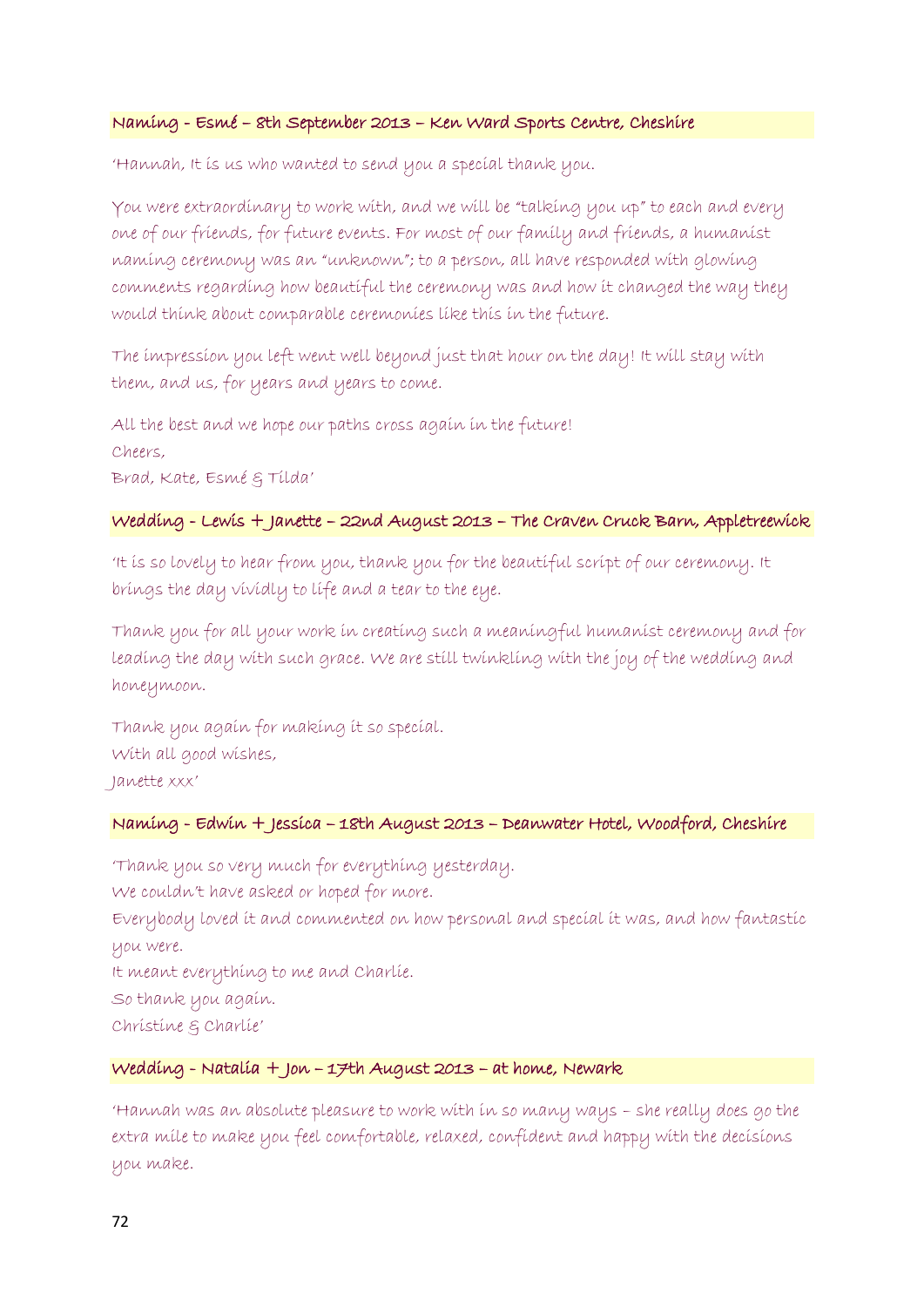#### Naming - Esmé – 8th September 2013 – Ken Ward Sports Centre, Cheshire

'Hannah, It is us who wanted to send you a special thank you.

You were extraordinary to work with, and we will be "talking you up" to each and every one of our friends, for future events. For most of our family and friends, a humanist naming ceremony was an "unknown"; to a person, all have responded with glowing comments regarding how beautiful the ceremony was and how it changed the way they would think about comparable ceremonies like this in the future.

The impression you left went well beyond just that hour on the day! It will stay with them, and us, for years and years to come.

All the best and we hope our paths cross again in the future! Cheers, Brad, Kate, Esmé & Tilda'

#### Wedding - Lewis + Janette – 22nd August 2013 – The Craven Cruck Barn, Appletreewick

'It is so lovely to hear from you, thank you for the beautiful script of our ceremony. It brings the day vividly to life and a tear to the eye.

Thank you for all your work in creating such a meaningful humanist ceremony and for leading the day with such grace. We are still twinkling with the joy of the wedding and honeymoon.

Thank you again for making it so special. With all good wishes, Janette xxx'

#### Naming - Edwin + Jessica – 18th August 2013 – Deanwater Hotel, Woodford, Cheshire

'Thank you so very much for everything yesterday. We couldn't have asked or hoped for more. Everybody loved it and commented on how personal and special it was, and how fantastic you were. It meant everything to me and Charlie. So thank you again. Christine & Charlie'

#### Wedding - Natalia + Jon – 17th August 2013 – at home, Newark

'Hannah was an absolute pleasure to work with in so many ways – she really does go the extra mile to make you feel comfortable, relaxed, confident and happy with the decisions you make.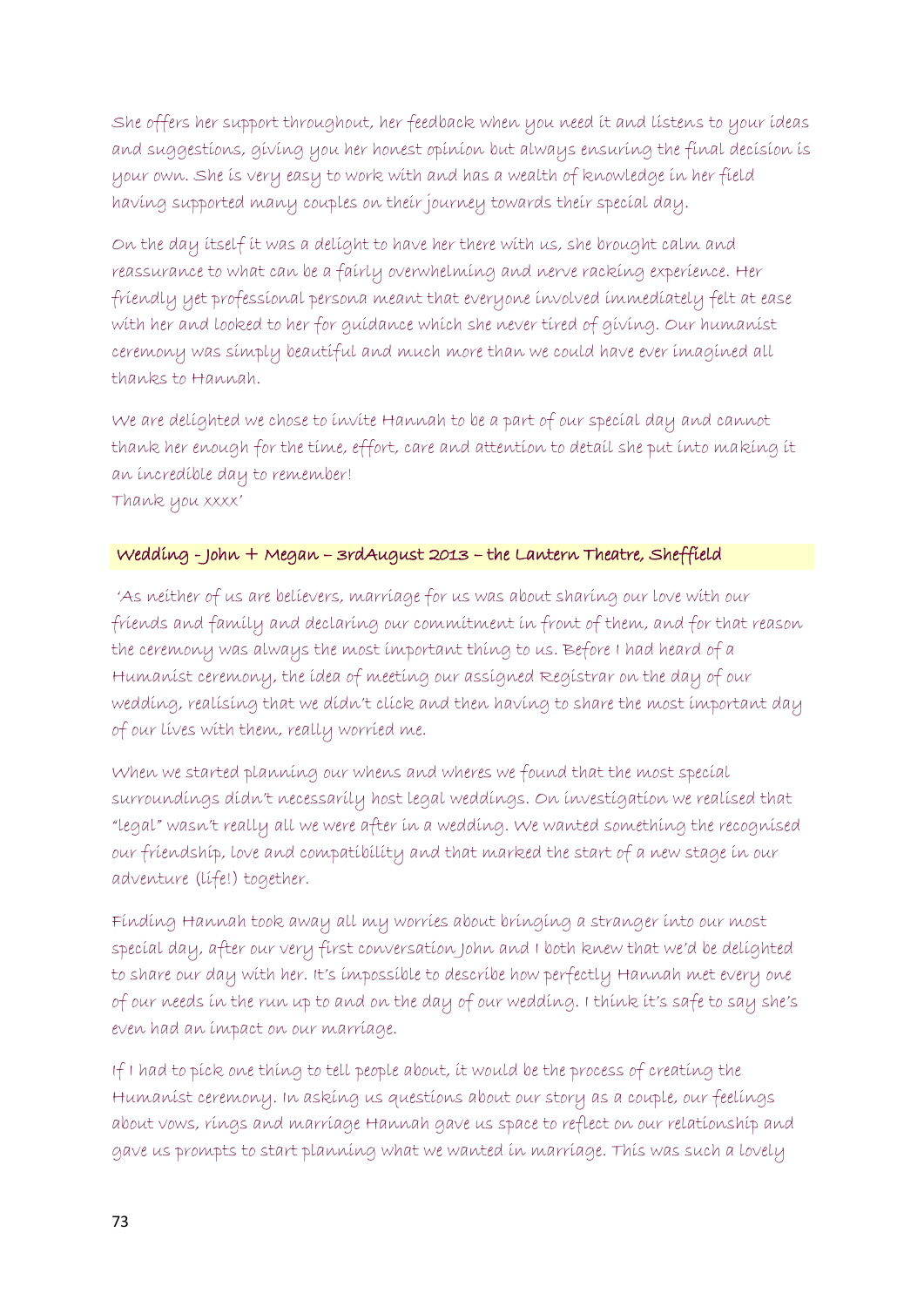She offers her support throughout, her feedback when you need it and listens to your ideas and suggestions, giving you her honest opinion but always ensuring the final decision is your own. She is very easy to work with and has a wealth of knowledge in her field having supported many couples on their journey towards their special day.

On the day itself it was a delight to have her there with us, she brought calm and reassurance to what can be a fairly overwhelming and nerve racking experience. Her friendly yet professional persona meant that everyone involved immediately felt at ease with her and looked to her for guidance which she never tired of giving. Our humanist ceremony was simply beautiful and much more than we could have ever imagined all thanks to Hannah.

We are delighted we chose to invite Hannah to be a part of our special day and cannot thank her enough for the time, effort, care and attention to detail she put into making it an incredible day to remember! Thank you xxxx'

# Wedding - John + Megan – 3rdAugust 2013 – the Lantern Theatre, Sheffield

'As neither of us are believers, marriage for us was about sharing our love with our friends and family and declaring our commitment in front of them, and for that reason the ceremony was always the most important thing to us. Before I had heard of a Humanist ceremony, the idea of meeting our assigned Registrar on the day of our wedding, realising that we didn't click and then having to share the most important day of our lives with them, really worried me.

When we started planning our whens and wheres we found that the most special surroundings didn't necessarily host legal weddings. On investigation we realised that "legal" wasn't really all we were after in a wedding. We wanted something the recognised our friendship, love and compatibility and that marked the start of a new stage in our adventure (life!) together.

Finding Hannah took away all my worries about bringing a stranger into our most special day, after our very first conversation John and I both knew that we'd be delighted to share our day with her. It's impossible to describe how perfectly Hannah met every one of our needs in the run up to and on the day of our wedding. I think it's safe to say she's even had an impact on our marriage.

If I had to pick one thing to tell people about, it would be the process of creating the Humanist ceremony. In asking us questions about our story as a couple, our feelings about vows, rings and marriage Hannah gave us space to reflect on our relationship and gave us prompts to start planning what we wanted in marriage. This was such a lovely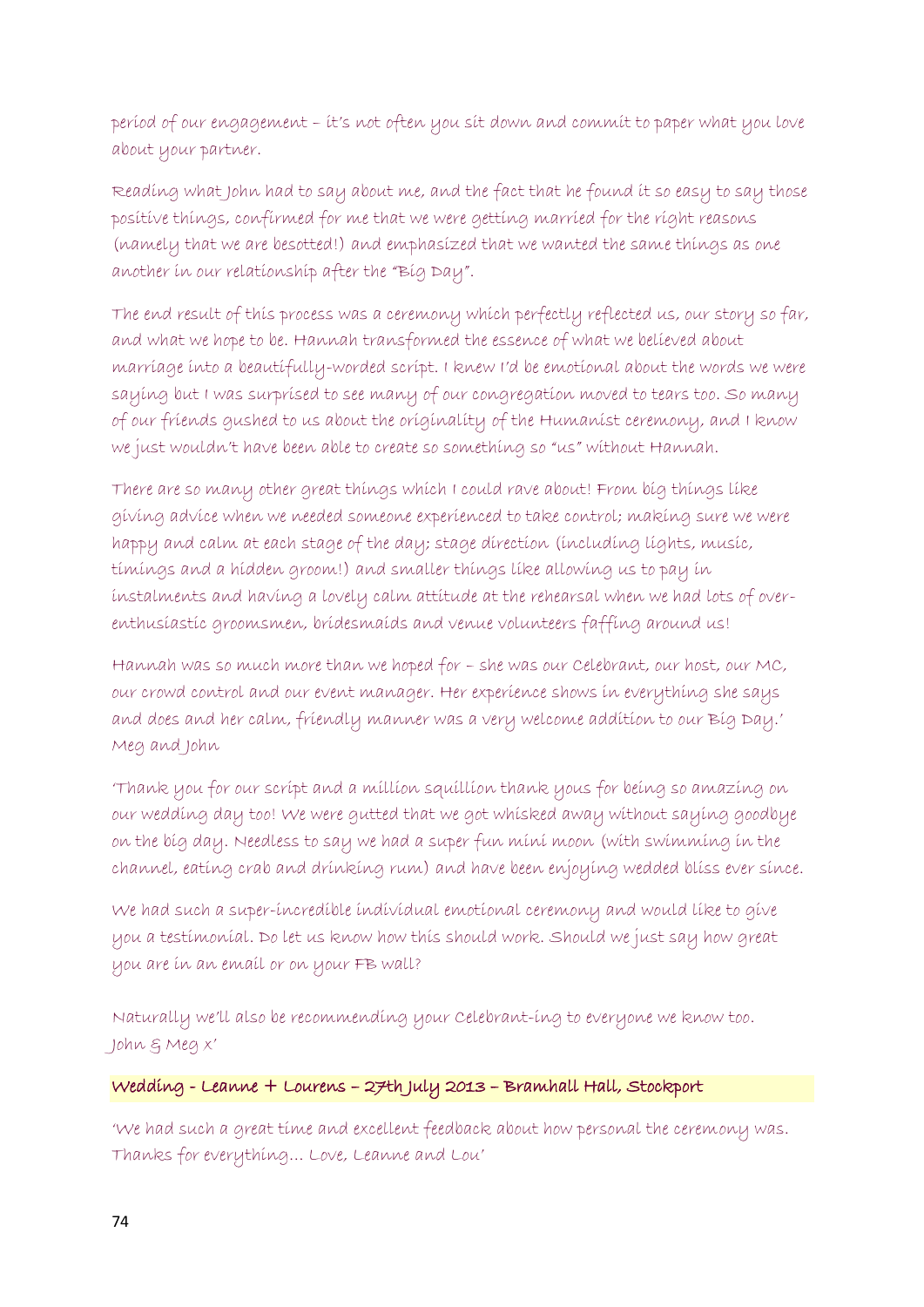period of our engagement – it's not often you sit down and commit to paper what you love about your partner.

Reading what John had to say about me, and the fact that he found it so easy to say those positive things, confirmed for me that we were getting married for the right reasons (namely that we are besotted!) and emphasized that we wanted the same things as one another in our relationship after the "Big Day".

The end result of this process was a ceremony which perfectly reflected us, our story so far, and what we hope to be. Hannah transformed the essence of what we believed about marriage into a beautifully-worded script. I knew I'd be emotional about the words we were saying but I was surprised to see many of our congregation moved to tears too. So many of our friends gushed to us about the originality of the Humanist ceremony, and I know we just wouldn't have been able to create so something so "us" without Hannah.

There are so many other great things which I could rave about! From big things like giving advice when we needed someone experienced to take control; making sure we were happy and calm at each stage of the day; stage direction (including lights, music, timings and a hidden groom!) and smaller things like allowing us to pay in instalments and having a lovely calm attitude at the rehearsal when we had lots of overenthusiastic groomsmen, bridesmaids and venue volunteers faffing around us!

Hannah was so much more than we hoped for – she was our Celebrant, our host, our MC, our crowd control and our event manager. Her experience shows in everything she says and does and her calm, friendly manner was a very welcome addition to our Big Day.' Meg and John

'Thank you for our script and a million squillion thank yous for being so amazing on our wedding day too! We were gutted that we got whisked away without saying goodbye on the big day. Needless to say we had a super fun mini moon (with swimming in the channel, eating crab and drinking rum) and have been enjoying wedded bliss ever since.

We had such a super-incredible individual emotional ceremony and would like to give you a testimonial. Do let us know how this should work. Should we just say how great you are in an email or on your FB wall?

Naturally we'll also be recommending your Celebrant-ing to everyone we know too. John & Meg x'

### Wedding - Leanne + Lourens – 27th July 2013 – Bramhall Hall, Stockport

'We had such a great time and excellent feedback about how personal the ceremony was. Thanks for everything… Love, Leanne and Lou'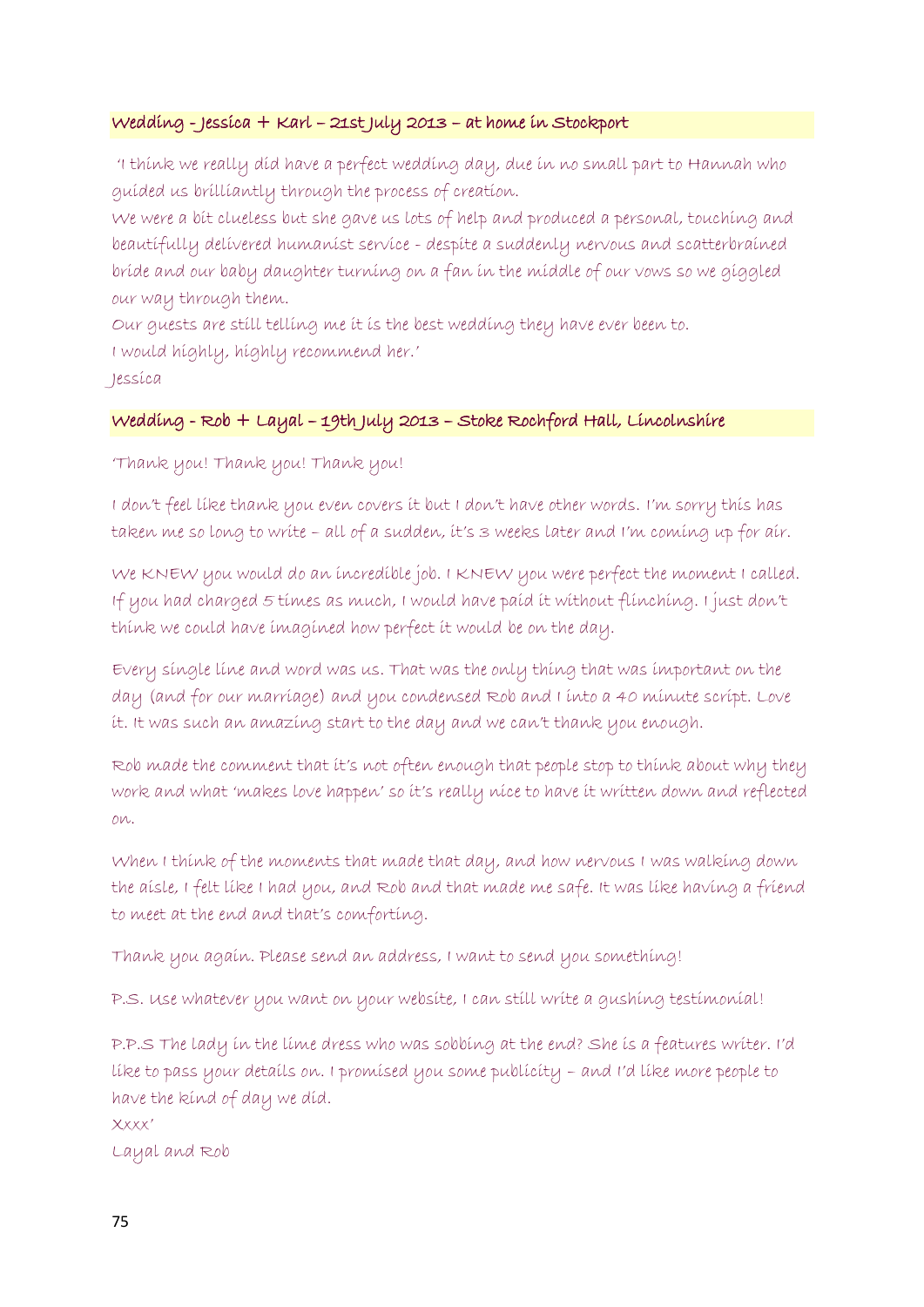### Wedding - Jessica + Karl – 21st July 2013 – at home in Stockport

'I think we really did have a perfect wedding day, due in no small part to Hannah who guided us brilliantly through the process of creation.

We were a bit clueless but she gave us lots of help and produced a personal, touching and beautifully delivered humanist service - despite a suddenly nervous and scatterbrained bride and our baby daughter turning on a fan in the middle of our vows so we giggled our way through them.

Our guests are still telling me it is the best wedding they have ever been to.

I would highly, highly recommend her.'

Jessica

# Wedding - Rob + Layal – 19th July 2013 – Stoke Rochford Hall, Lincolnshire

'Thank you! Thank you! Thank you!

I don't feel like thank you even covers it but I don't have other words. I'm sorry this has taken me so long to write – all of a sudden, it's 3 weeks later and I'm coming up for air.

We KNEW you would do an incredible job. I KNEW you were perfect the moment I called. If you had charged 5 times as much, I would have paid it without flinching. I just don't think we could have imagined how perfect it would be on the day.

Every single line and word was us. That was the only thing that was important on the day (and for our marriage) and you condensed Rob and I into a 40 minute script. Love it. It was such an amazing start to the day and we can't thank you enough.

Rob made the comment that it's not often enough that people stop to think about why they work and what 'makes love happen' so it's really nice to have it written down and reflected on.

When I think of the moments that made that day, and how nervous I was walking down the aisle, I felt like I had you, and Rob and that made me safe. It was like having a friend to meet at the end and that's comforting.

Thank you again. Please send an address, I want to send you something!

P.S. Use whatever you want on your website, I can still write a gushing testimonial!

P.P.S The lady in the lime dress who was sobbing at the end? She is a features writer. I'd like to pass your details on. I promised you some publicity – and I'd like more people to have the kind of day we did.

Xxxx'

Layal and Rob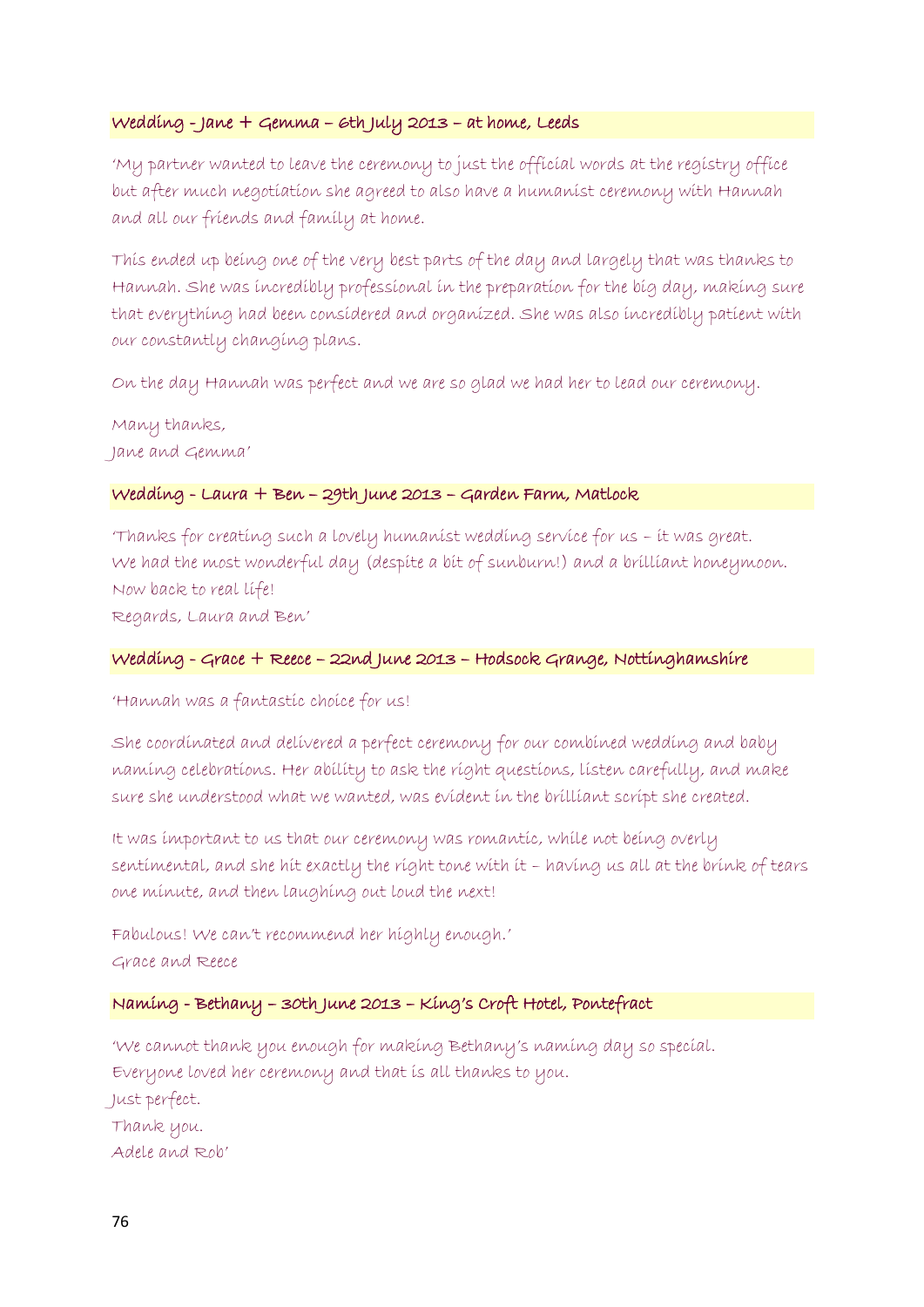### Wedding - Jane + Gemma – 6th July 2013 – at home, Leeds

'My partner wanted to leave the ceremony to just the official words at the registry office but after much negotiation she agreed to also have a humanist ceremony with Hannah and all our friends and family at home.

This ended up being one of the very best parts of the day and largely that was thanks to Hannah. She was incredibly professional in the preparation for the big day, making sure that everything had been considered and organized. She was also incredibly patient with our constantly changing plans.

On the day Hannah was perfect and we are so glad we had her to lead our ceremony.

Many thanks, Jane and Gemma'

### Wedding - Laura + Ben – 29th June 2013 – Garden Farm, Matlock

'Thanks for creating such a lovely humanist wedding service for us – it was great. We had the most wonderful day (despite a bit of sunburn!) and a brilliant honeymoon. Now back to real life! Regards, Laura and Ben'

Wedding - Grace + Reece – 22nd June 2013 – Hodsock Grange, Nottinghamshire

'Hannah was a fantastic choice for us!

She coordinated and delivered a perfect ceremony for our combined wedding and baby naming celebrations. Her ability to ask the right questions, listen carefully, and make sure she understood what we wanted, was evident in the brilliant script she created.

It was important to us that our ceremony was romantic, while not being overly sentimental, and she hit exactly the right tone with it – having us all at the brink of tears one minute, and then laughing out loud the next!

Fabulous! We can't recommend her highly enough.' Grace and Reece

# Naming - Bethany – 30th June 2013 – King's Croft Hotel, Pontefract

'We cannot thank you enough for making Bethany's naming day so special. Everyone loved her ceremony and that is all thanks to you. Just perfect. Thank you. Adele and Rob'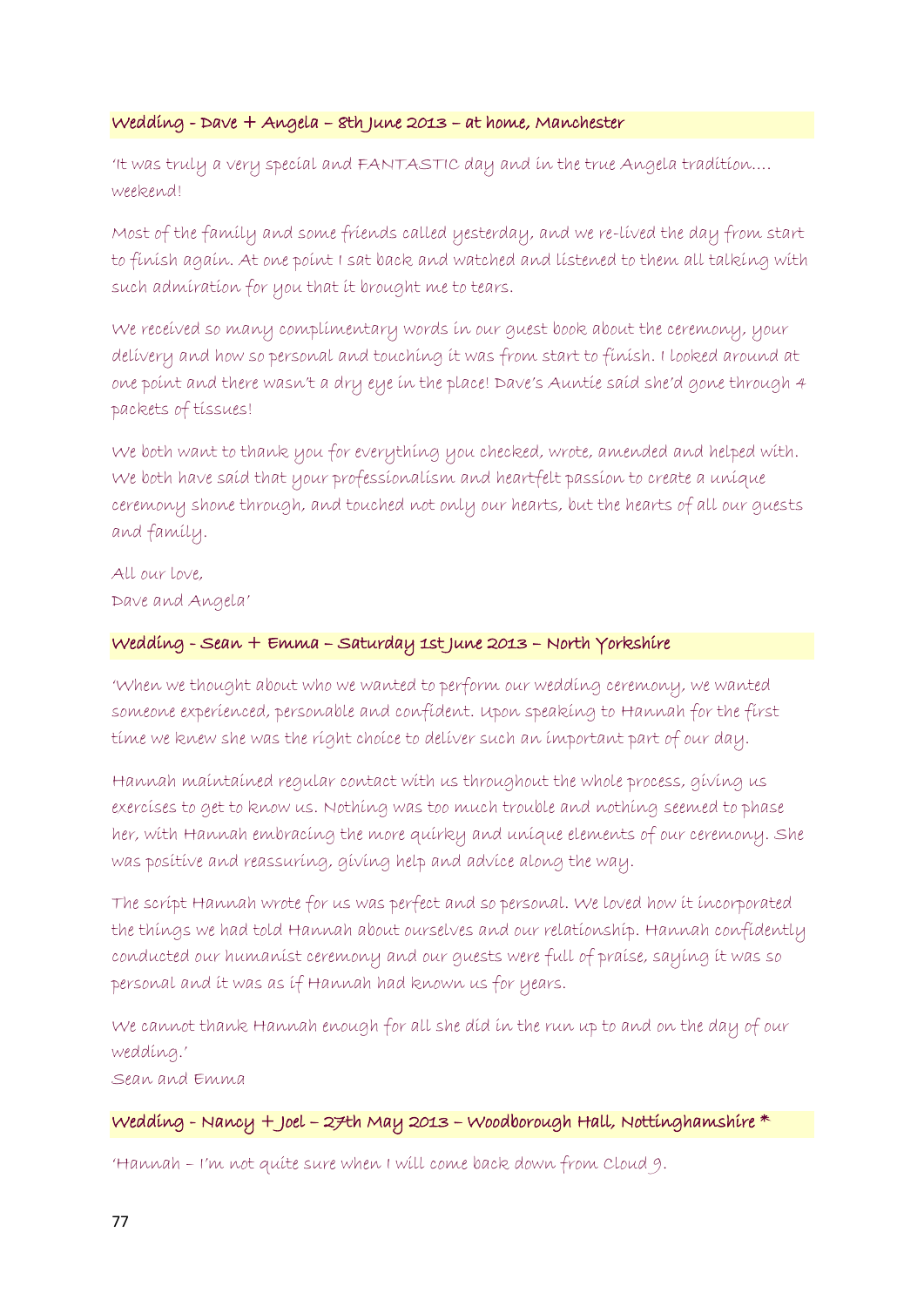#### Wedding - Dave + Angela – 8th June 2013 – at home, Manchester

'It was truly a very special and FANTASTIC day and in the true Angela tradition…. weekend!

Most of the family and some friends called yesterday, and we re-lived the day from start to finish again. At one point I sat back and watched and listened to them all talking with such admiration for you that it brought me to tears.

We received so many complimentary words in our guest book about the ceremony, your delivery and how so personal and touching it was from start to finish. I looked around at one point and there wasn't a dry eye in the place! Dave's Auntie said she'd gone through 4 packets of tissues!

We both want to thank you for everything you checked, wrote, amended and helped with. We both have said that your professionalism and heartfelt passion to create a unique ceremony shone through, and touched not only our hearts, but the hearts of all our guests and family.

All our love, Dave and Angela'

### Wedding - Sean + Emma – Saturday 1st June 2013 – North Yorkshire

'When we thought about who we wanted to perform our wedding ceremony, we wanted someone experienced, personable and confident. Upon speaking to Hannah for the first time we knew she was the right choice to deliver such an important part of our day.

Hannah maintained regular contact with us throughout the whole process, giving us exercises to get to know us. Nothing was too much trouble and nothing seemed to phase her, with Hannah embracing the more quirky and unique elements of our ceremony. She was positive and reassuring, giving help and advice along the way.

The script Hannah wrote for us was perfect and so personal. We loved how it incorporated the things we had told Hannah about ourselves and our relationship. Hannah confidently conducted our humanist ceremony and our guests were full of praise, saying it was so personal and it was as if Hannah had known us for years.

We cannot thank Hannah enough for all she did in the run up to and on the day of our wedding.'

Sean and Emma

### Wedding - Nancy + Joel – 27th May 2013 – Woodborough Hall, Nottinghamshire \*

'Hannah – I'm not quite sure when I will come back down from Cloud 9.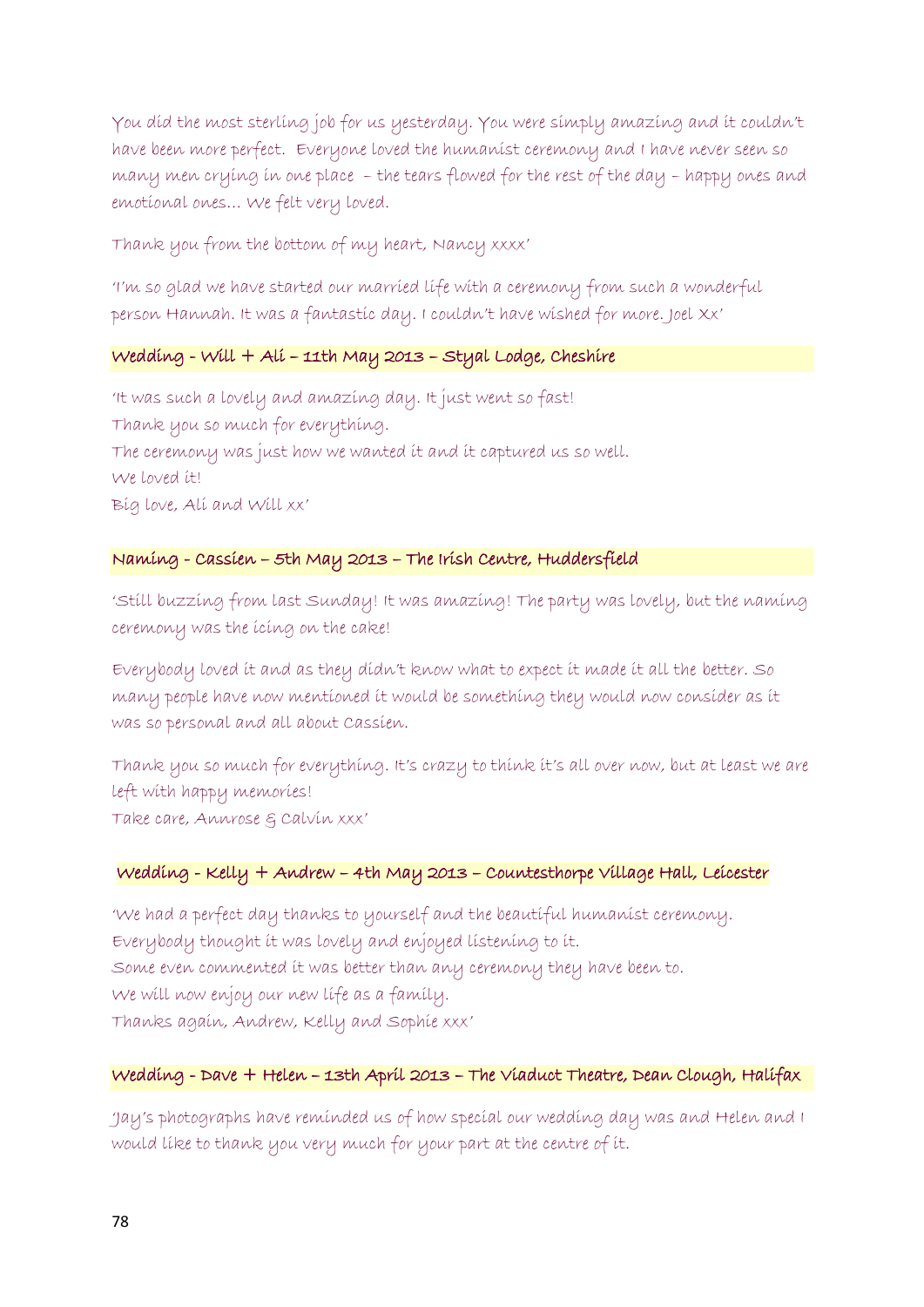You did the most sterling job for us yesterday. You were simply amazing and it couldn't have been more perfect. Everyone loved the humanist ceremony and I have never seen so many men crying in one place – the tears flowed for the rest of the day – happy ones and emotional ones… We felt very loved.

Thank you from the bottom of my heart, Nancy xxxx'

'I'm so glad we have started our married life with a ceremony from such a wonderful person Hannah. It was a fantastic day. I couldn't have wished for more. Joel Xx'

### Wedding - Will + Ali – 11th May 2013 – Styal Lodge, Cheshire

'It was such a lovely and amazing day. It just went so fast! Thank you so much for everything. The ceremony was just how we wanted it and it captured us so well. We loved it! Big love, Ali and Will xx'

# Naming - Cassien – 5th May 2013 – The Irish Centre, Huddersfield

'Still buzzing from last Sunday! It was amazing! The party was lovely, but the naming ceremony was the icing on the cake!

Everybody loved it and as they didn't know what to expect it made it all the better. So many people have now mentioned it would be something they would now consider as it was so personal and all about Cassien.

Thank you so much for everything. It's crazy to think it's all over now, but at least we are left with happy memories! Take care, Annrose & Calvin xxx'

# Wedding - Kelly + Andrew – 4th May 2013 – Countesthorpe Village Hall, Leicester

'We had a perfect day thanks to yourself and the beautiful humanist ceremony. Everybody thought it was lovely and enjoyed listening to it. Some even commented it was better than any ceremony they have been to. We will now enjoy our new life as a family. Thanks again, Andrew, Kelly and Sophie xxx'

# Wedding - Dave + Helen – 13th April 2013 – The Viaduct Theatre, Dean Clough, Halifax

'Jay's photographs have reminded us of how special our wedding day was and Helen and I would like to thank you very much for your part at the centre of it.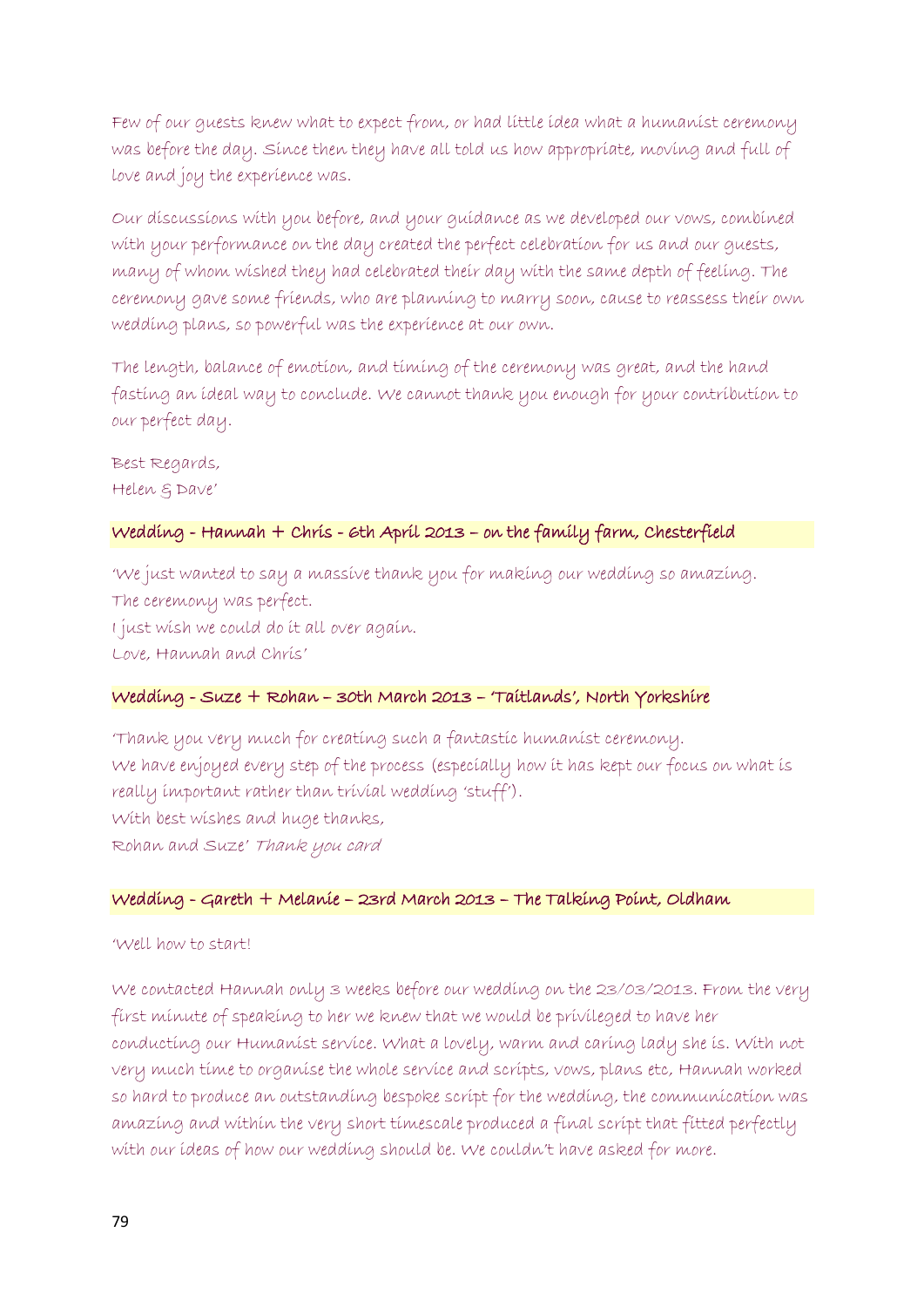Few of our guests knew what to expect from, or had little idea what a humanist ceremony was before the day. Since then they have all told us how appropriate, moving and full of love and joy the experience was.

Our discussions with you before, and your guidance as we developed our vows, combined with your performance on the day created the perfect celebration for us and our guests, many of whom wished they had celebrated their day with the same depth of feeling. The ceremony gave some friends, who are planning to marry soon, cause to reassess their own wedding plans, so powerful was the experience at our own.

The length, balance of emotion, and timing of the ceremony was great, and the hand fasting an ideal way to conclude. We cannot thank you enough for your contribution to our perfect day.

Best Regards, Helen & Dave'

### Wedding - Hannah + Chris - 6th April 2013 – on the family farm, Chesterfield

'We just wanted to say a massive thank you for making our wedding so amazing. The ceremony was perfect. I just wish we could do it all over again. Love, Hannah and Chris'

### Wedding - Suze + Rohan – 30th March 2013 – 'Taitlands', North Yorkshire

'Thank you very much for creating such a fantastic humanist ceremony. We have enjoyed every step of the process (especially how it has kept our focus on what is really important rather than trivial wedding 'stuff'). With best wishes and huge thanks, Rohan and Suze' Thank you card

#### Wedding - Gareth + Melanie – 23rd March 2013 – The Talking Point, Oldham

#### 'Well how to start!

We contacted Hannah only 3 weeks before our wedding on the 23/03/2013. From the very first minute of speaking to her we knew that we would be privileged to have her conducting our Humanist service. What a lovely, warm and caring lady she is. With not very much time to organise the whole service and scripts, vows, plans etc, Hannah worked so hard to produce an outstanding bespoke script for the wedding, the communication was amazing and within the very short timescale produced a final script that fitted perfectly with our ideas of how our wedding should be. We couldn't have asked for more.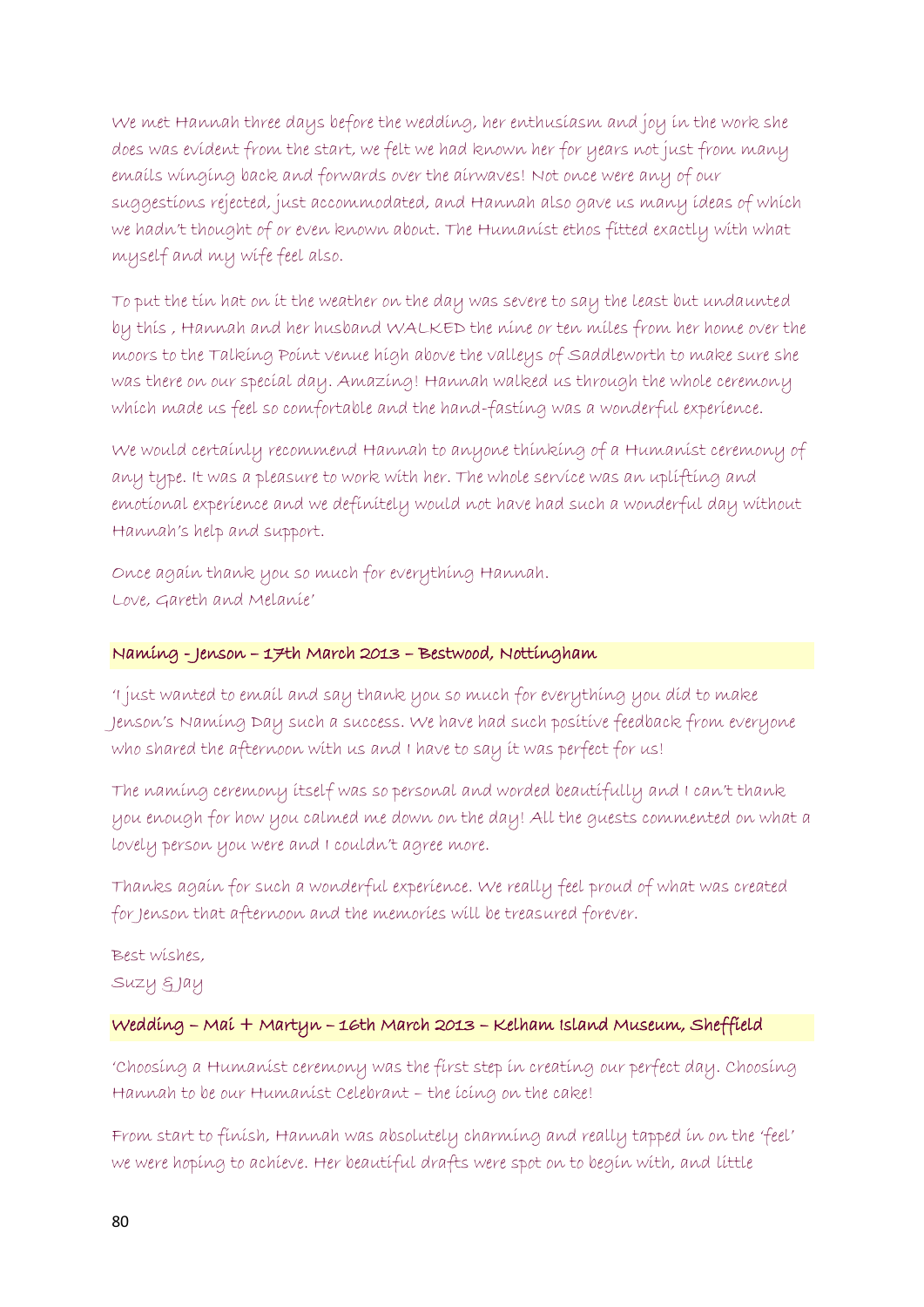We met Hannah three days before the wedding, her enthusiasm and joy in the work she does was evident from the start, we felt we had known her for years not just from many emails winging back and forwards over the airwaves! Not once were any of our suggestions rejected, just accommodated, and Hannah also gave us many ideas of which we hadn't thought of or even known about. The Humanist ethos fitted exactly with what myself and my wife feel also.

To put the tin hat on it the weather on the day was severe to say the least but undaunted by this , Hannah and her husband WALKED the nine or ten miles from her home over the moors to the Talking Point venue high above the valleys of Saddleworth to make sure she was there on our special day. Amazing! Hannah walked us through the whole ceremony which made us feel so comfortable and the hand-fasting was a wonderful experience.

We would certainly recommend Hannah to anyone thinking of a Humanist ceremony of any type. It was a pleasure to work with her. The whole service was an uplifting and emotional experience and we definitely would not have had such a wonderful day without Hannah's help and support.

Once again thank you so much for everything Hannah. Love, Gareth and Melanie'

### Naming - Jenson – 17th March 2013 – Bestwood, Nottingham

'I just wanted to email and say thank you so much for everything you did to make Jenson's Naming Day such a success. We have had such positive feedback from everyone who shared the afternoon with us and I have to say it was perfect for us!

The naming ceremony itself was so personal and worded beautifully and I can't thank you enough for how you calmed me down on the day! All the guests commented on what a lovely person you were and I couldn't agree more.

Thanks again for such a wonderful experience. We really feel proud of what was created for Jenson that afternoon and the memories will be treasured forever.

Best wishes, Suzy & Jay

# Wedding – Mai + Martyn – 16th March 2013 – Kelham Island Museum, Sheffield

'Choosing a Humanist ceremony was the first step in creating our perfect day. Choosing Hannah to be our Humanist Celebrant – the icing on the cake!

From start to finish, Hannah was absolutely charming and really tapped in on the 'feel' we were hoping to achieve. Her beautiful drafts were spot on to begin with, and little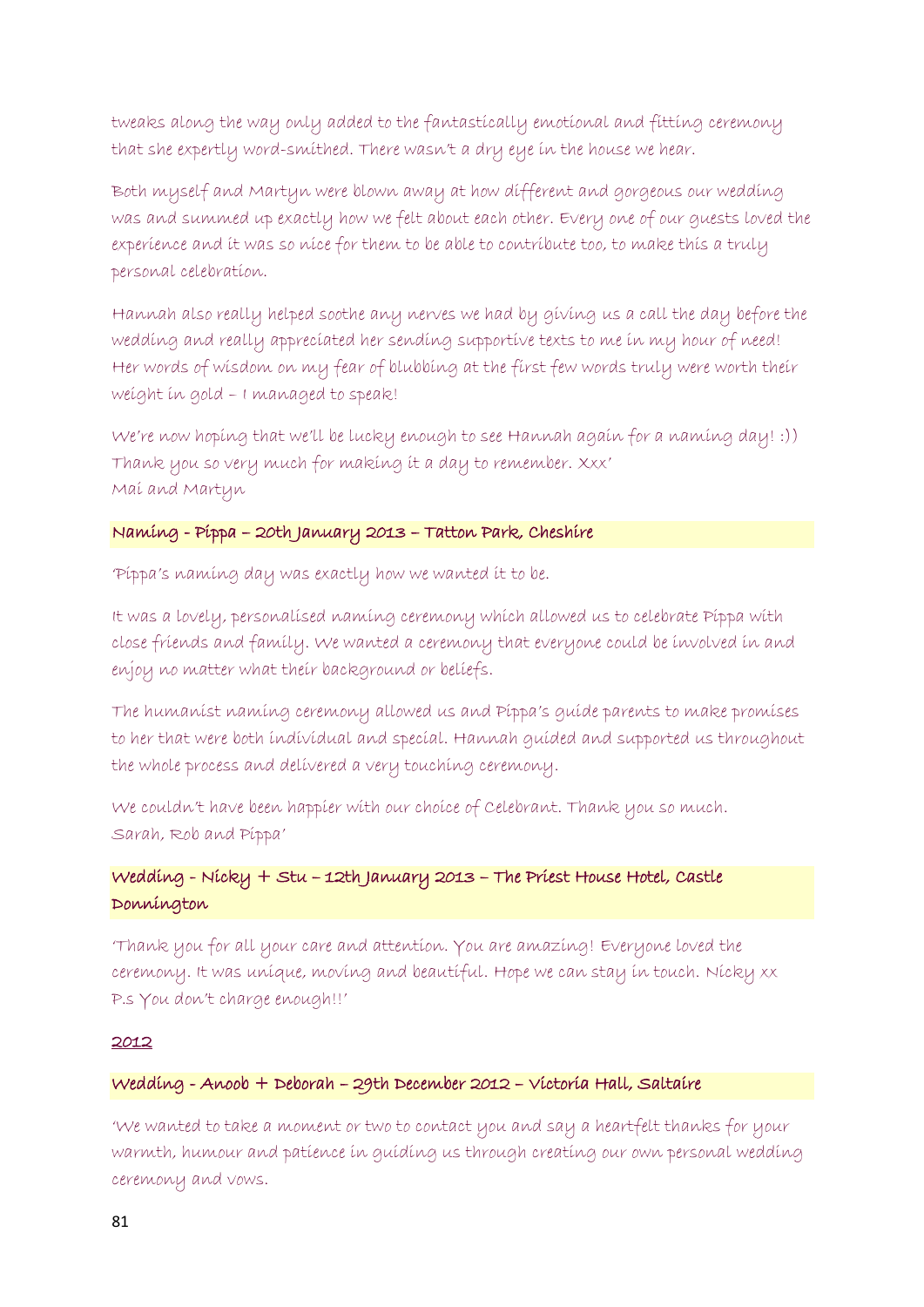tweaks along the way only added to the fantastically emotional and fitting ceremony that she expertly word-smithed. There wasn't a dry eye in the house we hear.

Both myself and Martyn were blown away at how different and gorgeous our wedding was and summed up exactly how we felt about each other. Every one of our guests loved the experience and it was so nice for them to be able to contribute too, to make this a truly personal celebration.

Hannah also really helped soothe any nerves we had by giving us a call the day before the wedding and really appreciated her sending supportive texts to me in my hour of need! Her words of wisdom on my fear of blubbing at the first few words truly were worth their weight in gold – I managed to speak!

We're now hoping that we'll be lucky enough to see Hannah again for a naming day! :)) Thank you so very much for making it a day to remember. Xxx' Mai and Martyn

#### Naming - Pippa – 20th January 2013 – Tatton Park, Cheshire

'Pippa's naming day was exactly how we wanted it to be.

It was a lovely, personalised naming ceremony which allowed us to celebrate Pippa with close friends and family. We wanted a ceremony that everyone could be involved in and enjoy no matter what their background or beliefs.

The humanist naming ceremony allowed us and Pippa's guide parents to make promises to her that were both individual and special. Hannah guided and supported us throughout the whole process and delivered a very touching ceremony.

We couldn't have been happier with our choice of Celebrant. Thank you so much. Sarah, Rob and Pippa'

# Wedding - Nicky + Stu – 12th January 2013 – The Priest House Hotel, Castle Donnington

'Thank you for all your care and attention. You are amazing! Everyone loved the ceremony. It was unique, moving and beautiful. Hope we can stay in touch. Nicky xx P.s You don't charge enough!!'

#### 2012

#### Wedding - Anoob + Deborah – 29th December 2012 – Victoria Hall, Saltaire

'We wanted to take a moment or two to contact you and say a heartfelt thanks for your warmth, humour and patience in guiding us through creating our own personal wedding ceremony and vows.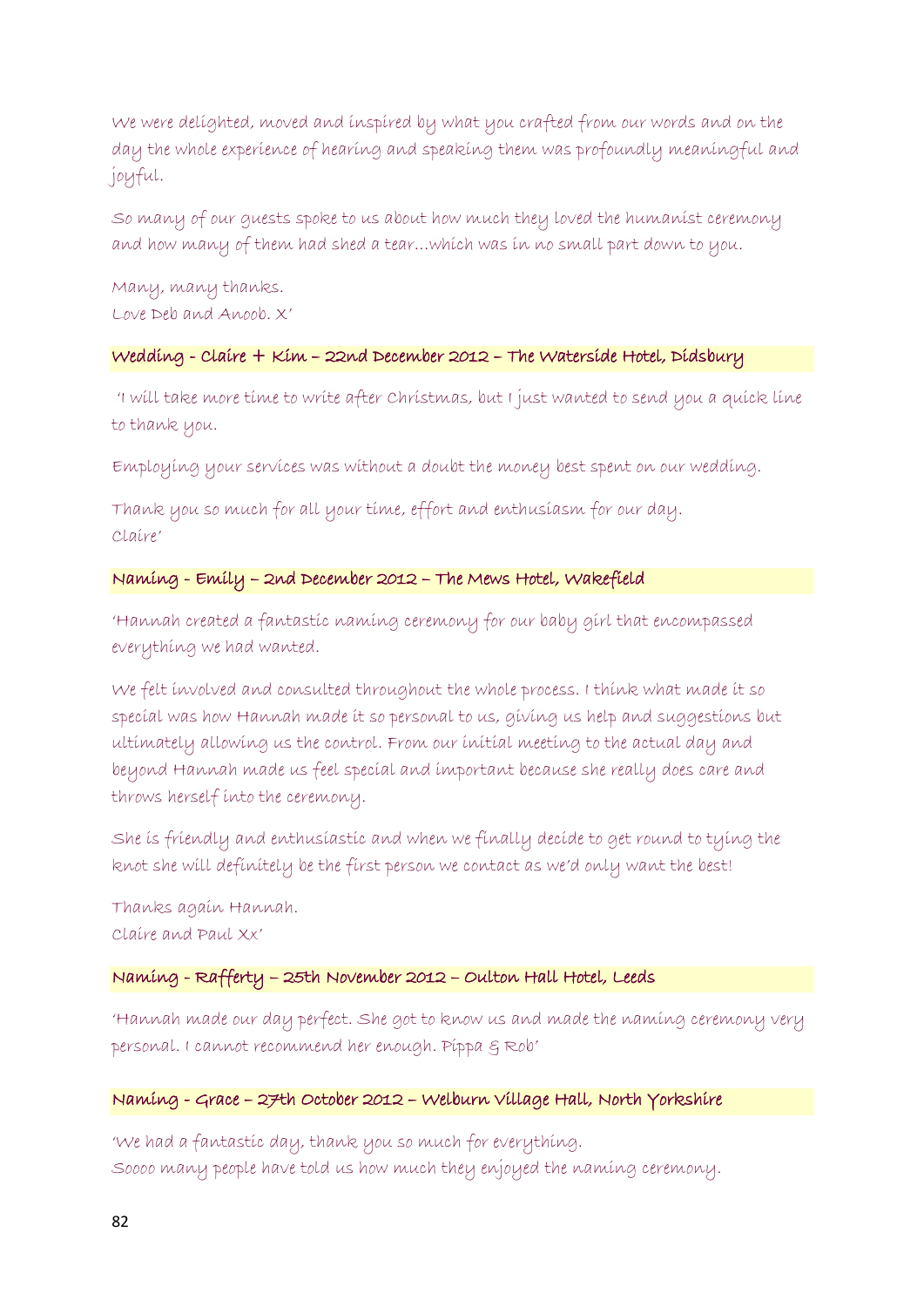We were delighted, moved and inspired by what you crafted from our words and on the day the whole experience of hearing and speaking them was profoundly meaningful and joyful.

So many of our guests spoke to us about how much they loved the humanist ceremony and how many of them had shed a tear…which was in no small part down to you.

Many, many thanks. Love Deb and Anoob. X'

# Wedding - Claire + Kim – 22nd December 2012 – The Waterside Hotel, Didsbury

'I will take more time to write after Christmas, but I just wanted to send you a quick line to thank you.

Employing your services was without a doubt the money best spent on our wedding.

Thank you so much for all your time, effort and enthusiasm for our day. Claire'

#### Naming - Emily – 2nd December 2012 – The Mews Hotel, Wakefield

'Hannah created a fantastic naming ceremony for our baby girl that encompassed everything we had wanted.

We felt involved and consulted throughout the whole process. I think what made it so special was how Hannah made it so personal to us, giving us help and suggestions but ultimately allowing us the control. From our initial meeting to the actual day and beyond Hannah made us feel special and important because she really does care and throws herself into the ceremony.

She is friendly and enthusiastic and when we finally decide to get round to tying the knot she will definitely be the first person we contact as we'd only want the best!

Thanks again Hannah. Claire and Paul Xx'

#### Naming - Rafferty – 25th November 2012 – Oulton Hall Hotel, Leeds

'Hannah made our day perfect. She got to know us and made the naming ceremony very personal. I cannot recommend her enough. Pippa & Rob'

### Naming - Grace – 27th October 2012 – Welburn Village Hall, North Yorkshire

'We had a fantastic day, thank you so much for everything. Soooo many people have told us how much they enjoyed the naming ceremony.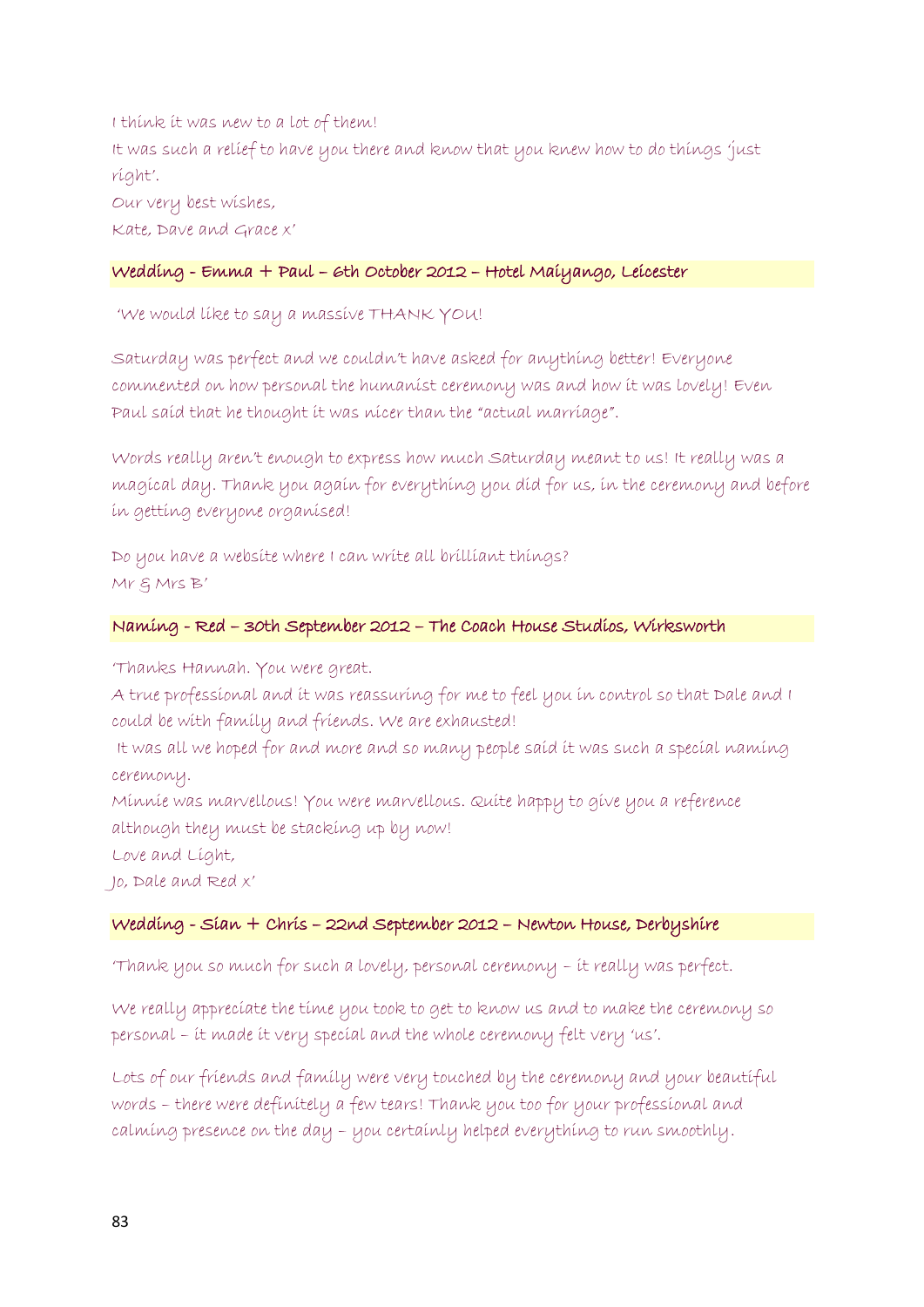I think it was new to a lot of them! It was such a relief to have you there and know that you knew how to do things 'just right'. Our very best wishes,

Kate, Dave and Grace x'

### Wedding - Emma + Paul – 6th October 2012 – Hotel Maiyango, Leicester

'We would like to say a massive THANK YOU!

Saturday was perfect and we couldn't have asked for anything better! Everyone commented on how personal the humanist ceremony was and how it was lovely! Even Paul said that he thought it was nicer than the "actual marriage".

Words really aren't enough to express how much Saturday meant to us! It really was a magical day. Thank you again for everything you did for us, in the ceremony and before in getting everyone organised!

Do you have a website where I can write all brilliant things? Mr & Mrs B'

# Naming - Red – 30th September 2012 – The Coach House Studios, Wirksworth

'Thanks Hannah. You were great.

A true professional and it was reassuring for me to feel you in control so that Dale and I could be with family and friends. We are exhausted!

It was all we hoped for and more and so many people said it was such a special naming ceremony.

Minnie was marvellous! You were marvellous. Quite happy to give you a reference although they must be stacking up by now!

Love and Light,

Jo, Dale and Red x'

### Wedding - Sian + Chris – 22nd September 2012 – Newton House, Derbyshire

'Thank you so much for such a lovely, personal ceremony – it really was perfect.

We really appreciate the time you took to get to know us and to make the ceremony so personal – it made it very special and the whole ceremony felt very 'us'.

Lots of our friends and family were very touched by the ceremony and your beautiful words – there were definitely a few tears! Thank you too for your professional and calming presence on the day – you certainly helped everything to run smoothly.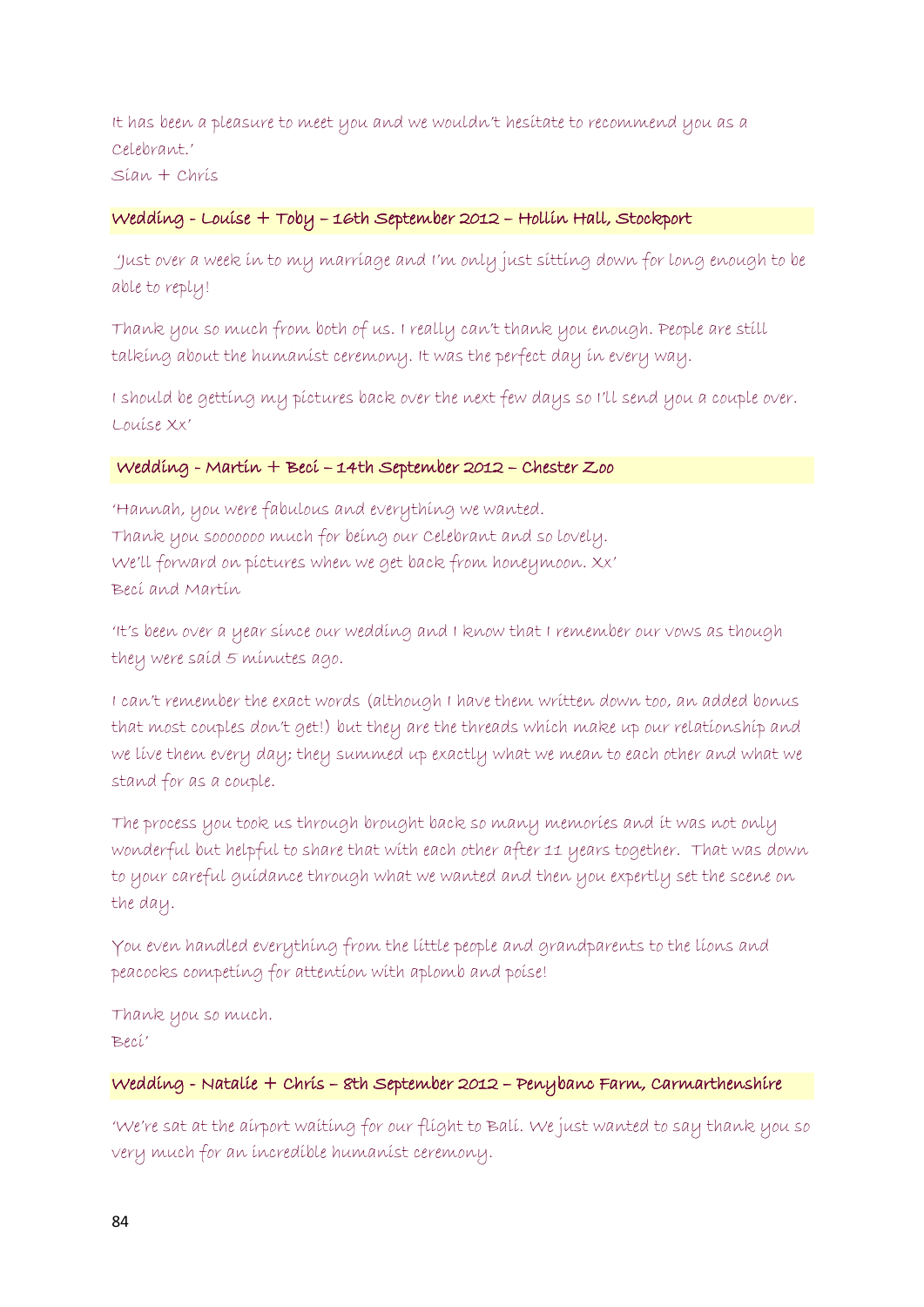It has been a pleasure to meet you and we wouldn't hesitate to recommend you as a Celebrant.' Sian + Chris

#### Wedding - Louise + Toby – 16th September 2012 – Hollin Hall, Stockport

'Just over a week in to my marriage and I'm only just sitting down for long enough to be able to reply!

Thank you so much from both of us. I really can't thank you enough. People are still talking about the humanist ceremony. It was the perfect day in every way.

I should be getting my pictures back over the next few days so I'll send you a couple over. Louise Xx'

#### Wedding - Martin + Beci – 14th September 2012 – Chester Zoo

'Hannah, you were fabulous and everything we wanted. Thank you sooooooo much for being our Celebrant and so lovely. We'll forward on pictures when we get back from honeymoon. Xx' Beci and Martin

'It's been over a year since our wedding and I know that I remember our vows as though they were said 5 minutes ago.

I can't remember the exact words (although I have them written down too, an added bonus that most couples don't get!) but they are the threads which make up our relationship and we live them every day; they summed up exactly what we mean to each other and what we stand for as a couple.

The process you took us through brought back so many memories and it was not only wonderful but helpful to share that with each other after 11 years together. That was down to your careful guidance through what we wanted and then you expertly set the scene on the day.

You even handled everything from the little people and grandparents to the lions and peacocks competing for attention with aplomb and poise!

Thank you so much. Beci'

### Wedding - Natalie + Chris – 8th September 2012 – Penybanc Farm, Carmarthenshire

'We're sat at the airport waiting for our flight to Bali. We just wanted to say thank you so very much for an incredible humanist ceremony.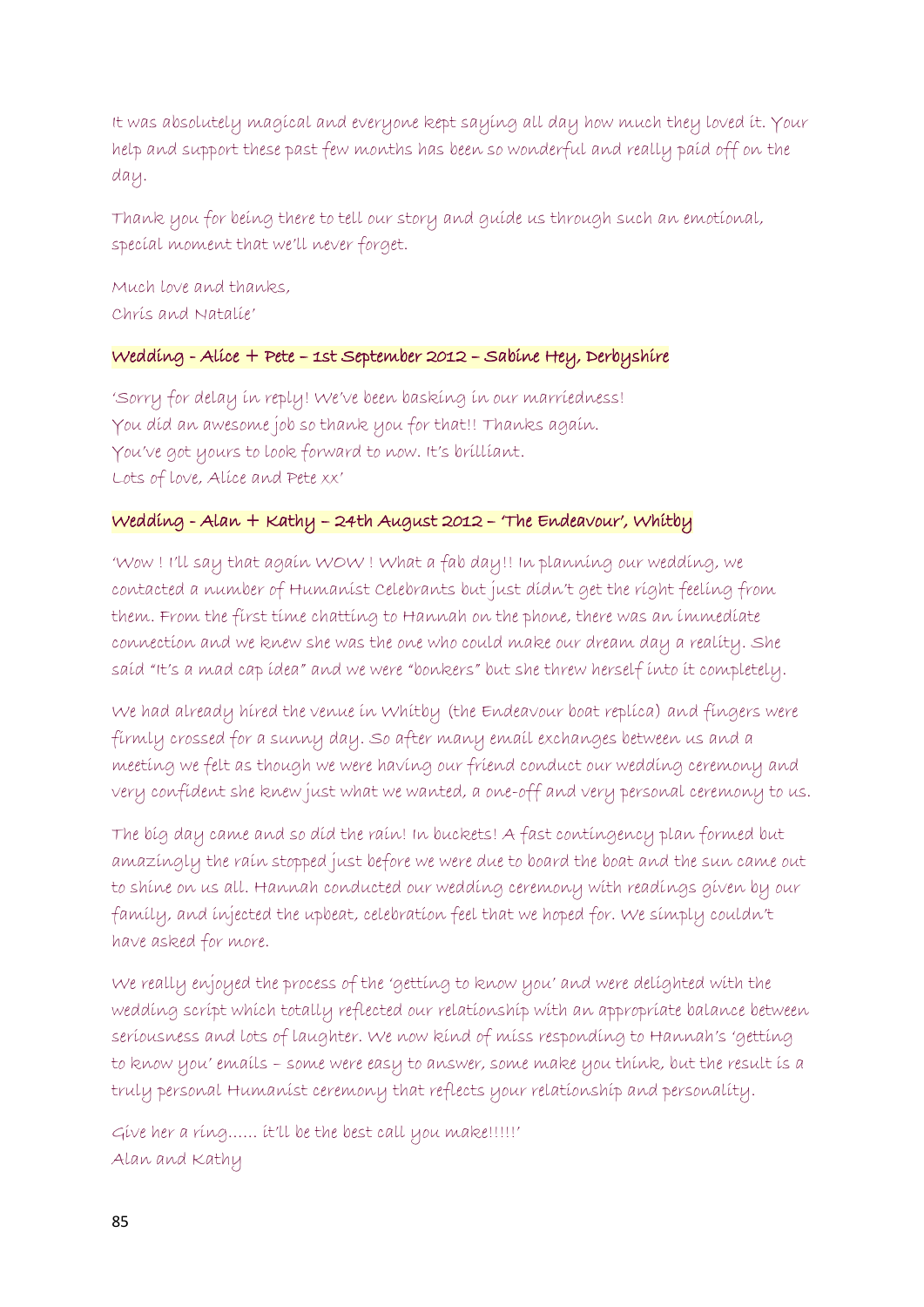It was absolutely magical and everyone kept saying all day how much they loved it. Your help and support these past few months has been so wonderful and really paid off on the day.

Thank you for being there to tell our story and guide us through such an emotional, special moment that we'll never forget.

Much love and thanks, Chris and Natalie'

# Wedding - Alice + Pete – 1st September 2012 – Sabine Hey, Derbyshire

'Sorry for delay in reply! We've been basking in our marriedness! You did an awesome job so thank you for that!! Thanks again. You've got yours to look forward to now. It's brilliant. Lots of love, Alice and Pete xx'

### Wedding - Alan + Kathy – 24th August 2012 – 'The Endeavour', Whitby

'Wow ! I'll say that again WOW ! What a fab day!! In planning our wedding, we contacted a number of Humanist Celebrants but just didn't get the right feeling from them. From the first time chatting to Hannah on the phone, there was an immediate connection and we knew she was the one who could make our dream day a reality. She said "It's a mad cap idea" and we were "bonkers" but she threw herself into it completely.

We had already hired the venue in Whitby (the Endeavour boat replica) and fingers were firmly crossed for a sunny day. So after many email exchanges between us and a meeting we felt as though we were having our friend conduct our wedding ceremony and very confident she knew just what we wanted, a one-off and very personal ceremony to us.

The big day came and so did the rain! In buckets! A fast contingency plan formed but amazingly the rain stopped just before we were due to board the boat and the sun came out to shine on us all. Hannah conducted our wedding ceremony with readings given by our family, and injected the upbeat, celebration feel that we hoped for. We simply couldn't have asked for more.

We really enjoyed the process of the 'getting to know you' and were delighted with the wedding script which totally reflected our relationship with an appropriate balance between seriousness and lots of laughter. We now kind of miss responding to Hannah's 'getting to know you' emails – some were easy to answer, some make you think, but the result is a truly personal Humanist ceremony that reflects your relationship and personality.

Give her a ring…… it'll be the best call you make!!!!!' Alan and Kathy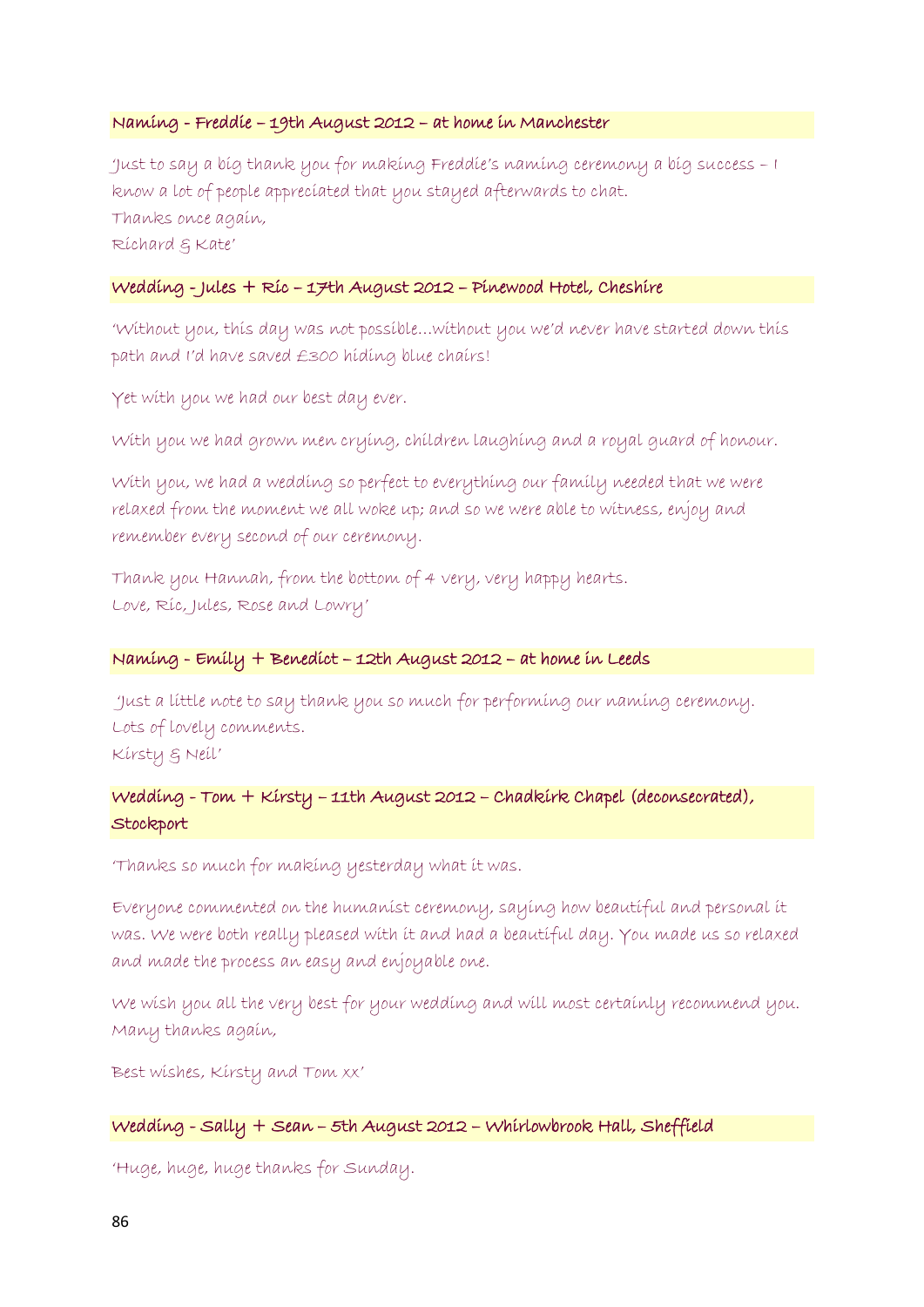### Naming - Freddie – 19th August 2012 – at home in Manchester

'Just to say a big thank you for making Freddie's naming ceremony a big success – I know a lot of people appreciated that you stayed afterwards to chat. Thanks once again, Richard & Kate'

#### Wedding - Jules + Ric – 17th August 2012 – Pinewood Hotel, Cheshire

'Without you, this day was not possible…without you we'd never have started down this path and I'd have saved £300 hiding blue chairs!

Yet with you we had our best day ever.

With you we had grown men crying, children laughing and a royal guard of honour.

With you, we had a wedding so perfect to everything our family needed that we were relaxed from the moment we all woke up; and so we were able to witness, enjoy and remember every second of our ceremony.

Thank you Hannah, from the bottom of 4 very, very happy hearts. Love, Ric, Jules, Rose and Lowry'

### Naming - Emily + Benedict – 12th August 2012 – at home in Leeds

'Just a little note to say thank you so much for performing our naming ceremony. Lots of lovely comments. Kirsty & Neil'

# Wedding - Tom + Kirsty – 11th August 2012 – Chadkirk Chapel (deconsecrated), **Stockport**

'Thanks so much for making yesterday what it was.

Everyone commented on the humanist ceremony, saying how beautiful and personal it was. We were both really pleased with it and had a beautiful day. You made us so relaxed and made the process an easy and enjoyable one.

We wish you all the very best for your wedding and will most certainly recommend you. Many thanks again,

Best wishes, Kirsty and Tom xx'

#### Wedding - Sally + Sean – 5th August 2012 – Whirlowbrook Hall, Sheffield

'Huge, huge, huge thanks for Sunday.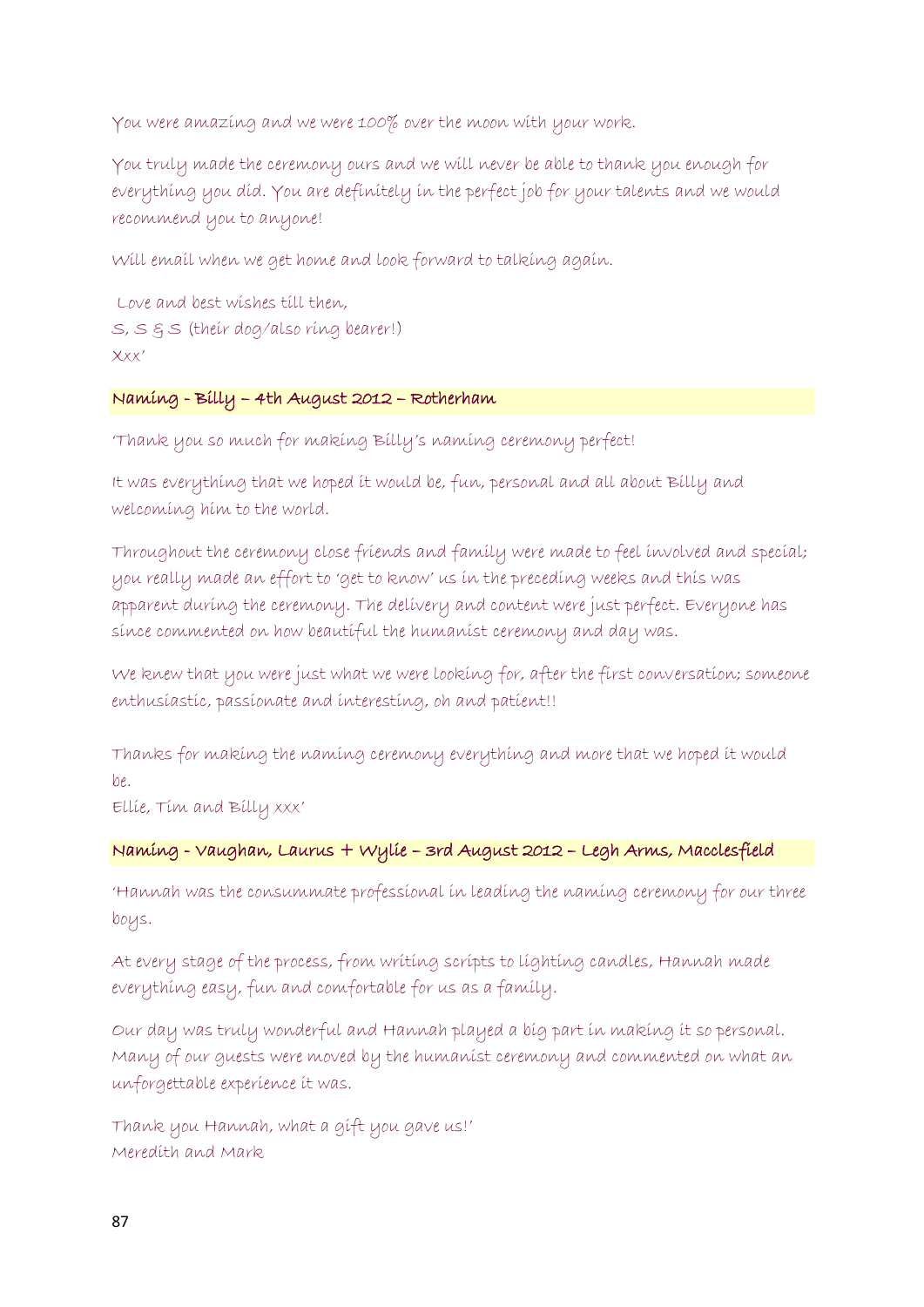You were amazing and we were 100% over the moon with your work.

You truly made the ceremony ours and we will never be able to thank you enough for everything you did. You are definitely in the perfect job for your talents and we would recommend you to anyone!

Will email when we get home and look forward to talking again.

```
Love and best wishes till then,
S, S & S (their dog/also ring bearer!)
Xxx'
```
# Naming - Billy – 4th August 2012 – Rotherham

'Thank you so much for making Billy's naming ceremony perfect!

It was everything that we hoped it would be, fun, personal and all about Billy and welcoming him to the world.

Throughout the ceremony close friends and family were made to feel involved and special; you really made an effort to 'get to know' us in the preceding weeks and this was apparent during the ceremony. The delivery and content were just perfect. Everyone has since commented on how beautiful the humanist ceremony and day was.

We knew that you were just what we were looking for, after the first conversation; someone enthusiastic, passionate and interesting, oh and patient!!

Thanks for making the naming ceremony everything and more that we hoped it would  $he.$ 

Ellie, Tim and Billy xxx'

# Naming - Vaughan, Laurus + Wylie – 3rd August 2012 – Legh Arms, Macclesfield

'Hannah was the consummate professional in leading the naming ceremony for our three boys.

At every stage of the process, from writing scripts to lighting candles, Hannah made everything easy, fun and comfortable for us as a family.

Our day was truly wonderful and Hannah played a big part in making it so personal. Many of our guests were moved by the humanist ceremony and commented on what an unforgettable experience it was.

Thank you Hannah, what a gift you gave us!' Meredith and Mark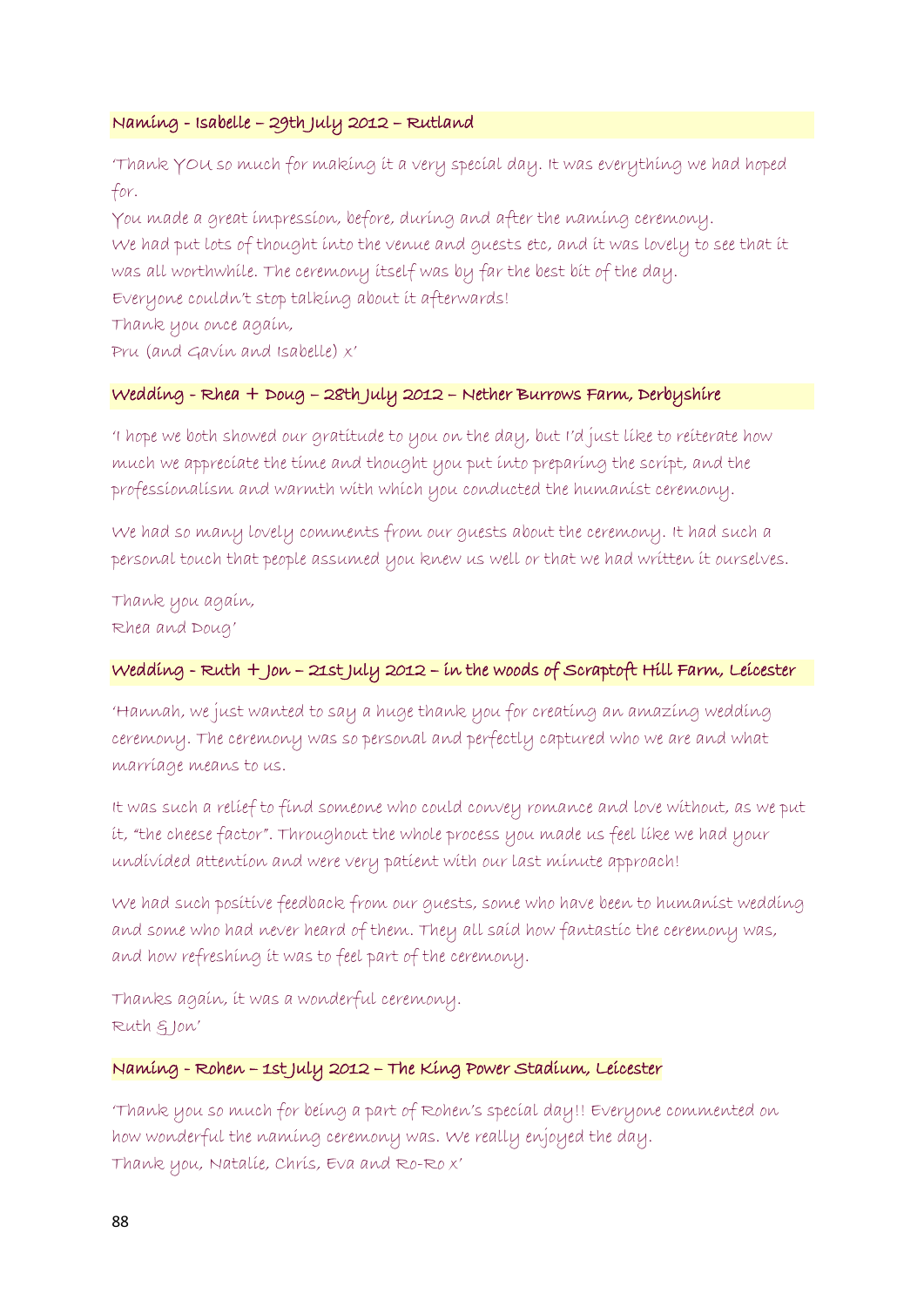### Naming - Isabelle – 29th July 2012 – Rutland

'Thank YOU so much for making it a very special day. It was everything we had hoped for.

You made a great impression, before, during and after the naming ceremony. We had put lots of thought into the venue and guests etc, and it was lovely to see that it was all worthwhile. The ceremony itself was by far the best bit of the day.

Everyone couldn't stop talking about it afterwards!

Thank you once again,

Pru (and Gavin and Isabelle) x'

### Wedding - Rhea + Doug – 28th July 2012 – Nether Burrows Farm, Derbyshire

'I hope we both showed our gratitude to you on the day, but I'd just like to reiterate how much we appreciate the time and thought you put into preparing the script, and the professionalism and warmth with which you conducted the humanist ceremony.

We had so many lovely comments from our guests about the ceremony. It had such a personal touch that people assumed you knew us well or that we had written it ourselves.

Thank you again, Rhea and Doug'

# Wedding - Ruth + Jon – 21st July 2012 – in the woods of Scraptoft Hill Farm, Leicester

'Hannah, we just wanted to say a huge thank you for creating an amazing wedding ceremony. The ceremony was so personal and perfectly captured who we are and what marriage means to us.

It was such a relief to find someone who could convey romance and love without, as we put it, "the cheese factor". Throughout the whole process you made us feel like we had your undivided attention and were very patient with our last minute approach!

We had such positive feedback from our guests, some who have been to humanist wedding and some who had never heard of them. They all said how fantastic the ceremony was, and how refreshing it was to feel part of the ceremony.

Thanks again, it was a wonderful ceremony. Ruth & Jon'

### Naming - Rohen – 1st July 2012 – The King Power Stadium, Leicester

'Thank you so much for being a part of Rohen's special day!! Everyone commented on how wonderful the naming ceremony was. We really enjoyed the day. Thank you, Natalie, Chris, Eva and Ro-Ro x'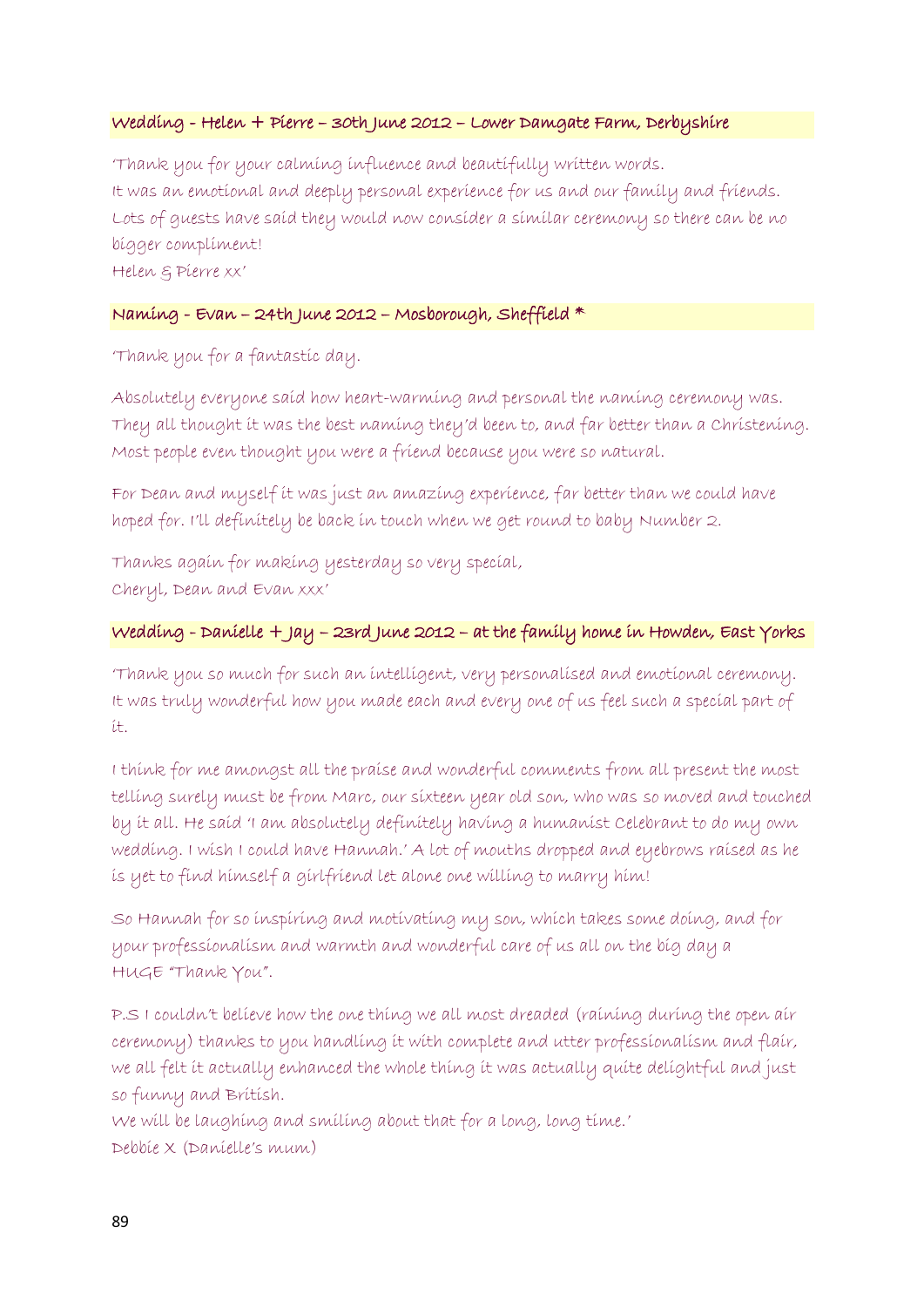### Wedding - Helen + Pierre – 30th June 2012 – Lower Damgate Farm, Derbyshire

'Thank you for your calming influence and beautifully written words. It was an emotional and deeply personal experience for us and our family and friends. Lots of guests have said they would now consider a similar ceremony so there can be no bigger compliment! Helen & Pierre xx'

### Naming - Evan – 24th June 2012 – Mosborough, Sheffield \*

'Thank you for a fantastic day.

Absolutely everyone said how heart-warming and personal the naming ceremony was. They all thought it was the best naming they'd been to, and far better than a Christening. Most people even thought you were a friend because you were so natural.

For Dean and myself it was just an amazing experience, far better than we could have hoped for. I'll definitely be back in touch when we get round to baby Number 2.

Thanks again for making yesterday so very special, Cheryl, Dean and Evan xxx'

### Wedding - Danielle + Jay – 23rd June 2012 – at the family home in Howden, East Yorks

'Thank you so much for such an intelligent, very personalised and emotional ceremony. It was truly wonderful how you made each and every one of us feel such a special part of it.

I think for me amongst all the praise and wonderful comments from all present the most telling surely must be from Marc, our sixteen year old son, who was so moved and touched by it all. He said 'I am absolutely definitely having a humanist Celebrant to do my own wedding. I wish I could have Hannah.' A lot of mouths dropped and eyebrows raised as he is yet to find himself a girlfriend let alone one willing to marry him!

So Hannah for so inspiring and motivating my son, which takes some doing, and for your professionalism and warmth and wonderful care of us all on the big day a HUGE "Thank You".

P.S I couldn't believe how the one thing we all most dreaded (raining during the open air ceremony) thanks to you handling it with complete and utter professionalism and flair, we all felt it actually enhanced the whole thing it was actually quite delightful and just so funny and British.

We will be laughing and smiling about that for a long, long time.' Debbie X (Danielle's mum)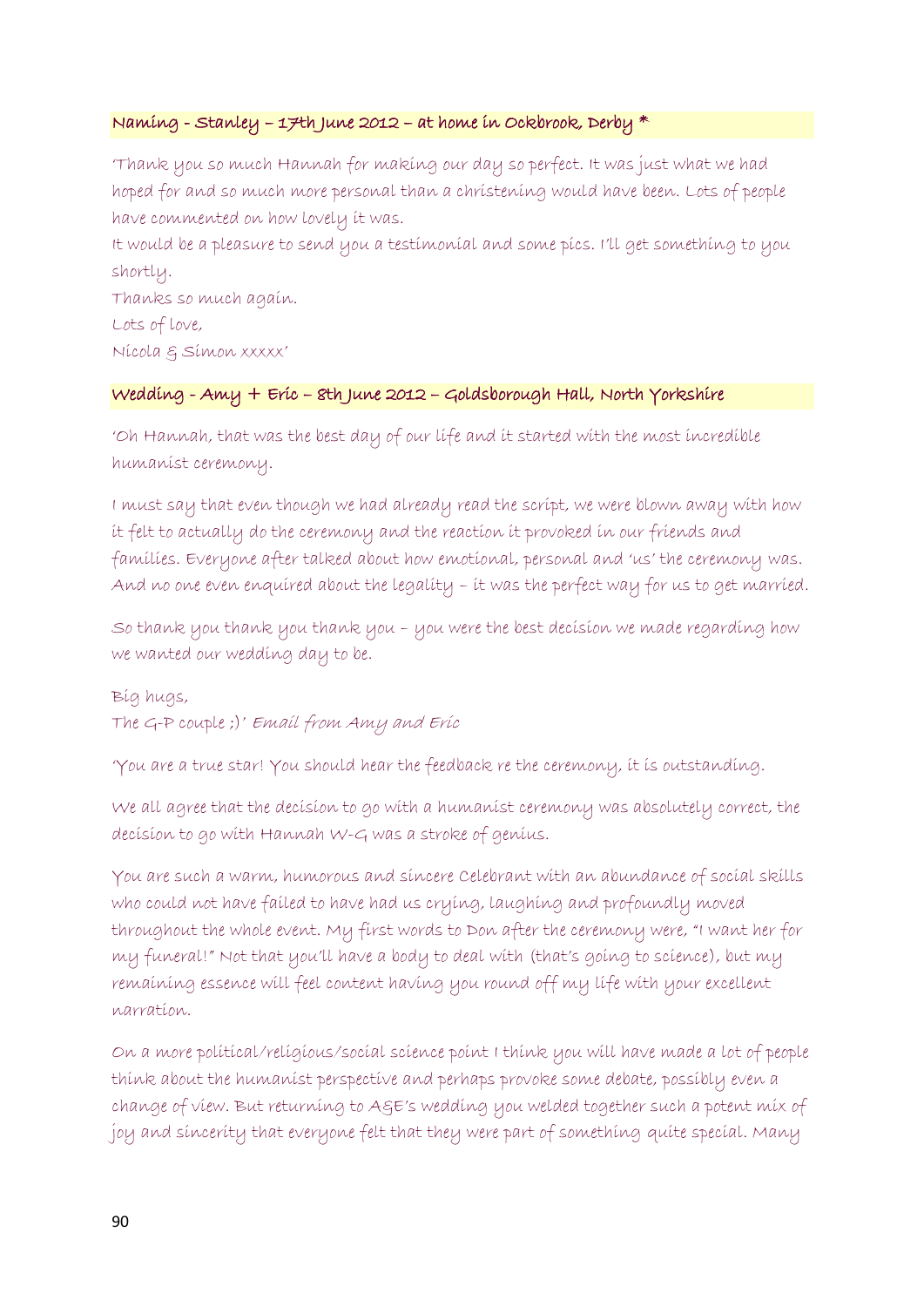### Naming - Stanley – 17th June 2012 – at home in Ockbrook, Derby \*

'Thank you so much Hannah for making our day so perfect. It was just what we had hoped for and so much more personal than a christening would have been. Lots of people have commented on how lovely it was.

It would be a pleasure to send you a testimonial and some pics. I'll get something to you shortly.

Thanks so much again. Lots of love, Nicola & Simon xxxxx'

### Wedding - Amy + Eric – 8th June 2012 – Goldsborough Hall, North Yorkshire

'Oh Hannah, that was the best day of our life and it started with the most incredible humanist ceremony.

I must say that even though we had already read the script, we were blown away with how it felt to actually do the ceremony and the reaction it provoked in our friends and families. Everyone after talked about how emotional, personal and 'us' the ceremony was. And no one even enquired about the legality – it was the perfect way for us to get married.

So thank you thank you thank you – you were the best decision we made regarding how we wanted our wedding day to be.

Big hugs, The G-P couple ;)' Email from Amy and Eric

'You are a true star! You should hear the feedback re the ceremony, it is outstanding.

We all agree that the decision to go with a humanist ceremony was absolutely correct, the decision to go with Hannah W-G was a stroke of genius.

You are such a warm, humorous and sincere Celebrant with an abundance of social skills who could not have failed to have had us crying, laughing and profoundly moved throughout the whole event. My first words to Don after the ceremony were, "I want her for my funeral!" Not that you'll have a body to deal with (that's going to science), but my remaining essence will feel content having you round off my life with your excellent narration.

On a more political/religious/social science point I think you will have made a lot of people think about the humanist perspective and perhaps provoke some debate, possibly even a change of view. But returning to A&E's wedding you welded together such a potent mix of joy and sincerity that everyone felt that they were part of something quite special. Many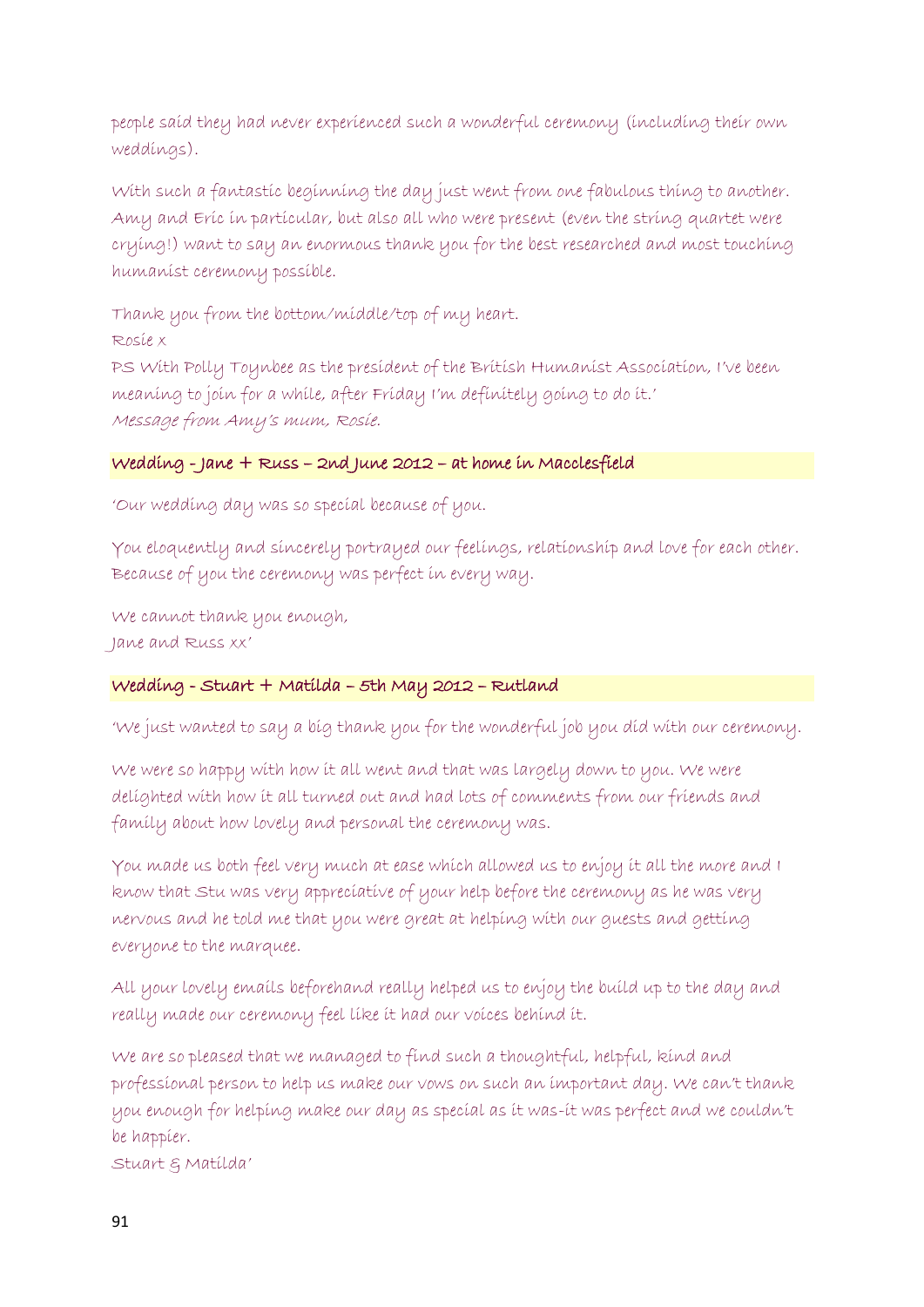people said they had never experienced such a wonderful ceremony (including their own weddings).

With such a fantastic beginning the day just went from one fabulous thing to another. Amy and Eric in particular, but also all who were present (even the string quartet were crying!) want to say an enormous thank you for the best researched and most touching humanist ceremony possible.

Thank you from the bottom/middle/top of my heart.

Rosie x

PS With Polly Toynbee as the president of the British Humanist Association, I've been meaning to join for a while, after Friday I'm definitely going to do it.' Message from Amy's mum, Rosie.

# Wedding - Jane + Russ – 2nd June 2012 – at home in Macclesfield

'Our wedding day was so special because of you.

You eloquently and sincerely portrayed our feelings, relationship and love for each other. Because of you the ceremony was perfect in every way.

We cannot thank you enough, Jane and Russ xx'

# Wedding - Stuart + Matilda – 5th May 2012 – Rutland

'We just wanted to say a big thank you for the wonderful job you did with our ceremony.

We were so happy with how it all went and that was largely down to you. We were delighted with how it all turned out and had lots of comments from our friends and family about how lovely and personal the ceremony was.

You made us both feel very much at ease which allowed us to enjoy it all the more and I know that Stu was very appreciative of your help before the ceremony as he was very nervous and he told me that you were great at helping with our guests and getting everyone to the marquee.

All your lovely emails beforehand really helped us to enjoy the build up to the day and really made our ceremony feel like it had our voices behind it.

We are so pleased that we managed to find such a thoughtful, helpful, kind and professional person to help us make our vows on such an important day. We can't thank you enough for helping make our day as special as it was-it was perfect and we couldn't be happier.

Stuart & Matilda'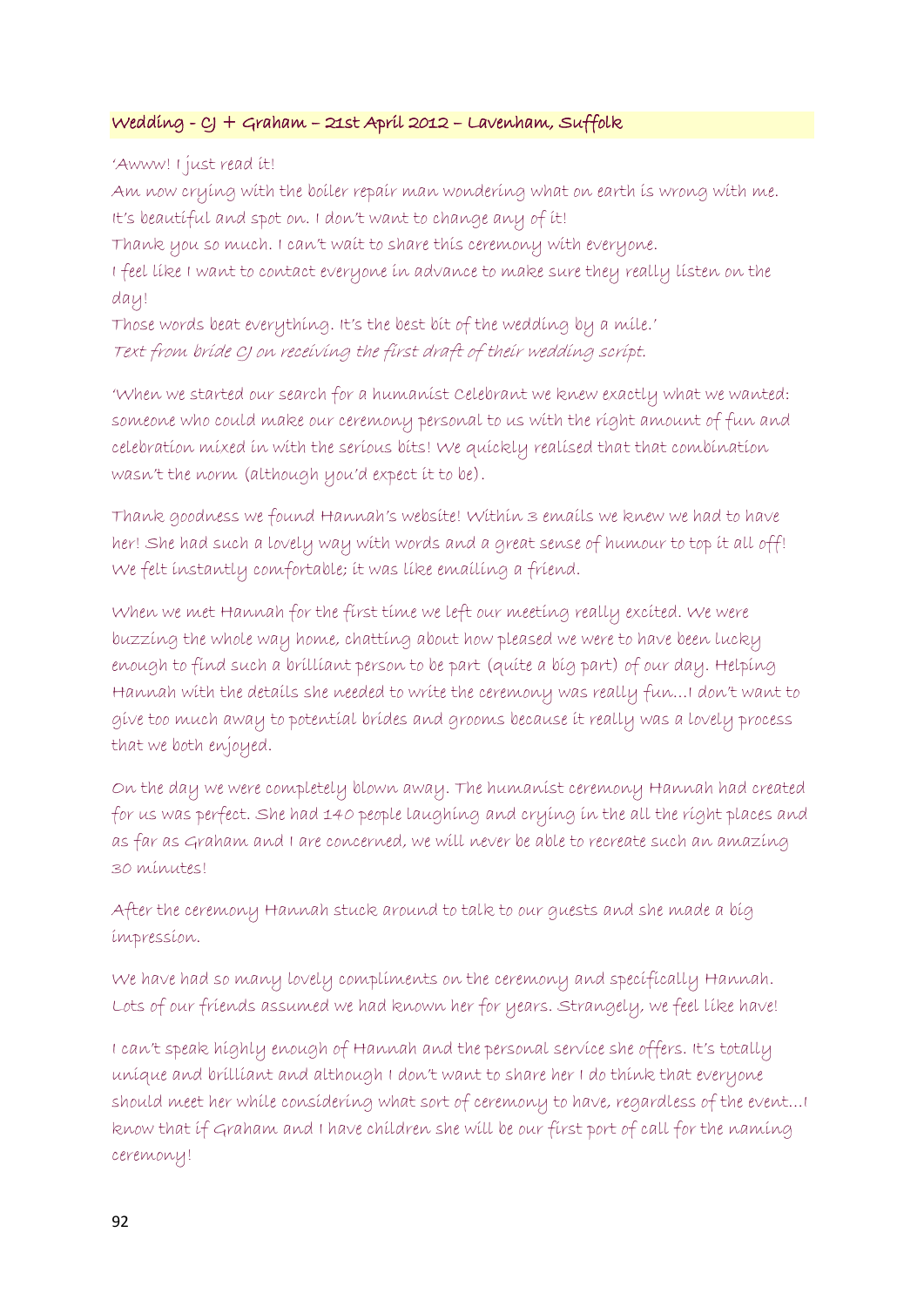### Wedding - CJ + Graham – 21st April 2012 – Lavenham, Suffolk

'Awww! I just read it!

Am now crying with the boiler repair man wondering what on earth is wrong with me. It's beautiful and spot on. I don't want to change any of it!

Thank you so much. I can't wait to share this ceremony with everyone.

I feel like I want to contact everyone in advance to make sure they really listen on the day!

Those words beat everything. It's the best bit of the wedding by a mile.' Text from bride CJ on receiving the first draft of their wedding script.

'When we started our search for a humanist Celebrant we knew exactly what we wanted: someone who could make our ceremony personal to us with the right amount of fun and celebration mixed in with the serious bits! We quickly realised that that combination wasn't the norm (although you'd expect it to be).

Thank goodness we found Hannah's website! Within 3 emails we knew we had to have her! She had such a lovely way with words and a great sense of humour to top it all off! We felt instantly comfortable; it was like emailing a friend.

When we met Hannah for the first time we left our meeting really excited. We were buzzing the whole way home, chatting about how pleased we were to have been lucky enough to find such a brilliant person to be part (quite a big part) of our day. Helping Hannah with the details she needed to write the ceremony was really fun…I don't want to give too much away to potential brides and grooms because it really was a lovely process that we both enjoyed.

On the day we were completely blown away. The humanist ceremony Hannah had created for us was perfect. She had 140 people laughing and crying in the all the right places and as far as Graham and I are concerned, we will never be able to recreate such an amazing 30 minutes!

After the ceremony Hannah stuck around to talk to our guests and she made a big impression.

We have had so many lovely compliments on the ceremony and specifically Hannah. Lots of our friends assumed we had known her for years. Strangely, we feel like have!

I can't speak highly enough of Hannah and the personal service she offers. It's totally unique and brilliant and although I don't want to share her I do think that everyone should meet her while considering what sort of ceremony to have, regardless of the event…I know that if Graham and I have children she will be our first port of call for the naming ceremony!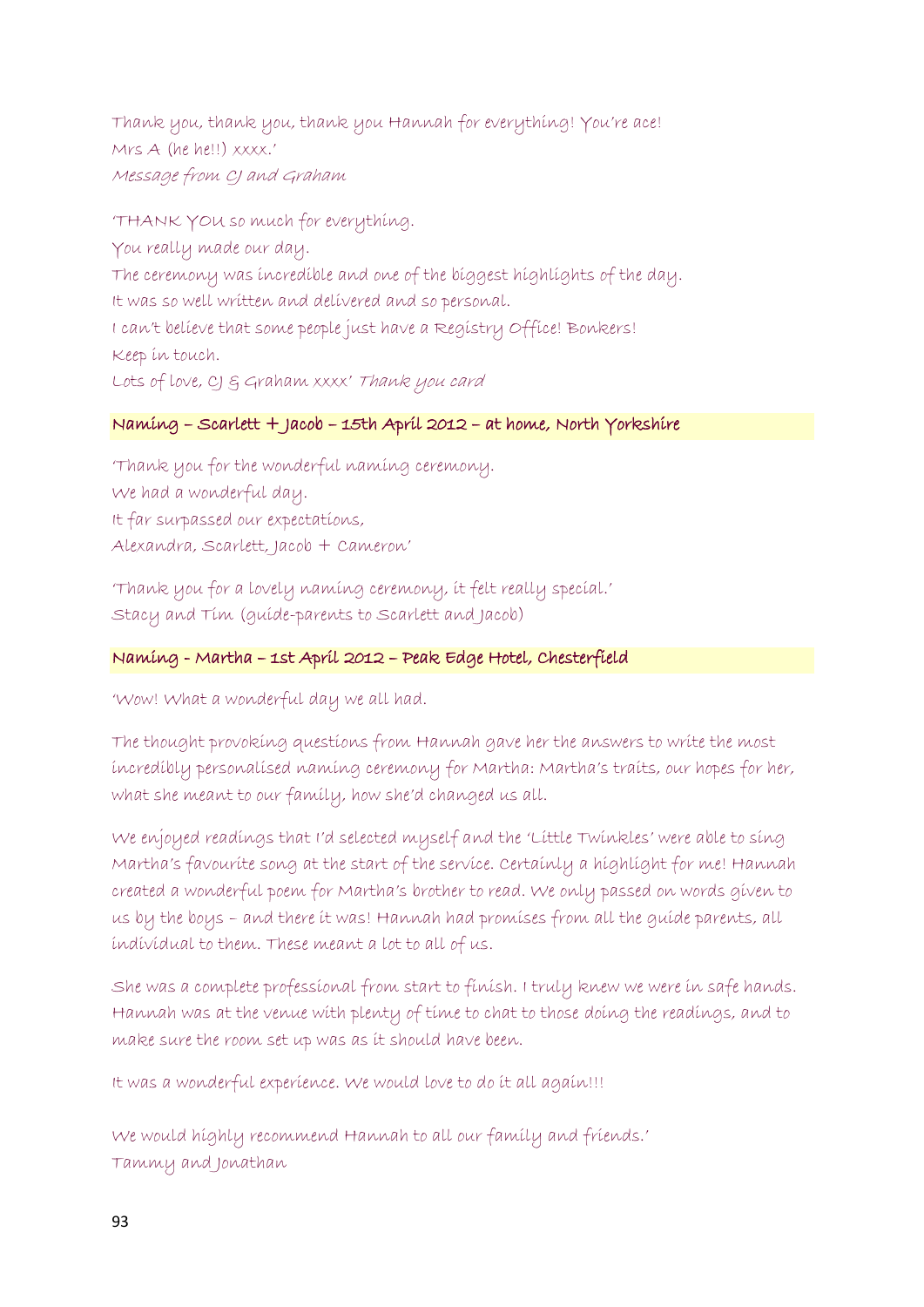Thank you, thank you, thank you Hannah for everything! You're ace! Mrs A (he he!!) xxxx.' Message from CJ and Graham

'THANK YOU so much for everything. You really made our day. The ceremony was incredible and one of the biggest highlights of the day. It was so well written and delivered and so personal. I can't believe that some people just have a Registry Office! Bonkers! Keep in touch. Lots of love, CJ & Graham xxxx' Thank you card

### Naming – Scarlett + Jacob – 15th April 2012 – at home, North Yorkshire

'Thank you for the wonderful naming ceremony. We had a wonderful day. It far surpassed our expectations, Alexandra, Scarlett, Jacob + Cameron'

'Thank you for a lovely naming ceremony, it felt really special.' Stacy and Tim (guide-parents to Scarlett and Jacob)

# Naming - Martha – 1st April 2012 – Peak Edge Hotel, Chesterfield

'Wow! What a wonderful day we all had.

The thought provoking questions from Hannah gave her the answers to write the most incredibly personalised naming ceremony for Martha: Martha's traits, our hopes for her, what she meant to our family, how she'd changed us all.

We enjoyed readings that I'd selected myself and the 'Little Twinkles' were able to sing Martha's favourite song at the start of the service. Certainly a highlight for me! Hannah created a wonderful poem for Martha's brother to read. We only passed on words given to us by the boys – and there it was! Hannah had promises from all the guide parents, all individual to them. These meant a lot to all of us.

She was a complete professional from start to finish. I truly knew we were in safe hands. Hannah was at the venue with plenty of time to chat to those doing the readings, and to make sure the room set up was as it should have been.

It was a wonderful experience. We would love to do it all again!!!

We would highly recommend Hannah to all our family and friends.' Tammy and Jonathan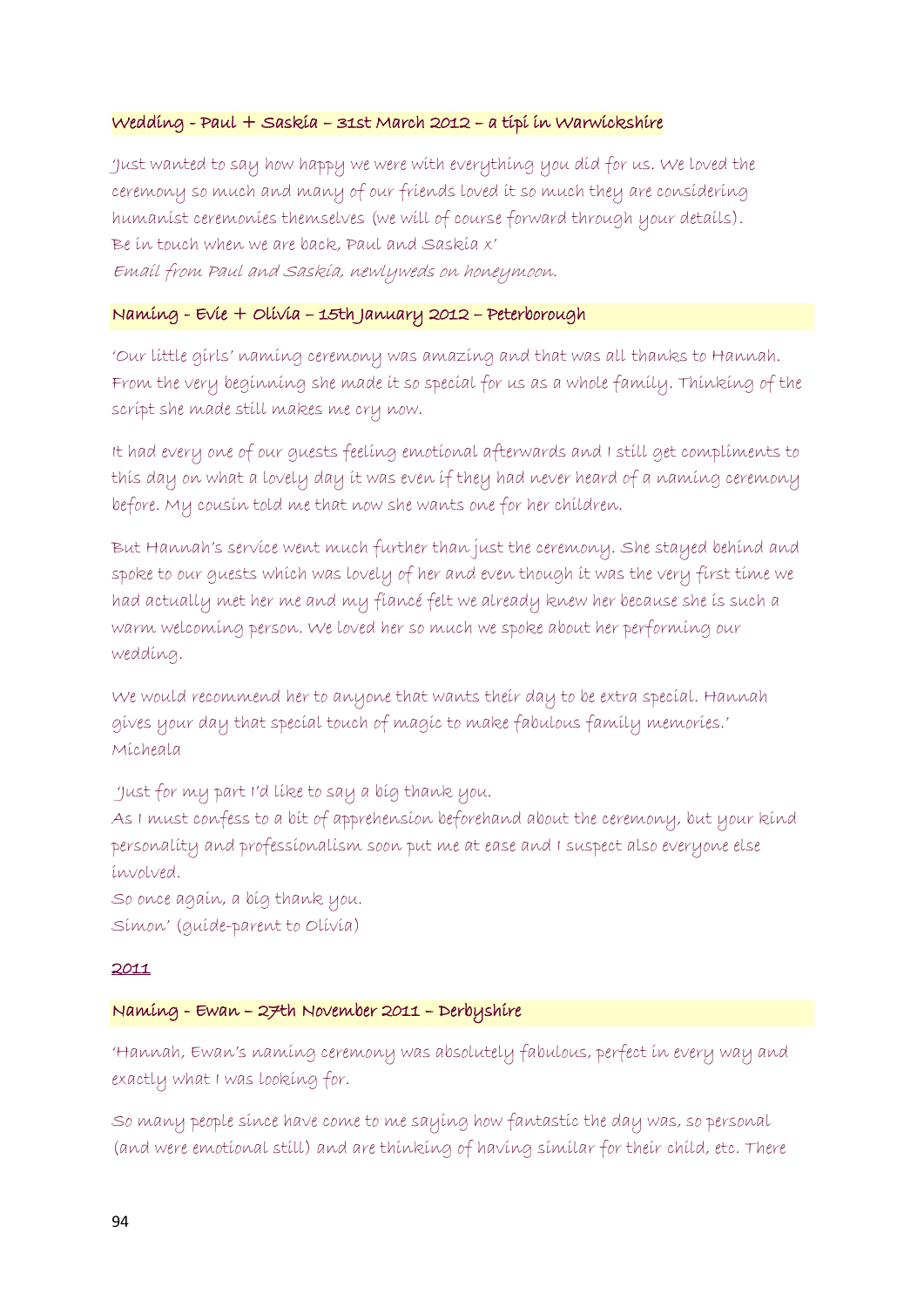### Wedding - Paul + Saskia – 31st March 2012 – a tipi in Warwickshire

'Just wanted to say how happy we were with everything you did for us. We loved the ceremony so much and many of our friends loved it so much they are considering humanist ceremonies themselves (we will of course forward through your details). Be in touch when we are back, Paul and Saskia x' Email from Paul and Saskia, newlyweds on honeymoon.

### Naming - Evie + Olivia – 15th January 2012 – Peterborough

'Our little girls' naming ceremony was amazing and that was all thanks to Hannah. From the very beginning she made it so special for us as a whole family. Thinking of the script she made still makes me cry now.

It had every one of our guests feeling emotional afterwards and I still get compliments to this day on what a lovely day it was even if they had never heard of a naming ceremony before. My cousin told me that now she wants one for her children.

But Hannah's service went much further than just the ceremony. She stayed behind and spoke to our guests which was lovely of her and even though it was the very first time we had actually met her me and my fiancé felt we already knew her because she is such a warm welcoming person. We loved her so much we spoke about her performing our wedding.

We would recommend her to anyone that wants their day to be extra special. Hannah gives your day that special touch of magic to make fabulous family memories.' Micheala

'Just for my part I'd like to say a big thank you.

As I must confess to a bit of apprehension beforehand about the ceremony, but your kind personality and professionalism soon put me at ease and I suspect also everyone else involved.

So once again, a big thank you. Simon' (guide-parent to Olivia)

#### 2011

#### Naming - Ewan – 27th November 2011 – Derbyshire

'Hannah, Ewan's naming ceremony was absolutely fabulous, perfect in every way and exactly what I was looking for.

So many people since have come to me saying how fantastic the day was, so personal (and were emotional still) and are thinking of having similar for their child, etc. There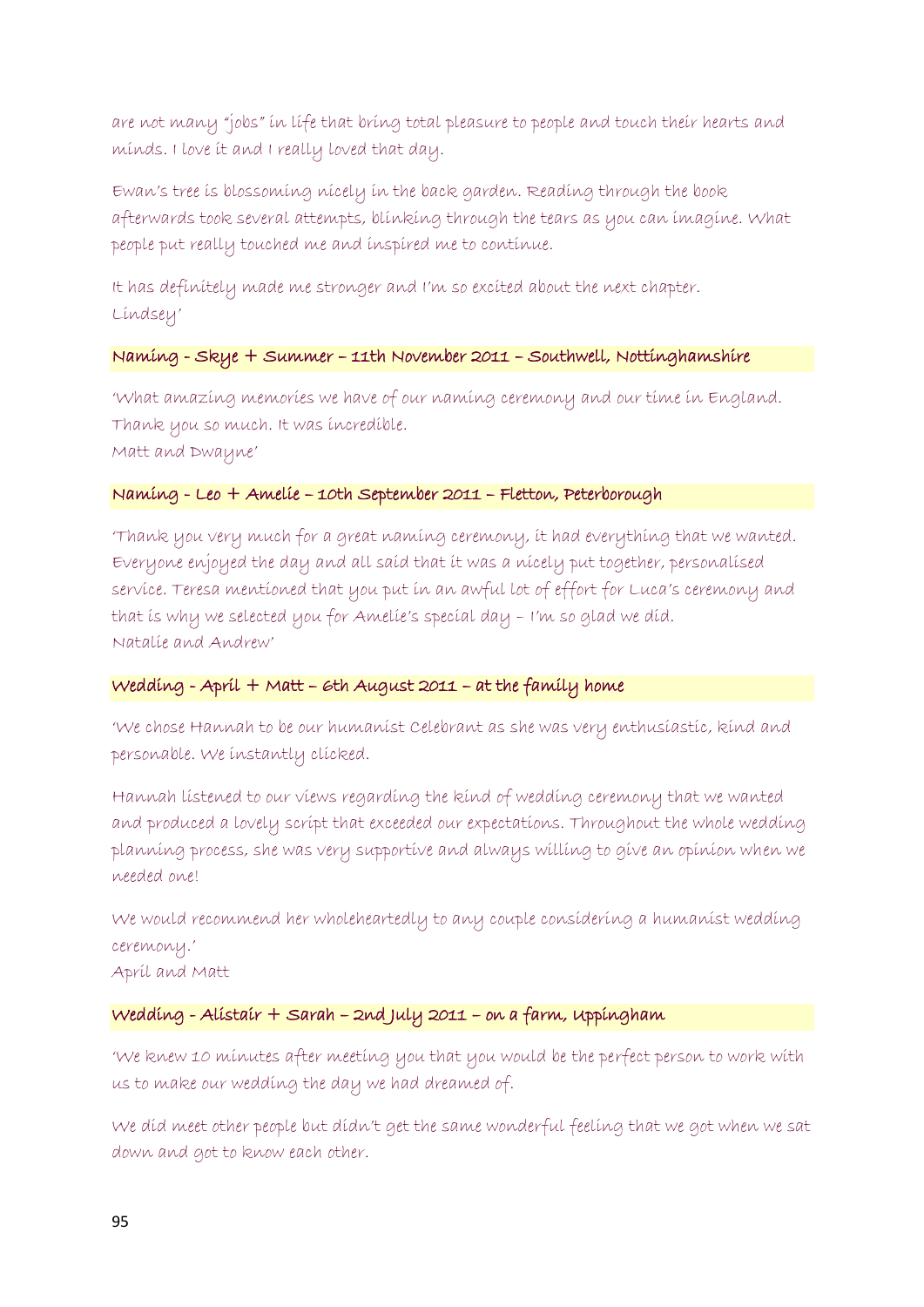are not many "jobs" in life that bring total pleasure to people and touch their hearts and minds. I love it and I really loved that day.

Ewan's tree is blossoming nicely in the back garden. Reading through the book afterwards took several attempts, blinking through the tears as you can imagine. What people put really touched me and inspired me to continue.

It has definitely made me stronger and I'm so excited about the next chapter. Lindsey'

### Naming - Skye + Summer – 11th November 2011 – Southwell, Nottinghamshire

'What amazing memories we have of our naming ceremony and our time in England. Thank you so much. It was incredible. Matt and Dwayne'

#### Naming - Leo + Amelie – 10th September 2011 – Fletton, Peterborough

'Thank you very much for a great naming ceremony, it had everything that we wanted. Everyone enjoyed the day and all said that it was a nicely put together, personalised service. Teresa mentioned that you put in an awful lot of effort for Luca's ceremony and that is why we selected you for Amelie's special day – I'm so glad we did. Natalie and Andrew'

### Wedding - April + Matt – 6th August 2011 – at the family home

'We chose Hannah to be our humanist Celebrant as she was very enthusiastic, kind and personable. We instantly clicked.

Hannah listened to our views regarding the kind of wedding ceremony that we wanted and produced a lovely script that exceeded our expectations. Throughout the whole wedding planning process, she was very supportive and always willing to give an opinion when we needed one!

We would recommend her wholeheartedly to any couple considering a humanist wedding ceremony.'

April and Matt

### Wedding - Alistair + Sarah – 2nd July 2011 – on a farm, Uppingham

'We knew 10 minutes after meeting you that you would be the perfect person to work with us to make our wedding the day we had dreamed of.

We did meet other people but didn't get the same wonderful feeling that we got when we sat down and got to know each other.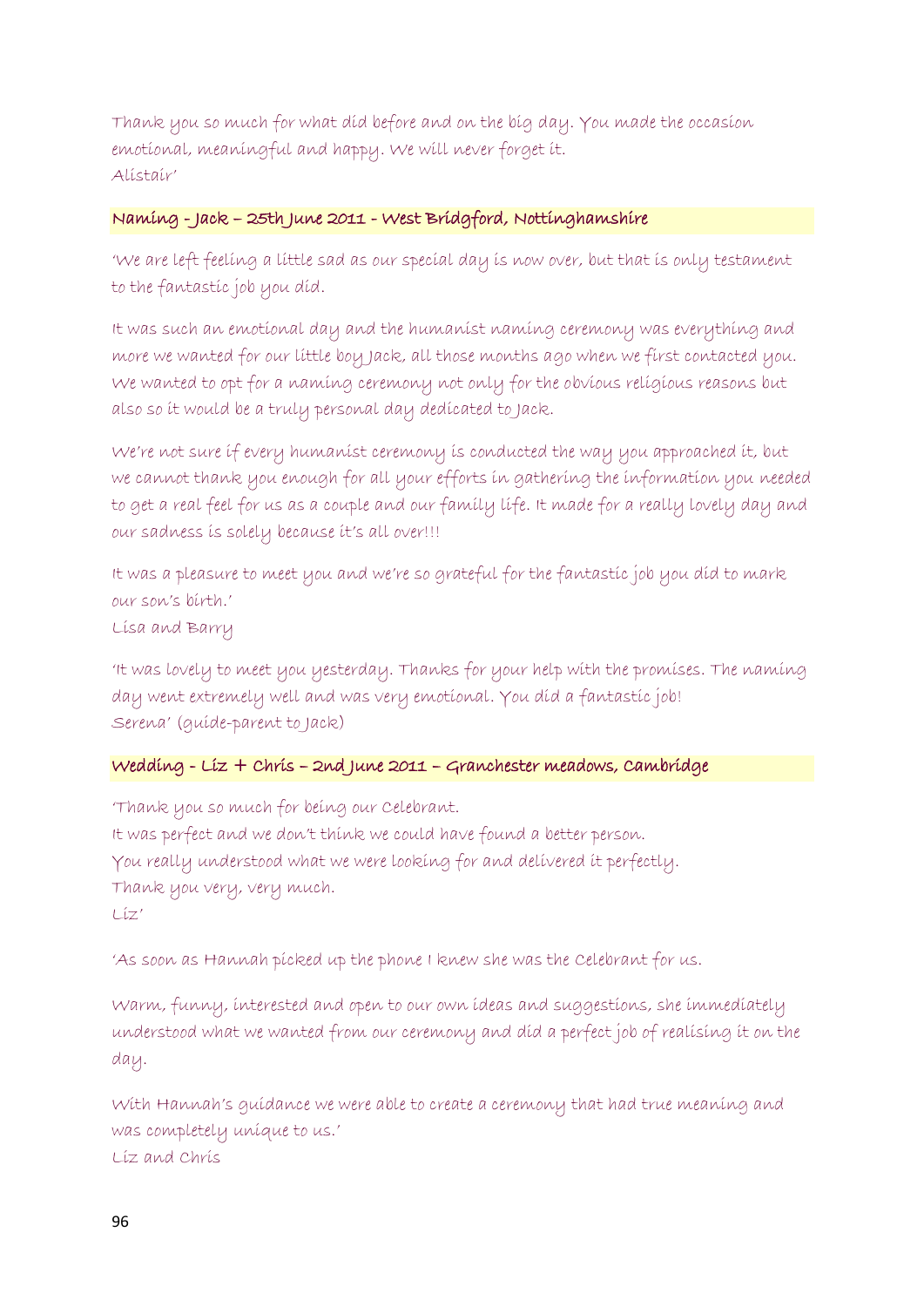Thank you so much for what did before and on the big day. You made the occasion emotional, meaningful and happy. We will never forget it. Alistair'

### Naming - Jack – 25th June 2011 - West Bridgford, Nottinghamshire

'We are left feeling a little sad as our special day is now over, but that is only testament to the fantastic job you did.

It was such an emotional day and the humanist naming ceremony was everything and more we wanted for our little boy Jack, all those months ago when we first contacted you. We wanted to opt for a naming ceremony not only for the obvious religious reasons but also so it would be a truly personal day dedicated to Jack.

We're not sure if every humanist ceremony is conducted the way you approached it, but we cannot thank you enough for all your efforts in gathering the information you needed to get a real feel for us as a couple and our family life. It made for a really lovely day and our sadness is solely because it's all over!!!

It was a pleasure to meet you and we're so grateful for the fantastic job you did to mark our son's birth.'

Lisa and Barry

'It was lovely to meet you yesterday. Thanks for your help with the promises. The naming day went extremely well and was very emotional. You did a fantastic job! Serena' (guide-parent to Jack)

# Wedding - Liz + Chris – 2nd June 2011 – Granchester meadows, Cambridge

'Thank you so much for being our Celebrant. It was perfect and we don't think we could have found a better person. You really understood what we were looking for and delivered it perfectly. Thank you very, very much. Liz'

'As soon as Hannah picked up the phone I knew she was the Celebrant for us.

Warm, funny, interested and open to our own ideas and suggestions, she immediately understood what we wanted from our ceremony and did a perfect job of realising it on the day.

With Hannah's guidance we were able to create a ceremony that had true meaning and was completely unique to us.' Liz and Chris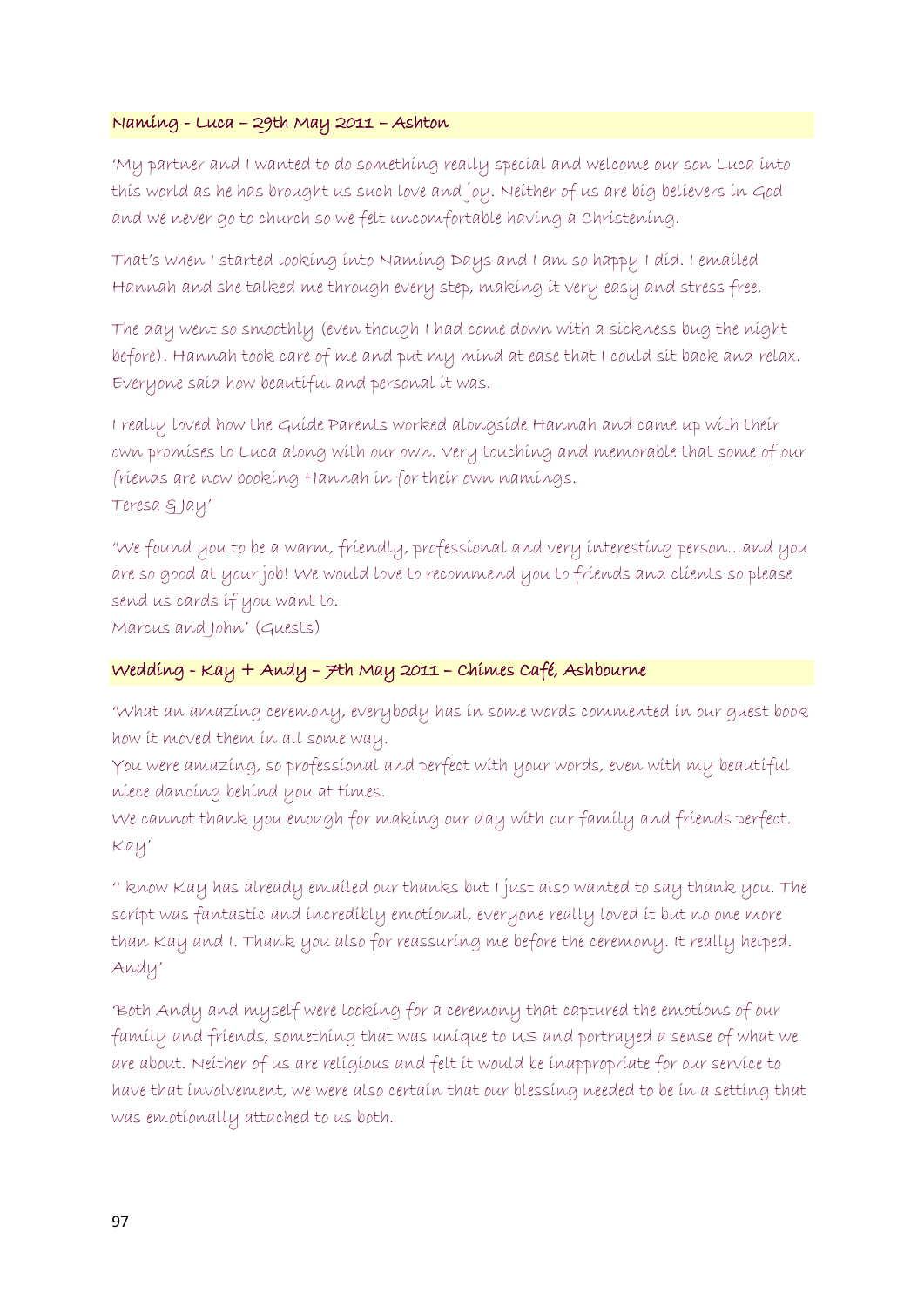### Naming - Luca – 29th May 2011 – Ashton

'My partner and I wanted to do something really special and welcome our son Luca into this world as he has brought us such love and joy. Neither of us are big believers in God and we never go to church so we felt uncomfortable having a Christening.

That's when I started looking into Naming Days and I am so happy I did. I emailed Hannah and she talked me through every step, making it very easy and stress free.

The day went so smoothly (even though I had come down with a sickness bug the night before). Hannah took care of me and put my mind at ease that I could sit back and relax. Everyone said how beautiful and personal it was.

I really loved how the Guide Parents worked alongside Hannah and came up with their own promises to Luca along with our own. Very touching and memorable that some of our friends are now booking Hannah in for their own namings. Teresa & Jay'

'We found you to be a warm, friendly, professional and very interesting person…and you are so good at your job! We would love to recommend you to friends and clients so please send us cards if you want to.

Marcus and John' (Guests)

# Wedding - Kay + Andy – 7th May 2011 – Chimes Café, Ashbourne

'What an amazing ceremony, everybody has in some words commented in our guest book how it moved them in all some way.

You were amazing, so professional and perfect with your words, even with my beautiful niece dancing behind you at times.

We cannot thank you enough for making our day with our family and friends perfect. Kay'

'I know Kay has already emailed our thanks but I just also wanted to say thank you. The script was fantastic and incredibly emotional, everyone really loved it but no one more than Kay and I. Thank you also for reassuring me before the ceremony. It really helped. Andy'

'Both Andy and myself were looking for a ceremony that captured the emotions of our family and friends, something that was unique to US and portrayed a sense of what we are about. Neither of us are religious and felt it would be inappropriate for our service to have that involvement, we were also certain that our blessing needed to be in a setting that was emotionally attached to us both.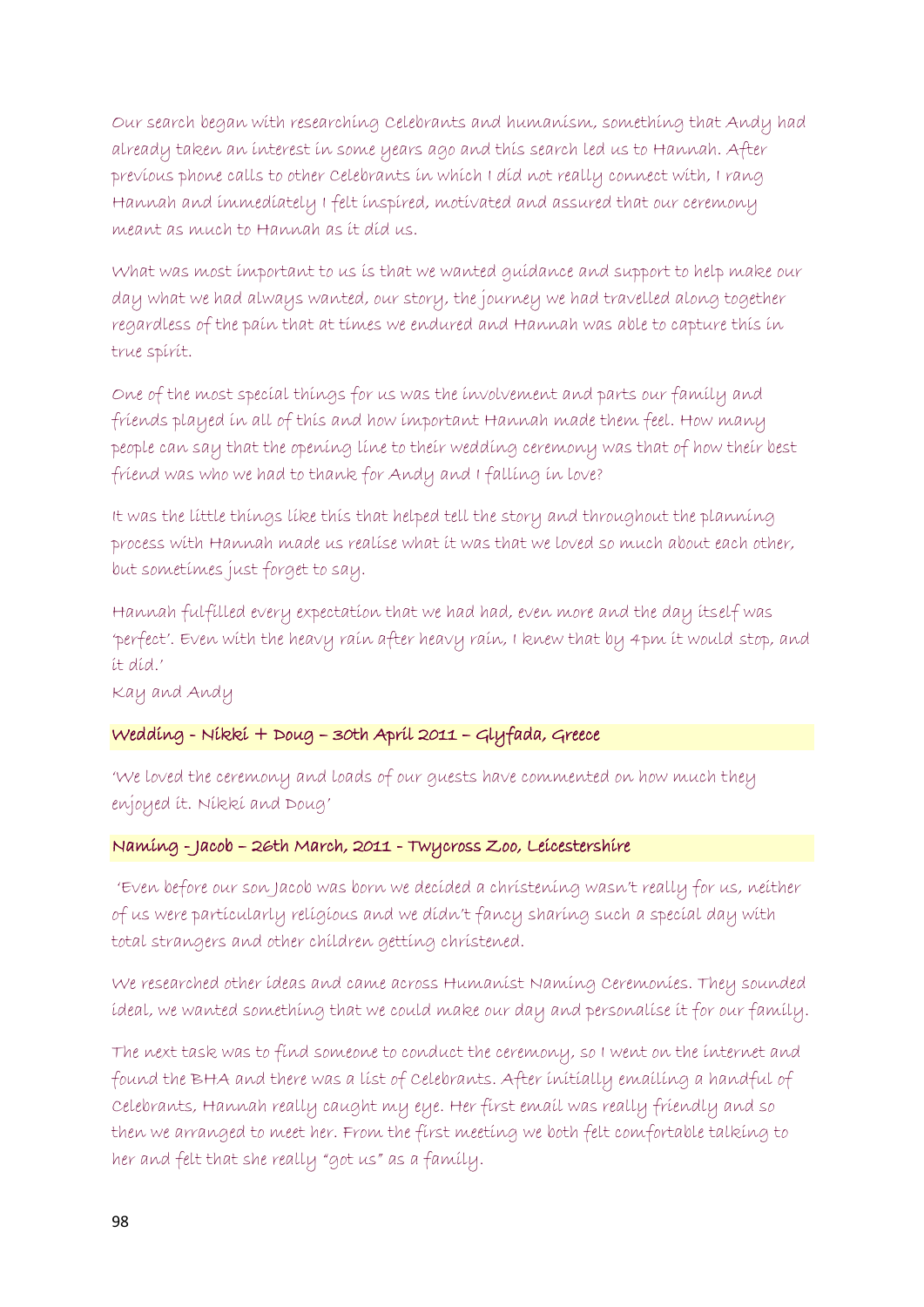Our search began with researching Celebrants and humanism, something that Andy had already taken an interest in some years ago and this search led us to Hannah. After previous phone calls to other Celebrants in which I did not really connect with, I rang Hannah and immediately I felt inspired, motivated and assured that our ceremony meant as much to Hannah as it did us.

What was most important to us is that we wanted guidance and support to help make our day what we had always wanted, our story, the journey we had travelled along together regardless of the pain that at times we endured and Hannah was able to capture this in true spirit.

One of the most special things for us was the involvement and parts our family and friends played in all of this and how important Hannah made them feel. How many people can say that the opening line to their wedding ceremony was that of how their best friend was who we had to thank for Andy and I falling in love?

It was the little things like this that helped tell the story and throughout the planning process with Hannah made us realise what it was that we loved so much about each other, but sometimes just forget to say.

Hannah fulfilled every expectation that we had had, even more and the day itself was 'perfect'. Even with the heavy rain after heavy rain, I knew that by 4pm it would stop, and it did.'

Kay and Andy

# Wedding - Nikki + Doug – 30th April 2011 – Glyfada, Greece

'We loved the ceremony and loads of our guests have commented on how much they enjoyed it. Nikki and Doug'

# Naming - Jacob – 26th March, 2011 - Twycross Zoo, Leicestershire

'Even before our son Jacob was born we decided a christening wasn't really for us, neither of us were particularly religious and we didn't fancy sharing such a special day with total strangers and other children getting christened.

We researched other ideas and came across Humanist Naming Ceremonies. They sounded ideal, we wanted something that we could make our day and personalise it for our family.

The next task was to find someone to conduct the ceremony, so I went on the internet and found the BHA and there was a list of Celebrants. After initially emailing a handful of Celebrants, Hannah really caught my eye. Her first email was really friendly and so then we arranged to meet her. From the first meeting we both felt comfortable talking to her and felt that she really "got us" as a family.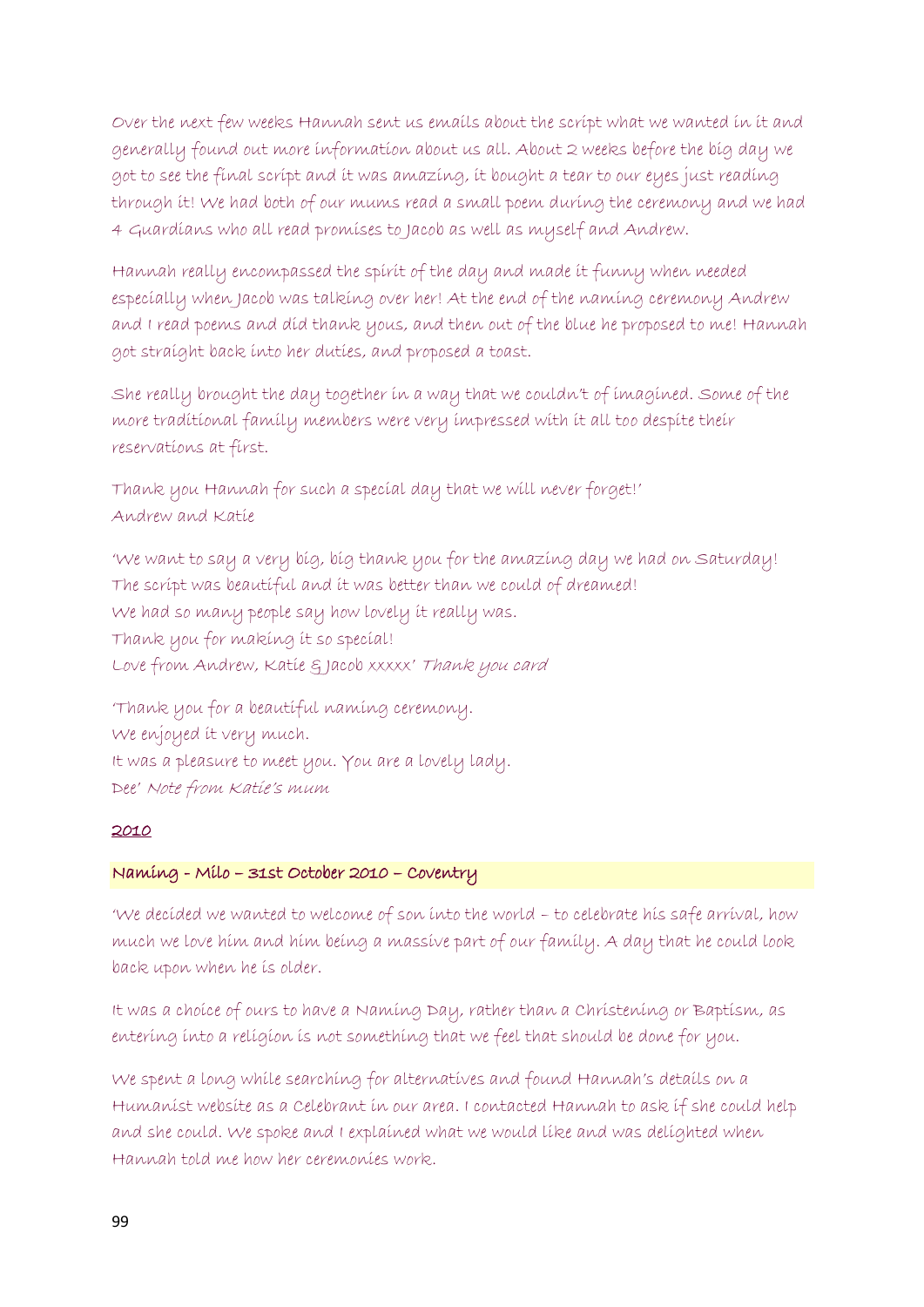Over the next few weeks Hannah sent us emails about the script what we wanted in it and generally found out more information about us all. About 2 weeks before the big day we got to see the final script and it was amazing, it bought a tear to our eyes just reading through it! We had both of our mums read a small poem during the ceremony and we had 4 Guardians who all read promises to Jacob as well as myself and Andrew.

Hannah really encompassed the spirit of the day and made it funny when needed especially when Jacob was talking over her! At the end of the naming ceremony Andrew and I read poems and did thank yous, and then out of the blue he proposed to me! Hannah got straight back into her duties, and proposed a toast.

She really brought the day together in a way that we couldn't of imagined. Some of the more traditional family members were very impressed with it all too despite their reservations at first.

Thank you Hannah for such a special day that we will never forget!' Andrew and Katie

'We want to say a very big, big thank you for the amazing day we had on Saturday! The script was beautiful and it was better than we could of dreamed! We had so many people say how lovely it really was. Thank you for making it so special! Love from Andrew, Katie & Jacob xxxxx' Thank you card

'Thank you for a beautiful naming ceremony. We enjoyed it very much. It was a pleasure to meet you. You are a lovely lady. Dee' Note from Katie's mum

#### 2010

#### Naming - Milo – 31st October 2010 – Coventry

'We decided we wanted to welcome of son into the world – to celebrate his safe arrival, how much we love him and him being a massive part of our family. A day that he could look back upon when he is older.

It was a choice of ours to have a Naming Day, rather than a Christening or Baptism, as entering into a religion is not something that we feel that should be done for you.

We spent a long while searching for alternatives and found Hannah's details on a Humanist website as a Celebrant in our area. I contacted Hannah to ask if she could help and she could. We spoke and I explained what we would like and was delighted when Hannah told me how her ceremonies work.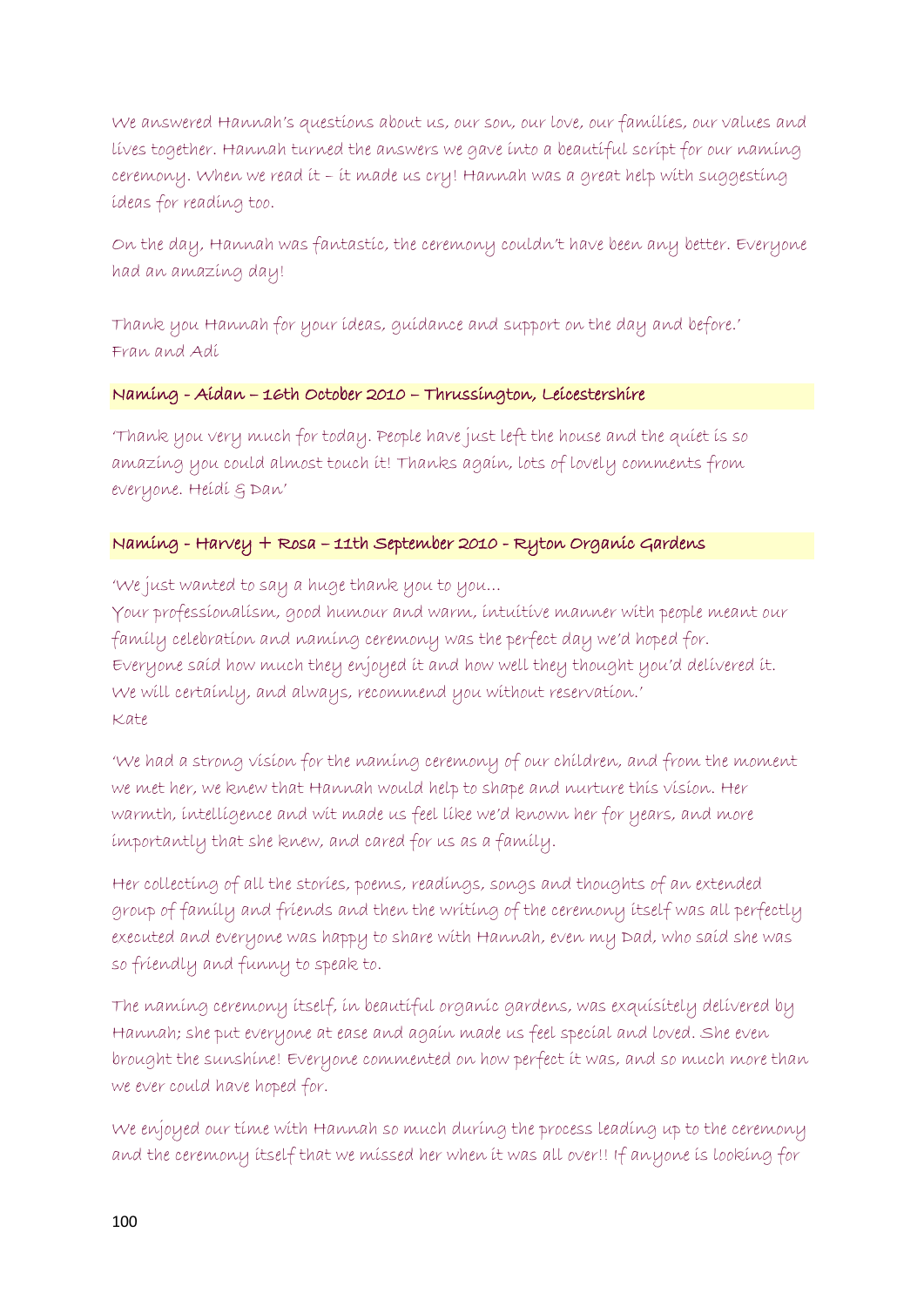We answered Hannah's questions about us, our son, our love, our families, our values and lives together. Hannah turned the answers we gave into a beautiful script for our naming ceremony. When we read it – it made us cry! Hannah was a great help with suggesting ideas for reading too.

On the day, Hannah was fantastic, the ceremony couldn't have been any better. Everyone had an amazing day!

Thank you Hannah for your ideas, guidance and support on the day and before.' Fran and Adi

### Naming - Aidan – 16th October 2010 – Thrussington, Leicestershire

'Thank you very much for today. People have just left the house and the quiet is so amazing you could almost touch it! Thanks again, lots of lovely comments from everyone. Heidi & Dan'

# Naming - Harvey + Rosa – 11th September 2010 - Ryton Organic Gardens

'We just wanted to say a huge thank you to you…

Your professionalism, good humour and warm, intuitive manner with people meant our family celebration and naming ceremony was the perfect day we'd hoped for. Everyone said how much they enjoyed it and how well they thought you'd delivered it. We will certainly, and always, recommend you without reservation.' Kate

'We had a strong vision for the naming ceremony of our children, and from the moment we met her, we knew that Hannah would help to shape and nurture this vision. Her warmth, intelligence and wit made us feel like we'd known her for years, and more importantly that she knew, and cared for us as a family.

Her collecting of all the stories, poems, readings, songs and thoughts of an extended group of family and friends and then the writing of the ceremony itself was all perfectly executed and everyone was happy to share with Hannah, even my Dad, who said she was so friendly and funny to speak to.

The naming ceremony itself, in beautiful organic gardens, was exquisitely delivered by Hannah; she put everyone at ease and again made us feel special and loved. She even brought the sunshine! Everyone commented on how perfect it was, and so much more than we ever could have hoped for.

We enjoyed our time with Hannah so much during the process leading up to the ceremony and the ceremony itself that we missed her when it was all over!! If anyone is looking for